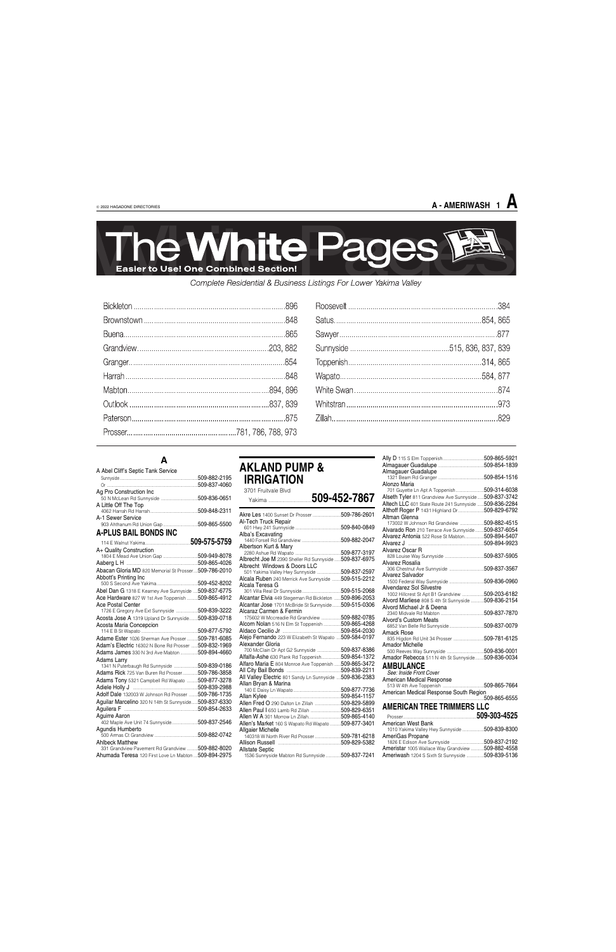### **A**

| A Abel Cliff's Septic Tank Service |              |
|------------------------------------|--------------|
|                                    | 509-882-2195 |
|                                    | 509-837-4060 |
| Ag Pro Construction Inc            |              |
| A Little Off The Top               |              |
| A-1 Sewer Service                  |              |
| A-PLUS BAIL BONDS INC              |              |
|                                    | 509-575-5759 |
| A+ Quality Construction            |              |

| A+ Quality Construction                                |  |
|--------------------------------------------------------|--|
|                                                        |  |
|                                                        |  |
| Abacan Gloria MD 820 Memorial St Prosser 509-786-2010  |  |
| Abbott's Printing Inc                                  |  |
|                                                        |  |
| Abel Dan G 1318 E Kearney Ave Sunnyside  509-837-6775  |  |
| Ace Hardware 827 W 1st Ave Toppenish 509-865-4912      |  |
| <b>Ace Postal Center</b>                               |  |
| 1726 E Gregory Ave Ext Sunnyside 509-839-3222          |  |
| Acosta Jose A 1319 Upland Dr Sunnyside 509-839-0718    |  |
| Acosta Maria Concepcion                                |  |
|                                                        |  |
| Adame Ester 1026 Sherman Ave Prosser  509-781-6085     |  |
| Adam's Electric 16302 N Bone Rd Prosser 509-832-1969   |  |
| <b>Adams James</b> 330 N 3rd Ave Mabton 509-894-4660   |  |
| Adams Larry                                            |  |
| 1341 N Puterbaugh Rd Sunnyside 509-839-0186            |  |
| Adams Rick 725 Van Buren Rd Prosser509-786-3858        |  |
| Adams Tony 5321 Campbell Rd Wapato  509-877-3278       |  |
|                                                        |  |
| Adolf Dale 132003 W Johnson Rd Prosser  509-786-1735   |  |
| Aguilar Marcelino 320 N 14th St Sunnyside 509-837-6330 |  |
|                                                        |  |
| Aquirre Aaron                                          |  |
| 402 Maple Ave Unit 74 Sunnyside509-837-2546            |  |
| Agundis Humberto                                       |  |
|                                                        |  |
| <b>Ahlbeck Matthew</b>                                 |  |
| 331 Grandview Pavement Rd Grandview 509-882-8020       |  |
| Ahumada Teresa 120 First Love Ln Mabton  509-894-2975  |  |

### **AKLAND PUMP & IRRIGATION**

3701 Fruitvale Blvd

| JIU I FIUILVAIE DIVU<br>Yakima                                                                                 | 509-452-7867                 |
|----------------------------------------------------------------------------------------------------------------|------------------------------|
|                                                                                                                | 509-786-2601                 |
| Al-Tech Truck Repair                                                                                           | 509-840-0849                 |
| Alba's Excavating                                                                                              | 509-882-2047                 |
| Albertson Kurt & Mary                                                                                          | 509-877-3197                 |
| Albrecht Joe M 2390 Sheller Rd Sunnyside<br>Albrecht Windows & Doors LLC                                       | 509-837-6975                 |
| 501 Yakima Valley Hwy Sunnyside                                                                                | 509-837-2597                 |
| Alcala Ruben 240 Merrick Ave Sunnyside 509-515-2212<br>Alcala Teresa G                                         |                              |
|                                                                                                                |                              |
| Alcantar Elvia 449 Stegeman Rd Bickleton  509-896-2053<br>Alcantar Jose 1701 McBride St Sunnyside 509-515-0306 |                              |
| Alcaraz Carmen & Fermin                                                                                        |                              |
| 175602 W Mccreadie Rd Grandview 509-882-0785<br>Alcorn Nolan 516 N Elm St Toppenish 509-865-4268               |                              |
| Alejo Fernando 223 W Elizabeth St Wapato  509-584-0197                                                         |                              |
| Alexander Gloria                                                                                               |                              |
| 700 McClain Dr Apt G2 Sunnyside 509-837-8386<br>Alfalfa-Ashe 630 Plank Rd Toppenish509-854-1372                |                              |
| Alfaro Maria E 804 Monroe Ave Toppenish  509-865-3472                                                          |                              |
| All Valley Electric 801 Sandy Ln Sunnyside 509-836-2383                                                        |                              |
| Allan Bryan & Marina                                                                                           |                              |
|                                                                                                                | 509-877-7736<br>509-854-1157 |

american medican response 513 W 4th Ave Toppenish ......................................509-865-7664 American Medical Response South Region ........................................................................................509-865-6555

|                                                    | 509-829-5899 |
|----------------------------------------------------|--------------|
|                                                    | 509-829-6351 |
| <b>Allen W A 301 Morrow Ln Zillah</b>              | 509-865-4140 |
| Allen's Market 160 S Wapato Rd Wapato 509-877-3401 |              |
| <b>Allgaier Michelle</b>                           |              |
| 140318 W North River Rd Prosser 509-781-6218       |              |
|                                                    |              |
| <b>Allstate Septic</b>                             |              |
| 1536 Sunnyside Mabton Rd Sunnyside  509-837-7241   |              |
|                                                    |              |

| Almagauer Guadalupe                                    |              |
|--------------------------------------------------------|--------------|
|                                                        |              |
| Alonzo Maria                                           |              |
| 701 Guyette Ln Apt A Toppenish                         | 509-314-6038 |
| Alseth Tyler 811 Grandview Ave Sunnyside 509-837-3742  |              |
| Altech LLC 601 State Route 241 Sunnyside  509-836-2284 |              |
| Althoff Roger P 1431 Highland Dr                       | 509-829-6792 |
| Altman Glenna                                          |              |
| 173002 W Johnson Rd Grandview 509-882-4515             |              |
| Alvarado Ron 210 Terrace Ave Sunnyside 509-837-6054    |              |
| Alvarez Antonia 522 Rose St Mabton509-894-5407         |              |
|                                                        |              |
| Alvarez Oscar R                                        |              |
|                                                        |              |
| Alvarez Rosalia                                        |              |
|                                                        |              |
| Alvarez Salvador                                       |              |
|                                                        |              |
| Alvendarez Sol Silvestre                               |              |
| 1002 Hillcrest St Apt B1 Grandview 509-203-6182        |              |
| Alvord Marliese 808 S 4th St Sunnyside  509-836-2154   |              |
| Alvord Michael Jr & Deena                              |              |
|                                                        |              |
| <b>Alvord's Custom Meats</b>                           |              |
| Amack Rose                                             |              |
| 835 Higdon Rd Unit 34 Prosser                          | 509-781-6125 |
| Amador Michelle                                        |              |
|                                                        |              |
| Amador Rebecca 511 N 4th St Sunnyside 509-836-0034     |              |
|                                                        |              |
| <b>AMBULANCE</b>                                       |              |
| See: Inside Front Cover                                |              |
| American Medical Response                              |              |

| 10       |                                                                             | .509-303-4525                 |
|----------|-----------------------------------------------------------------------------|-------------------------------|
| )1       | American West Bank<br>1010 Yakima Valley Hwy Sunnyside 509-839-8300         |                               |
| 18<br>32 | AmeriGas Propane<br>1826 E Edison Ave Sunnyside                             | 509-837-2192                  |
| 11       | Ameristar 1005 Wallace Way Grandview<br>Ameriwash 1204 S Sixth St Sunnyside | 509-882-4558<br>.509-839-5136 |
|          |                                                                             |                               |

### **A - AMERIWASH 1 A**



Complete Residential & Business Listings For Lower Yakima Valley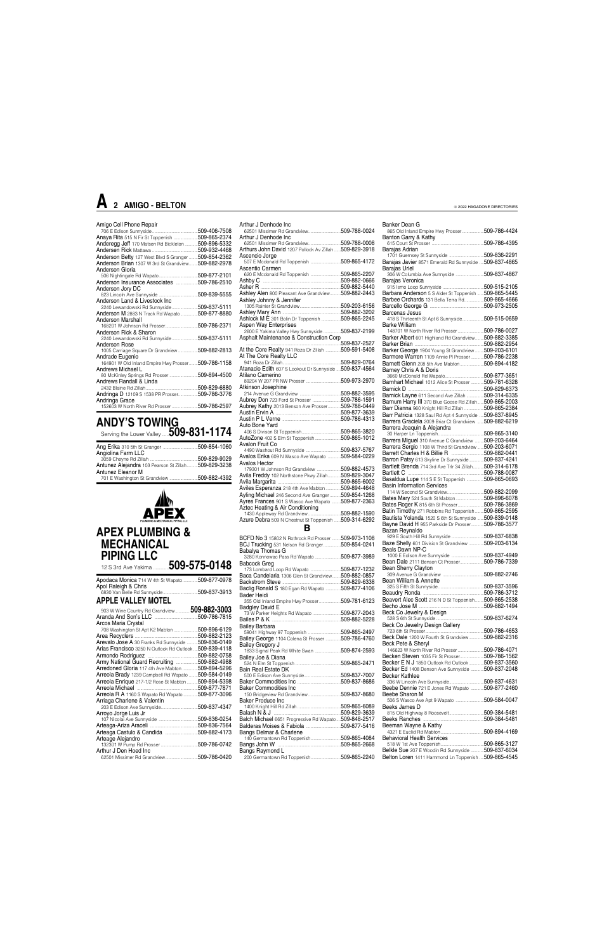### Amigo Cell Phone Repair

|                                                                | 509-406-7508 |
|----------------------------------------------------------------|--------------|
| Anaya Rita 515 N Fir St Toppenish 509-865-2374                 |              |
| Anderegg Jeff 170 Matsen Rd Bickleton  509-896-5332            |              |
|                                                                |              |
| Anderson Betty 127 West Blvd S Granger  509-854-2362           |              |
| <b>Anderson Brian 1307 W 3rd St Grandview</b>                  | 509-882-2978 |
| Anderson Gloria                                                |              |
|                                                                |              |
| Anderson Insurance Associates 509-786-2510                     |              |
| Anderson Jory DC                                               |              |
|                                                                |              |
| Anderson Land & Livestock Inc                                  |              |
| 2240 Lewandowski Rd Sunnyside509-837-5111                      |              |
| Anderson M 2883 N Track Rd Wapato509-877-8880                  |              |
| Anderson Marshall                                              |              |
|                                                                |              |
| Anderson Rick & Sharon                                         |              |
| 2240 Lewandowski Rd Sunnyside509-837-5111                      |              |
| Anderson Rose                                                  |              |
| 1005 Carriage Square Dr Grandview                              | 509-882-2813 |
| Andrade Eugenio                                                |              |
| 164901 W Old Inland Empire Hwy Prosser 509-786-1158            |              |
| Andrews Michael L                                              |              |
| 80 McKinley Springs Rd Prosser 509-894-4500                    |              |
| Andrews Randall & Linda                                        |              |
|                                                                |              |
| Andringa D 12109 S 1538 PR Prosser509-786-3776                 |              |
| Andringa Grace<br>152603 W North River Rd Prosser 509-786-2597 |              |
|                                                                |              |

### **ANDY'S TOWING** Serving the Lower Valley ......**509-831-1174**

| Angiolina Farm LLC                                  |  |
|-----------------------------------------------------|--|
|                                                     |  |
| Antunez Alejandra 103 Pearson St Zillah509-829-3238 |  |
| Antunez Eleanor M                                   |  |
| 701 E Washington St Grandview 509-882-4392          |  |



| 12 S 3rd Ave Yakima                                        | 509-575-0148 |
|------------------------------------------------------------|--------------|
| Apodaca Monica 714 W 4th St Wapato<br>Apol Raleigh & Chris | 509-877-0978 |
| 6830 Van Belle Rd Sunnyside<br>.                           | 509-837-3913 |
| <b>APPLE VALLEY MOTEL</b>                                  |              |
| 903 W Wine Country Rd Grandview                            | 509-882-3003 |
|                                                            | 509-786-7815 |
| Arcos Maria Crystal                                        | 509-896-6129 |
| 708 Washington St Apt K2 Mabton                            | 509-882-2123 |
| Arevalo Jose A 30 Franks Rd Sunnyside                      | 509-836-0149 |
| Arias Francisco 3250 N Outlook Rd Outlook                  | 509-839-4118 |
|                                                            | 509-882-0758 |
| Army National Guard Recruiting                             | 509-882-4988 |
| Arredoned Gloria 117 4th Ave Mabton                        | 509-894-5296 |
| Arreola Brady 1239 Campbell Rd Wapato                      | 509-584-0149 |
| Arreola Enrique 217-1/2 Rose St Mabton                     | 509-894-5398 |

Arreola Michael ........................................................509-877-7871 Arreola R A 1160 S Wapato Rd Wapato..............509-877-3096

| Arthur J Denhode Inc                                              |  |
|-------------------------------------------------------------------|--|
| Arthur J Denhode Inc                                              |  |
|                                                                   |  |
| Arthurs John David 1207 Pollock Av Zillah  509-829-3918           |  |
| Ascencio Jorge                                                    |  |
| 507 E Mcdonald Rd Toppenish 509-865-4172                          |  |
| Ascentio Carmen                                                   |  |
| 620 E Mcdonald Rd Toppenish 509-865-2207                          |  |
| Ashby C Married Marcellin, 2009-882-0666                          |  |
|                                                                   |  |
| Ashley Alen 800 Pleasant Ave Grandview509-882-2443                |  |
| Ashley Johnny & Jennifer                                          |  |
|                                                                   |  |
| Ashlock M É 301 Bolin Dr Toppenish 509-865-2245                   |  |
| <b>Aspen Way Enterprises</b>                                      |  |
| 2600 E Yakima Valley Hwy Sunnyside 509-837-2199                   |  |
| Asphalt Maintenance & Construction Corp                           |  |
|                                                                   |  |
| At the Core Realty 941 Roza Dr Zillah  509-591-5408               |  |
| At The Core Realty LLC                                            |  |
|                                                                   |  |
| Atanacio Edith 607 S Lookout Dr Sunnyside  509-837-4564           |  |
| Atilano Camerino                                                  |  |
| Atkinson Josephine                                                |  |
|                                                                   |  |
| Aubrey Don 723 Ford St Prosser 509-786-1591                       |  |
| Aubrey Kathy 2013 Benson Ave Prosser 509-788-0449                 |  |
|                                                                   |  |
|                                                                   |  |
| Auto Bone Yard                                                    |  |
|                                                                   |  |
| AutoZone 402 S Elm St Toppenish509-865-1012                       |  |
| Avalon Fruit Co                                                   |  |
|                                                                   |  |
| Avalos Erika 609 N Wasco Ave Wapato 509-584-0229<br>Avalos Hector |  |
| 179301 W Johnson Rd Grandview 509-882-4573                        |  |
| Avila Freddy 102 Northstone Pkwy Zillah509-829-3047               |  |
|                                                                   |  |
| Aviles Esperanza 218 4th Ave Mabton  509-894-4648                 |  |
| Ayling Michael 246 Second Ave Granger509-854-1268                 |  |
| Ayres Frances 901 S Wasco Ave Wapato  509-877-2363                |  |
|                                                                   |  |
|                                                                   |  |
| Azure Debra 509 N Chestnut St Toppenish  509-314-6292             |  |
| R                                                                 |  |
| BCFD No 3 15802 N Rothrock Rd Prosser  509-973-1108               |  |
| BCJ Trucking 531 Nelson Rd Granger509-854-0241                    |  |
| Babalya Thomas G                                                  |  |
| 3280 Konnowac Pass Rd Wapato 509-877-3989                         |  |
| <b>Babcock Greg</b>                                               |  |
| 173 Lombard Loop Rd Wapato 509-877-1232                           |  |
| Baca Candelaria 1306 Glop St Grandview 509-882-0857               |  |

| <b>BCFD No 3</b> 15802 N Rothrock Rd Prosser 509-973-1108 |              |
|-----------------------------------------------------------|--------------|
| BCJ Trucking 531 Nelson Rd Granger509-854-0241            |              |
| Babalya Thomas G                                          |              |
| 3280 Konnowac Pass Rd Wapato                              | 509-877-3989 |
| Babcock Greg                                              |              |
| 173 Lombard Loop Rd Wapato 509-877-1232                   |              |
| Baca Candelaria 1306 Glen St Grandview509-882-0857        |              |
|                                                           |              |
| Baclig Ronald S 180 Egan Rd Wapato 509-877-4106           |              |
| Bader Heidi                                               |              |
| 355 Old Inland Empire Hwy Prosser509-781-6123             |              |
| <b>Badgley David E</b>                                    |              |
| 73 W Parker Heights Rd Wapato 509-877-2043                |              |
|                                                           |              |
| <b>Bailey Barbara</b>                                     |              |
|                                                           |              |
| Bailey George 1104 Colena St Prosser  509-786-4760        |              |
| <b>Bailey Gregory J</b>                                   |              |
| 1833 Signal Peak Rd White Swan 509-874-2593               |              |
| Bailey Joe & Diana                                        | 509-865-2471 |
| Bain Real Estate DK                                       |              |
|                                                           |              |
|                                                           |              |
| <b>Baker Commodities Inc.</b>                             |              |
| 150 Bridgeview Rd Grandview                               | 509-837-8680 |
|                                                           |              |

| Arriaga Charlene & Valentin                | Baker Produce Inc                                    | 509-584-0047<br>506 S Wasco Ave Apt 9 Wapato          |
|--------------------------------------------|------------------------------------------------------|-------------------------------------------------------|
| .509-837-4347                              | 509-865-6089                                         | Beeks James D                                         |
| Arroyo Jorge Luis Jr                       | 509-829-3639                                         | .509-384-5481<br>815 Old Highway 8 Roosevelt          |
| .509-836-0254<br>107 Nicolai Ave Sunnyside | Balch Michael 6651 Progressive Rd Wapato509-848-2517 | .509-384-5481                                         |
| Arteaga-Ariza Araceli<br>.509-836-7564     | Balderas Moises & Fabiola<br>.509-877-5416           | Beeman Wayne & Kathy                                  |
| Arteaga Castulo & Candida<br>.509-882-4173 | Bangs Delmar & Charlene                              | .509-894-4169<br>4321 E Euclid Rd Mabton              |
| Arteage Alejandro                          | .509-865-4084<br>140 Germantown Rd Toppenish         | <b>Behavioral Health Services</b>                     |
| 509-786-0742<br>132301 W Pump Rd Prosser   | .509-865-2668                                        | .509-865-3127                                         |
| Arthur J Den Hoed Inc                      | Bangs Raymond L                                      | Belkle Sue 207 E Woodin Rd Sunnyside<br>.509-837-6034 |
| 509-786-0420                               | .509-865-2240                                        | Belton Loren 1411 Hammond Ln Toppenish  509-865-4545  |

Banker Dean G

| Banker Dean G                                                                                                                                                                                                                                                                        |  |
|--------------------------------------------------------------------------------------------------------------------------------------------------------------------------------------------------------------------------------------------------------------------------------------|--|
| 865 Old Inland Empire Hwy Prosser509-786-4424                                                                                                                                                                                                                                        |  |
| Banton Garry & Kathy                                                                                                                                                                                                                                                                 |  |
|                                                                                                                                                                                                                                                                                      |  |
| Baraias Adrian                                                                                                                                                                                                                                                                       |  |
| 1701 Guernsey St Sunnyside 509-836-2291                                                                                                                                                                                                                                              |  |
| Barajas Javier 8571 Emerald Rd Sunnyside  509-837-4865                                                                                                                                                                                                                               |  |
|                                                                                                                                                                                                                                                                                      |  |
| Baraias Uriel                                                                                                                                                                                                                                                                        |  |
| 306 W Columbia Ave Sunnyside 509-837-4867                                                                                                                                                                                                                                            |  |
| Barajas Veronica                                                                                                                                                                                                                                                                     |  |
|                                                                                                                                                                                                                                                                                      |  |
| Barbara Anderson 5 S Alder St Toppenish  509-865-5445                                                                                                                                                                                                                                |  |
| Barbee Orchards 131 Bella Terra Rd509-865-4666                                                                                                                                                                                                                                       |  |
|                                                                                                                                                                                                                                                                                      |  |
|                                                                                                                                                                                                                                                                                      |  |
| Barcenas Jesus                                                                                                                                                                                                                                                                       |  |
| 418 S Thirteenth St Apt 6 Sunnyside509-515-0659                                                                                                                                                                                                                                      |  |
| Barke William                                                                                                                                                                                                                                                                        |  |
| 148701 W North River Rd Prosser 509-786-0027                                                                                                                                                                                                                                         |  |
|                                                                                                                                                                                                                                                                                      |  |
| Barker Albert 601 Highland Rd Grandview509-882-3385                                                                                                                                                                                                                                  |  |
|                                                                                                                                                                                                                                                                                      |  |
| Barker George 1904 Young St Grandview  509-203-6101                                                                                                                                                                                                                                  |  |
| Barmore Warren 1109 Annie PI Prosser509-786-2238                                                                                                                                                                                                                                     |  |
|                                                                                                                                                                                                                                                                                      |  |
| Barnett Glenn 208 5th Ave Mabton509-894-4182                                                                                                                                                                                                                                         |  |
| Barney Chris A & Doris                                                                                                                                                                                                                                                               |  |
|                                                                                                                                                                                                                                                                                      |  |
| Barnhart Michael 1012 Alice St Prosser  509-781-6328                                                                                                                                                                                                                                 |  |
|                                                                                                                                                                                                                                                                                      |  |
|                                                                                                                                                                                                                                                                                      |  |
| Barnick Layne 611 Second Ave Zillah 509-314-6335                                                                                                                                                                                                                                     |  |
| Barnum Harry III 370 Blue Goose Rd Zillah509-865-2003                                                                                                                                                                                                                                |  |
| Barr Dianna 960 Knight Hill Rd Zillah 509-865-2384                                                                                                                                                                                                                                   |  |
| Barr Patricia 1328 Saul Rd Apt 4 Sunnyside  509-837-8945                                                                                                                                                                                                                             |  |
| Barrera Graciela 2009 Briar Ct Grandview  509-882-6219                                                                                                                                                                                                                               |  |
|                                                                                                                                                                                                                                                                                      |  |
| Barrera Joaquin & Alejandra                                                                                                                                                                                                                                                          |  |
|                                                                                                                                                                                                                                                                                      |  |
| Barrera Miguel 310 Avenue C Grandview 509-203-6464                                                                                                                                                                                                                                   |  |
| Barrera Sergio 1108 W Third St Grandview  509-203-6071                                                                                                                                                                                                                               |  |
|                                                                                                                                                                                                                                                                                      |  |
|                                                                                                                                                                                                                                                                                      |  |
| Barron Patsy 613 Skyline Dr Sunnyside509-837-4241                                                                                                                                                                                                                                    |  |
| Bartlett Brenda 714 3rd Ave Trlr 34 Zillah509-314-6178                                                                                                                                                                                                                               |  |
|                                                                                                                                                                                                                                                                                      |  |
| Basaldua Lupe 114 S E St Toppenish 509-865-0693                                                                                                                                                                                                                                      |  |
|                                                                                                                                                                                                                                                                                      |  |
|                                                                                                                                                                                                                                                                                      |  |
| <b>Basin Information Services</b>                                                                                                                                                                                                                                                    |  |
|                                                                                                                                                                                                                                                                                      |  |
| Bates Mary 524 South St Mabton 509-896-6078                                                                                                                                                                                                                                          |  |
|                                                                                                                                                                                                                                                                                      |  |
| Bates Roger K 815 6th St Prosser509-786-3869                                                                                                                                                                                                                                         |  |
| Batin Timothy 271 Robbins Rd Toppenish  509-865-2595                                                                                                                                                                                                                                 |  |
| Bautista Yolanda 1520 S 6th St Sunnyside  509-839-0148                                                                                                                                                                                                                               |  |
| Bayne David H 955 Parkside Dr Prosser509-786-3577                                                                                                                                                                                                                                    |  |
| Bazan Reynaldo                                                                                                                                                                                                                                                                       |  |
|                                                                                                                                                                                                                                                                                      |  |
| 929 E South Hill Rd Sunnyside 509-837-6838                                                                                                                                                                                                                                           |  |
| Baze Shelly 601 Division St Grandview 509-203-6134                                                                                                                                                                                                                                   |  |
| Beals Dawn NP-C                                                                                                                                                                                                                                                                      |  |
| 1000 E Edison Ave Sunnyside 509-837-4949                                                                                                                                                                                                                                             |  |
| Bean Dale 2111 Benson Ct Prosser509-786-7339                                                                                                                                                                                                                                         |  |
| Bean Sherry Clayton                                                                                                                                                                                                                                                                  |  |
|                                                                                                                                                                                                                                                                                      |  |
|                                                                                                                                                                                                                                                                                      |  |
| Bean William & Annette                                                                                                                                                                                                                                                               |  |
|                                                                                                                                                                                                                                                                                      |  |
|                                                                                                                                                                                                                                                                                      |  |
| Beavert Alec Scott 216 N D St Toppenish509-865-2538                                                                                                                                                                                                                                  |  |
|                                                                                                                                                                                                                                                                                      |  |
|                                                                                                                                                                                                                                                                                      |  |
| Beck Co Jewelry & Design                                                                                                                                                                                                                                                             |  |
|                                                                                                                                                                                                                                                                                      |  |
|                                                                                                                                                                                                                                                                                      |  |
|                                                                                                                                                                                                                                                                                      |  |
|                                                                                                                                                                                                                                                                                      |  |
|                                                                                                                                                                                                                                                                                      |  |
|                                                                                                                                                                                                                                                                                      |  |
| 146623 W North River Rd Prosser 509-786-4071                                                                                                                                                                                                                                         |  |
|                                                                                                                                                                                                                                                                                      |  |
|                                                                                                                                                                                                                                                                                      |  |
|                                                                                                                                                                                                                                                                                      |  |
|                                                                                                                                                                                                                                                                                      |  |
| Beck Co Jewelry Design Gallery<br>Beck Dale 1200 W Fourth St Grandview509-882-2316<br>Beck Pete & Shervl<br>Becken Steven 1035 Fir St Prosser509-786-1562<br>Becker E N J 1850 Outlook Rd Outlook509-837-3560<br>Becker Ed 1408 Denson Ave Sunnyside  509-837-2048<br>Becker Kathlee |  |
| 336 W Lincoln Ave Sunnyside509-837-4631                                                                                                                                                                                                                                              |  |
| Beebe Dennie 721 E Jones Rd Wapato  509-877-2460<br>Beebe Sharon M                                                                                                                                                                                                                   |  |

### **A 2 AMIGO - BELTON**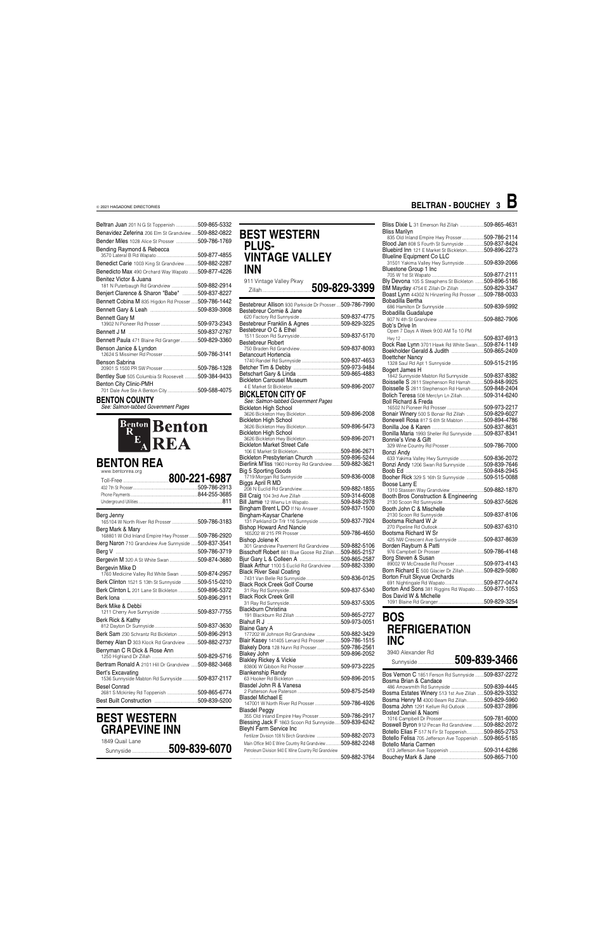| <b>Beltran Juan</b> 201 N G St Toppenish 509-865-5332                 |  |
|-----------------------------------------------------------------------|--|
| Benavidez Zeferina 206 Elm St Grandview509-882-0822                   |  |
| <b>Bender Miles</b> 1028 Alice St Prosser 509-786-1769                |  |
| Bending Raymond & Rebecca                                             |  |
| <b>Benedict Carie</b> 1003 King St Grandview 509-882-2287             |  |
| Benedicto Max 490 Orchard Way Wapato 509-877-4226                     |  |
| Benitez Victor & Juana<br>181 N Puterbaugh Rd Grandview  509-882-2914 |  |
| Benjert Clarence & Sharon "Babe" 509-837-8227                         |  |
| Bennett Cobina M 835 Higdon Rd Prosser  509-786-1442                  |  |
|                                                                       |  |
| <b>Bennett Gary M</b>                                                 |  |
|                                                                       |  |
|                                                                       |  |
| <b>Bennett Paula</b> 471 Blaine Rd Granger 509-829-3360               |  |
| Benson Janice & Lyndon                                                |  |
|                                                                       |  |
| Benson Sabrina                                                        |  |
| Bentley Sue 505 Columbia St Roosevelt  509-384-9433                   |  |
| Benton City Clinic-PMH                                                |  |
| 701 Dale Ave Ste A Benton City 509-588-4075                           |  |

### **BENTON COUNTY**

*See: Salmon-tabbed Government Pages*



### **BENTON REA** www.bentonrea.org Toll-Free ..........................................**800-221-6987**

| Berg Jenny                                                            |              |
|-----------------------------------------------------------------------|--------------|
|                                                                       |              |
| Berg Mark & Mary                                                      |              |
| 168801 W Old Inland Empire Hwy Prosser                                | 509-786-2920 |
| Berg Naron 710 Grandview Ave Sunnyside                                | 509-837-3541 |
|                                                                       | 509-786-3719 |
| Bergevin M 320 A St White Swan 509-874-3680                           |              |
| Bergevin Mike D                                                       |              |
| 1760 Medicine Valley Rd White Swan 509-874-2957                       |              |
| Berk Clinton 1521 S 13th St Sunnyside                                 | 509-515-0210 |
| Berk Clinton L 201 Lane St Bickleton 509-896-5372                     |              |
|                                                                       |              |
| Berk Mike & Debbi                                                     |              |
|                                                                       |              |
| Berk Rick & Kathy                                                     |              |
|                                                                       |              |
| Berk Sam 230 Schrantz Rd Bickleton 509-896-2913                       |              |
| Berney Alan D 303 Klock Rd Grandview 509-882-2737                     |              |
| Berryman C R Dick & Rose Ann                                          |              |
|                                                                       |              |
| Bertram Ronald A 2101 Hill Dr Grandview  509-882-3468                 |              |
| Bert's Excavating<br>1536 Sunnyside Mabton Rd Sunnyside  509-837-2117 |              |
| <b>Besel Conrad</b>                                                   |              |
| 2681 S Mckinley Rd Toppenish 509-865-6774                             |              |
|                                                                       |              |

Best Built Construction ........................................509-839-5200

### **BEST WESTERN GRAPEVINE INN**

1849 Quail Lane Sunnyside ..................................**509-839-6070**

### **BEST WESTERN PLUS-VINTAGE VALLEY INN** 911 Vintage Valley Pkwy

Zillah..............................................**509-829-3399** Bestebreur Allison 930 Parkside Dr Prosser ....509-786-7990 Bestebreur Cornie & Jane 620 Factory Rd Sunnyside ......................................509-837-4775 Bestebreur Franklin & Agnes ............................509-829-3225 Bestebreur O C & Ethel 1511 Scoon Rd Sunnyside......................................509-837-5170 Bestebreur Robert 750 Braden Rd Grandview......................................509-837-8093 Betancourt Hortencia 1740 Randel Rd Sunnyside ....................................509-837-4653 Betcher Tim & Debby ............................................509-973-9484 Betschart Gary & Linda ........................................509-865-4883 Bickleton Carousel Museum 4 E Market St Bickleton ............................................509-896-2007

| <b>BICKLETON CITY OF</b><br>See: Salmon-tabbed Government Pages | Е<br>Е |
|-----------------------------------------------------------------|--------|
| <b>Bickleton High School</b>                                    |        |
|                                                                 | E      |
| <b>Bickleton High School</b>                                    | E      |
|                                                                 | E      |
| <b>Bickleton High School</b>                                    | E      |
|                                                                 | E      |
| <b>Bickleton Market Street Cafe</b>                             |        |
|                                                                 | E      |
| Bickleton Presbyterian Church 509-896-5244                      |        |
| Bierlink M'liss 1960 Hornby Rd Grandview509-882-3621            | F      |
| <b>Big 5 Sporting Goods</b>                                     | E      |
|                                                                 | E      |
|                                                                 |        |
| Biggs April R MD                                                | Е      |
|                                                                 |        |
|                                                                 | F      |
| Bill Jamie 12 Wiwnu Ln Wapato509-848-2978                       |        |
| Bingham Brent L DO If No Answer 509-837-1500                    | E      |
| Bingham-Kaysar Charlene                                         |        |
| 131 Parkland Dr Trlr 116 Sunnyside  509-837-7924                | E      |
|                                                                 |        |
|                                                                 | E      |
| Bishop Jolene K                                                 |        |
| 301 Grandview Pavement Rd Grandview 509-882-5106                | F      |
| Bisschoff Robert 881 Blue Goose Rd Zillah509-865-2157           |        |
|                                                                 | E      |
| Blaak Arthur 1100 S Euclid Rd Grandview  509-882-3390           |        |
|                                                                 | E      |
| <b>Black River Seal Coating</b>                                 | Е      |
|                                                                 |        |
| <b>Black Rock Creek Golf Course</b>                             | Е      |
|                                                                 |        |
| <b>Black Rock Creek Grill</b>                                   | Е      |
|                                                                 | E      |
| Blackburn Christina                                             |        |
|                                                                 | I      |
|                                                                 |        |
| <b>Blaine Gary A</b>                                            |        |
| 177202 W Johnson Rd Grandview 509-882-3429                      |        |
| Blair Kasey 141405 Lenard Rd Prosser  509-786-1515              |        |
| Blakely Dora 128 Nunn Rd Prosser 509-786-2561                   |        |
|                                                                 |        |
| <b>Blakley Rickey &amp; Vickie</b>                              |        |
|                                                                 |        |
|                                                                 |        |
| <b>Blankenship Randy</b>                                        | E      |
|                                                                 | E      |
| Blasdel John R & Vanesa                                         |        |
|                                                                 | F      |
| <b>Blasdel Michael E</b>                                        | E      |
| 147001 W North River Rd Prosser 509-786-4926                    | E      |
| <b>Blasdel Peggy</b>                                            | Е      |
| 355 Old Inland Empire Hwy Prosser509-786-2917                   |        |
| Blessing Jack F 1863 Scoon Rd Sunnyside 509-839-6242            | E      |
| <b>Bleyhl Farm Service Inc.</b>                                 | E      |
| Fertilizer Division 108 N Birch Grandview 509-882-2073          | E      |
| Main Office 940 E Wine Country Rd Grandview509-882-2248         |        |
|                                                                 | E      |
| Petroleum Division 940 E Wine Country Rd Grandview              |        |
|                                                                 | F      |

| Bliss Dixie L 31 Emerson Rd Zillah 509-865-4631<br><b>Bliss Marilyn</b> |  |
|-------------------------------------------------------------------------|--|
| 835 Old Inland Empire Hwy Prosser 509-786-2114                          |  |
|                                                                         |  |
| Blood Jan 808 S Fourth St Sunnyside 509-837-8424                        |  |
| Bluebird Inn 121 E Market St Bickleton509-896-2273                      |  |
| <b>Blueline Equipment Co LLC</b>                                        |  |
| 31501 Yakima Valley Hwy Sunnyside509-839-2066                           |  |
| Bluestone Group 1 Inc                                                   |  |
|                                                                         |  |
|                                                                         |  |
| Bly Devona 105 S Steaphens St Bickleton  509-896-5186                   |  |
| BM Mayday 4754 E Zillah Dr Zillah 509-829-3347                          |  |
| Boast Lynn 44302 N Hinzerling Rd Prosser 509-788-0033                   |  |
| Bobadilla Bertha                                                        |  |
|                                                                         |  |
| Bobadilla Guadalupe                                                     |  |
|                                                                         |  |
|                                                                         |  |
| Bob's Drive In                                                          |  |
| Open 7 Days A Week 9:00 AM To 10 PM                                     |  |
|                                                                         |  |
| Bock Rae Lynn 3701 Hawk Rd White Swan 509-874-1149                      |  |
|                                                                         |  |
|                                                                         |  |
| <b>Boettcher Nancy</b>                                                  |  |
| 1328 Saul Rd Apt 1 Sunnyside 509-515-2195                               |  |
| Bogert James H                                                          |  |
| 1842 Sunnyside Mabton Rd Sunnyside 509-837-8382                         |  |
| Boisselle S 2811 Stephenson Rd Harrah509-848-9925                       |  |
|                                                                         |  |
| Boisselle S 2811 Stephenson Rd Harrah  509-848-2404                     |  |
| Bolich Teresa 508 Merclyn Ln Zillah509-314-6240                         |  |
| <b>Boll Richard &amp; Freda</b>                                         |  |
|                                                                         |  |
| Bonair Winery 500 S Bonair Rd Zillah  509-829-6027                      |  |
| Bonewell Rosa 817 S 6th St Mabton 509-894-4786                          |  |
|                                                                         |  |
|                                                                         |  |
| Bonilla Maria 1993 Sheller Rd Sunnyside  509-837-8341                   |  |
| Bonnie's Vine & Gift                                                    |  |
|                                                                         |  |
| Bonzi Andy                                                              |  |
| 633 Yakima Valley Hwy Sunnyside 509-836-2072                            |  |
| Bonzi Andy 1206 Swan Rd Sunnyside 509-839-7646                          |  |
|                                                                         |  |
|                                                                         |  |
| Booher Rick 329 S 16th St Sunnyside  509-515-0088                       |  |
| Boose Larry E                                                           |  |
|                                                                         |  |
|                                                                         |  |
|                                                                         |  |
|                                                                         |  |
| Booth John C & Mischelle                                                |  |
|                                                                         |  |
| Bootsma Richard W Jr                                                    |  |
|                                                                         |  |
| Bootsma Richard W Sr                                                    |  |
|                                                                         |  |
| Borden Rayburn & Patti                                                  |  |
|                                                                         |  |
|                                                                         |  |
| Borg Steven & Susan                                                     |  |
| 89002 W McCreadie Rd Prosser 509-973-4143                               |  |
| Born Richard E 500 Glacier Dr Zillah 509-829-5080                       |  |
| Borton Fruit Skyvue Orchards                                            |  |
|                                                                         |  |
| Borton And Sons 381 Riggins Rd Wapato  509-877-1053                     |  |
|                                                                         |  |
| Bos David W & Michelle                                                  |  |
|                                                                         |  |

### **BOS REFRIGERATION INC**

3940 Alexander Rd

| Sunnyside 509-839-3466 |  |  |
|------------------------|--|--|

| Bos Vernon C 1851 Ferson Rd Sunnyside 509-837-2272      |              |
|---------------------------------------------------------|--------------|
| Bosma Brian & Candace                                   |              |
| 486 Arrowsmith Rd Sunnyside                             | 509-839-4445 |
| Bosma Estates Winery 513 1st Ave Zillah                 | 509-829-3332 |
| Bosma Henry M 4300 Beam Rd Zillah                       | 509-829-5960 |
| Bosma John 1291 Kellum Rd Outlook                       | 509-837-2896 |
| Bosted Daniel & Naomi                                   |              |
|                                                         | 509-781-6000 |
| <b>Boswell Byron</b> 912 Pecan Rd Grandview             | 509-882-2072 |
| Botello Elias F 517 N Fir St Toppenish509-865-2753      |              |
| Botello Felisa 705 Jefferson Ave Toppenish 509-865-5185 |              |
| Botello Maria Carmen                                    |              |
|                                                         | 509-314-6286 |
|                                                         | 509-865-7100 |

### **BELTRAN - BOUCHEY 3 B**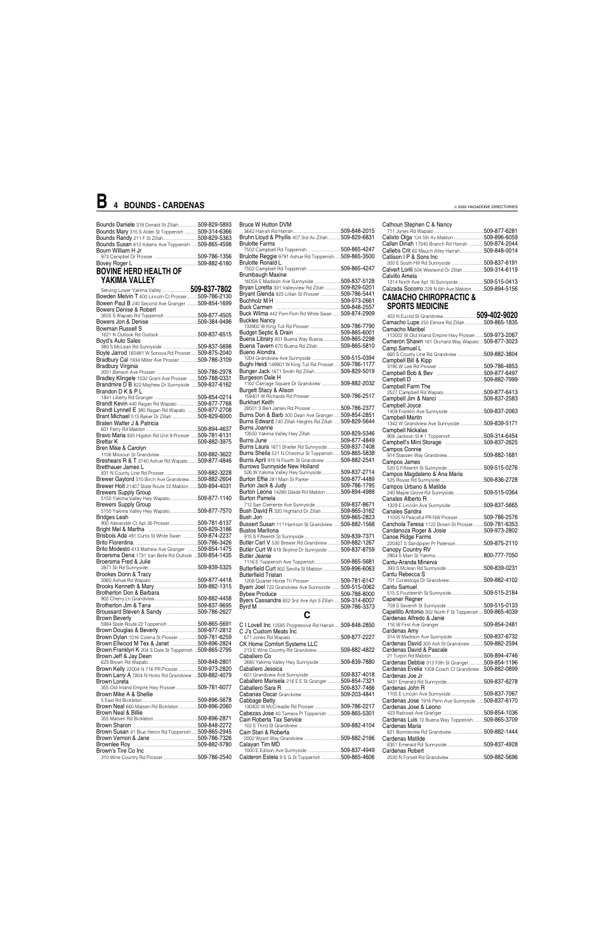| Bounds Daniele 318 Donald St Zillah                | 509-829-5893 |
|----------------------------------------------------|--------------|
| Bounds Mary 315 S Alder St Toppenish               | 509-314-6366 |
|                                                    | 509-829-5363 |
| Bounds Susan 812 Adams Ave Toppenish  509-865-4598 |              |
| Bourn William H Jr                                 |              |
|                                                    | 509-786-1356 |
|                                                    | 509-882-6180 |
|                                                    |              |

### **BOVINE HERD HEALTH OF YAKIMA VALLEY**

| <b>Bruce W Hutton DVM</b>                                                                                                    |  |
|------------------------------------------------------------------------------------------------------------------------------|--|
|                                                                                                                              |  |
| Bruhn Lloyd & Phyllis 407 3rd Av Zillah 509-829-6831                                                                         |  |
| <b>Brulotte Farms</b>                                                                                                        |  |
| 7502 Campbell Rd Toppenish 509-865-4247                                                                                      |  |
| Brulotte Reggie 9791 Ashue Rd Toppenish509-865-3500                                                                          |  |
| <b>Brulotte Ronald L</b><br>7502 Campbell Rd Toppenish 509-865-4247                                                          |  |
| <b>Brumbaugh Maxine</b>                                                                                                      |  |
| 1605A E Madison Ave Sunnyside 509-837-5128                                                                                   |  |
| Bryan Loretta 331 Valleyview Rd Zillah  509-829-0201                                                                         |  |
| Bryant Glenda 923 Lillian St Prosser 509-786-5441                                                                            |  |
|                                                                                                                              |  |
|                                                                                                                              |  |
| Buck Wilma 442 Pom Pom Rd White Swan  509-874-2909                                                                           |  |
| <b>Buckles Nancy</b>                                                                                                         |  |
| 133902 W King Tull Rd Prosser 509-786-7790                                                                                   |  |
|                                                                                                                              |  |
| Buena Library 801 Buena Way Buena  509-865-2298                                                                              |  |
| Buena Tavern 670 Buena Rd Zillah 509-865-5810                                                                                |  |
| Bueno Alondra                                                                                                                |  |
| 1204 Grandview Ave Sunnyside 509-515-0394                                                                                    |  |
| Bughi Heidi 149901 W King Tull Rd Prosser 509-786-1177                                                                       |  |
| Bunger Jack 1671 Smith Rd Zillah509-829-5019                                                                                 |  |
| Burgeson Dale H                                                                                                              |  |
| 1102 Carriage Square Dr Grandview 509-882-2032                                                                               |  |
| Burgett Stacy & Alison                                                                                                       |  |
|                                                                                                                              |  |
| Burkhart Keith                                                                                                               |  |
| 28501 S Bert James Rd Prosser509-786-2377                                                                                    |  |
| Burns Don & Barb 300 Dean Ave Granger  509-854-2851                                                                          |  |
| Burns Edward 740 Zillah Heights Rd Zillah  509-829-5644                                                                      |  |
| Burns Joanne                                                                                                                 |  |
| 13550 Yakima Valley Hwy Zillah509-829-5346                                                                                   |  |
|                                                                                                                              |  |
| Burns Laura 1671 Sheller Rd Sunnyside  509-837-7408                                                                          |  |
| Burns Sheila 521 N Chestnut St Toppenish  509-865-5838                                                                       |  |
| Burris April 915 N Fourth St Grandview 509-882-2541                                                                          |  |
| <b>Burrows Sunnyside New Holland</b><br>310000 20111 20100 11011 11011 1101<br>526 W Yakima Valley Hwy Sunnyside509-837-2714 |  |
|                                                                                                                              |  |
| Burton Effie 281 Main St Parker 509-877-4489                                                                                 |  |
|                                                                                                                              |  |
| Burton Leona 14280 Glade Rd Mabton  509-894-4988                                                                             |  |
| <b>Burton Pamela</b><br>712 San Clemente Ave Sunnyside509-837-8671                                                           |  |
| Bush David R 320 Highland Dr Zillah509-865-3162                                                                              |  |
|                                                                                                                              |  |
| Bussert Susan 111 Harrison St Grandview  509-882-1568                                                                        |  |
| <b>Bustos Maritona</b>                                                                                                       |  |
|                                                                                                                              |  |
| Butler Carl V 530 Brewer Rd Grandview  509-882-1267                                                                          |  |
| Butler Curt W 618 Skyline Dr Sunnyside  509-837-8759                                                                         |  |
| <b>Butler Jeanie</b>                                                                                                         |  |
| 1116 E Toppenish Ave Toppenish509-865-5681                                                                                   |  |
| <b>Butterfield Curt 802 Sevilla St Mabton 509-896-6063</b>                                                                   |  |
| <b>Butterfield Tristan</b>                                                                                                   |  |
| 1208 Quarter Horse Trl Prosser 509-781-6147                                                                                  |  |
| Byam Joel 722 Grandview Ave Sunnyside 509-515-0062                                                                           |  |
|                                                                                                                              |  |
|                                                                                                                              |  |
|                                                                                                                              |  |
| $\mathbf{C}$                                                                                                                 |  |
|                                                                                                                              |  |
| C I Lovell Inc 12585 Progressive Rd Harrah 509-848-2850                                                                      |  |
| C J's Custom Meats Inc                                                                                                       |  |
|                                                                                                                              |  |
|                                                                                                                              |  |
| CK Home Comfort Systems LLC<br>213 E Wine Country Rd Grandview509-882-4822                                                   |  |

|                                                                     | $\frac{1}{2}$                                                  |              |                                                         |               |
|---------------------------------------------------------------------|----------------------------------------------------------------|--------------|---------------------------------------------------------|---------------|
|                                                                     | Bryan Loretta 331 Valleyview Rd Zillah  509-829-0201           |              | Calzada Socorro 229 N 6th Ave Mabton 509-894-5156       |               |
| Bowden Melvin T 600 Lincoln Ct Prosser509-786-2130                  | Bryant Glenda 923 Lillian St Prosser 509-786-5441              |              | <b>CAMACHO CHIROPRACTIC &amp;</b>                       |               |
| Bowen Paul B 240 Second Ave Granger  509-854-1699                   |                                                                |              |                                                         |               |
| Bowers Denise & Robert                                              |                                                                |              | <b>SPORTS MEDICINE</b>                                  |               |
|                                                                     | Buck Wilma 442 Pom Pom Rd White Swan  509-874-2909             |              |                                                         |               |
|                                                                     | <b>Buckles Nancy</b>                                           |              |                                                         |               |
|                                                                     | 133902 W King Tull Rd Prosser 509-786-7790                     |              | Camacho Lupe 250 Elmore Rd Zillah509-865-1835           |               |
| Bowman Russell S                                                    |                                                                |              | Camacho Maribel                                         |               |
|                                                                     |                                                                |              | 113002 W Old Inland Empire Hwy Prosser 509-973-2067     |               |
| Boyd's Auto Sales                                                   | Buena Library 801 Buena Way Buena 509-865-2298                 |              | Cameron Shawn 161 Orchard Way Wapato  509-877-3023      |               |
|                                                                     | Buena Tavern 670 Buena Rd Zillah 509-865-5810                  |              | Camp Samuel L                                           |               |
| Boyle Jarrod 160481 W Sonova Rd Prosser 509-875-2040                | Bueno Alondra                                                  |              | 660 S County Line Rd Grandview 509-882-3804             |               |
| Bradbury Cal 1934 Miller Ave Prosser  509-786-3109                  |                                                                |              | Campbell Bill & Kipp                                    |               |
| Bradbury Virginia                                                   | Bughi Heidi 149901 W King Tull Rd Prosser  509-786-1177        |              |                                                         |               |
|                                                                     | Bunger Jack 1671 Smith Rd Zillah509-829-5019                   |              |                                                         |               |
|                                                                     | Burgeson Dale H                                                |              |                                                         |               |
| Bradley Klingele 1032 Grant Ave Prosser  509-788-0331               | 1102 Carriage Square Dr Grandview 509-882-2032                 |              |                                                         |               |
| Brandmire D B 822 Mayhew Dr Sunnyside 509-837-6162                  |                                                                |              | Campbell Farm The                                       |               |
| Brandon D K & P L                                                   | Burgett Stacy & Alison                                         |              |                                                         |               |
|                                                                     |                                                                |              |                                                         |               |
| Brandt Kevin 440 Ragan Rd Wapato 509-877-7768                       | <b>Burkhart Keith</b>                                          |              | Campbell Joyce                                          |               |
| Brandt Lynnell E 380 Ragan Rd Wapato  509-877-2708                  | 28501 S Bert James Rd Prosser509-786-2377                      |              |                                                         |               |
| Brant Michael 513 Baker Dr Zillah 509-829-6000                      | <b>Burns Don &amp; Barb</b> 300 Dean Ave Granger  509-854-2851 |              |                                                         |               |
|                                                                     | Burns Edward 740 Zillah Heights Rd Zillah  509-829-5644        |              | Campbell Martin                                         |               |
| Braten Walter J & Patricia                                          | Burns Joanne                                                   |              | 1342 W Grandview Ave Sunnyside 509-839-5171             |               |
|                                                                     |                                                                |              | Campbell Nickalas                                       |               |
| <b>Bravo Maria</b> 835 Higdon Rd Unit 9 Prosser <b>509-781-6131</b> |                                                                |              |                                                         |               |
|                                                                     |                                                                |              |                                                         |               |
| Bren Mike & Carolyn                                                 | Burns Laura 1671 Sheller Rd Sunnyside 509-837-7408             |              | Campos Connie                                           |               |
|                                                                     | Burns Sheila 521 N Chestnut St Toppenish  509-865-5838         |              |                                                         |               |
| Breshears R & T 3740 Ashue Rd Wapato  509-877-4846                  | Burris April 915 N Fourth St Grandview 509-882-2541            |              | Campos James                                            |               |
| Bretthauer James L                                                  | Burrows Sunnyside New Holland                                  |              |                                                         |               |
| 831 N County Line Rd Prosser 509-882-3228                           | 526 W Yakima Valley Hwy Sunnyside 509-837-2714                 |              |                                                         |               |
|                                                                     |                                                                |              | Campos Magdaleno & Ana Maria                            |               |
| Brewer Gaylord 310 Birch Ave Grandview509-882-2604                  | Burton Effie 281 Main St Parker 509-877-4489                   |              |                                                         |               |
| Brewer Holt 21407 State Route 22 Mabton  509-894-4031               |                                                                |              | Campos Urbano & Matilde                                 |               |
| <b>Brewers Supply Group</b>                                         | Burton Leona 14280 Glade Rd Mabton  509-894-4988               |              |                                                         |               |
| 5150 Yakima Valley Hwy Wapato509-877-1140                           | <b>Burton Pamela</b>                                           |              | Canales Alberto R                                       |               |
| <b>Brewers Supply Group</b>                                         | 712 San Clemente Ave Sunnyside509-837-8671                     |              |                                                         |               |
| 5150 Yakima Valley Hwy Wapato509-877-7570                           | Bush David R 320 Highland Dr Zillah509-865-3162                |              | Canales Sandra                                          |               |
| Bridges Leah                                                        |                                                                |              | 11005 N Peaceful PR NW Prosser509-786-2576              |               |
| 900 Alexander Ct Apt 26 Prosser509-781-6137                         |                                                                |              |                                                         |               |
|                                                                     | Bussert Susan 111 Harrison St Grandview  509-882-1568          |              | Canchola Teresa 1122 Brown St Prosser 509-781-6353      |               |
|                                                                     | <b>Bustos Maritona</b>                                         |              |                                                         |               |
| Brisbois Ada 491 Curtis St White Swan  509-874-2237                 |                                                                |              | Canoe Ridge Farms                                       |               |
|                                                                     | Butler Carl V 530 Brewer Rd Grandview 509-882-1267             |              | 220407 S Sandpiper Pr Paterson509-875-2110              |               |
| Brito Modesto 613 Mathew Ave Granger  509-854-1475                  | Butler Curt W 618 Skyline Dr Sunnyside  509-837-8759           |              | Canopy Country RV                                       |               |
| Broersma Dena 1731 Van Belle Rd Outlook  509-854-1435               | <b>Butler Jeanie</b>                                           |              |                                                         |               |
| Broersma Fred & Julie                                               | 1116 E Toppenish Ave Toppenish509-865-5681                     |              | Cantu-Aranda Minerva                                    |               |
|                                                                     |                                                                |              |                                                         |               |
|                                                                     | Butterfield Curt 802 Sevilla St Mabton 509-896-6063            |              |                                                         |               |
| Brookes Donn & Tracy                                                | <b>Butterfield Tristan</b>                                     |              | Cantu Rebecca S                                         |               |
|                                                                     |                                                                |              |                                                         |               |
|                                                                     | Byam Joel 722 Grandview Ave Sunnyside 509-515-0062             |              | Cantu Samuel                                            |               |
| Brotherton Don & Barbara                                            |                                                                |              | 515 S Fourteenth St Sunnyside509-515-2184               |               |
|                                                                     | Byers Cassandra 602 3rd Ave Apt 3 Zillah  509-314-6007         |              | Capener Regner                                          |               |
|                                                                     |                                                                |              |                                                         |               |
|                                                                     |                                                                |              | Capetillo Antonio 302 North F St Toppenish 509-865-4039 |               |
| <b>Brown Beverly</b>                                                | $\overline{c}$                                                 |              | Cardenas Alfredo & Janie                                |               |
|                                                                     |                                                                |              |                                                         |               |
|                                                                     | C I Lovell Inc 12585 Progressive Rd Harrah509-848-2850         |              |                                                         |               |
|                                                                     | C J's Custom Meats Inc                                         |              | Cardenas Amy                                            |               |
| Brown Dylan 1016 Colena St Prosser  509-781-6259                    |                                                                | 509-877-2227 | 314 W Madison Ave Sunnyside                             | 509-837-6732  |
| Brown Ellwood M Tex & Janet 509-896-2824                            | CK Home Comfort Systems LLC                                    |              | Cardenas David 305 Ash St Grandview                     | 509-882-2594  |
| Brown Franklyn K 204 S Date St Toppenish509-865-2795                |                                                                |              | Cardenas David & Pascale                                |               |
| Brown Jeff & Jay Dean                                               | Caballero Co                                                   |              |                                                         | 509-894-4746  |
|                                                                     | 2680 Yakima Valley Hwy Sunnyside  509-839-7880                 |              | Cardenas Debbie 312 Fifth St Granger                    | .509-854-1196 |
| Brown Kelly 22004 N 716 PR Prosser509-973-2820                      | Caballero Jessica                                              |              | Cardenas Evelia 1008 Coach Ct Grandview509-882-0899     |               |
|                                                                     |                                                                |              |                                                         |               |
| Brown Larry A 7804 N Hicks Rd Grandview 509-882-4079                | Caballero Marisela 216 E E St Granger  509-854-7321            |              | Cardenas Joe Jr                                         |               |
| Brown Loreta                                                        |                                                                |              |                                                         |               |
| 355 Old Inland Empire Hwy Prosser509-781-6077                       |                                                                |              | Cardenas John R                                         |               |
| Brown Mike A & Shellie                                              |                                                                |              |                                                         | 509-837-7067  |
|                                                                     | Cabbage Betty                                                  |              | Cardenas Jose 1916 Penn Ave Sunnyside  509-837-6170     |               |
| Brown Neal 660 Matsen Rd Bickleton509-896-2060                      |                                                                |              | Cardenas Jose & Leono                                   |               |
| Brown Neal & Billie                                                 | Cabezas Jose 40 Tamara PI Toppenish 509-865-5301               |              |                                                         | .509-854-1036 |
|                                                                     |                                                                |              |                                                         |               |
|                                                                     | Cain Roberta Tax Service                                       |              | Cardenas Luis 10 Buena Way Toppenish                    | .509-865-3709 |
|                                                                     |                                                                |              | Cardenas Maria                                          |               |
| Brown Susan 41 Blue Heron Rd Toppenish509-865-2945                  | Cain Stan & Roberta                                            |              | 621 Bonnieview Rd Grandview509-882-1444                 |               |
|                                                                     |                                                                |              | Cardenas Matilde                                        |               |
|                                                                     | Calayan Tim MD                                                 |              |                                                         |               |
| Brown's Tire Co Inc                                                 | 1000 E Edison Ave Sunnyside 509-837-4949                       |              | Cardenas Robert                                         |               |
|                                                                     | Calderon Estela 9 S G St Toppenish 509-865-4606                |              |                                                         |               |
|                                                                     |                                                                |              |                                                         |               |

| Calhoun Stephen C & Nancy                                                                    |  |
|----------------------------------------------------------------------------------------------|--|
| Calixto Olga 124 5th Av Mabton509-896-6059                                                   |  |
| Callan Dinah 17040 Branch Rd Harrah 509-874-2044                                             |  |
| Callebs Crit 60 Mauch Alley Harrah509-848-0014                                               |  |
| Callison I P & Sons Inc                                                                      |  |
| 200 E South Hill Rd Sunnyside 509-837-6191                                                   |  |
| Calvert Lorili 504 Westwind Dr Zillah509-314-6119<br>Calvillo Amela                          |  |
| 1314 North Ave Apt 16 Sunnyside509-515-0413                                                  |  |
| Calzada Socorro 229 N 6th Ave Mabton 509-894-5156                                            |  |
| <b>CAMACHO CHIROPRACTIC &amp;</b>                                                            |  |
| <b>SPORTS MEDICINE</b>                                                                       |  |
| 403 N Euclid St Grandview 509-402-9020                                                       |  |
| Camacho Lupe 250 Elmore Rd Zillah509-865-1835                                                |  |
| Camacho Maribel                                                                              |  |
| 113002 W Old Inland Empire Hwy Prosser 509-973-2067                                          |  |
| Cameron Shawn 161 Orchard Way Wapato  509-877-3023                                           |  |
| Camp Samuel L<br>660 S County Line Rd Grandview 509-882-3804                                 |  |
| Campbell Bill & Kipp                                                                         |  |
|                                                                                              |  |
|                                                                                              |  |
|                                                                                              |  |
| Campbell Farm The                                                                            |  |
|                                                                                              |  |
| Campbell Joyce                                                                               |  |
|                                                                                              |  |
| Campbell Martin                                                                              |  |
| 1342 W Grandview Ave Sunnyside 509-839-5171                                                  |  |
| <b>Campbell Nickalas</b>                                                                     |  |
|                                                                                              |  |
| Campos Connie                                                                                |  |
|                                                                                              |  |
| Campos James                                                                                 |  |
| Campos Magdaleno & Ana Maria                                                                 |  |
|                                                                                              |  |
| Campos Urbano & Matilde                                                                      |  |
| 240 Maple Grove Rd Sunnyside509-515-0364<br>Canales Alberto R                                |  |
| 1329 E Lincoln Ave Sunnyside 509-837-5665                                                    |  |
| <b>Canales Sandra</b>                                                                        |  |
|                                                                                              |  |
| Canchola Teresa 1122 Brown St Prosser 509-781-6353                                           |  |
| Canoe Ridge Farms                                                                            |  |
| 220407 S Sandpiper Pr Paterson509-875-2110                                                   |  |
|                                                                                              |  |
|                                                                                              |  |
| Cantu-Aranda Minerva                                                                         |  |
| Cantu Rebecca S                                                                              |  |
|                                                                                              |  |
| Cantu Samuel                                                                                 |  |
| 515 S Fourteenth St Sunnyside509-515-2184                                                    |  |
| Capener Regner                                                                               |  |
| Capetillo Antonio 302 North F St Toppenish  509-865-4039                                     |  |
| Cardenas Alfredo & Janie                                                                     |  |
|                                                                                              |  |
| Cardenas Amy                                                                                 |  |
| 314 W Madison Ave Sunnyside 509-837-6732<br>Cardenas David 305 Ash St Grandview 509-882-2594 |  |
| Cardenas David & Pascale                                                                     |  |
|                                                                                              |  |
| Cardenas Debbie 312 Fifth St Granger509-854-1196                                             |  |
| Cardenas Evelia 1008 Coach Ct Grandview509-882-0899                                          |  |
| Cardenas Joe Jr                                                                              |  |
| Cardenas John R                                                                              |  |
| 1105 E Lincoln Ave Sunnyside 509-837-7067                                                    |  |
| Cardenas Jose 1916 Penn Ave Sunnyside 509-837-6170                                           |  |

# **B 4 BOUNDS - CARDENAS**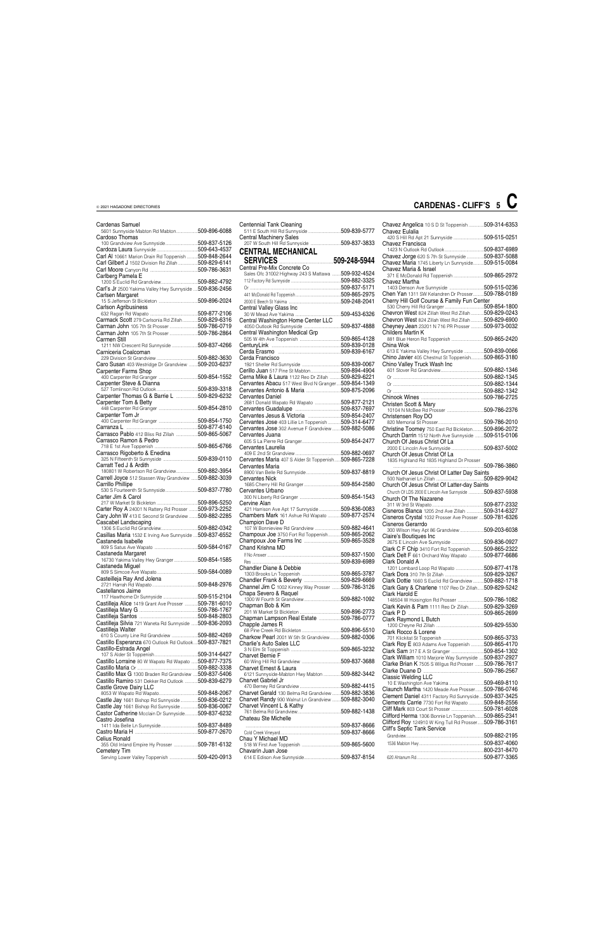### Cardenas Samuel

| Centennial Tank Cleaning                                                     |  |
|------------------------------------------------------------------------------|--|
| 511 E South Hill Rd Sunnyside 509-839-5777<br><b>Central Machinery Sales</b> |  |
| 207 W South Hill Rd Sunnyside 509-837-3833                                   |  |
| <b>CENTRAL MECHANICAL</b>                                                    |  |
|                                                                              |  |
| Central Pre-Mix Concrete Co                                                  |  |
| Sales Ofc 31002 Highway 243 S Mattawa  509-932-4524                          |  |
|                                                                              |  |
|                                                                              |  |
|                                                                              |  |
|                                                                              |  |
| Central Valley Glass Inc                                                     |  |
|                                                                              |  |
| Central Washington Home Center LLC                                           |  |
| Central Washington Medical Grp                                               |  |
|                                                                              |  |
|                                                                              |  |
|                                                                              |  |
| Cerda Francisco                                                              |  |
|                                                                              |  |
| Cerillo Juan 517 Pine St Mabton509-894-4904                                  |  |
| Cerna Mike & Laura 1122 Reo Dr Zillah 509-829-6221                           |  |
| Cervantes Abacu 517 West Blvd N Granger509-854-1349                          |  |
|                                                                              |  |
| Cervantes Daniel                                                             |  |
| 2681 Donald Wapato Rd Wapato 509-877-2121                                    |  |
|                                                                              |  |
|                                                                              |  |
| Cervantes Jose 403 Lillie Ln Toppenish509-314-6477                           |  |
| Cervantes Jose 302 Avenue F Grandview  509-882-5086                          |  |
| Cervantes Juana                                                              |  |
|                                                                              |  |
| Cervantes Laurelia                                                           |  |
| Cervantes Maria 407 S Alder St Toppenish 509-865-7228                        |  |
| Cervantes Maria                                                              |  |
|                                                                              |  |
| Cervantes Nick                                                               |  |
| Cervantes Urbano                                                             |  |
|                                                                              |  |
| Cervine Alan                                                                 |  |
| 421 Harrison Ave Apt 17 Sunnyside  509-836-0083                              |  |
| Chambers Mark 161 Ashue Rd Wapato 509-877-2574                               |  |
| Champion Dave D                                                              |  |
| 107 W Bonnieview Rd Grandview 509-882-4641                                   |  |
| Champoux Joe 3750 Fort Rd Toppenish509-865-2062                              |  |
|                                                                              |  |
| Chand Krishna MD                                                             |  |
|                                                                              |  |
|                                                                              |  |
| Chandler Diane & Debbie                                                      |  |
|                                                                              |  |
|                                                                              |  |
| Channel Jim C 1002 Kinney Way Prosser  509-786-3126                          |  |
| Chapa Severo & Raquel                                                        |  |
| Chapman Bob & Kim                                                            |  |
|                                                                              |  |
| Chapman Lampson Real Estate 509-786-0777                                     |  |
| Chapple James R                                                              |  |
|                                                                              |  |
| Charkow Pearl 2001 W 5th St Grandview509-882-0306                            |  |
| Charlie's Auto Sales LLC                                                     |  |
|                                                                              |  |
| Charvet Bernie F                                                             |  |
| Charvet Ernest & Laura                                                       |  |
| 6121 Sunnyside-Mabton Hwy Mabton  509-882-3442                               |  |
| Charvet Gabriel Jr                                                           |  |
|                                                                              |  |
| Charvet Gerald 130 Belma Rd Grandview  509-882-3836                          |  |

| 5601 Sunnyside Mabton Rd Mabton509-896-6088              | 511 E South Hill Rd Sunnyside 509-839-5777           |               | Chavez Eulalia                                          |               |
|----------------------------------------------------------|------------------------------------------------------|---------------|---------------------------------------------------------|---------------|
| Cardoso Thomas                                           | <b>Central Machinery Sales</b>                       |               | 420 S Hill Rd Apt 21 Sunnyside 509-515-0251             |               |
| 100 Grandview Ave Sunnyside509-837-5126                  | 207 W South Hill Rd Sunnyside 509-837-3833           |               | Chavez Francisca                                        |               |
|                                                          |                                                      |               |                                                         |               |
|                                                          | <b>CENTRAL MECHANICAL</b>                            |               |                                                         |               |
| Carl AI 10661 Marion Drain Rd Toppenish  509-848-2644    | SERVICES 309-248-5944                                |               | Chavez Jorge 620 S 7th St Sunnyside 509-837-5088        |               |
| Carl Gilbert J 1502 Division Rd Zillah 509-829-6141      |                                                      |               | Chavez Maria 1745 Liberty Ln Sunnyside509-515-0084      |               |
|                                                          | Central Pre-Mix Concrete Co                          |               | Chavez Maria & Israel                                   |               |
| Carlberg Pamela E                                        | Sales Ofc 31002 Highway 243 S Mattawa  509-932-4524  |               |                                                         |               |
|                                                          |                                                      |               | Chavez Martha                                           |               |
| Carl's Jr 2500 Yakima Valley Hwy Sunnyside 509-836-2456  |                                                      |               |                                                         |               |
|                                                          |                                                      |               | Chen Yan 1311 SW Kelandren Dr Prosser509-788-0189       |               |
| Carlsen Margaret                                         |                                                      |               |                                                         |               |
|                                                          |                                                      |               | Cherry Hill Golf Course & Family Fun Center             |               |
| <b>Carlson Agribusiness</b>                              | Central Valley Glass Inc                             |               |                                                         |               |
|                                                          |                                                      | .509-453-6326 | Chevron West 824 Zillah West Rd Zillah  509-829-0243    |               |
| Carmack Scott 279 Carlsonia Rd Zillah  509-829-6316      | Central Washington Home Center LLC                   |               | Chevron West 824 Zillah West Rd Zillah  509-829-6900    |               |
| Carman John 105 7th St Prosser 509-786-0719              |                                                      | .509-837-4888 | Cheyney Jean 23201 N 716 PR Prosser 509-973-0032        |               |
|                                                          |                                                      |               |                                                         |               |
| Carman John 105 7th St Prosser 509-786-2864              |                                                      |               | Childers Martin K                                       |               |
| Carmen Still                                             |                                                      |               |                                                         |               |
| 1211 NW Crescent Rd Sunnyside 509-837-4266               |                                                      |               | China Wok                                               |               |
| Carniceria Coalcoman                                     |                                                      |               | 613 E Yakima Valley Hwy Sunnyside 509-839-0066          |               |
|                                                          | Cerda Francisco                                      |               | Chino Javier 405 Chestnut St Toppenish509-865-3180      |               |
| Caro Susan 403 Westridge Dr Grandview 509-203-6237       |                                                      |               | Chino Valley Truck Wash Inc                             |               |
|                                                          |                                                      |               |                                                         |               |
| <b>Carpenter Farms Shop</b>                              | Cerillo Juan 517 Pine St Mabton509-894-4904          |               |                                                         |               |
|                                                          | Cerna Mike & Laura 1122 Reo Dr Zillah 509-829-6221   |               |                                                         |               |
| Carpenter Steve & Dianna                                 | Cervantes Abacu 517 West Blvd N Granger509-854-1349  |               |                                                         |               |
|                                                          |                                                      |               |                                                         |               |
| Carpenter Thomas G & Barrie L 509-829-6232               | <b>Cervantes Daniel</b>                              |               |                                                         |               |
|                                                          |                                                      |               |                                                         |               |
| Carpenter Tom & Betty                                    | 2681 Donald Wapato Rd Wapato 509-877-2121            |               | Christen Scott & Mary                                   |               |
|                                                          |                                                      |               |                                                         |               |
| Carpenter Tom Jr                                         |                                                      |               | Christensen Roy DO                                      |               |
|                                                          | Cervantes Jose 403 Lillie Ln Toppenish 509-314-6477  |               |                                                         |               |
|                                                          | Cervantes Jose 302 Avenue F Grandview 509-882-5086   |               |                                                         |               |
| Carrasco Pablo 412 Bliss Rd Zillah 509-865-5067          |                                                      |               | Christine Toomey 750 East Rd Bickleton509-896-2072      |               |
|                                                          | Cervantes Juana                                      |               | Church Darrin 1512 North Ave Sunnyside  509-515-0106    |               |
| Carrasco Ramon & Pedro                                   |                                                      |               | Church Of Jesus Christ Of La                            |               |
|                                                          | Cervantes Laurelia                                   |               |                                                         |               |
| Carrasco Rigoberto & Enedina                             |                                                      |               | Church Of Jesus Christ Of La                            |               |
|                                                          | Cervantes Maria 407 S Alder St Toppenish509-865-7228 |               | 1835 Highland Rd 1835 Highland Dr Prosser               |               |
| Carratt Ted J & Ardith                                   |                                                      |               |                                                         | 509-786-3860  |
| 180801 W Robertson Rd Grandview509-882-3954              | Cervantes Maria                                      |               |                                                         |               |
|                                                          |                                                      |               | Church Of Jesus Christ Of Latter Day Saints             |               |
| Carrell Joyce 512 Stassen Way Grandview  509-882-3039    | <b>Cervantes Nick</b>                                |               |                                                         | 509-829-9042  |
| Carrillo Phillipe                                        |                                                      |               | Church Of Jesus Christ Of Latter-day Saints             |               |
| 530 S Fourteenth St Sunnyside509-837-7780                | Cervantes Urbano                                     |               | Church Of LDS 2000 E Lincoln Ave Sunnyside 509-837-5938 |               |
| Carter Jim & Carol                                       |                                                      |               | Church Of The Nazarene                                  |               |
|                                                          | Cervine Alan                                         |               |                                                         |               |
|                                                          |                                                      |               |                                                         |               |
| Carter Roy A 24001 N Rattery Rd Prosser  509-973-2252    | 421 Harrison Ave Apt 17 Sunnyside 509-836-0083       |               | Cisneros Blanca 1205 2nd Ave Zillah 509-314-6327        |               |
| Cary John W 413 E Second St Grandview  509-882-2285      | Chambers Mark 161 Ashue Rd Wapato  509-877-2574      |               | Cisneros Crystal 1032 Prosser Ave Prosser  509-781-6326 |               |
| Cascabel Landscaping                                     | Champion Dave D                                      |               | Cisneros Gerarrdo                                       |               |
|                                                          | 107 W Bonnieview Rd Grandview 509-882-4641           |               | 300 Wilson Hwy Apt 86 Grandview 509-203-6038            |               |
| Casillas Maria 1532 E Irving Ave Sunnyside  509-837-6552 | Champoux Joe 3750 Fort Rd Toppenish509-865-2062      |               |                                                         |               |
| Castaneda Isabelle                                       |                                                      |               | Claire's Boutiques Inc                                  |               |
|                                                          |                                                      |               | 2675 E Lincoln Ave Sunnyside 509-836-0927               |               |
|                                                          | Chand Krishna MD                                     |               | Clark C F Chip 3410 Fort Rd Toppenish  509-865-2322     |               |
| Castaneda Margaret                                       |                                                      |               | Clark Delt F 661 Orchard Way Wapato 509-877-6686        |               |
| 16730 Yakima Valley Hwy Granger 509-854-1585             |                                                      |               | Clark Donald A                                          |               |
| Castaneda Miguel                                         |                                                      |               | 1201 Lombard Loop Rd Wapato 509-877-4178                |               |
|                                                          |                                                      |               |                                                         |               |
| Casteilleja Ray And Jolena                               |                                                      |               |                                                         |               |
|                                                          |                                                      |               | Clark Dottie 1660 S Euclid Rd Grandview                 | 509-882-1718  |
|                                                          | Channel Jim C 1002 Kinney Way Prosser 509-786-3126   |               | Clark Gary & Charlene 1107 Reo Dr Zillah509-829-5242    |               |
| Castellanos Jaime                                        | Chapa Severo & Raquel                                |               | Clark Harold E                                          |               |
|                                                          |                                                      |               | 148504 W Hoisington Rd Prosser 509-786-1082             |               |
| Castilleja Alice 1419 Grant Ave Prosser  509-781-6010    | Chapman Bob & Kim                                    |               |                                                         |               |
|                                                          |                                                      |               | Clark Kevin & Pam 1111 Reo Dr Zillah509-829-3269        |               |
|                                                          |                                                      |               |                                                         |               |
|                                                          | Chapman Lampson Real Estate 509-786-0777             |               | Clark Raymond L Butch                                   |               |
| Castilleja Silvia 721 Waneta Rd Sunnyside  509-836-2093  | Chapple James R                                      |               |                                                         |               |
| Castilleja Walter                                        |                                                      |               | Clark Rocco & Lorene                                    |               |
| 610 S County Line Rd Grandview 509-882-4269              | Charkow Pearl 2001 W 5th St Grandview509-882-0306    |               |                                                         |               |
| Castillo Esperanza 670 Outlook Rd Outlook509-837-7821    | Charlie's Auto Sales LLC                             |               |                                                         |               |
| Castillo-Estrada Angel                                   |                                                      |               | Clark Roy E 803 Adams Ave Toppenish 509-865-4170        |               |
|                                                          |                                                      |               | Clark Sam 317 E A St Granger 509-854-1302               |               |
|                                                          | Charvet Bernie F                                     |               | Clark William 1010 Marjorie Way Sunnyside  509-837-2927 |               |
| Castillo Lorraine 80 W Wapato Rd Wapato  509-877-7375    |                                                      |               | Clarke Brian K 7505 S Wilgus Rd Prosser  509-786-7617   |               |
|                                                          | Charvet Ernest & Laura                               |               |                                                         |               |
| Castillo Max G 1300 Braden Rd Grandview 509-837-5406     | 6121 Sunnyside-Mabton Hwy Mabton  509-882-3442       |               |                                                         |               |
| Castillo Ramiro 531 Dekker Rd Outlook 509-839-6279       | Charvet Gabriel Jr                                   |               | Classic Welding LLC                                     |               |
|                                                          |                                                      |               |                                                         |               |
| Castle Grove Dairy LLC                                   |                                                      |               | Claunch Martha 1420 Meade Ave Prosser                   | .509-786-0746 |
|                                                          | Charvet Gerald 130 Belma Rd Grandview  509-882-3836  |               | Clement Daniel 4311 Factory Rd Sunnyside  509-837-3425  |               |
| Castle Jay 1661 Bishop Rd Sunnyside509-836-0212          | Charvet Randy 930 Walnut Ln Grandview 509-882-3040   |               |                                                         |               |
| Castle Jay 1661 Bishop Rd Sunnyside509-836-0067          | Charvet Vincent L & Kathy                            |               | Clements Carrie 7730 Fort Rd Wapato 509-848-2556        |               |
| Castor Catherine Mcclain Dr Sunnyside509-837-6232        |                                                      |               |                                                         |               |
|                                                          | Chateau Ste Michelle                                 |               | Clifford Herma 1306 Bonnie Ln Toppenish509-865-2341     |               |
| Castro Josefina                                          |                                                      |               | Clifford Roy 124910 W King Tull Rd Prosser 509-786-3161 |               |
|                                                          |                                                      |               |                                                         |               |
|                                                          |                                                      |               | Cliff's Septic Tank Service                             |               |
| Celius Ronald                                            | Chau Y Michael MD                                    |               |                                                         |               |
| 355 Old Inland Empire Hy Prosser 509-781-6132            |                                                      |               |                                                         |               |
|                                                          |                                                      |               |                                                         |               |
| Cemetery Tim                                             | Chavarin Juan Jose                                   |               |                                                         |               |
| Serving Lower Valley Toppenish 509-420-0913              |                                                      |               |                                                         |               |

| Chavez Angelica 10 S D St Toppenish 509-314-6353<br>Chavez Eulalia                                                                                                                                                                         |  |
|--------------------------------------------------------------------------------------------------------------------------------------------------------------------------------------------------------------------------------------------|--|
| 420 S Hill Rd Apt 21 Sunnyside 509-515-0251                                                                                                                                                                                                |  |
| Chavez Francisca                                                                                                                                                                                                                           |  |
| Chavez Jorge 620 S 7th St Sunnyside 509-837-5088                                                                                                                                                                                           |  |
| Chavez Maria 1745 Liberty Ln Sunnyside 509-515-0084                                                                                                                                                                                        |  |
| Chavez Maria & Israel<br>371 E McDonald Rd Toppenish 509-865-2972                                                                                                                                                                          |  |
| Chavez Martha                                                                                                                                                                                                                              |  |
|                                                                                                                                                                                                                                            |  |
| Chen Yan 1311 SW Kelandren Dr Prosser509-788-0189                                                                                                                                                                                          |  |
| Cherry Hill Golf Course & Family Fun Center                                                                                                                                                                                                |  |
| Chevron West 824 Zillah West Rd Zillah  509-829-0243                                                                                                                                                                                       |  |
| Chevron West 824 Zillah West Rd Zillah  509-829-6900                                                                                                                                                                                       |  |
| Cheyney Jean 23201 N 716 PR Prosser  509-973-0032                                                                                                                                                                                          |  |
| Childers Martin K                                                                                                                                                                                                                          |  |
| 881 Blue Heron Rd Toppenish 509-865-2420                                                                                                                                                                                                   |  |
| China Wok                                                                                                                                                                                                                                  |  |
| 613 E Yakima Valley Hwy Sunnyside 509-839-0066                                                                                                                                                                                             |  |
| Chino Javier 405 Chestnut St Toppenish509-865-3180                                                                                                                                                                                         |  |
| Chino Valley Truck Wash Inc                                                                                                                                                                                                                |  |
|                                                                                                                                                                                                                                            |  |
|                                                                                                                                                                                                                                            |  |
|                                                                                                                                                                                                                                            |  |
|                                                                                                                                                                                                                                            |  |
|                                                                                                                                                                                                                                            |  |
| Christen Scott & Mary                                                                                                                                                                                                                      |  |
| Christensen Rov DO                                                                                                                                                                                                                         |  |
|                                                                                                                                                                                                                                            |  |
| Christine Toomey 750 East Rd Bickleton  509-896-2072                                                                                                                                                                                       |  |
| Church Darrin 1512 North Ave Sunnyside  509-515-0106                                                                                                                                                                                       |  |
| Church Of Jesus Christ Of La                                                                                                                                                                                                               |  |
|                                                                                                                                                                                                                                            |  |
| Church Of Jesus Christ Of La                                                                                                                                                                                                               |  |
|                                                                                                                                                                                                                                            |  |
| 1835 Highland Rd 1835 Highland Dr Prosser                                                                                                                                                                                                  |  |
|                                                                                                                                                                                                                                            |  |
| Church Of Jesus Christ Of Latter Day Saints                                                                                                                                                                                                |  |
|                                                                                                                                                                                                                                            |  |
| Church Of Jesus Christ Of Latter-day Saints                                                                                                                                                                                                |  |
| Church Of LDS 2000 E Lincoln Ave Sunnyside 509-837-5938                                                                                                                                                                                    |  |
| <b>Church Of The Nazarene</b>                                                                                                                                                                                                              |  |
|                                                                                                                                                                                                                                            |  |
| Cisneros Blanca 1205 2nd Ave Zillah 509-314-6327                                                                                                                                                                                           |  |
| Cisneros Crystal 1032 Prosser Ave Prosser  509-781-6326<br>Cisneros Gerarrdo                                                                                                                                                               |  |
| 300 Wilson Hwy Apt 86 Grandview 509-203-6038                                                                                                                                                                                               |  |
| Claire's Boutiques Inc                                                                                                                                                                                                                     |  |
| 2675 E Lincoln Ave Sunnyside 509-836-0927                                                                                                                                                                                                  |  |
| Clark C F Chip 3410 Fort Rd Toppenish509-865-2322                                                                                                                                                                                          |  |
| Clark Delt F 661 Orchard Way Wapato 509-877-6686                                                                                                                                                                                           |  |
| Clark Donald A                                                                                                                                                                                                                             |  |
| 1201 Lombard Loop Rd Wapato 509-877-4178                                                                                                                                                                                                   |  |
|                                                                                                                                                                                                                                            |  |
| Clark Dottie 1660 S Euclid Rd Grandview  509-882-1718                                                                                                                                                                                      |  |
| Clark Gary & Charlene 1107 Reo Dr Zillah 509-829-5242<br>Clark Harold E                                                                                                                                                                    |  |
| 148504 W Hoisington Rd Prosser 509-786-1082                                                                                                                                                                                                |  |
| Clark Kevin & Pam 1111 Reo Dr Zillah509-829-3269                                                                                                                                                                                           |  |
|                                                                                                                                                                                                                                            |  |
| Clark Raymond L Butch                                                                                                                                                                                                                      |  |
|                                                                                                                                                                                                                                            |  |
|                                                                                                                                                                                                                                            |  |
|                                                                                                                                                                                                                                            |  |
|                                                                                                                                                                                                                                            |  |
|                                                                                                                                                                                                                                            |  |
| Clark Rocco & Lorene<br>Clark Roy E 803 Adams Ave Toppenish  509-865-4170<br>Clark Sam 317 E A St Granger 509-854-1302<br>Clark William 1010 Marjorie Way Sunnyside  509-837-2927<br>Clarke Brian K 7505 S Wilgus Rd Prosser  509-786-7617 |  |
|                                                                                                                                                                                                                                            |  |
| <b>Classic Welding LLC</b>                                                                                                                                                                                                                 |  |
| Claunch Martha 1420 Meade Ave Prosser509-786-0746                                                                                                                                                                                          |  |

# **CARDENAS - CLIFF'S 5 C**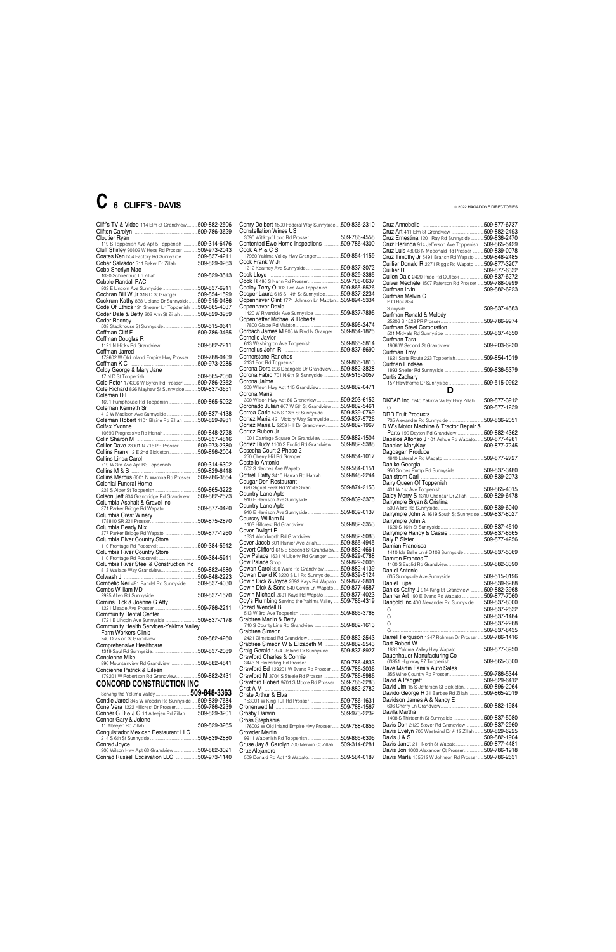| Cliff's TV & Video 114 Elm St Grandview509-882-2506                  |  |  |
|----------------------------------------------------------------------|--|--|
|                                                                      |  |  |
| <b>Cloutier Ryan</b>                                                 |  |  |
| 119 S Toppenish Ave Apt 5 Toppenish  509-314-6476                    |  |  |
| Cluff Shirley 90802 W Hess Rd Prosser  509-973-2043                  |  |  |
| Coates Ken 504 Factory Rd Sunnyside  509-837-4211                    |  |  |
| Cobar Salvador 511 Baker Dr Zillah509-829-0263                       |  |  |
| Cobb Sherlyn Mae                                                     |  |  |
|                                                                      |  |  |
| Cobble Randall PAC                                                   |  |  |
|                                                                      |  |  |
| Cochran Bill W Jr 318 D St Granger  509-854-1599                     |  |  |
| Cockrum Kathy 838 Upland Dr Sunnyside509-515-0486                    |  |  |
| Code Of Ethics 131 Shearer Ln Toppenish  509-865-4037                |  |  |
| Coder Dale & Betty 202 Ann St Zillah 509-829-3959                    |  |  |
| Coder Rodney                                                         |  |  |
|                                                                      |  |  |
|                                                                      |  |  |
| Coffman Douglas R                                                    |  |  |
| лин <b>ан Douglas 11</b><br>1121 N Hicks Rd Grandview 509-882-2211   |  |  |
| Coffman Jarred                                                       |  |  |
| 173602 W Old Inland Empire Hwy Prosser 509-788-0409                  |  |  |
|                                                                      |  |  |
|                                                                      |  |  |
|                                                                      |  |  |
| Cole Peter 174306 W Byron Rd Prosser509-786-2362                     |  |  |
| Cole Richard 826 Mayhew St Sunnyside509-837-3651                     |  |  |
|                                                                      |  |  |
| Coleman D L                                                          |  |  |
| 1691 Pumphouse Rd Toppenish 509-865-5022                             |  |  |
| Coleman Kenneth Sr                                                   |  |  |
| 412 W Madison Ave Sunnyside 509-837-4138                             |  |  |
| Coleman Robert 1101 Blaine Rd Zillah  509-829-9981                   |  |  |
| Colfax Yvonne                                                        |  |  |
|                                                                      |  |  |
|                                                                      |  |  |
| Collier Dave 23901 N 716 PR Prosser  509-973-2380                    |  |  |
| Collins Frank 12 E 2nd Bickleton 509-896-2004                        |  |  |
| Collins Linda Carol                                                  |  |  |
|                                                                      |  |  |
|                                                                      |  |  |
|                                                                      |  |  |
| Collins Marcus 6001 N Wamba Rd Prosser  509-786-3864                 |  |  |
| <b>Colonial Funeral Home</b>                                         |  |  |
|                                                                      |  |  |
| Colson Jeff 804 Grandridge Rd Grandview  509-882-2573                |  |  |
| Columbia Asphalt & Gravel Inc                                        |  |  |
|                                                                      |  |  |
|                                                                      |  |  |
|                                                                      |  |  |
| Columbia Ready Mix                                                   |  |  |
| 377 Parker Bridge Rd Wapato 509-877-1260                             |  |  |
| Columbia River Country Store                                         |  |  |
|                                                                      |  |  |
| Columbia River Country Store                                         |  |  |
|                                                                      |  |  |
| Columbia River Steel & Construction Inc                              |  |  |
|                                                                      |  |  |
|                                                                      |  |  |
| Combelic Neil 481 Randel Rd Sunnyside  509-837-4030                  |  |  |
| Combs William MD                                                     |  |  |
|                                                                      |  |  |
|                                                                      |  |  |
| Comins Rick & Joanne G Atty                                          |  |  |
|                                                                      |  |  |
| Community Dental Center<br>1721 E Lincoln Ave Sunnyside 509-837-7178 |  |  |
|                                                                      |  |  |
| Community Health Services-Yakima Valley                              |  |  |
| <b>Farm Workers Clinic</b>                                           |  |  |
|                                                                      |  |  |
| Comprehensive Healthcare                                             |  |  |
|                                                                      |  |  |
| Concienne Mike                                                       |  |  |
| 890 Mountainview Rd Grandview 509-882-4841                           |  |  |
| Concienne Patrick & Eileen                                           |  |  |
| 179201 W Robertson Rd Grandview509-882-2431                          |  |  |
| <b>CONCORD CONSTRUCTION INC</b>                                      |  |  |
|                                                                      |  |  |
|                                                                      |  |  |
| Condie Jared 345 W Woodin Rd Sunnyside 509-839-7684                  |  |  |
|                                                                      |  |  |

Cruz Annebelle ........................................................509-877-6737 Cruz Art 411 Elm St Grandview ..............................509-882-2493 Cruz Ernestina 1201 Ray Rd Sunnyside ...........509-836-2470<br>Cruz Herlinda 914 Jefferson Ave Toppenish ....509-865-5429 Cruz Herlinda 914 Jefferson Ave Toppenish Cruz Luis 43008 N Mcdonald Rd Prosser ..........509-839-0078 Cruz Timothy Jr 5491 Branch Rd Wapato ........509-848-2485 Cuillier Donald R 2271 Riggs Rd Wapato ........509-877-3207 E .509-877-6332<br>.509-837-6272 Cullen Dale 2420 Price Rd Outlook ......................509-837-6272 Culver Mechele 1507 Paterson Rd Prosser ......509-788-0999 Curfman Irvin ..............................................................509-882-6223 Curfman Melvin C P O Box 834 Sunnyside ........................................................................509-837-4583 Curfman Ronald & Melody 25206 S 1522 PR Prosser........................................509-786-9974 Curfman Steel Corporation 521 Midvale Rd Sunnyside ....................................509-837-4650 Curfman Tara 1806 W Second St Grandview ..............................509-203-6230 Curfman Troy 1621 State Route 223 Toppenish..........................509-854-1019 Curfnan Lindsee 1893 Sheller Rd Sunnyside ....................................509-836-5379 Curtis Zachary 157 Hawthorne Dr Sunnyside ................................509-515-0992 **D** DKFAB Inc 7240 Yakima Valley Hwy Zillah ........509-877-3912 Or ....................................................................................509-877-1239 DRR Fruit Products 705 Alexander Rd Sunnyside ................................509-836-2051 D W's Motor Machine & Tractor Repair & Parts 190 Dayton Rd Grandview ........................509-882-4362 Dabalos Alfonso J 101 Ashue Rd Wapato........509-877-4981 Dabalos MaryKay ....................................................509-877-7245 Dagdagan Produce 4640 Lateral A Rd Wapato ......................................509-877-2727 Dahlke Georgia 950 Snipes Pump Rd Sunnyside ..........................509-837-3480 Dahlstrom Carl ..........................................................509-839-2073 Dairy Queen Of Toppenish 401 W 1st Ave Toppenish........................................509-865-4015 Daley Merry S 1310 Chenaur Dr Zillah ..............509-829-6478 Dalrymple Bryan & Cristina 500 Albro Rd Sunnyside ..........................................509-839-6040 Dalrymple John A 1619 South St Sunnyside....509-837-8027 Dalrymple John A 1620 S 16th St Sunnyside........................................509-837-4510 Dalrymple Randy & Cassie ................................509-837-8565 Daly P Sister ..............................................................509-877-4256 Damian Francisca 1410 Ida Belle Ln # D108 Sunnyside ..................509-837-5069 Damron Frances T 1100 S Euclid Rd Grandview..................................509-882-3390 Daniel Antonio 635 Sunnyside Ave Sunnyside ..............................509-515-0196 Daniel Lupe ................................................................509-839-6288 Danies Cathy J 914 King St Grandview ..............509-882-3968<br>Danner Art 190 E Evans Rd Wapato .......................509-877-7060<br>Darigold Inc 400 Alexander Rd Sunnyside ........509-837-8000 Danner Art 190 E Evans Rd Wapato . Darigold Inc 400 Alexander Rd Sunnyside Or ....................................................................................509-837-2632 Or ....................................................................................509-837-1484 Or ....................................................................................509-837-2268 Or ....................................................................................509-837-8435 Darrell Ferguson 1347 Rohman Dr Prosser... Dart Robert W 1831 Yakima Valley Hwy Wapato..........................509-877-3950 Dauenhauer Manufacturing Co 63351 Highway 97 Toppenish ..............................509-865-3300 Dave Martin Family Auto Sales 355 Wine Country Rd Prosser................................509-786-5344 David A Padgett ........................................................509-829-6412 David Jim 15 S Jefferson St Bickleton .....................509-896-2064<br>Davido George R 31 Barbee Rd Zillah ................509-865-2019

Davido George R 31 Barbee Rd Zillah .<br>Davidson, James A & Nanoy E

| Conry Delbert 1500 Federal Way Sunnyside  509-836-2310  |  |
|---------------------------------------------------------|--|
| <b>Constellation Wines US</b>                           |  |
| 3090 Wittkopf Loop Rd Prosser 509-786-4558              |  |
| Contented Ewe Home Inspections 509-786-4300             |  |
| Cook A P & C S                                          |  |
| 17960 Yakima Valley Hwy Granger509-854-1159             |  |
| Cook Frank W Jr                                         |  |
|                                                         |  |
|                                                         |  |
|                                                         |  |
| <b>Cooley Terry O</b> 103 Lee Ave Toppenish509-865-5526 |  |
| Cooper Laura 615 S 14th St Sunnyside  509-837-2234      |  |
|                                                         |  |
| Copenhaver Clint 1771 Johnson Ln Mabton509-894-5334     |  |
| Copenhaver David                                        |  |
| 1420 W Riverside Ave Sunnyside 509-837-7896             |  |
|                                                         |  |
|                                                         |  |
| Corbach James M 805 W Blvd N Granger  509-854-1825      |  |
| Cornelio Javier                                         |  |
| 613 Washington Ave Toppenish509-865-5814                |  |
|                                                         |  |
| <b>Cornerstone Ranches</b>                              |  |
|                                                         |  |
| Corona Dora 206 Deangela Dr Grandview509-882-3828       |  |
| Corona Fabio 701 N 6th St Sunnyside 509-515-2057        |  |
|                                                         |  |
| Corona Jaime                                            |  |
| 300 Wilson Hwy Apt 115 Grandview509-882-0471            |  |
| Corona Maria                                            |  |
| 300 Wilson Hwy Apt 66 Grandview 509-203-6152            |  |
| Coronado Julian 607 W 5th St Grandview  509-882-5461    |  |
| Correa Carla 525 S 13th St Sunnyside  509-839-0769      |  |
| Cortez Maria 421 Victory Way Sunnyside  509-837-5726    |  |
| Cortez Maria L 2203 Hill Dr Grandview 509-882-1967      |  |
| Cortez Ruben Jr                                         |  |
| 1001 Carriage Square Dr Grandview 509-882-1504          |  |
| Cortez Rudy 1100 S Euclid Rd Grandview 509-882-5388     |  |
|                                                         |  |
| Cosecha Court 2 Phase 2                                 |  |
|                                                         |  |
|                                                         |  |
| Costello Antonio                                        |  |
|                                                         |  |
| Cottrell Patty 3410 Harrah Rd Harrah 509-848-2244       |  |
| Cougar Den Restaurant                                   |  |
| 620 Signal Peak Rd White Swan 509-874-2153              |  |
| Country Lane Apts                                       |  |
| 910 E Harrison Ave Sunnyside 509-839-3375               |  |
| Country Lane Apts                                       |  |
|                                                         |  |
|                                                         |  |
| Coursey William N                                       |  |
|                                                         |  |
| Cover Dwight E                                          |  |
| 1631 Woodworth Rd Grandview509-882-5083                 |  |
| Cover Jacob 601 Rainier Ave Zillah509-865-4945          |  |
| Covert Clifford 615 E Second St Grandview509-882-4661   |  |
| Cow Palace 1631 N Liberty Rd Granger  509-829-0788      |  |
|                                                         |  |
| Cowan Carol 390 Ware Rd Grandview509-882-4139           |  |
| Cowan David K 3220 S L I Rd Sunnyside 509-839-5124      |  |
| Cowin Dick & Joyce 2693 Kays Rd Wapato  509-877-2801    |  |
|                                                         |  |
| Cowin Dick & Sons 540 Cowin Ln Wapato  509-877-4587     |  |
| Cowin Michael 2691 Kays Rd Wapato509-877-4023           |  |
| Coy's Plumbing Serving the Yakima Valley  509-786-4319  |  |
| Cozad Wendell B                                         |  |
|                                                         |  |
| Crabtree Marlin & Betty                                 |  |
| 740 S County Line Rd Grandview 509-882-1613             |  |
| Crabtree Simeon                                         |  |
| 2421 Olmstead Rd Grandview 509-882-2543                 |  |
| Crabtree Simeon W & Elizabeth M 509-882-2543            |  |
| Craig Gerald 1374 Upland Dr Sunnyside 509-837-8927      |  |
| Crawford Charles & Connie                               |  |
|                                                         |  |
|                                                         |  |
| Crawford Ed 129201 W Evans Rd Prosser  509-786-2036     |  |
| Crawford M 3704 S Steele Rd Prosser 509-786-5986        |  |
| Crawford Robert 9701 S Moore Rd Prosser 509-786-3283    |  |
| Criste Arthur & Elva                                    |  |

| Condie Jared 345 W Woodin Rd Sunnyside509-839-7684      | .509-786-1631<br>153901 W King Tull Rd Prosser        | Davidson James A & Nancy E                               |
|---------------------------------------------------------|-------------------------------------------------------|----------------------------------------------------------|
| Cone Vera 1222 Hillcrest Dr Prosser<br>509-786-2239     | .509-788-1567                                         | 509-882-1984<br>606 Cherry Ln Grandview                  |
| Conner G D & J G 11 Alteejen Rd Zillah<br>.509-829-3201 | 509-973-2232<br>Crosby Darwin                         | Davila Martha                                            |
| Connor Gary & Jolene                                    | Cross Stephanie                                       | .509-837-5080<br>1408 S Thirteenth St Sunnyside          |
| 509-829-3265                                            | 176002 W Old Inland Empire Hwy Prosser 509-788-0855   | .509-837-2960<br>Davis Don 2120 Stover Rd Grandview      |
| Conquistador Mexican Restaurant LLC                     | Crowder Martin                                        | Davis Evelyn 705 Westwind Dr # 12 Zillah<br>509-829-6225 |
| 509-839-2880                                            | 509-865-6306                                          | 509-882-1904                                             |
| Conrad Joyce                                            | Cruse Jay & Carolyn 700 Merwin Ct Zillah 509-314-6281 | Davis Janet 211 North St Wapato<br>.509-877-4481         |
| .509-882-3021<br>300 Wilson Hwy Apt 63 Grandview        | Cruz Aleiandro                                        | 509-786-1918<br>Davis Jon 1000 Alexander Ct Prosser      |
| Conrad Russell Excavation LLC.<br>.509-973-1140         | .509-584-0187                                         | Davis Marla 155512 W Johnson Rd Prosser 509-786-2631     |

### **C 6 CLIFF'S - DAVIS**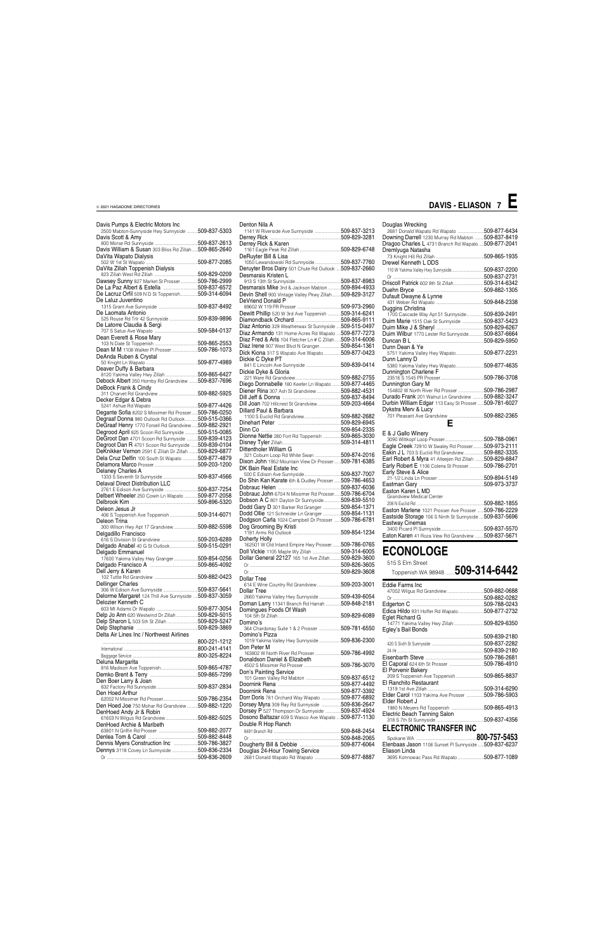| 2500 Mabton-Sunnyside Hwy Sunnyside 509-837-5303       |
|--------------------------------------------------------|
|                                                        |
|                                                        |
| Davis William & Susan 303 Bliss Rd Zillah 509-865-2640 |
|                                                        |
|                                                        |
|                                                        |
|                                                        |
| Dawsey Sunny 827 Market St Prosser509-786-2999         |
| De La Paz Albert & Estella 509-837-6572                |
| De Lacruz Orfil 509 N D St Toppenish509-314-6094       |
|                                                        |
|                                                        |
|                                                        |
| 525 Rouse Rd Trlr 42 Sunnyside  509-839-9896           |
|                                                        |
|                                                        |
|                                                        |
|                                                        |
| Dean M M 1108 Walker PI Prosser 509-786-1073           |
|                                                        |
|                                                        |
|                                                        |
| Debock Albert 350 Hornby Rd Grandview  509-837-7696    |
|                                                        |
|                                                        |
|                                                        |
|                                                        |
| Degante Sofia 8202 S Missimer Rd Prosser 509-786-0250  |
| Degraaf Donna 980 Outlook Rd Outlook509-515-0366       |
| DeGraaf Henry 1770 Forsell Rd Grandview509-882-2921    |
| Degrood April 825 Scoon Rd Sunnyside  509-515-0085     |
| DeGroot Dan 4701 Scoon Rd Sunnyside  509-839-4123      |
| Degroot Dan R 4701 Scoon Rd Sunnyside  509-839-0104    |
| DeKnikker Vernon 2591 E Zillah Dr Zillah  509-829-6877 |
|                                                        |
|                                                        |
| Dela Cruz Delfin 100 South St Wapato  509-877-4879     |
|                                                        |
|                                                        |
| 1333 S Seventh St Sunnyside 509-837-4566               |
|                                                        |
| Delbert Wheeler 250 Cowin Ln Wapato  509-877-2058      |
|                                                        |
|                                                        |
| 406 S Toppenish Ave Toppenish509-314-6071              |
|                                                        |
| 300 Wilson Hwy Apt 17 Grandview 509-882-5598           |
|                                                        |
|                                                        |
| Delgado Anabel 40 G St Outlook509-515-0291             |
|                                                        |
| 17600 Yakima Valley Hwy Granger509-854-0256            |
|                                                        |
|                                                        |
|                                                        |
|                                                        |
|                                                        |
| Delorme Margaret 124 Thill Ave Sunnyside  509-837-3059 |
|                                                        |
|                                                        |
| Delp Jo Ann 620 Westwind Dr Zillah509-829-5015         |
| Delp Sharon L 503 5th St Zillah 509-829-5247           |
|                                                        |
|                                                        |
|                                                        |
|                                                        |
|                                                        |
|                                                        |
|                                                        |
|                                                        |
|                                                        |
| 62002 N Missimer Rd Prosser509-786-2354                |
|                                                        |

| Denton Nila A                                                                                                 |  |
|---------------------------------------------------------------------------------------------------------------|--|
| 1141 W Riverside Ave Sunnyside 509-837-3213                                                                   |  |
| Derrey Rick & Karen                                                                                           |  |
|                                                                                                               |  |
| DeRuyter Bill & Lisa                                                                                          |  |
| 0.1050 Lewandowski Rd Sunnyside509-837-7760                                                                   |  |
| Deruyter Bros Dairy 501 Chute Rd Outlook  509-837-2660                                                        |  |
| Desmarais Kristen L                                                                                           |  |
|                                                                                                               |  |
| Desmarais Mike 3rd & Jackson Mabton 509-894-4933                                                              |  |
| Devin Shell 900 Vintage Valley Pkwy Zillah509-829-3127                                                        |  |
| DeVriend Donald P                                                                                             |  |
| Dewitt Phillip 520 W 3rd Ave Toppenish  509-314-6241                                                          |  |
|                                                                                                               |  |
|                                                                                                               |  |
| Diaz Antonio 329 Weatherwax St Sunnyside  509-515-0497<br>Diaz Armando 131 Home Acres Rd Wapato  509-877-7273 |  |
| Diaz Fred & Aris 104 Fletcher Ln # C Zillah509-314-6006                                                       |  |
| Diaz Irene 907 West Blvd N Granger509-854-1361                                                                |  |
| Dick Kiona 317 S Wapato Ave Wapato 509-877-0423                                                               |  |
| Dickie C Dyke PT                                                                                              |  |
|                                                                                                               |  |
| Dickie Dyke & Gloria                                                                                          |  |
|                                                                                                               |  |
| Diego Donnabelle 180 Keefer Ln Wapato  509-877-4465                                                           |  |
|                                                                                                               |  |
|                                                                                                               |  |
| Dill Joan 702 Hillcrest St Grandview509-203-4664                                                              |  |
| Dillard Paul & Barbara                                                                                        |  |
|                                                                                                               |  |
|                                                                                                               |  |
|                                                                                                               |  |
| Dionne Nettie 280 Fort Rd Toppenish 509-865-3030                                                              |  |
|                                                                                                               |  |
| Dittentholer William G                                                                                        |  |
| 321 Coburn Loop Rd White Swan 509-874-2016                                                                    |  |
| Dixon John 1952 Mountain View Dr Prosser  509-781-6385                                                        |  |
| DK Bain Real Estate Inc                                                                                       |  |
|                                                                                                               |  |
| Do Shin Kan Karate 6th & Dudley Prosser  509-786-4653                                                         |  |
|                                                                                                               |  |
| Dobrauc John 6704 N Missimer Rd Prosser 509-786-6704                                                          |  |
| Dobson A C 801 Dayton Dr Sunnyside509-839-5510                                                                |  |
| Dodd Gary D 301 Barker Rd Granger 509-854-1371                                                                |  |
| Dodd Ollie 121 Schneider Ln Granger  509-854-1131                                                             |  |
| Dodgson Carla 1024 Campbell Dr Prosser  509-786-6781                                                          |  |
| Dog Grooming By Kristi                                                                                        |  |
|                                                                                                               |  |
| Doherty Holly                                                                                                 |  |
| 3.162501 W.Old Inland Empire Hwy Prosser509-786-0765<br>Doll Vickie 1105 Maple Wy Zillah 509-314-6005         |  |
| Dollar General 22127 165 1st Ave Zillah509-829-3600                                                           |  |
|                                                                                                               |  |
|                                                                                                               |  |
|                                                                                                               |  |
| Dollar Tree<br>614 E Wine Country Rd Grandview 509-203-3001                                                   |  |
| <b>Dollar Tree</b>                                                                                            |  |
| 2660 Yakima Valley Hwy Sunnyside 509-439-6054                                                                 |  |
| Doman Larry 11341 Branch Rd Harrah  509-848-2181                                                              |  |
| Domingues Foods Of Wash                                                                                       |  |
|                                                                                                               |  |
| Domino's                                                                                                      |  |
| 364 Chardonay Suite 1 & 2 Prosser 509-781-6550                                                                |  |
| Domino's Pizza                                                                                                |  |
| 1019 Yakima Valley Hwy Sunnyside 509-836-2300                                                                 |  |
| Don Peter M                                                                                                   |  |
| 163802 W North River Rd Prosser 509-786-4992                                                                  |  |
| Donaldson Daniel & Elizabeth                                                                                  |  |
|                                                                                                               |  |
| Don's Painting Service                                                                                        |  |
|                                                                                                               |  |
|                                                                                                               |  |

Doornink Rena ..........................................................509-877-3392

| <b>Elder Carol</b> 1103 Yakima Ave Prosser<br>.509-877-6892<br>Dorr Doris 781 Orchard Way Wapato<br>.509-786-2354 | .509-786-5903 |
|-------------------------------------------------------------------------------------------------------------------|---------------|
| Elder Robert J                                                                                                    |               |
| .509-836-2647<br>Dorsey Myra 309 Ray Rd Sunnyside<br>Den Hoed Joe 750 Mohar Rd Grandview 509-882-1220             | .509-865-4913 |
| Dorsey P 527 Thompson Dr Sunnyside 509-837-4924<br>DenHoed Andy Jr & Robin<br>Electric Beach Tanning Salon        |               |
| Dosono Baltazar 609 S Wasco Ave Wapato  509-877-1130<br>509-882-5025                                              | .509-837-4356 |
| Double R Hop Ranch<br>DenHoed Archie & Maribeth                                                                   |               |
| <b>ELECTRONIC TRANSFER INC</b><br>.509-882-2077<br>.509-848-2454                                                  |               |
| .509-882-8448<br>.509-848-2065                                                                                    |               |
| Dennis Myers Construction Inc<br>.509-786-3827<br>Elenbaas Jason 1106 Sunset PI Sunnyside509-837-6237             |               |
| 509-836-2334<br>Douglas 24-Hour Towing Service<br>Eliason Linda                                                   |               |
| 509-877-8887<br>.509-836-2609<br>3695 Konnowac Pass Rd Wapato                                                     | 509-877-1089  |

### Douglas Wrecking 2681 Donald Wapato Rd Wapato ........................509-877-6434 Downing Darrell 1230 Murray Rd Mabton ........509-837-8419 Dragoo Charles L 4731 Branch Rd Wapato ....509-877-2041

| Dremlyuga Natasha                                                            |               |
|------------------------------------------------------------------------------|---------------|
|                                                                              | 509-865-1935  |
| Drewel Kenneth L DDS                                                         |               |
| 110 W Yakima Valley Hwy Sunnyside                                            | .509-837-2200 |
|                                                                              |               |
| Driscoll Patrick 602 8th St Zillah509-314-6342                               |               |
|                                                                              |               |
| Dufault Dwayne & Lynne                                                       |               |
|                                                                              | 509-848-2338  |
| Duggins Christina                                                            |               |
| 1700 Cascade Way Apt 51 Sunnyside                                            | 509-839-2491  |
| Duim Marie 1515 Oak St Sunnyside 509-837-5423                                |               |
|                                                                              |               |
| Duim Wilbur 1770 Lester Rd Sunnyside509-837-6664                             |               |
|                                                                              |               |
| Dunn Dean & Ye                                                               |               |
| 5751 Yakima Valley Hwy Wapato509-877-2231                                    |               |
| Dunn Lanny D                                                                 |               |
| 5380 Yakima Valley Hwy Wapato                                                | 509-877-4635  |
| Dunnington Charlene F                                                        |               |
|                                                                              | .509-786-3708 |
| Dunnington Gary M<br>154802 W North River Rd Prosser509-786-2987             |               |
| Durado Frank 201 Walnut Ln Grandview  509-882-3247                           |               |
|                                                                              |               |
| Durbin William Edgar 113 Easy St Prosser 509-781-6027<br>Dykstra Merv & Lucy |               |
| -<br>701 Pleasant Ave Grandview 509-882-2365                                 |               |
|                                                                              |               |
| Е                                                                            |               |
| E & J Gallo Winery                                                           |               |
|                                                                              |               |
| Eagle Creek 72910 W Swaley Rd Prosser509-973-2111                            |               |
| Eakin J L 703 S Euclid Rd Grandview 509-882-3335                             |               |
| Earl Robert & Myra 41 Alteejen Rd Zillah  509-829-6847                       |               |
| Early Robert E 1106 Colena St Prosser509-786-2701                            |               |

| Earl Robert & Myra 41 Alteejen Rd Zillah 509-829-6847  |              |
|--------------------------------------------------------|--------------|
| Early Robert E 1106 Colena St Prosser509-786-2701      |              |
| Early Steve & Alice                                    |              |
|                                                        |              |
|                                                        |              |
| Easton Karen L MD                                      |              |
| <b>Grandview Medical Center</b>                        |              |
|                                                        |              |
| Easton Marlene 1021 Prosser Ave Prosser  509-786-2229  |              |
| Eastside Storage 106 S Ninth St Sunnyside 509-837-5696 |              |
| Eastway Cinemas                                        |              |
| 0.400 Blocked BLO understate                           | ENN 097 EE7N |

### Eastway Cinemas 3400 Picard Pl Sunnyside........................................509-837-5570 Eaton Karen 41 Roza View Rd Grandview ........509-837-5671

### **ECONOLOGE**

515 S Elm Street

 $T_{\text{Oppenish WA}}$  98948  $509-314-6442$ 

| Toppenish WA 98948  JUJ"J I 4"044∠  |              |
|-------------------------------------|--------------|
| Eddie Farms Inc                     |              |
|                                     | 509-882-0688 |
|                                     | 509-882-0282 |
|                                     | 509-788-0243 |
| Edica Hildo 931 Hoffer Rd Wapato    | 509-877-2732 |
| Eglet Richard G                     |              |
| 14771 Yakima Valley Hwy Zillah      | 509-829-6350 |
| Egley's Bail Bonds                  |              |
|                                     | 509-839-2180 |
|                                     | 509-837-2282 |
|                                     | 509-839-2180 |
|                                     | 509-786-2681 |
| El Caporal 624 6th St Prosser       | 509-786-4910 |
| El Porvenir Bakery                  |              |
| 209 S Toppenish Ave Toppenish       | 509-865-8837 |
| El Ranchito Restaurant              |              |
|                                     | 509-314-6290 |
| Elder Carol 1103 Yakima Ave Prosser | 509-786-5903 |

### **DAVIS - ELIASON 7 E**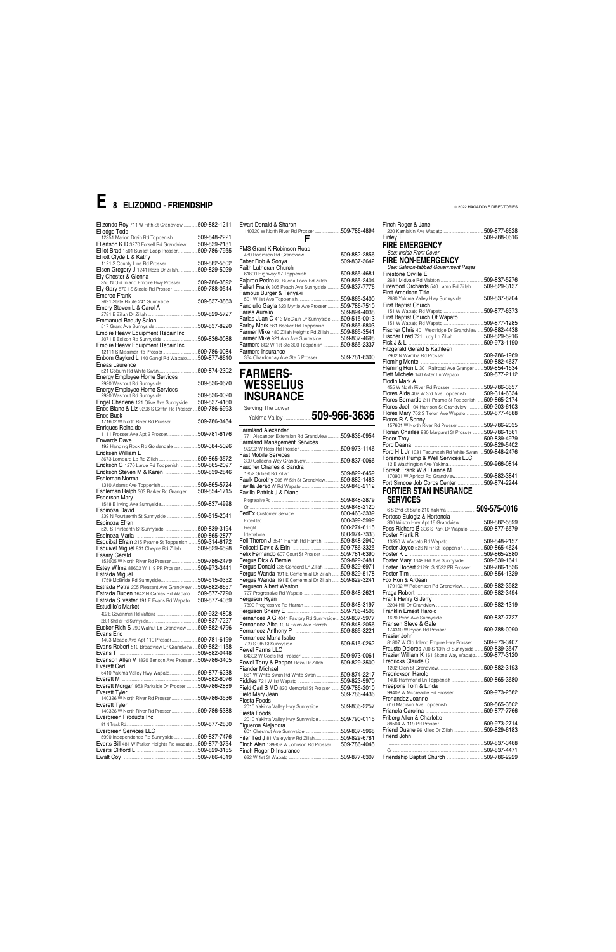| Elizondo Roy 711 W Fifth St Grandview 509-882-1211                   |              |
|----------------------------------------------------------------------|--------------|
| Elledge Todd                                                         |              |
| 12351 Marion Drain Rd Toppenish 509-848-2221                         |              |
| Ellertson K D 3270 Forsell Rd Grandview  509-839-2181                |              |
| Elliot Brad 1501 Sunset Loop Prosser509-786-7955                     |              |
| Elliott Clyde L & Kathy                                              |              |
| 1121 S County Line Rd Prosser  509-882-5502                          |              |
| Elsen Gregory J 1241 Roza Dr Zillah509-829-5029                      |              |
|                                                                      |              |
| Ely Chester & Glenna                                                 |              |
| 355 N Old Inland Empire Hwy Prosser509-786-3892                      |              |
| Ely Gary 8701 S Steele Rd Prosser 509-788-0544                       |              |
| Embree Frank                                                         |              |
| 2691 State Route 241 Sunnyside  509-837-3863                         |              |
| Emery Steven L & Carol A                                             |              |
|                                                                      |              |
|                                                                      |              |
| <b>Emmanuel Beauty Salon</b>                                         |              |
|                                                                      |              |
| Empire Heavy Equipment Repair Inc                                    |              |
| 3071 E Edison Rd Sunnyside                                           | 509-836-0088 |
| Empire Heavy Equipment Repair Inc                                    |              |
|                                                                      |              |
|                                                                      |              |
| Enbom Gaylord L 140 Gangl Rd Wapato509-877-6610                      |              |
| Eneas Laurence                                                       |              |
|                                                                      |              |
| Energy Employee Home Services                                        |              |
|                                                                      |              |
| <b>Energy Employee Home Services</b>                                 |              |
|                                                                      |              |
|                                                                      |              |
| Engel Charlene 121 Olive Ave Sunnyside  509-837-4160                 |              |
| Enos Blane & Liz 9208 S Griffin Rd Prosser  509-786-6993             |              |
| Enos Buck                                                            |              |
| 171602 W North River Rd Prosser 509-786-3484                         |              |
| Enrigues Relnaldo                                                    |              |
| 1111 Prosser Ave Apt 2 Prosser 509-781-6176                          |              |
|                                                                      |              |
| <b>Enwards Dave</b>                                                  |              |
| 192 Hanging Rock Rd Goldendale  509-384-5026                         |              |
| Ericksen William L                                                   |              |
|                                                                      |              |
|                                                                      |              |
|                                                                      |              |
| Erickson G 1270 Larue Rd Toppenish 509-865-2097                      |              |
| Erickson Steven M & Karen 509-839-2846                               |              |
| Eshleman Norma                                                       |              |
|                                                                      |              |
| Eshleman Ralph 303 Barker Rd Granger 509-854-1715                    |              |
|                                                                      |              |
| <b>Esperson Mary</b>                                                 |              |
|                                                                      |              |
| Espinoza David                                                       |              |
| 339 N Fourteenth St Sunnyside 509-515-2041                           |              |
| Espinoza Efren                                                       |              |
|                                                                      |              |
|                                                                      |              |
|                                                                      |              |
| Esquibal Efrain 215 Pearne St Toppenish  509-314-6172                |              |
| Esquivel Miguel 831 Cheyne Rd Zillah  509-829-6598                   |              |
| Essary Gerald                                                        |              |
| 153005 W North River Rd Prosser  509-786-2479                        |              |
| Estey Wilma 88602 W 119 PR Prosser 509-973-3441                      |              |
|                                                                      |              |
| Estrada Miguel                                                       |              |
|                                                                      |              |
| Estrada Petra 205 Pleasant Ave Grandview  509-882-6657               |              |
| Estrada Ruben 1642 N Camas Rd Wapato  509-877-7790                   |              |
| Estrada Silvester 191 E Evans Rd Wapato  509-877-4089                |              |
| Estudillo's Market                                                   |              |
|                                                                      |              |
|                                                                      |              |
|                                                                      |              |
| Eucker Rich S 290 Walnut Ln Grandview  509-882-4796                  |              |
| Evans Eric                                                           |              |
| 1403 Meade Ave Apt 110 Prosser 509-781-6199                          |              |
|                                                                      |              |
| Evans Robert 510 Broadview Dr Grandview  509-882-1158                |              |
|                                                                      |              |
| Evenson Allen V 1820 Benson Ave Prosser  509-786-3405                |              |
| Everett Carl                                                         |              |
| 6410 Yakima Valley Hwy Wapato509-877-6238                            |              |
|                                                                      |              |
|                                                                      |              |
| Everett Morgan 953 Parkside Dr Prosser  509-786-2889                 |              |
| <b>Everett Tyler</b><br>140326 W North River Rd Prosser 509-786-3536 |              |

Yakima Valley ..........................**509-966-3636** Farmland Alexander 771 Alexander Extension Rd Grandview ............509-836-0954 Farmland Management Services 92202 W Hess Rd Prosser ......................................509-973-1146 Fast Mobile Services 300 Colleens Way Grandivew ................................509-837-0066 Faucher Charles & Sandra 1352 Gilbert Rd Zillah ..............................................509-829-6459 Faulk Dorothy 908 W 5th St Grandview..............509-882-1483 Favilla Jerad W Rd Wapato ....................................509-848-2112 Favilla Patrick J & Diane Progressive Rd ................................................................509-848-2879 Or ....................................................................................509-848-2120 FedEx Customer Service ..........................................800-463-3339 Expedited ........................................................................800-399-5999 Freight..............................................................................800-274-6115 International .509-848-2940 Feil Theron J 3541 Harrah Rd Harrah ................509-848-2940 Felicetti David & Erin ............................................509-786-3325 Felix Fernando 607 Court St Prosser ..................509-781-6390 Fergus Dick & Bernie ............................................509-829-3481 Fergus Donald 235 Concord Ln Zillah ................509-829-6971 Fergus Wanda 191 E Centennial Dr Zillah ........509-829-5178 Fergus Wanda 191 E Centennial Dr Zillah Ferguson Albert Weston 727 Progressive Rd Wapato ..................................509-848-2621 Ferguson Ryan 7390 Progressive Rd Harrah ..................................509-848-3197 Ferguson Sherry E ..................................................509-786-4508 Fernandez A G 4041 Factory Rd Sunnyside ....509-837-5977<br>Fernandez Alba 10 N Falen Ave Harrah ............509-848-2056 Fernandez Alba 10 N Falen Ave Harrah ............509-848-2056 Fernandez Anthony P ..........................................509-865-3221 Fernandez Maria Isabel 709 S 9th St Sunnyside ............................................509-515-0262 Fewel Farms LLC 64302 W Coats Rd Prosser ....................................509-973-0061 Fewel Terry & Pepper Roza Dr Zillah................509-829-3500 Fiander Michael 861 W White Swan Rd White Swan ......................509-874-2217 Fiddles 721 W 1st Wapato ........................................509-823-5970 Field Carl B MD 820 Memorial St Prosser ........509-786-2010 Field Mary Jean

| Ewart Donald & Sharon                                                                                   | 509-786-4894                 |
|---------------------------------------------------------------------------------------------------------|------------------------------|
| FMS Grant K-Robinson Road                                                                               | 509-882-2856                 |
|                                                                                                         | 509-837-3642                 |
| Faith Lutheran Church                                                                                   |                              |
| Fajardo Pedro 60 Buena Loop Rd Zillah 509-865-2404<br>Fallert Frank 305 Peach Ave Sunnyside             | 509-837-7776                 |
| Famous Burger & Teriyaki                                                                                | 509-865-2400                 |
| Fanciullo Gayla 623 Myrtle Ave Prosser                                                                  | 509-786-7510                 |
| Farias Juan C 413 McClain Dr Sunnyside                                                                  | 509-894-4038<br>509-515-0013 |
| Farley Mark 661 Becker Rd Toppenish                                                                     | 509-865-5803                 |
| Farmer Mike 480 Zillah Heights Rd Zillah  509-865-3541<br>Farmer Mike 921 Ann Ave Sunnyside509-837-4698 |                              |
| Farmers 802 W 1st Ste 300 Toppenish 509-865-2337                                                        |                              |
| Farmers Insurance<br>364 Chardonnay Ave Ste 5 Prosser                                                   | 509-781-6300                 |

### **FARMERS-WESSELIUS INSURANCE** Serving The Lower

| 509-786-3536<br>Everett Tyler                                              | Fiesta Foods<br>2010 Yakima Valley Hwy Sunnyside 509-836-2257 | Frenandez Joanne          | .509-865-3802                 |
|----------------------------------------------------------------------------|---------------------------------------------------------------|---------------------------|-------------------------------|
| .509-786-5388<br>140326 W North River Rd Prosser<br>Evergreen Products Inc | Fiesta Foods<br>2010 Yakima Valley Hwy Sunnyside 509-790-0115 | Friberg Allen & Charlotte | .509-877-7766                 |
| .509-877-2830<br>Evergreen Services LLC                                    | Figueroa Alejandra<br>601 Chestnut Ave Sunnyside 509-837-5968 |                           | .509-973-2714<br>509-829-6183 |
| 509-837-7476<br>5990 Independence Rd Sunnyside                             | Filer Ted J 81 Valleyview Rd Zillah509-829-6781               | Friend John               |                               |
| Everts Bill 481 W Parker Heights Rd Wapato  509-877-3754                   | Finch Alan 139802 W Johnson Rd Prosser 509-786-4045           |                           | .509-837-3468                 |
| .509-829-3155                                                              | Finch Roger D Insurance                                       |                           | .509-837-4471                 |
|                                                                            |                                                               |                           | 509-786-2929                  |

| Finch Roger & Jane                                                          |  |
|-----------------------------------------------------------------------------|--|
|                                                                             |  |
|                                                                             |  |
| <b>FIRE EMERGENCY</b>                                                       |  |
| See: Inside Front Cover                                                     |  |
| <b>FIRE NON-EMERGENCY</b>                                                   |  |
| See: Salmon-tabbed Government Pages                                         |  |
| Firestone Orville E                                                         |  |
|                                                                             |  |
| Firewood Orchards 540 Lamb Rd Zillah  509-829-3137                          |  |
| <b>First American Title</b>                                                 |  |
| 2680 Yakima Valley Hwy Sunnyside 509-837-8704                               |  |
| First Baptist Church                                                        |  |
|                                                                             |  |
|                                                                             |  |
| Fischer Chris 401 Westridge Dr Grandview  509-882-4438                      |  |
| Fischer Fred 721 Lucy Ln Zillah 509-829-5916                                |  |
|                                                                             |  |
|                                                                             |  |
|                                                                             |  |
|                                                                             |  |
| Fleming Ron L 301 Railroad Ave Granger  509-854-1634                        |  |
| Flett Michele 140 Aster Ln Wapato 509-877-2112<br>Flodin Mark A             |  |
|                                                                             |  |
| Flores Aida 402 W 3rd Ave Toppenish 509-314-6334                            |  |
| Flores Bernardo 211 Pearne St Toppenish  509-865-2174                       |  |
| Flores Joel 104 Harrison St Grandview 509-203-6103                          |  |
| Flores Mary 702 S Tieton Ave Wapato 509-877-4888                            |  |
| Flores R A Sonny                                                            |  |
| 157601 W North River Rd Prosser 509-786-2035                                |  |
| Florian Charles 930 Margaret St Prosser  509-786-1561                       |  |
|                                                                             |  |
| <b>Ford H L Jr</b> 1031 Tecumseh Rd White Swan <b>509-848-2476</b>          |  |
|                                                                             |  |
|                                                                             |  |
|                                                                             |  |
| Forrest Frank W & Dianne M                                                  |  |
| 170901 W Apricot Rd Grandview509-882-3841                                   |  |
| Fort Simcoe Job Corps Center 509-874-2244                                   |  |
| <b>FORTIER STAN INSURANCE</b>                                               |  |
| <b>SERVICES</b>                                                             |  |
|                                                                             |  |
| 6 S 2nd St Suite 210 Yakima509-575-0016                                     |  |
| Fortoso Eulogiz & Hortencia<br>300 Wilson Hwy Apt 16 Grandview 509-882-5899 |  |
| Foss Richard B 306 S Park Dr Wapato  509-877-6579                           |  |
| Foster Frank R                                                              |  |
|                                                                             |  |
| Foster Joyce 526 N Fir St Toppenish  509-865-4624                           |  |
|                                                                             |  |
| Foster Mary 1349 Hill Ave Sunnyside 509-839-1641                            |  |
| Foster Robert 21291 S 1522 PR Prosser 509-786-1536                          |  |
| Fox Ron & Ardean                                                            |  |
| 179102 W Robertson Rd Grandview509-882-3982                                 |  |
|                                                                             |  |
| Frank Henry G Jerry                                                         |  |
|                                                                             |  |
| Franklin Ernest Harold                                                      |  |
|                                                                             |  |
| Fransen Steve & Gale                                                        |  |
| Frasier John                                                                |  |
| 81807 W Old Inland Empire Hwy Prosser  509-973-3407                         |  |
| <b>Frausto Dolores</b> 700 S 13th St Sunnyside  509-839-3547                |  |
| Frazier William K 161 Skone Way Wapato 509-877-3120                         |  |
| Fredricks Claude C                                                          |  |

Fredrickson Harold

1406 Hammond Ln Toppenish ..............................509-865-3680

Freepons Tom & Linda

99402 W Mccreadie Rd Prosser............................509-973-2582

## **E 8 ELIZONDO - FRIENDSHIP**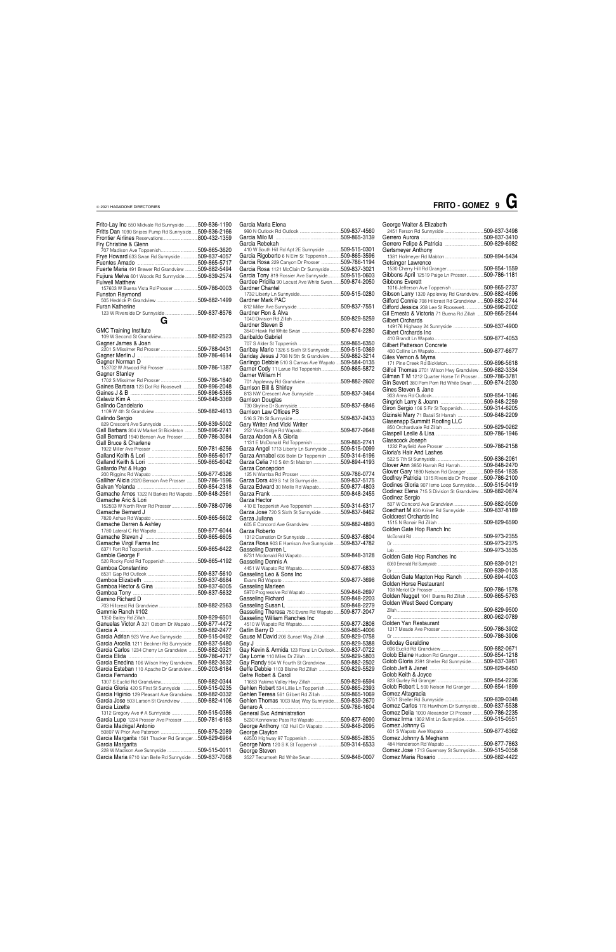| Garcia Maria Elena                                                                                     |  |
|--------------------------------------------------------------------------------------------------------|--|
|                                                                                                        |  |
| Garcia Rebekah                                                                                         |  |
| 410 W South Hill Rd Apt 2E Sunnyside  509-515-0301                                                     |  |
| Garcia Rigoberto 6 N Elm St Toppenish 509-865-3596                                                     |  |
| Garcia Rosa 229 Canyon Dr Prosser 509-786-1194                                                         |  |
| Garcia Rosa 1121 McClain Dr Sunnyside  509-837-3021                                                    |  |
| Garcia Tony 819 Rossier Ave Sunnyside509-515-0603                                                      |  |
| Gardee Pricilla 90 Locust Ave White Swan509-874-2050                                                   |  |
| Gardner Chantel                                                                                        |  |
| Gardner Mark PAC                                                                                       |  |
|                                                                                                        |  |
| Gardner Ron & Alva                                                                                     |  |
|                                                                                                        |  |
| Gardner Steven B                                                                                       |  |
| Garibaldo Gabriel                                                                                      |  |
|                                                                                                        |  |
| Garibay Mario 1326 S Sixth St Sunnyside 509-515-0369                                                   |  |
| Gariday Jesus J 708 N 5th St Grandview509-882-3214                                                     |  |
| Garlingo Debbie 510 S Camas Ave Wapato  509-584-0135                                                   |  |
| Garner Cody 11 Larue Rd Toppenish509-865-5872                                                          |  |
| Garner William H                                                                                       |  |
| Garrison Bill & Shirley                                                                                |  |
| 813 NW Crescent Ave Sunnyside 509-837-3464                                                             |  |
| Garrison Douglas                                                                                       |  |
|                                                                                                        |  |
| Garrison Law Offices PS                                                                                |  |
|                                                                                                        |  |
| Gary Writer And Vicki Writer                                                                           |  |
| Garza Abdon A & Gloria                                                                                 |  |
| 1131 E McDonald Rd Toppenish509-865-2741                                                               |  |
| Garza Angel 1713 Liberty Ln Sunnyside  509-515-0099                                                    |  |
| Garza Annabel 606 Bolin Dr Toppenish 509-314-6196                                                      |  |
| Garza Celia 710 S 6th St Mabton 509-894-4193                                                           |  |
| Garza Concepcion                                                                                       |  |
|                                                                                                        |  |
| Garza Dora 409 S 1st St Sunnyside509-837-5175                                                          |  |
| Garza Edward 30 Mellis Rd Wapato509-877-4803                                                           |  |
| Garza Hector                                                                                           |  |
| 410 E Toppenish Ave Toppenish 509-314-6317                                                             |  |
| Garza Jose 720 S Sixth St Sunnyside 509-837-8462                                                       |  |
| Garza Juliana                                                                                          |  |
|                                                                                                        |  |
| Garza Roberto                                                                                          |  |
| Garza Rosa 903 E Harrison Ave Sunnyside  509-837-4782                                                  |  |
| Gasseling Darren L                                                                                     |  |
|                                                                                                        |  |
| Gasseling Dennis A                                                                                     |  |
|                                                                                                        |  |
| Gasseling Leo & Sons Inc                                                                               |  |
| Gasseling Marleen                                                                                      |  |
|                                                                                                        |  |
|                                                                                                        |  |
|                                                                                                        |  |
|                                                                                                        |  |
| Gasseling Theresa 750 Evans Rd Wapato  509-877-2047                                                    |  |
| Gasseling William Ranches Inc                                                                          |  |
|                                                                                                        |  |
|                                                                                                        |  |
| Gause M David 206 Sunset Way Zillah 509-829-0758                                                       |  |
|                                                                                                        |  |
| Gay Kevin & Armida 123 Floral Ln Outlook509-837-0722                                                   |  |
|                                                                                                        |  |
| Gay Randy 904 W Fourth St Grandview509-882-2502                                                        |  |
| Geffe Debbie 1103 Blaine Rd Zillah 509-829-5529<br>Gefre Robert & Carol                                |  |
| 11653 Yakima Valley Hwy Zillah509-829-6594                                                             |  |
| Gehlen Robert 534 Lillie Ln Toppenish 509-865-2393<br>Gehlen Teresa 561 Gilbert Rd Zillah 509-865-1069 |  |

| Frito-Lay Inc 550 Midvale Rd Sunnyside  509-836-1190                                                           | Garcia Maria Elena                                                                                        |               | George Walter & Elizabeth                                                                                        |               |
|----------------------------------------------------------------------------------------------------------------|-----------------------------------------------------------------------------------------------------------|---------------|------------------------------------------------------------------------------------------------------------------|---------------|
| Fritts Dan 1090 Snipes Pump Rd Sunnyside 509-836-2166                                                          |                                                                                                           |               |                                                                                                                  |               |
| Fry Christine & Glenn                                                                                          | Garcia Rebekah                                                                                            |               |                                                                                                                  |               |
|                                                                                                                | 410 W South Hill Rd Apt 2E Sunnyside 509-515-0301                                                         |               | Gertsmeyer Anthony                                                                                               |               |
| Frye Howard 633 Swan Rd Sunnyside509-837-4057                                                                  | Garcia Rigoberto 6 N Elm St Toppenish509-865-3596                                                         |               |                                                                                                                  |               |
| Fuerte Maria 491 Brewer Rd Grandview 509-882-5494                                                              | Garcia Rosa 229 Canyon Dr Prosser 509-786-1194<br>Garcia Rosa 1121 McClain Dr Sunnyside 509-837-3021      |               | Getsinger Lawrence                                                                                               |               |
| Fujiura Melva 601 Woods Rd Sunnyside509-839-2574                                                               | Garcia Tony 819 Rossier Ave Sunnyside509-515-0603                                                         |               | Gibbons April 12519 Paige Ln Prosser509-786-1181                                                                 |               |
| <b>Fulwell Matthew</b>                                                                                         | Gardee Pricilla 90 Locust Ave White Swan                                                                  | .509-874-2050 | Gibbons Everett                                                                                                  |               |
| 157603 W Buena Vista Rd Prosser 509-786-0003                                                                   | Gardner Chantel                                                                                           |               | 1016 Jefferson Ave Toppenish 509-865-2737                                                                        |               |
| <b>Funston Raymond</b>                                                                                         | Gardner Mark PAC                                                                                          |               | Gibson Larry 1320 Appleway Rd Grandview  509-882-4696<br>Gifford Connie 708 Hillcrest Rd Grandview  509-882-2744 |               |
| Furan Katherine                                                                                                |                                                                                                           |               | Gifford Jessica 208 Lee St Roosevelt                                                                             | .509-896-2002 |
| 123 W Riverside Dr Sunnyside 509-837-8576                                                                      | Gardner Ron & Alva                                                                                        |               | Gil Ernesto & Victoria 71 Buena Rd Zillah 509-865-2644                                                           |               |
| G                                                                                                              |                                                                                                           |               | <b>Gilbert Orchards</b>                                                                                          |               |
| <b>GMC Training Institute</b>                                                                                  | Gardner Steven B                                                                                          |               | 149176 Highway 24 Sunnyside 509-837-4900                                                                         |               |
|                                                                                                                | Garibaldo Gabriel                                                                                         |               | Gilbert Orchards Inc                                                                                             |               |
| Gagner James & Joan                                                                                            |                                                                                                           |               | Gilbert Patterson Concrete                                                                                       |               |
|                                                                                                                | Garibay Mario 1326 S Sixth St Sunnyside 509-515-0369                                                      |               |                                                                                                                  |               |
| Gagner Norman D                                                                                                | Gariday Jesus J 708 N 5th St Grandview509-882-3214<br>Garlingo Debbie 510 S Camas Ave Wapato 509-584-0135 |               | Giles Vernon & Myrna                                                                                             |               |
|                                                                                                                | Garner Cody 11 Larue Rd Toppenish509-865-5872                                                             |               | Gilfoil Thomas 2701 Wilson Hwy Grandview  509-882-3334                                                           |               |
| <b>Gagner Stanley</b>                                                                                          | Garner William H                                                                                          |               | Gilman T M 1212 Quarter Horse Trl Prosser509-786-3781                                                            |               |
| Gaines Barbara 123 Dot Rd Roosevelt  509-896-2048                                                              |                                                                                                           |               | Gin Severt 380 Pom Pom Rd White Swan 509-874-2030                                                                |               |
|                                                                                                                | Garrison Bill & Shirley<br>813 NW Crescent Ave Sunnyside 509-837-3464                                     |               | Gines Steven & Jane                                                                                              |               |
|                                                                                                                | <b>Garrison Douglas</b>                                                                                   |               |                                                                                                                  |               |
| Galindo Candelario                                                                                             |                                                                                                           |               | Giron Sergio 106 S Fir St Toppenish509-314-6205                                                                  |               |
|                                                                                                                | Garrison Law Offices PS                                                                                   |               | Gizinski Mary 71 Batali St Harrah 509-848-2209                                                                   |               |
| Galindo Sergio                                                                                                 | Gary Writer And Vicki Writer                                                                              |               | Glasenapp Summitt Roofing LLC                                                                                    |               |
| Gall Barbara 304 W Market St Bickleton  509-896-2741                                                           |                                                                                                           |               |                                                                                                                  |               |
| Gall Bernard 1940 Benson Ave Prosser509-786-3084                                                               | Garza Abdon A & Gloria                                                                                    |               |                                                                                                                  |               |
| Gall Bruce & Charlene                                                                                          |                                                                                                           |               | Glasscock Joseph                                                                                                 |               |
|                                                                                                                | Garza Angel 1713 Liberty Ln Sunnyside  509-515-0099<br>Garza Annabel 606 Bolin Dr Toppenish  509-314-6196 |               | Gloria's Hair And Lashes                                                                                         |               |
|                                                                                                                |                                                                                                           |               |                                                                                                                  |               |
| Gallardo Pat & Hugo                                                                                            | Garza Concepcion                                                                                          |               | Glover Ann 3850 Harrah Rd Harrah509-848-2470                                                                     |               |
|                                                                                                                |                                                                                                           |               | Glover Gary 1890 Nelson Rd Granger 509-854-1835<br>Godfrey Patricia 1315 Riverside Dr Prosser  509-786-2100      |               |
| Galliher Alicia 2020 Benson Ave Prosser  509-786-1596                                                          | Garza Dora 409 S 1st St Sunnyside509-837-5175                                                             |               | Godines Gloria 907 Ismo Loop Sunnyside                                                                           | .509-515-0419 |
| Gamache Amos 1322 N Barkes Rd Wapato  509-848-2561                                                             | Garza Edward 30 Mellis Rd Wapato509-877-4803                                                              |               | Godinez Elena 715 S Division St Grandview  509-882-0874                                                          |               |
| Gamache Aric & Lori                                                                                            | Garza Hector                                                                                              |               | Godinez Sergio                                                                                                   |               |
| 152503 W North River Rd Prosser 509-788-0796                                                                   | 410 E Toppenish Ave Toppenish 509-314-6317                                                                |               |                                                                                                                  |               |
| Gamache Bernard J                                                                                              | Garza Jose 720 S Sixth St Sunnyside 509-837-8462                                                          |               | Goedhart M 830 Kriner Rd Sunnyside 509-837-8189<br>Goldcrest Orchards Inc                                        |               |
|                                                                                                                | Garza Juliana                                                                                             |               |                                                                                                                  |               |
|                                                                                                                | Garza Roberto                                                                                             |               | Golden Gate Hop Ranch Inc                                                                                        |               |
|                                                                                                                |                                                                                                           |               |                                                                                                                  |               |
|                                                                                                                | Garza Rosa 903 E Harrison Ave Sunnyside  509-837-4782                                                     |               |                                                                                                                  |               |
| Gamble George F                                                                                                | Gasseling Darren L                                                                                        |               |                                                                                                                  |               |
|                                                                                                                | Gasseling Dennis A                                                                                        |               | Golden Gate Hop Ranches Inc                                                                                      |               |
| Gamboa Constantino                                                                                             |                                                                                                           |               |                                                                                                                  |               |
|                                                                                                                | Gasseling Leo & Sons Inc                                                                                  |               | Golden Gate Mapton Hop Ranch 509-894-4003                                                                        |               |
|                                                                                                                | Gasseling Marleen                                                                                         |               | Golden Horse Restaurant                                                                                          |               |
|                                                                                                                |                                                                                                           |               |                                                                                                                  |               |
| Gamino Richard D                                                                                               |                                                                                                           |               | Golden Nugget 1041 Buena Rd Zillah 509-865-5763<br>Golden West Seed Company                                      |               |
|                                                                                                                |                                                                                                           |               |                                                                                                                  |               |
| Gammie Ranch #102                                                                                              | Gasseling Theresa 750 Evans Rd Wapato  509-877-2047<br>Gasseling William Ranches Inc                      |               |                                                                                                                  |               |
| Ganuelas Victor A 321 Osborn Dr Wapato  509-877-4472                                                           |                                                                                                           |               | Golden Yan Restaurant                                                                                            |               |
|                                                                                                                |                                                                                                           |               |                                                                                                                  |               |
| Garcia Adrian 923 Vine Ave Sunnyside  509-515-0492                                                             | Gause M David 206 Sunset Way Zillah 509-829-0758                                                          |               |                                                                                                                  |               |
| Garcia Arcelia 1211 Beckner Rd Sunnyside  509-837-5480<br>Garcia Carlos 1234 Cherry Ln Grandview  509-882-0321 | Gay Kevin & Armida 123 Floral Ln Outlook509-837-0722                                                      |               | Golloday Geraldine                                                                                               |               |
|                                                                                                                |                                                                                                           |               | Golob Elaine Hudson Rd Granger509-854-1218                                                                       |               |
| Garcia Enedina 106 Wilson Hwy Grandview  509-882-3632                                                          | Gay Randy 904 W Fourth St Grandview509-882-2502                                                           |               | Golob Gloria 2391 Sheller Rd Sunnyside509-837-3961                                                               |               |
| Garcia Esteban 110 Apache Dr Grandview509-203-6184                                                             | Geffe Debbie 1103 Blaine Rd Zillah 509-829-5529                                                           |               |                                                                                                                  |               |
| Garcia Fernando                                                                                                | Gefre Robert & Carol                                                                                      |               | Golob Keith & Joyce                                                                                              |               |
| Garcia Gloria 420 S First St Sunnyside 509-515-0235                                                            | Gehlen Robert 534 Lillie Ln Toppenish 509-865-2393                                                        |               | Golob Robert L 500 Nelson Rd Granger509-854-1899                                                                 |               |
| Garcia Higinio 129 Pleasant Ave Grandview  509-882-0332                                                        | Gehlen Teresa 561 Gilbert Rd Zillah 509-865-1069                                                          |               | Gomez Altagracia                                                                                                 |               |
| Garcia Jose 503 Larson St Grandview 509-882-4106                                                               | Gehlen Thomas 1003 Marj Way Sunnyside509-839-2670                                                         |               |                                                                                                                  |               |
| Garcia Lizette                                                                                                 |                                                                                                           |               | Gomez Carlos 176 Hawthorn Dr Sunnyside509-837-5538                                                               |               |
| 1312 Gregory Ave # A Sunnyside 509-515-0386                                                                    | General Svc Administration<br>5230 Konnowac Pass Rd Wapato 509-877-6090                                   |               | Gomez Delia 1000 Alexander Ct Prosser  509-786-2235<br>Gomez Irma 1302 Mint Ln Sunnyside509-515-0551             |               |
| Garcia Lupe 1224 Prosser Ave Prosser 509-781-6163<br>Garcia Madrigal Antonio                                   | George Anthony 102 Huli Cir Wapato 509-848-2095                                                           |               | Gomez Johnny G                                                                                                   |               |
|                                                                                                                | George Clayton                                                                                            |               |                                                                                                                  |               |
| Garcia Margarita 1561 Thacker Rd Granger509-829-6964                                                           | 62500 Highway 97 Toppenish 509-865-2835                                                                   |               | Gomez Johnny & Meghann                                                                                           |               |
| Garcia Margarita<br>228 W Madison Ave Sunnyside 509-515-0011                                                   | George Nora 120 S K St Toppenish 509-314-6533                                                             |               | Gomez Jose 1713 Guernsey St Sunnyside 509-515-0358                                                               |               |
| Garcia Maria 8710 Van Belle Rd Sunnyside509-837-7068                                                           | George Steven<br>3527 Tecumseh Rd White Swan509-848-0007                                                  |               |                                                                                                                  |               |
|                                                                                                                |                                                                                                           |               |                                                                                                                  |               |

| George Walter & Elizabeth                                                                        |              |
|--------------------------------------------------------------------------------------------------|--------------|
|                                                                                                  |              |
|                                                                                                  |              |
|                                                                                                  |              |
| Gertsmeyer Anthony                                                                               |              |
| Getsinger Lawrence                                                                               |              |
|                                                                                                  |              |
| Gibbons April 12519 Paige Ln Prosser509-786-1181                                                 |              |
| Gibbons Everett                                                                                  |              |
| 1016 Jefferson Ave Toppenish 509-865-2737                                                        |              |
| Gibson Larry 1320 Appleway Rd Grandview  509-882-4696                                            |              |
| Gifford Connie 708 Hillcrest Rd Grandview  509-882-2744                                          |              |
| Gifford Jessica 208 Lee St Roosevelt509-896-2002                                                 |              |
| Gil Ernesto & Victoria 71 Buena Rd Zillah 509-865-2644                                           |              |
| Gilbert Orchards                                                                                 |              |
| 149176 Highway 24 Sunnyside 509-837-4900                                                         |              |
| Gilbert Orchards Inc                                                                             |              |
|                                                                                                  |              |
| <b>Gilbert Patterson Concrete</b>                                                                |              |
| Giles Vernon & Myrna                                                                             |              |
|                                                                                                  |              |
| Gilfoil Thomas 2701 Wilson Hwy Grandview  509-882-3334                                           |              |
| Gilman T M 1212 Quarter Horse Trl Prosser509-786-3781                                            |              |
| Gin Severt 380 Pom Pom Rd White Swan 509-874-2030                                                |              |
| Gines Steven & Jane                                                                              |              |
|                                                                                                  |              |
|                                                                                                  |              |
| Giron Sergio 106 S Fir St Toppenish509-314-6205                                                  |              |
| Gizinski Mary 71 Batali St Harrah 509-848-2209                                                   |              |
| Glasenapp Summitt Roofing LLC                                                                    |              |
|                                                                                                  |              |
|                                                                                                  |              |
| Glasscock Joseph                                                                                 |              |
|                                                                                                  |              |
| Gloria's Hair And Lashes                                                                         |              |
|                                                                                                  |              |
| Glover Ann 3850 Harrah Rd Harrah509-848-2470<br>Glover Gary 1890 Nelson Rd Granger  509-854-1835 |              |
| Godfrey Patricia 1315 Riverside Dr Prosser  509-786-2100                                         |              |
| Godines Gloria 907 Ismo Loop Sunnyside  509-515-0419                                             |              |
| Godinez Elena 715 S Division St Grandview  509-882-0874                                          |              |
| Godinez Sergio                                                                                   |              |
| 507 W Concord Ave Grandview509-882-0509                                                          |              |
| Goedhart M 830 Kriner Rd Sunnyside  509-837-8189                                                 |              |
| Goldcrest Orchards Inc                                                                           |              |
|                                                                                                  |              |
| Golden Gate Hop Ranch Inc                                                                        |              |
|                                                                                                  |              |
|                                                                                                  |              |
|                                                                                                  |              |
| Golden Gate Hop Ranches Inc                                                                      |              |
|                                                                                                  |              |
| Or                                                                                               | 509-839-0135 |
| Golden Gate Mapton Hop Ranch 509-894-4003                                                        |              |
| Golden Horse Restaurant                                                                          |              |
|                                                                                                  |              |
| Golden Nugget 1041 Buena Rd Zillah 509-865-5763                                                  |              |
| <b>Golden West Seed Company</b>                                                                  |              |
|                                                                                                  |              |
|                                                                                                  |              |
| Golden Yan Restaurant                                                                            |              |
|                                                                                                  |              |
|                                                                                                  |              |
| Golloday Geraldine                                                                               |              |
|                                                                                                  |              |
| Golob Elaine Hudson Rd Granger509-854-1218                                                       |              |
| Golob Gloria 2391 Sheller Rd Sunnyside 509-837-3961                                              |              |
|                                                                                                  |              |
|                                                                                                  |              |
| Golob Keith & Joyce                                                                              |              |
|                                                                                                  |              |
| Golob Robert L 500 Nelson Rd Granger509-854-1899<br>Gomez Altagracia                             |              |

# **FRITO - GOMEZ 9 G**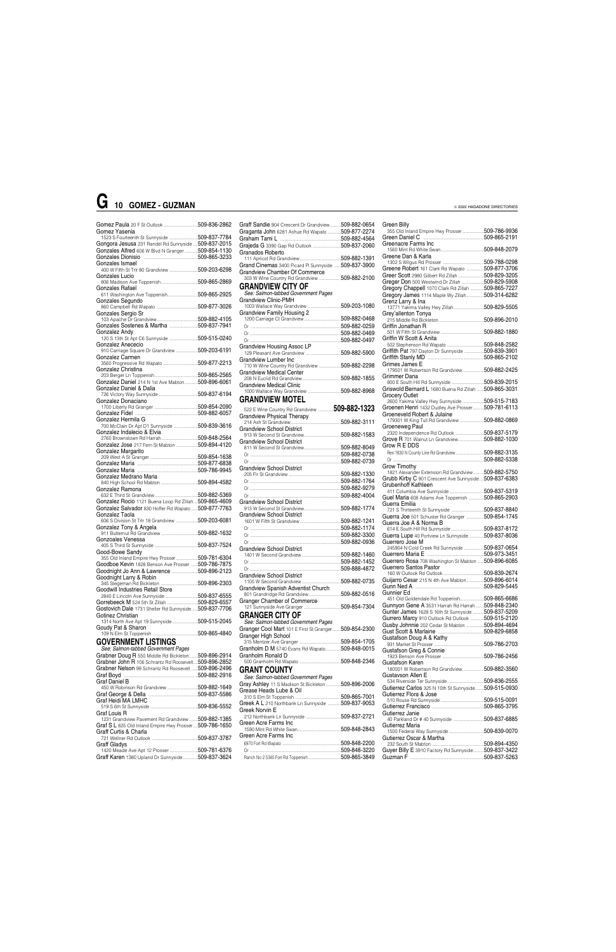| Gomez Yasenia                                                       |  |
|---------------------------------------------------------------------|--|
| 1523 S Fourteenth St Sunnyside  509-837-7784                        |  |
| Gongora Jesusa 231 Randel Rd Sunnyside  509-837-2015                |  |
| Gonzales Alfred 606 W Blvd N Granger 509-854-1130                   |  |
|                                                                     |  |
| Gonzales Ismael                                                     |  |
| onzation torritor.<br>400 W Fifth St Trlr 80 Grandview 509-203-6298 |  |
| Gonzales Lucio                                                      |  |
|                                                                     |  |
| Gonzales Rafael                                                     |  |
| 611 Washington Ave Toppenish509-865-2925                            |  |
| Gonzales Segundo                                                    |  |
|                                                                     |  |
| Gonzales Sergio Sr                                                  |  |
|                                                                     |  |
| Gonzales Sostenes & Martha 509-837-7941                             |  |
| Gonzalez Andv                                                       |  |
|                                                                     |  |
| Gonzalez Anececio                                                   |  |
| 910 Carriage Square Dr Grandview 509-203-6191                       |  |
| Gonzalez Carmen                                                     |  |
| 3560 Progressive Rd Wapato 509-877-2213                             |  |
| Gonzalez Christina                                                  |  |
|                                                                     |  |
| Gonzalez Daniel 214 N 1st Ave Mabton509-896-6061                    |  |
| Gonzalez Daniel & Dalia                                             |  |
|                                                                     |  |
| Gonzalez Donaciano                                                  |  |
|                                                                     |  |
|                                                                     |  |
| Gonzalez Hermila G                                                  |  |
| 700 McClain Dr Apt D1 Sunnyside 509-839-3616                        |  |
| Gonzalez Indalecio & Elvia                                          |  |
|                                                                     |  |
| Gonzalez Jose 217 Fern St Mabton 509-894-4120                       |  |
| Gonzalez Margarito                                                  |  |
|                                                                     |  |
|                                                                     |  |
|                                                                     |  |
| Gonzalez Medrano Maria                                              |  |
|                                                                     |  |
| Gonzalez Ramona                                                     |  |
|                                                                     |  |
| Gonzalez Rocio 1121 Buena Loop Rd Zillah 509-865-4609               |  |
| Gonzalez Salvador 830 Hoffer Rd Wapato  509-877-7763                |  |
| Gonzalez Taola                                                      |  |
| 606 S Division St Trlr 18 Grandview 509-203-6081                    |  |
| Gonzalez Tony & Angela                                              |  |
|                                                                     |  |
| Gonzoales Venessa                                                   |  |
|                                                                     |  |
| Good-Bowe Sandy                                                     |  |
| 355 Old Inland Empire Hwy Prosser509-781-6304                       |  |
| Goodboe Kevin 1828 Benson Ave Prosser  509-786-7875                 |  |
| Goodnight Jo Ann & Lawrence 509-896-2123                            |  |
| Goodnight Larry & Robin                                             |  |
|                                                                     |  |
| Goodwill Industries Retail Store                                    |  |
|                                                                     |  |
|                                                                     |  |
| Gostovich Dale 1731 Sheller Rd Sunnyside 509-837-7706               |  |
| Gotinez Christian                                                   |  |
| 1314 North Ave Apt 19 Sunnyside509-515-2045                         |  |
| Goudy Pat & Sharon                                                  |  |
|                                                                     |  |
| <b>GOVERNMENT LISTINGS</b>                                          |  |
| See: Salmon-tabbed Government Pages                                 |  |
| Grabner Doug R 550 Middle Rd Bickleton 509-896-2914                 |  |
| Grabner John R 106 Schrantz Rd Roosevelt 509-896-2852               |  |
| Grabner Nelson 99 Schrantz Rd Roosevelt  509-896-2496               |  |
|                                                                     |  |
|                                                                     |  |

Graf Daniel B

450 W Robinson Rd Grandview ............................509-882-1649 Graf George & Della ..............................................509-837-5586

| Graff Sandie 904 Crescent Dr Grandview509-882-0654                             |  |
|--------------------------------------------------------------------------------|--|
|                                                                                |  |
| Graganta John 6281 Ashue Rd Wapato  509-877-2274                               |  |
|                                                                                |  |
| Grajeda G 3390 Gap Rd Outlook 509-837-2060                                     |  |
| Granados Roberto                                                               |  |
|                                                                                |  |
| Grand Cinemas 3400 Picard PI Sunnyside  509-837-3900                           |  |
| <b>Grandview Chamber Of Commerce</b>                                           |  |
| 303 W Wine Country Rd Grandview 509-882-2100                                   |  |
| <b>GRANDVIEW CITY OF</b>                                                       |  |
| See: Salmon-tabbed Government Pages                                            |  |
| <b>Grandview Clinic-PMH</b>                                                    |  |
| 1003 Wallace Way Grandview 509-203-1080                                        |  |
| <b>Grandview Family Housing 2</b>                                              |  |
|                                                                                |  |
|                                                                                |  |
|                                                                                |  |
|                                                                                |  |
| <b>Grandview Housing Assoc LP</b>                                              |  |
|                                                                                |  |
| Grandview Lumber Inc                                                           |  |
| 710 W Wine Country Rd Grandview 509-882-2298                                   |  |
| Grandview Medical Center                                                       |  |
|                                                                                |  |
| <b>Grandview Medical Clinic</b>                                                |  |
|                                                                                |  |
| <b>GRANDVIEW MOTEL</b>                                                         |  |
|                                                                                |  |
| 522 E Wine Country Rd Grandview 509-882-1323                                   |  |
| <b>Grandview Physical Therapy</b>                                              |  |
|                                                                                |  |
| <b>Grandview School District</b>                                               |  |
|                                                                                |  |
| <b>Grandview School District</b>                                               |  |
|                                                                                |  |
|                                                                                |  |
|                                                                                |  |
| <b>Grandview School District</b>                                               |  |
|                                                                                |  |
|                                                                                |  |
|                                                                                |  |
|                                                                                |  |
|                                                                                |  |
| <b>Grandview School District</b>                                               |  |
|                                                                                |  |
| <b>Grandview School District</b>                                               |  |
|                                                                                |  |
|                                                                                |  |
|                                                                                |  |
|                                                                                |  |
| <b>Grandview School District</b>                                               |  |
|                                                                                |  |
|                                                                                |  |
|                                                                                |  |
| <b>Grandview School District</b>                                               |  |
|                                                                                |  |
| Grandview Spanish Adventist Church                                             |  |
|                                                                                |  |
| Granger Chamber of Commerce                                                    |  |
|                                                                                |  |
| <b>GRANGER CITY OF</b>                                                         |  |
| See: Salmon-tabbed Government Pages                                            |  |
| Granger Cool Mart 101 E First St Granger509-854-2300                           |  |
| Granger High School                                                            |  |
|                                                                                |  |
| Granholm D M 5740 Evans Rd Wapato509-848-0015                                  |  |
| Granholm Ronald D                                                              |  |
|                                                                                |  |
| <b>GRANT COUNTY</b>                                                            |  |
| See: Salmon-tabbed Government Pages                                            |  |
| Gray Ashley 11 S Madison St Bickleton  509-896-2006<br>Grease Heads Lube & Oil |  |

|                                                                                     | Gutierrez Flora & Jose                                                                                                                                                                                                         |
|-------------------------------------------------------------------------------------|--------------------------------------------------------------------------------------------------------------------------------------------------------------------------------------------------------------------------------|
|                                                                                     | .509-515-0091                                                                                                                                                                                                                  |
|                                                                                     | .509-865-3795                                                                                                                                                                                                                  |
|                                                                                     | Gutierrez Janie                                                                                                                                                                                                                |
|                                                                                     | 509-837-6885                                                                                                                                                                                                                   |
|                                                                                     | Gutierrez Maria                                                                                                                                                                                                                |
|                                                                                     | .509-839-0070<br>1500 Federal Way Sunnyside                                                                                                                                                                                    |
|                                                                                     | Gutierrez Oscar & Martha                                                                                                                                                                                                       |
|                                                                                     | .509-894-4350                                                                                                                                                                                                                  |
| .509-848-3220                                                                       | Guver Billy E 3910 Factory Rd Sunnyside<br>.509-837-3422                                                                                                                                                                       |
|                                                                                     | .509-837-5263                                                                                                                                                                                                                  |
| 1231 Grandview Pavement Rd Grandview  509-882-1385<br>.509-781-6376<br>509-837-3624 | Greek A L 210 Northbank Ln Sunnyside<br>509-837-9053<br>Greek Norvin E<br>212 Northbank Ln Sunnyside 509-837-2721<br>Green Acre Farms Inc<br>.509-848-2843<br>1590 Mint Rd White Swan<br>Green Acre Farms Inc<br>.509-848-2200 |

#### Green Billy 355 Old Inland Empire Hwy Prosser....................509-786-9936 Green Daniel C ........................................................509-865-2191 Greenacre Farms Inc 1560 Mint Rd White Swan........................................509-848-2079 Greene Dan & Karla 1302 S Wilgus Rd Prosser ......................................509-788-0298 Greene Robert 161 Clark Rd Wapato ................509-877-3706 Greer Scott 2980 Gilbert Rd Zillah ............................509-829-3205<br>Greger Don 500 Westwind Dr Zillah .....................509-829-5908 Greger Don 500 Westwind Dr Zillah Gregory Chappell 1070 Clark Rd Zillah ............509-865-7227 Gregory James 1114 Maple Wy Zillah................509-314-6282 Grenz Larry & Ina 13771 Yakima Valley Hwy Zillah............................509-829-5505 Grey'allenton Tonya 215 Middle Rd Bickleton..........................................509-896-2010 Griffin Jonathan R 501 W Fifth St Grandview ........................................509-882-1880 Griffin W Scott & Anita 502 Stephenson Rd Wapato ..................................509-848-2582 Griffith Pat 797 Dayton Dr Sunnyside ..................509-839-3901 Griffith Stanly MD ....................................................509-865-2102 Grimes James E 179501 W Robertson Rd Grandview....................509-882-2425 Grimmer Dana 800 E South Hill Rd Sunnyside ..............................509-839-2015 Griswold Bernard L 1680 Buena Rd Zillah Grocery Outlet 2600 Yakima Valley Hwy Sunnyside ....................509-515-7183 Groenen Henri 1432 Dudley Ave Prosser..........509-781-6113 Groeneveld Robert & Julaine 179301 W King Tull Rd Grandview ......................509-882-0869 Groeneweg Paul 2320 Independence Rd Outlook ..........................509-837-5179 Grove R 701 Walnut Ln Grandview........................509-882-1030 Grow R E DDS Res 1830 N County Line Rd Grandview ..........................509-882-3135 Or ....................................................................................509-882-5338 Grow Timothy 1821 Alexander Extension Rd Grandview..........509-882-5750 Grubb Kirby C 901 Crescent Ave Sunnyside ....509-837-6383 Grubenhoff Kathleen 411 Columbia Ave Sunnyside ................................509-837-5319 Guel Maria 608 Adams Ave Toppenish ... Guerra Emilia 721 S Thirteenth St Sunnyside ..............................509-837-8840 Guerra Joe 501 Schuster Rd Granger ................509-854-1745 Guerra Joe A & Norma B 614 E South Hill Rd Sunnyside ..............................509-837-8172 Guerra Lupe 40 Portview Ln Sunnyside..............509-837-8036 Guerrero Jose M 245904 N Cold Creek Rd Sunnyside ..................509-837-0654 Guerrero Maria E ....................................................509-973-3451 Guerrero Rosa 708 Washington St Mabton. Guerrero Santos Pastor 160 W Outlook Rd Outlook......................................509-839-2674 Guijarro Cesar 215 N 4th Ave Mabton................509-896-6014 Gunn Ned A ................................................................509-829-5445 Gunnier Ed 451 Old Goldendale Rd Toppenish......................509-865-6686 Gunnyon Gene A 3531 Harrah Rd Harrah........509-848-2340 Gunter James 1628 S 16th St Sunnyside ..........509-837-5209 Gurrero Marcy 910 Outlook Rd Outlook ............509-515-2120 Gusby Johnnie 202 Cedar St Mabton ................509-894-4694 Gust Scott & Marlaine Gustafson Doug A & Kathy 931 Market St Prosser ..............................................509-786-2703 Gustafson Greg & Connie 1923 Benson Ave Prosser ......................................509-786-2456 Gustafson Karen 180001 W Robertson Rd Grandview....................509-882-3560 Gustavson Allen E 534 Riverside Ter Sunnyside..................................509-836-2555 Gutierrez Carlos 325 N 10th St Sunnyside.... Gutierrez Flora & Jose

### **G 10 GOMEZ - GUZMAN**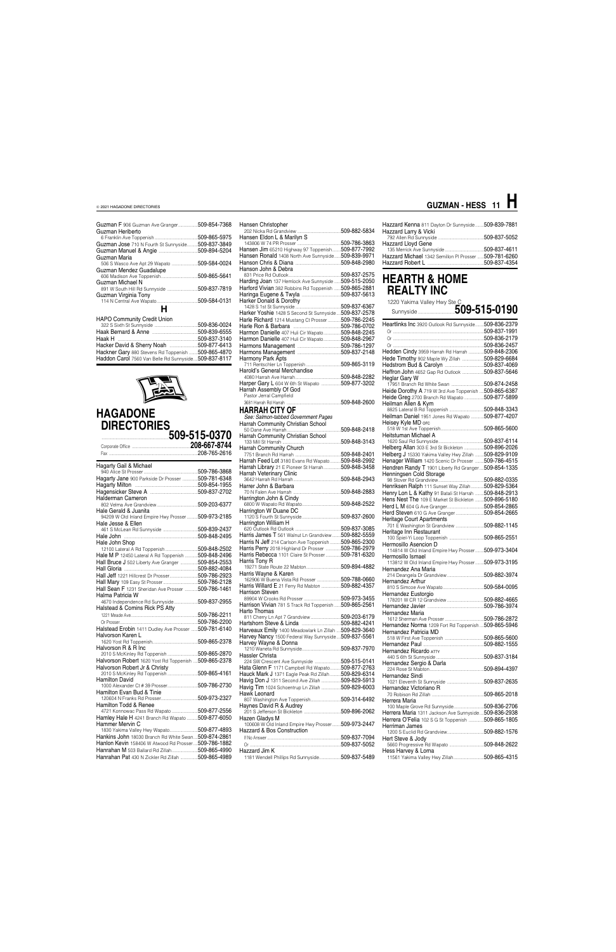| Guzman F 906 Guzman Ave Granger<br>Guzman Heriberto | 509-854-7368 |
|-----------------------------------------------------|--------------|
|                                                     | 509-865-5975 |
| Guzman Jose 710 N Fourth St Sunnyside               | 509-837-3849 |
|                                                     |              |
| Guzman Maria                                        |              |
| 506 S Wasco Ave Apt 29 Wapato                       | 509-584-0024 |
| Guzman Mendez Guadalupe                             |              |
|                                                     | 509-865-5641 |
| Guzman Michael N                                    |              |
|                                                     | 509-837-7819 |
| Guzman Virginia Tony                                |              |
|                                                     |              |
| н                                                   |              |
| <b>HAPO Community Credit Union</b>                  |              |
|                                                     | 509-836-0024 |
|                                                     | 509-839-6555 |
|                                                     | 509-837-3140 |
|                                                     |              |
| Hackner Gary 880 Stevens Rd Toppenish               | 509-865-4870 |



Haddon Carol 7560 Van Belle Rd Sunnyside....509-837-8117

### **HAGADONE DIRECTORIES**

..............................................................**509-515-0370** Corporate Office ......................................................**208-667-8744** Fax ..................................................................................208-765-2616 940 Alice St Prosser..................................................509-786-3868 Hagarty Jane 900 Parkside Dr Prosser ..............509-781-6348

| Hagarty Gail & Michael                                |              |
|-------------------------------------------------------|--------------|
|                                                       |              |
| Hagarty Jane 900 Parkside Dr Prosser  509-781-6348    |              |
|                                                       |              |
|                                                       |              |
| Halderman Cameron                                     |              |
|                                                       |              |
| Hale Gerald & Juanita                                 |              |
| 94209 W Old Inland Empire Hwy Prosser  509-973-2185   |              |
| Hale Jesse & Ellen                                    |              |
|                                                       |              |
|                                                       |              |
| Hale John Shop                                        |              |
|                                                       |              |
| Hale M P 12450 Lateral A Rd Toppenish  509-848-2496   |              |
| Hall Bruce J 502 Liberty Ave Granger 509-854-2553     |              |
|                                                       |              |
| Hall Jeff 1221 Hillcrest Dr Prosser509-786-2923       |              |
|                                                       |              |
| Hall Sean F 1231 Sheridan Ave Prosser  509-786-1461   |              |
| Halma Patricia W                                      |              |
| 4670 Independence Rd Sunnyside509-837-2955            |              |
| Halstead & Comins Rick PS Atty                        |              |
|                                                       |              |
|                                                       |              |
| Halstead Erobin 1411 Dudley Ave Prosser  509-781-6140 |              |
| Halvorson Karen L                                     |              |
|                                                       |              |
| Halvorson R & R Inc                                   |              |
| 2010 S McKinley Rd Toppenish 509-865-2870             |              |
| Halvorson Robert 1620 Yost Rd Toppenish  509-865-2378 |              |
| Halvorson Robert Jr & Christy                         |              |
| 2010 S McKinley Rd Toppenish                          | 509-865-4161 |
| <b>Hamilton David</b>                                 |              |
|                                                       |              |
| Hamilton Evan Bud & Tinie                             |              |
|                                                       | 509-973-2327 |

| Hamilton Todd & Renee |                                                  |
|-----------------------|--------------------------------------------------|
|                       | $\sim$ $\sim$ $\sim$ $\sim$ $\sim$ $\sim$ $\sim$ |

| Hamley Hale H 4241 Branch Rd Wapato  509-877-6050 |              |
|---------------------------------------------------|--------------|
| Hammer Mervin C                                   |              |
|                                                   | FOO 077 1000 |

| Hankins John 18030 Branch Rd White Swan509-874-2861 |  |
|-----------------------------------------------------|--|
| Hanlon Kevin 158406 W Atwood Rd Prosser509-786-1882 |  |
|                                                     |  |
| Hanrahan Pat 430 N Zickler Rd Zillah 509-865-4989   |  |

| Hansen Christopher                                     |  |
|--------------------------------------------------------|--|
|                                                        |  |
| Hansen Eldon L & Marilyn S                             |  |
|                                                        |  |
| Hansen Jim 65210 Highway 97 Toppenish509-877-7992      |  |
| Hansen Ronald 1408 North Ave Sunnyside 509-839-9971    |  |
|                                                        |  |
| Hanson John & Debra                                    |  |
|                                                        |  |
|                                                        |  |
| Harding Joan 137 Hemlock Ave Sunnyside  509-515-2050   |  |
| Harford Vivian 382 Robbins Rd Toppenish  509-865-2881  |  |
|                                                        |  |
| Harker Donald & Dorothy                                |  |
|                                                        |  |
| Harker Yoshie 1428 S Second St Sunnyside  509-837-2578 |  |
| Harle Richard 1214 Mustang Ct Prosser  509-786-2245    |  |
|                                                        |  |
| Harmon Danielle 407 Huli Cir Wapato509-848-2245        |  |
| Harmon Danielle 407 Huli Cir Wapato509-848-2967        |  |
|                                                        |  |
|                                                        |  |
|                                                        |  |
| Harmony Park Apts                                      |  |
| 711 Rentschler Ln Toppenish 509-865-3119               |  |
| Harold's General Merchandise                           |  |
|                                                        |  |
| Harper Gary L 604 W 6th St Wapato 509-877-3202         |  |
|                                                        |  |
| Harrah Assembly Of God<br>Pastor Jerral Campfield      |  |
|                                                        |  |
|                                                        |  |
| HARRAH CITY OF                                         |  |
| See: Salmon-tabbed Government Pages                    |  |
|                                                        |  |
|                                                        |  |
| Harrah Community Christian School                      |  |
|                                                        |  |
| <b>Harrah Community Church</b>                         |  |
|                                                        |  |
| Harrah Feed Lot 3180 Evans Rd Wapato  509-848-2992     |  |
| Harrah Library 21 E Pioneer St Harrah509-848-3458      |  |
|                                                        |  |
| Harrah Veterinary Clinic                               |  |
|                                                        |  |
| Harrer John & Barbara                                  |  |
|                                                        |  |
|                                                        |  |
|                                                        |  |
| Harrington W Duane DC                                  |  |
|                                                        |  |
| Harrington William H                                   |  |
|                                                        |  |
| Harris James T 561 Walnut Ln Grandview  509-882-5559   |  |
| Harris N Jeff 214 Carlson Ave Toppenish 509-865-2300   |  |
| Harris Perry 2018 Highland Dr Prosser 509-786-2979     |  |
| Harris Rebecca 1101 Claire St Prosser 509-781-6320     |  |
|                                                        |  |
| Harris Tony R                                          |  |
|                                                        |  |
| Harris Wayne & Karen                                   |  |
| 162906 W Buena Vista Rd Prosser 509-788-0660           |  |
| Harris Willard E 21 Ferry Rd Mabton 509-882-4357       |  |
| Harrison Steven                                        |  |
|                                                        |  |
| Harrison Vivian 781 S Track Rd Toppenish  509-865-2561 |  |
| Harto Thomas                                           |  |
| 811 Cherry Ln Apt 7 Grandview 509-203-6179             |  |
|                                                        |  |
|                                                        |  |
| Harveaux Emily 1400 Meadowlark Ln Zillah  509-829-3640 |  |
| Harvey Nancy 1500 Federal Way Sunnyside509-837-5561    |  |
| Harvey Wayne & Donna                                   |  |
|                                                        |  |
| Hassler Christa                                        |  |
| 224 SW Crescent Ave Sunnyside 509-515-0141             |  |
| Hata Glenn F 1171 Campbell Rd Wapato 509-877-2763      |  |
| Hauck Mark J 1371 Eagle Peak Rd Zillah  509-829-6314   |  |
| Havig Don J 1311 Second Ave Zillah 509-829-5913        |  |
|                                                        |  |

Havig Tim 1024 Schoentrup Ln Zillah ..................509-829-6003

Hawk Leonard

| <b>HAWALCURU</b>                                    |              |
|-----------------------------------------------------|--------------|
|                                                     |              |
| Haynes David R & Audrey                             |              |
|                                                     |              |
| Hazen Gladys M                                      |              |
| 100608 W Old Inland Empire Hwy Prosser 509-973-2447 |              |
| Hazzard & Bos Construction                          |              |
|                                                     | 509-837-7094 |
|                                                     | 509-837-5052 |
| Hazzard Jim K                                       |              |
| 1181 Wendell Phillips Rd Sunnyside                  | 509-837-5489 |
|                                                     |              |

Hazzard Kenna 811 Dayton Dr Sunnyside........509-839-7881 Hazzard Larry & Vicki 792 Allen Rd Sunnyside ..........................................509-837-5052

| Hazzard Lloyd Gene                                     |  |
|--------------------------------------------------------|--|
|                                                        |  |
| Hazzard Michael 1342 Semillon PI Prosser  509-781-6260 |  |
|                                                        |  |

### **HEARTH & HOME REALTY INC**

| 1220 Yakima Valley Hwy Ste_C                                                                      |  |
|---------------------------------------------------------------------------------------------------|--|
|                                                                                                   |  |
| Heartlinks Inc 3920 Outlook Rd Sunnyside 509-836-2379                                             |  |
|                                                                                                   |  |
|                                                                                                   |  |
|                                                                                                   |  |
|                                                                                                   |  |
| Hedden Cindy 3959 Harrah Rd Harrah  509-848-2306                                                  |  |
| Hede Timothy 902 Maple Wy Zillah 509-829-6684                                                     |  |
|                                                                                                   |  |
| Heffron John 4652 Gap Rd Outlook 509-837-5646                                                     |  |
| Heglar Gary W                                                                                     |  |
| 17951 Branch Rd White Swan 509-874-2458                                                           |  |
| Heide Dorothy A 719 W 3rd Ave Toppenish  509-865-6387                                             |  |
| Heide Greg 2700 Branch Rd Wapato 509-877-5899                                                     |  |
| Heilman Allen & Kym                                                                               |  |
|                                                                                                   |  |
| Heilman Daniel 1951 Jones Rd Wapato  509-877-4207                                                 |  |
| Heisey Kyle MD OFC                                                                                |  |
|                                                                                                   |  |
| Heitstuman Michael A                                                                              |  |
|                                                                                                   |  |
| Helberg Allan 303 E 3rd St Bickleton 509-896-2026                                                 |  |
| Helberg J 15330 Yakima Valley Hwy Zillah 509-829-9109                                             |  |
|                                                                                                   |  |
| Henager William 1420 Scenic Dr Prosser  509-786-4515                                              |  |
| Hendren Randy T 1901 Liberty Rd Granger509-854-1335                                               |  |
| Henningsen Cold Storage                                                                           |  |
|                                                                                                   |  |
| Henriksen Ralph 111 Sunset Way Zillah509-829-5364                                                 |  |
| Henry Lon L & Kathy 91 Batali St Harrah  509-848-2913                                             |  |
| Hens Nest The 109 E Market St Bickleton  509-896-5180                                             |  |
|                                                                                                   |  |
| Herd Steven 610 G Ave Granger509-854-2665                                                         |  |
| <b>Heritage Court Apartments</b>                                                                  |  |
| 701 E Washington St Grandview 509-882-1145                                                        |  |
| Heritage Inn Restaurant                                                                           |  |
|                                                                                                   |  |
| Hermosillo Asencion D                                                                             |  |
| 114814 W Old Inland Empire Hwy Prosser 509-973-3404                                               |  |
| Hermosillo Ismael                                                                                 |  |
| 113812 W Old Inland Empire Hwy Prosser 509-973-3195                                               |  |
| Hernandez Ana Maria                                                                               |  |
|                                                                                                   |  |
| Hernandez Arthur                                                                                  |  |
|                                                                                                   |  |
| Hernandez Eustorgio                                                                               |  |
|                                                                                                   |  |
|                                                                                                   |  |
| Hernandez Maria                                                                                   |  |
|                                                                                                   |  |
| Hernandez Norma 1209 Fort Rd Toppenish509-865-5946                                                |  |
| Hernandez Patricia MD                                                                             |  |
|                                                                                                   |  |
|                                                                                                   |  |
| Hernandez Ricardo ATTY                                                                            |  |
|                                                                                                   |  |
| Hernandez Sergio & Darla                                                                          |  |
|                                                                                                   |  |
| Hernandez Sindi                                                                                   |  |
|                                                                                                   |  |
| Hernandez Victoriano R                                                                            |  |
|                                                                                                   |  |
| Herrera Maria                                                                                     |  |
|                                                                                                   |  |
| 100 Maple Grove Rd Sunnyside509-836-2706<br>Herrera Maria 1311 Jackson Ave Sunnyside 509-836-2938 |  |
|                                                                                                   |  |
| Herrera O'Felia 102 S G St Toppenish 509-865-1805                                                 |  |
| Herriman James                                                                                    |  |
|                                                                                                   |  |
| Hert Steve & Jody                                                                                 |  |
| 5660 Progressive Rd Wapato 509-848-2622                                                           |  |
| Hess Harvey & Lorna                                                                               |  |
| 11561 Yakima Valley Hwy Zillah509-865-4315                                                        |  |

### **GUZMAN - HESS 11 H**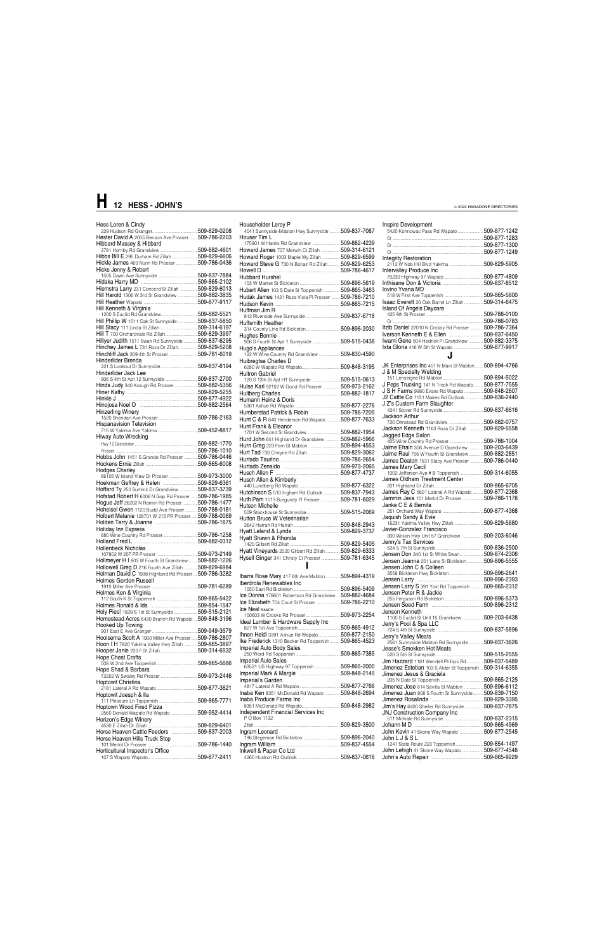| Householder Leroy P                                   |  |
|-------------------------------------------------------|--|
| 4041 Sunnyside-Mabton Hwy Sunnyside  509-837-7087     |  |
| Houser Tim L                                          |  |
| 175901 W Hanks Rd Grandview 509-882-4239              |  |
| Howard James 707 Merwin Ct Zillah 509-314-6121        |  |
| Howard Roger 1003 Maple Wy Zillah509-829-6599         |  |
| Howard Steve G 730 N Bonair Rd Zillah 509-829-6253    |  |
|                                                       |  |
| Hubbard Hurshel                                       |  |
|                                                       |  |
| Hubert Allen 103 S Date St Toppenish509-865-3463      |  |
| Hudak James 1421 Roza Vista PI Prosser  509-786-7210  |  |
|                                                       |  |
| Huffman Jim R                                         |  |
|                                                       |  |
| Huffsmith Heather                                     |  |
| Hughes Bonnie                                         |  |
| 906 S Fourth St Apt 1 Sunnyside 509-515-0438          |  |
| Hugo's Appliances                                     |  |
| 122 W Wine Country Rd Grandview 509-830-4590          |  |
| Huibregtse Charles D                                  |  |
|                                                       |  |
| Huitron Gabriel                                       |  |
| 120 S 13th St Apt H1 Sunnyside 509-515-0613           |  |
| Hulse Karl 92102 W Good Rd Prosser 509-973-2162       |  |
|                                                       |  |
| Humann Heinz & Doris                                  |  |
|                                                       |  |
| Humberstad Patrick & Robin 509-786-7205               |  |
| Hunt C & R 640 Henderson Rd Wapato509-877-7633        |  |
| Hunt Frank & Fleanor                                  |  |
| 1701 W Second St Grandview 509-882-1954               |  |
| Hurd John 641 Highland Dr Grandview 509-882-5966      |  |
| Hurn Greg 223 Fern St Mabton 509-894-4553             |  |
|                                                       |  |
|                                                       |  |
|                                                       |  |
|                                                       |  |
| Husch Allen & Kimberly                                |  |
|                                                       |  |
| Hutchinson S 510 Ingham Rd Outlook509-837-7943        |  |
| Huth Pam 1013 Burgundy PI Prosser 509-781-6029        |  |
| Hutson Michelle                                       |  |
| Hutton Bruce W Veterinarian                           |  |
|                                                       |  |
|                                                       |  |
| Hyatt Shawn & Rhonda                                  |  |
|                                                       |  |
| Hyatt Vineyards 2020 Gilbert Rd Zillah  509-829-6333  |  |
| Hysell Ginger 341 Christy Ct Prosser 509-781-6345     |  |
|                                                       |  |
|                                                       |  |
| Ibarra Rose Mary 417 6th Ave Mabton 509-894-4319      |  |
| Iberdrola Renewables Inc                              |  |
|                                                       |  |
| Ice Donna 178601 Robertson Rd Grandview  509-882-4684 |  |
| Ice Elizabeth 704 Court St Prosser 509-786-2210       |  |
| Ice Neal RANCH                                        |  |
| Ideal Lumber & Hardware Supply Inc                    |  |
|                                                       |  |
| Ihnen Heidi 3391 Ashue Rd Wapato 509-877-2150         |  |
| Ike Frederick 1310 Becker Rd Toppenish509-865-4523    |  |
| Imperial Auto Body Sales                              |  |
|                                                       |  |
| Imperial Auto Sales                                   |  |
| 63531 US Highway 97 Toppenish  509-865-2000           |  |
|                                                       |  |
| Imperial's Garden                                     |  |
|                                                       |  |
| Inaba Ken 8351 McDonald Rd Wapato  509-848-2694       |  |

| Hess Loren & Cindy                                                   | Householder Leroy P                                   | Inspire Development                                                                                |               |
|----------------------------------------------------------------------|-------------------------------------------------------|----------------------------------------------------------------------------------------------------|---------------|
|                                                                      | 4041 Sunnyside-Mabton Hwy Sunnyside  509-837-7087     | 5420 Konnowac Pass Rd Wapato 509-877-1242                                                          |               |
| Hester David A 2005 Benson Ave Prosser  509-786-2203                 | Houser Tim L                                          |                                                                                                    |               |
| Hibbard Massey & Hibbard                                             | 175901 W Hanks Rd Grandview 509-882-4239              |                                                                                                    |               |
|                                                                      | Howard James 707 Merwin Ct Zillah 509-314-6121        |                                                                                                    |               |
| Hibbs Bill E 295 Durham Rd Zillah 509-829-6606                       | Howard Roger 1003 Maple Wy Zillah509-829-6599         | <b>Integrity Restoration</b>                                                                       |               |
| Hickle James 460 Nunn Rd Prosser 509-786-0436                        | Howard Steve G 730 N Bonair Rd Zillah509-829-6253     |                                                                                                    |               |
| Hicks Jenny & Robert                                                 |                                                       | Intervalley Produce Inc                                                                            |               |
|                                                                      | <b>Hubbard Hurshel</b>                                |                                                                                                    |               |
|                                                                      |                                                       |                                                                                                    |               |
| Hiemstra Larry 231 Concord St Zillah  509-829-6013                   | Hubert Allen 103 S Date St Toppenish 509-865-3463     | lovino Yvana MD                                                                                    |               |
| Hill Harold 1306 W 3rd St Grandview  509-882-3835                    |                                                       |                                                                                                    |               |
|                                                                      | Hudak James 1421 Roza Vista PI Prosser  509-786-7210  | Isaac Everett 20 Oak Barrel Ln Zillah 509-314-6475                                                 |               |
| Hill Kenneth & Virginia                                              |                                                       | Island Of Angels Daycare                                                                           |               |
|                                                                      | Huffman Jim R                                         |                                                                                                    |               |
| Hill Phillip W 1511 Oak St Sunnyside  509-837-5850                   |                                                       |                                                                                                    |               |
|                                                                      | Huffsmith Heather                                     |                                                                                                    |               |
|                                                                      | 314 County Line Rd Bickleton509-896-2030              | Itzib Daniel 22010 N Crosby Rd Prosser 509-786-7364                                                |               |
|                                                                      | Hughes Bonnie                                         |                                                                                                    |               |
| Hillyer Judith 1011 Swan Rd Sunnyside509-837-6295                    | 906 S Fourth St Apt 1 Sunnyside 509-515-0438          | Iwami Gene 504 Hedrick PI Grandview 509-882-3375                                                   |               |
| Hinchey James L 731 Roza Dr Zillah509-829-5208                       | Hugo's Appliances                                     |                                                                                                    |               |
|                                                                      | 122 W Wine Country Rd Grandview 509-830-4590          | J                                                                                                  |               |
| Hinderlider Brenda                                                   | Huibregtse Charles D                                  |                                                                                                    |               |
|                                                                      |                                                       | JK Enterprises Inc 451 N Main St Mabton  509-894-4766                                              |               |
| Hinderlider Jack Lee                                                 | <b>Huitron Gabriel</b>                                | J & M Specialty Welding                                                                            |               |
|                                                                      | 120 S 13th St Apt H1 Sunnyside 509-515-0613           |                                                                                                    | .509-894-5022 |
| Hinds Judy 340 Krough Rd Prosser509-882-5356                         | Hulse Karl 92102 W Good Rd Prosser 509-973-2162       | J Peps Trucking 141 N Track Rd Wapato509-877-7555                                                  |               |
|                                                                      |                                                       | J S H Farms 9980 Evans Rd Wapato                                                                   | .509-848-2607 |
|                                                                      | Humann Heinz & Doris                                  | J2 Cattle Co 1131 Maires Rd Outlook509-836-2440                                                    |               |
|                                                                      |                                                       | J Z's Custom Farm Slaughter                                                                        |               |
| <b>Hinzerling Winery</b>                                             | Humberstad Patrick & Robin 509-786-7205               |                                                                                                    |               |
|                                                                      |                                                       | Jackson Arthur                                                                                     |               |
| <b>Hispanavision Television</b>                                      | Hunt C & R 640 Henderson Rd Wapato509-877-7633        |                                                                                                    |               |
|                                                                      | Hunt Frank & Eleanor                                  | Jackson Kenneth 1163 Roza Dr Zillah 509-829-5558                                                   |               |
| Hiway Auto Wrecking                                                  | 1701 W Second St Grandview 509-882-1954               | Jagged Edge Salon                                                                                  |               |
|                                                                      | Hurd John 641 Highland Dr Grandview 509-882-5966      |                                                                                                    |               |
|                                                                      | Hurn Greg 223 Fern St Mabton 509-894-4553             | Jaime Efrain 306 Avenue D Grandview 509-203-6439                                                   |               |
|                                                                      | Hurt Tad 730 Cheyne Rd Zillah 509-829-3062            | Jaime Raul 706 W Fourth St Grandview509-882-2851                                                   |               |
| Hobbs John 1451 S Grande Rd Prosser  509-786-0446                    |                                                       | James Deaton 1531 Stacy Ave Prosser  509-786-0440                                                  |               |
|                                                                      |                                                       | James Mary Cecil                                                                                   |               |
| <b>Hodges Charley</b>                                                |                                                       | 1002 Jefferson Ave # B Toppenish 509-314-6055                                                      |               |
| 66105 W Island View Dr Prosser 509-973-3000                          |                                                       | James Oldham Treatment Center                                                                      |               |
|                                                                      | Husch Allen & Kimberly                                |                                                                                                    |               |
| Hoffard Ty 250 Summit Dr Grandview 509-837-3739                      |                                                       |                                                                                                    |               |
| Hofstad Robert H 6006 N Gap Rd Prosser  509-786-1985                 | Hutchinson S 510 Ingham Rd Outlook509-837-7943        | James Ray C 5601 Lateral A Rd Wapato 509-877-2368<br>Jammin Java 101 Merlot Dr Prosser509-786-1178 |               |
| Hogue Jeff 26202 N Rankin Rd Prosser  509-786-1477                   | Huth Pam 1013 Burgundy PI Prosser 509-781-6029        |                                                                                                    |               |
| Hoheisel Gwen 1120 Budd Ave Prosser 509-788-0181                     | <b>Hutson Michelle</b>                                | Janke C E & Bernita                                                                                |               |
| Holbert Melanie 128701 W 215 PR Prosser  509-788-0069                |                                                       |                                                                                                    |               |
|                                                                      | Hutton Bruce W Veterinarian                           | Jaquish Sandy & Evie                                                                               |               |
|                                                                      |                                                       | 16231 Yakima Valley Hwy Zillah509-829-5680                                                         |               |
| <b>Holiday Inn Express</b>                                           |                                                       | Javier-Gonzalez Francisco<br>300 Wilson Hwy Unit 57 Grandview 509-203-6046                         |               |
|                                                                      | Hvatt Shawn & Rhonda                                  |                                                                                                    |               |
|                                                                      |                                                       | Jenny's Tax Services                                                                               |               |
|                                                                      |                                                       |                                                                                                    |               |
| <b>Hollenbeck Nicholas</b>                                           |                                                       |                                                                                                    |               |
|                                                                      | Hyatt Vineyards 2020 Gilbert Rd Zillah  509-829-6333  | Jensen Don 340 1st St White Swan509-874-2306                                                       |               |
| Hollmeyer H I 803 W Fourth St Grandview  509-882-1226                | Hysell Ginger 341 Christy Ct Prosser 509-781-6345     | Jensen Jeanna 201 Lane St Bickleton509-896-5555                                                    |               |
| Hollowell Greg D 216 Fourth Ave Zillah 509-829-6984                  |                                                       | Jensen John C & Colleen                                                                            |               |
| Holman David C 1938 Highland Rd Prosser  509-786-3282                |                                                       |                                                                                                    |               |
| Holmes Gordon Russell                                                | Ibarra Rose Mary 417 6th Ave Mabton  509-894-4319     |                                                                                                    |               |
|                                                                      | Iberdrola Renewables Inc                              | Jensen Larry S 391 Yost Rd Toppenish 509-865-2312                                                  |               |
| Holmes Ken & Virginia                                                |                                                       | Jensen Peter R & Jackie                                                                            |               |
|                                                                      | Ice Donna 178601 Robertson Rd Grandview  509-882-4684 |                                                                                                    |               |
|                                                                      |                                                       |                                                                                                    |               |
| Holy Pies! 1829 S 1st St Sunnyside 509-515-2121                      | Ice Neal RANCH                                        | Jenson Kenneth                                                                                     |               |
| Homestead Acres 6430 Branch Rd Wapato  509-848-3196                  |                                                       | 1100 S Euclid St Unit 16 Grandview 509-203-6438                                                    |               |
|                                                                      | Ideal Lumber & Hardware Supply Inc                    | Jerry's Pool & Spa LLC                                                                             |               |
| Hooked Up Towing                                                     |                                                       |                                                                                                    |               |
| Hoolsema Scott A 1900 Miller Ave Prosser509-786-2807                 | Ihnen Heidi 3391 Ashue Rd Wapato 509-877-2150         | Jerry's Valley Meats                                                                               |               |
|                                                                      | Ike Frederick 1310 Becker Rd Toppenish509-865-4523    | 2561 Sunnyside Mabton Rd Sunnyside 509-837-3626                                                    |               |
| Hoon I H 7820 Yakima Valley Hwy Zillah  509-865-3897                 | Imperial Auto Body Sales                              | Jesse's Smokken Hot Meats                                                                          |               |
|                                                                      |                                                       |                                                                                                    |               |
| <b>Hope Chest Crafts</b>                                             | <b>Imperial Auto Sales</b>                            |                                                                                                    |               |
|                                                                      | 63531 US Highway 97 Toppenish 509-865-2000            | Jim Hazzard 1181 Wendell Phillips Rd  509-837-5489                                                 |               |
| Hope Shad & Barbara                                                  |                                                       | Jimenez Esteban 103 S Alder St Toppenish509-314-6355                                               |               |
|                                                                      | Imperial's Garden                                     | Jimenez Jesus & Graciela                                                                           |               |
| Hoptowit Christina                                                   |                                                       |                                                                                                    |               |
|                                                                      |                                                       | Jimenez Jose 814 Sevilla St Mabton 509-896-6112                                                    |               |
| Hoptowit Joesph & Ila                                                | Inaba Ken 8351 McDonald Rd Wapato 509-848-2694        | Jimenez Juan 808 S Fourth St Sunnyside  509-839-7150                                               |               |
|                                                                      | Inaba Produce Farms Inc                               |                                                                                                    |               |
| Hoptown Wood Fired Pizza                                             |                                                       | Jim's Hay 6400 Sheller Rd Sunnyside509-837-7875                                                    |               |
| optown wood Filed Fizza<br>2560 Donald Wapato Rd Wapato 509-952-4414 | Independent Financial Services Inc                    | <b>JNJ Construction Company Inc</b>                                                                |               |
| Horizon's Edge Winery                                                | P O Box 1132                                          |                                                                                                    |               |
|                                                                      |                                                       |                                                                                                    |               |
|                                                                      | Ingram Leonard                                        | John Kevin 41 Skone Way Wapato 509-877-2545                                                        |               |
| Horse Heaven Hills Truck Stop                                        |                                                       | John L J & S L                                                                                     |               |
|                                                                      |                                                       | 1241 State Route 223 Toppenish509-854-1497                                                         |               |
| Horticultural Inspector's Office                                     | Inkwell & Paper Co Ltd                                | John Lehigh 41 Skone Way Wapato 509-877-4548                                                       |               |

| Inspire Development<br>5420 Konnowac Pass Rd Wapato 509-877-1242                 |  |
|----------------------------------------------------------------------------------|--|
|                                                                                  |  |
|                                                                                  |  |
|                                                                                  |  |
|                                                                                  |  |
| <b>Integrity Restoration</b>                                                     |  |
|                                                                                  |  |
| Intervalley Produce Inc                                                          |  |
|                                                                                  |  |
|                                                                                  |  |
| lovino Yvana MD                                                                  |  |
|                                                                                  |  |
| Isaac Everett 20 Oak Barrel Ln Zillah 509-314-6475                               |  |
| <b>Island Of Angels Daycare</b>                                                  |  |
|                                                                                  |  |
|                                                                                  |  |
| Itzib Daniel 22010 N Crosby Rd Prosser  509-786-7364                             |  |
|                                                                                  |  |
| Iwami Gene 504 Hedrick PI Grandview 509-882-3375                                 |  |
| Ixta Gloria 416 W 5th St Wapato 509-877-9917                                     |  |
| . 1                                                                              |  |
|                                                                                  |  |
| JK Enterprises Inc 451 N Main St Mabton  509-894-4766<br>J & M Specialty Welding |  |
|                                                                                  |  |
| J Peps Trucking 141 N Track Rd Wapato509-877-7555                                |  |
| J S H Farms 9980 Evans Rd Wapato 509-848-2607                                    |  |
| J2 Cattle Co 1131 Maires Rd Outlook509-836-2440                                  |  |
| J Z's Custom Farm Slaughter                                                      |  |
|                                                                                  |  |
| Jackson Arthur                                                                   |  |
| 720 Olmstead Rd Grandview 509-882-0757                                           |  |
| Jackson Kenneth 1163 Roza Dr Zillah 509-829-5558                                 |  |
| Jagged Edge Salon                                                                |  |
|                                                                                  |  |
| Jaime Efrain 306 Avenue D Grandview 509-203-6439                                 |  |
| Jaime Raul 706 W Fourth St Grandview 509-882-2851                                |  |
|                                                                                  |  |
| James Deaton 1531 Stacy Ave Prosser  509-786-0440                                |  |
| James Mary Cecil                                                                 |  |
| 1002 Jefferson Ave # B Toppenish 509-314-6055                                    |  |
|                                                                                  |  |
|                                                                                  |  |
| James Ray C 5601 Lateral A Rd Wapato 509-877-2368                                |  |
| Jammin Java 101 Merlot Dr Prosser 509-786-1178                                   |  |
| Janke C E & Bernita                                                              |  |
|                                                                                  |  |
| Jaquish Sandy & Evie                                                             |  |
|                                                                                  |  |
| Javier-Gonzalez Francisco                                                        |  |
| 300 Wilson Hwy Unit 57 Grandview 509-203-6046                                    |  |
| Jenny's Tax Services                                                             |  |
|                                                                                  |  |
| Jensen Don 340 1st St White Swan509-874-2306                                     |  |
| Jensen Jeanna 201 Lane St Bickleton509-896-5555                                  |  |
| Jensen John C & Colleen                                                          |  |
| 3558 Bickleton Hwy Bickleton509-896-2641                                         |  |
|                                                                                  |  |
| Jensen Larry S 391 Yost Rd Toppenish  509-865-2312                               |  |
| Jensen Peter R & Jackie                                                          |  |
|                                                                                  |  |
|                                                                                  |  |
| Jenson Kenneth                                                                   |  |
| 1100 S Euclid St Unit 16 Grandview 509-203-6438                                  |  |
| Jerry's Pool & Spa LLC                                                           |  |
|                                                                                  |  |
| Jerry's Valley Meats                                                             |  |
| 2561 Sunnyside Mabton Rd Sunnyside  509-837-3626                                 |  |
| Jesse's Smokken Hot Meats                                                        |  |
|                                                                                  |  |
| Jim Hazzard 1181 Wendell Phillips Rd509-837-5489                                 |  |
| Jimenez Esteban 103 S Alder St Toppenish509-314-6355                             |  |
| Jimenez Jesus & Graciela                                                         |  |
|                                                                                  |  |
| Jimenez Jose 814 Sevilla St Mabton 509-896-6112                                  |  |
|                                                                                  |  |

# **H 12 HESS - JOHN'S**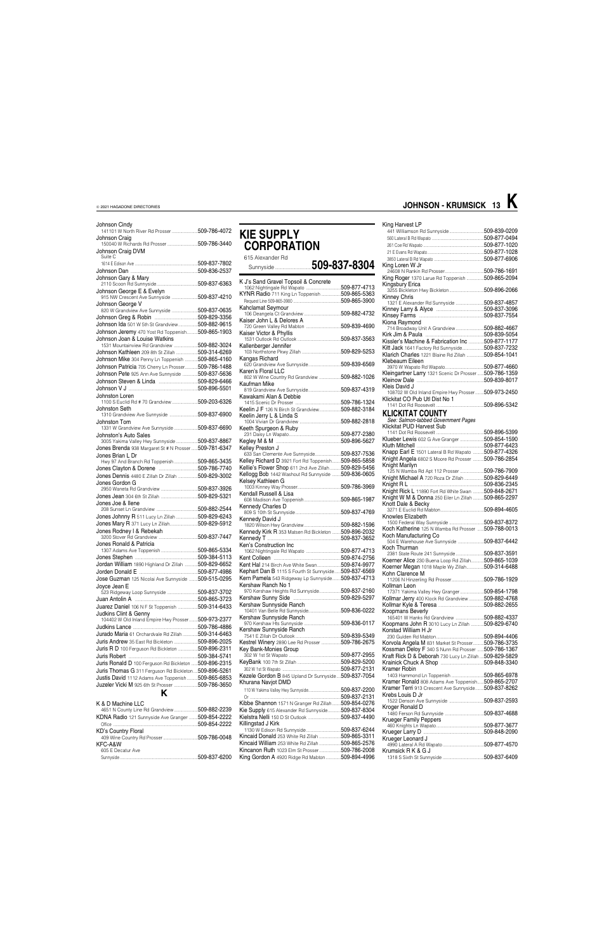| Johnson Cindy<br>141101 W North River Rd Prosser509-786-4072  |  |
|---------------------------------------------------------------|--|
| Johnson Craig                                                 |  |
| 150040 W Richards Rd Prosser 509-786-3440                     |  |
| Johnson Craig DVM                                             |  |
| Suite C                                                       |  |
|                                                               |  |
|                                                               |  |
| Johnson Gary & Mary                                           |  |
| Johnson George E & Evelyn                                     |  |
|                                                               |  |
| Johnson George V                                              |  |
| 820 W Grandview Ave Sunnyside  509-837-0635                   |  |
|                                                               |  |
| Johnson Ida 501 W 5th St Grandview509-882-9615                |  |
| Johnson Jeremy 470 Yost Rd Toppenish509-865-1903              |  |
| Johnson Joan & Louise Watkins                                 |  |
| 1531 Mountainview Rd Grandview 509-882-3024                   |  |
| Johnson Kathleen 209 8th St Zillah 509-314-6269               |  |
| Johnson Mike 304 Penny Ln Toppenish  509-865-4160             |  |
| Johnson Patricia 705 Cherry Ln Prosser 509-786-1488           |  |
| Johnson Pete 925 Ann Ave Sunnyside  509-837-5636              |  |
|                                                               |  |
|                                                               |  |
| Johnston Loren<br>1100 S Euclid Rd # 70 Grandview509-203-6326 |  |
| Johnston Seth                                                 |  |
| 1310 Grandview Ave Sunnyside 509-837-6900                     |  |
| Johnston Tom                                                  |  |
| 1331 W Grandview Ave Sunnyside 509-837-6690                   |  |
| Johnston's Auto Sales                                         |  |
| 3005 Yakima Valley Hwy Sunnyside 509-837-8867                 |  |
| Jones Brenda 938 Margaret St # N Prosser509-781-6347          |  |
| Jones Brian L Dr                                              |  |
| Hwy 97 And Branch Rd Toppenish509-865-3435                    |  |
| Jones Dennis 4480 E Zillah Dr Zillah 509-829-3002             |  |
| Jones Gordon G                                                |  |
|                                                               |  |
|                                                               |  |
| Jones Joe & Ilene                                             |  |
|                                                               |  |
| Jones Johnny R 511 Lucy Ln Zillah 509-829-6243                |  |
| Jones Mary R 371 Lucy Ln Zillah509-829-5912                   |  |
| Jones Rodney I & Rebekah                                      |  |
|                                                               |  |
| Jones Ronald & Patricia                                       |  |
|                                                               |  |
|                                                               |  |
| Jordan William 1890 Highland Dr Zillah  509-829-6652          |  |
| Jose Guzman 125 Nicolai Ave Sunnyside 509-515-0295            |  |
|                                                               |  |
| Joyce Jean E<br>523 Ridgeway Loop Sunnyside  509-837-3702     |  |
|                                                               |  |
| Juarez Daniel 106 N F St Toppenish 509-314-6433               |  |
| Judkins Clint & Genny                                         |  |
| 104402 W Old Inland Empire Hwy Prosser509-973-2377            |  |
|                                                               |  |
| Jurado Maria 61 Orchardvale Rd Zillah 509-314-6463            |  |
| Juris Andrew 35 East Rd Bickleton 509-896-2025                |  |
| Juris R D 100 Ferguson Rd Bickleton 509-896-2311              |  |
|                                                               |  |
| Juris Ronald D 100 Ferguson Rd Bickleton  509-896-2315        |  |
| Juris Thomas G 311 Ferguson Rd Bickleton509-896-5261          |  |
| Justis David 1112 Adams Ave Toppenish509-865-6853             |  |
| Juzeler Vicki M 925 6th St Prosser 509-786-3650               |  |
| κ                                                             |  |

### **KIE SUPPLY CORPORATION** 615 Alexander Rd Sunnyside ..................................**509-837-8304**

| K J's Sand Gravel Topsoil & Concrete                     |  |
|----------------------------------------------------------|--|
| 1062 Nightingale Rd Wapato 509-877-4713                  |  |
|                                                          |  |
| KYNR Radio 711 King Ln Toppenish 509-865-5363            |  |
|                                                          |  |
| Kahclamat Seymour                                        |  |
|                                                          |  |
|                                                          |  |
| Kaiser John L & Delores A                                |  |
|                                                          |  |
| Kaiser Victor & Phyllis                                  |  |
|                                                          |  |
|                                                          |  |
| Kallenberger Jennifer                                    |  |
|                                                          |  |
| Kangas Richard                                           |  |
| anguo Thomaru<br>620 Grandview Ave Sunnyside509-839-6569 |  |
|                                                          |  |
| Karen's Floral LLC                                       |  |
| 802 W Wine Country Rd Grandview 509-882-1026             |  |
| Kaufman Mike                                             |  |
|                                                          |  |
|                                                          |  |
| Kawakami Alan & Debbie                                   |  |
|                                                          |  |
| Keelin J F 126 N Birch St Grandview509-882-3184          |  |
|                                                          |  |
| Keelin Jerry L & Linda S                                 |  |
|                                                          |  |
| Keeth Spurgeon & Ruby                                    |  |
|                                                          |  |
|                                                          |  |
|                                                          |  |
| Kelley Preston J                                         |  |
| 633 San Clemente Ave Sunnyside509-837-7536               |  |
| Kelley Richard D 3921 Fort Rd Toppenish509-865-5858      |  |
| Kellie's Flower Shop 611 2nd Ave Zillah 509-829-5456     |  |
|                                                          |  |
| Kellogg Bob 1442 Washout Rd Sunnyside  509-836-0605      |  |
| Kelsey Kathleen G                                        |  |
|                                                          |  |
|                                                          |  |
| Kendall Russell & Lisa                                   |  |
|                                                          |  |
| Kennedy Charles D                                        |  |
|                                                          |  |
|                                                          |  |
| Kennedy David J                                          |  |
|                                                          |  |
| Kennedy Kirk R 353 Matsen Rd Bickleton  509-896-2032     |  |
|                                                          |  |
|                                                          |  |
| Ken's Construction Inc                                   |  |
|                                                          |  |
|                                                          |  |
|                                                          |  |
| Kent Hal 214 Birch Ave White Swan509-874-9977            |  |
| Kephart Dan B 1115 S Fourth St Sunnyside 509-837-6569    |  |
| Kern Pamela 543 Ridgeway Lp Sunnyside 509-837-4713       |  |
| Kershaw Ranch No 1                                       |  |
|                                                          |  |
| 970 Kershaw Heights Rd Sunnyside509-837-2160             |  |
|                                                          |  |
| Kershaw Sunnyside Ranch                                  |  |
|                                                          |  |
|                                                          |  |
| Kershaw Sunnyside Ranch                                  |  |
|                                                          |  |
| Kershaw Sunnyside Ranch                                  |  |
|                                                          |  |
|                                                          |  |
| Kestrel Winery 2890 Lee Rd Prosser 509-786-2675          |  |
| Key Bank-Monies Group                                    |  |
|                                                          |  |
|                                                          |  |
|                                                          |  |
|                                                          |  |
| Kezele Gordon B 845 Upland Dr Sunnyside509-837-7054      |  |
|                                                          |  |
| Khurana Navjot DMD                                       |  |
| 110 W Yakima Valley Hwy Sunnyside509-837-2200            |  |
|                                                          |  |
|                                                          |  |

| K & D Machine LLC                                  | Kibbe Shannon 1571 N Granger Rd Zillah509-854-0276       |                               | 509-837-2593  |
|----------------------------------------------------|----------------------------------------------------------|-------------------------------|---------------|
| 509-882-2239<br>4651 N County Line Rd Grandview    | Kie Supply 615 Alexander Rd Sunnyside<br>509-837-8304    | Kroger Ronald D               |               |
| KDNA Radio 121 Sunnyside Ave Granger  509-854-2222 |                                                          | <b>Krueger Family Peppers</b> | 509-837-4688  |
| 509-854-2222                                       | Killingstad J Kirk                                       |                               | .509-877-3677 |
| <b>KD's Country Floral</b>                         | .509-837-6244                                            |                               | .509-848-2090 |
| .509-786-0048                                      | Kincaid Donald 253 White Rd Zillah<br>.509-865-3311      | Krueger Leonard J             |               |
| KFC-A&W                                            | .509-865-2576<br>Kincaid William 253 White Rd Zillah     | 4990 Lateral A Rd Wapato      | .509-877-4570 |
| 605 E Decatur Ave                                  | 509-786-2008<br><b>Kincanon Ruth 1023 Elm St Prosser</b> | Krumsick R K & G J            |               |
| .509-837-6200                                      | King Gordon A 4920 Ridge Rd Mabton<br>509-894-4996       |                               | 509-837-6409  |

#### King Harvest LP 441 Williamson Rd Sunnyside................................509-839-0209 560 Lateral B Rd Wapato ................................................509-877-0494 261 Coe Rd Wapato ........................................................509-877-1020 21 E Evans Rd Wapato ....................................................509-877-1028 3850 Lateral B Rd Wapato King Loren W Jr 24608 N Rankin Rd Prosser....................................509-786-1691 King Roger 1370 Larue Rd Toppenish ... Kingsbury Erica 3255 Bickleton Hwy Bickleton................................509-896-2066 Kinney Chris 1321 E Alexander Rd Sunnyside ..........................509-837-4857 Kinney Larry & Alyce ............................................509-837-3096 Kinsey Farms ............................................................509-837-7554 Kiona Raymond 714 Broadway Unit A Grandview ..........................509-882-4667 Kirk Jim & Paula ......................................................509-839-5054 Kissler's Machine & Fabrication Inc ..............509-877-1177 Kitt Jack 1641 Factory Rd Sunnyside....................509-837-7232 Klarich Charles 1221 Blaine Rd Zillah Klebeaum Eileen 3970 W Wapato Rd Wapato....................................509-877-4660 Kleingartner Larry 1321 Scenic Dr Prosser ......509-786-1359  $.509 - 839 - 8017$ Kleis David J 108702 W Old Inland Empire Hwy Prosser........509-973-2450 Klickitat CO Pub Utl Dist No 1 1141 Dot Rd Roosevelt ............................................509-896-5342 **KLICKITAT COUNTY** *See: Salmon-tabbed Government Pages* Klickitat PUD Harvest Sub 1141 Dot Rd Roosevelt ............................................509-896-5399 Klueber Lewis 602 G Ave Granger ......................509-854-1590 Kluth Mitchell ..............................................................509-877-6423 Knapp Earl E 1501 Lateral B Rd Wapato ..........509-877-4326<br>Knight Angela 6802 S Moore Rd Prosser .........509-786-2854 Knight Angela 6802 S Moore Rd Prosser Knight Marilyn 125 N Wamba Rd Apt 112 Prosser ......................509-786-7909 Knight Michael A 720 Roza Dr Zillah ..................509-829-6449 Knight R L ....................................................................509-836-2345 Knight Rick L 11890 Fort Rd White Swan ..........509-848-2671 Knight W M & Donna 250 Eiler Ln Zillah ..........509-865-2297 Knott Dale & Becky 3271 E Euclid Rd Mabton........................................509-894-4605 Knowles Elizabeth 1500 Federal Way Sunnyside ................................509-837-8372 Koch Katherine 125 N Wamba Rd Prosser Koch Manufacturing Co 504 E Warehouse Ave Sunnyside ........................509-837-6442 Koch Thurman voor Truurna.<br>2381 State Route 241 Sunnyside ...............................509-837-3591<br>(oerner Alice 230 Buena Loop Rd Zillah............509-865-1039 Koerner Alice 230 Buena Loop Rd Zillah............509-865-1039 Koerner Megan 1018 Maple Wy Zillah... Kohn Clarence M 11206 N Hinzerling Rd Prosser..............................509-786-1929 Kollman Leon 17371 Yakima Valley Hwy Granger......................509-854-1798 Kollmar Jerry 400 Klock Rd Grandview ..............509-882-4768 Kollmar Kyle & Teresa ..........................................509-882-2655 Koopmans Beverly 165401 W Hanks Rd Grandview ..........................509-882-4337 Koopmans John R 3010 Lucy Ln Zillah ............509-829-6740 Korstad William H Jr 230 Gulden Rd Mabton............................................509-894-4406 Korvola Angela M 831 Market St Prosser... Kossman Deloy F 340 S Nunn Rd Prosser ......509-786-1367<br>Kraft Rick D & Deborah 730 Lucy Ln Zillah ....509-829-5829 Kraft Rick D & Deborah 730 Lucy Ln Zillah ....509-829-5829 Krainick Chuck A Shop Kramer Robin 1403 Hammond Ln Toppenish ..............................509-865-6978 Kramer Ronald 808 Adams Ave Toppenish.... Kramer Terri 913 Crescent Ave Sunnyside........509-837-8262 Krebs Louis D Jr

### **JOHNSON - KRUMSICK 13 K**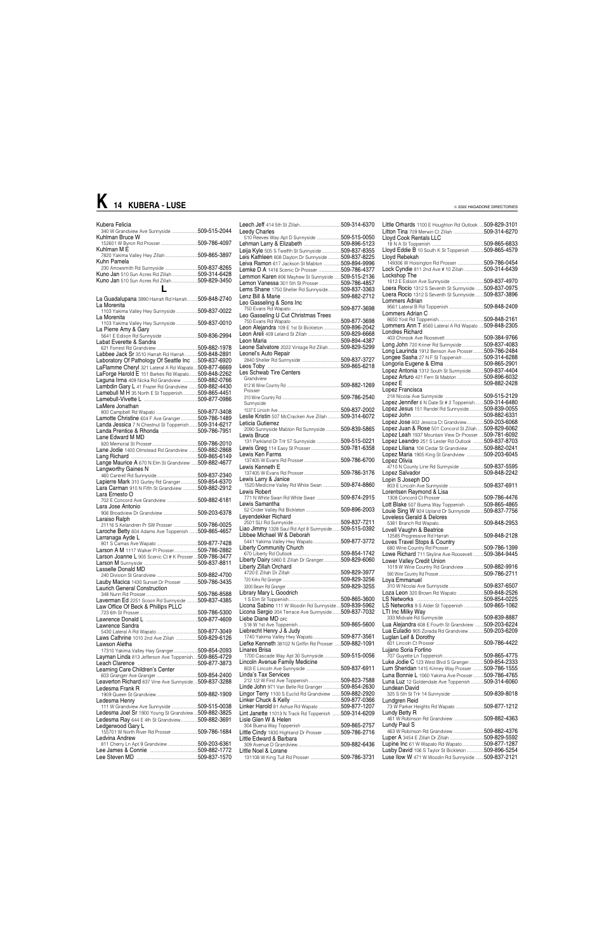| <b>Leedy Charles</b>                                                    |  |
|-------------------------------------------------------------------------|--|
| 510 Reeves Way Apt D Sunnyside 509-515-0050                             |  |
| Lehman Larry & Elizabeth 509-896-5123                                   |  |
| Leija Kyle 505 S Twelfth St Sunnyside509-837-8355                       |  |
| Leis Kathleen 808 Dayton Dr Sunnyside  509-837-8225                     |  |
| Leiva Ramon 617 Jackson St Mabton 509-894-9996                          |  |
| Lemke D A 1416 Scenic Dr Prosser 509-786-4377                           |  |
| Lemmon Karen 806 Mayhew St Sunnyside  509-515-2136                      |  |
| Lemon Vanessa 301 5th St Prosser 509-786-4857                           |  |
| Lems Shane 1750 Sheller Rd Sunnyside 509-837-3363                       |  |
|                                                                         |  |
| Leo Gasseling & Sons Inc                                                |  |
|                                                                         |  |
| Leo Gasseling U Cut Christmas Trees                                     |  |
|                                                                         |  |
| Leon Alejandra 109 E 1st St Bickleton 509-896-2042                      |  |
|                                                                         |  |
|                                                                         |  |
| Leone Salvatore 2022 Vintage Rd Zillah509-829-5299                      |  |
| Leonel's Auto Repair                                                    |  |
|                                                                         |  |
| Les Schwab Tire Centers                                                 |  |
| Grandview                                                               |  |
| Prosser                                                                 |  |
| Sunnyside                                                               |  |
|                                                                         |  |
| Leslie Kristin 507 McCracken Ave Zillah  509-314-6072                   |  |
| Leticia Gutierrez                                                       |  |
| 2090 Sunnyside Mabton Rd Sunnyside  509-839-5865                        |  |
| Lewis Bruce                                                             |  |
| 131 Parkland Dr Trlr 57 Sunnyside 509-515-0221                          |  |
| Lewis Greg 114 Easy St Prosser509-781-6358                              |  |
| Lewis Ken Farms                                                         |  |
|                                                                         |  |
| Lewis Kenneth E                                                         |  |
|                                                                         |  |
| Lewis Larry & Janice<br>1520 Medicine Valley Rd White Swan 509-874-8860 |  |
| Lewis Robert                                                            |  |
| 771 N White Swan Rd White Swan 509-874-2915<br>Lewis Samantha           |  |
|                                                                         |  |
| Levendekker Richard                                                     |  |
|                                                                         |  |
| Liao Jimmy 1328 Saul Rd Apt 8 Sunnyside 509-515-0392                    |  |
| Libbee Michael W & Deborah                                              |  |
| 5441 Yakima Valley Hwy Wapato509-877-3772                               |  |
| <b>Liberty Community Church</b>                                         |  |
|                                                                         |  |
| Liberty Dairy 5860 E Zillah Dr Granger509-829-6060                      |  |
| Liberty Zillah Orchard                                                  |  |
|                                                                         |  |
|                                                                         |  |
|                                                                         |  |
| Library Mary L Goodrich                                                 |  |
|                                                                         |  |
| Licona Sabino 111 W Woodin Rd Sunnyside509-839-5962                     |  |
| Licona Sergio 204 Terrace Ave Sunnyside 509-837-7032                    |  |
| Liebe Diane MD OFC                                                      |  |
|                                                                         |  |
| Liebrecht Henry J & Judy                                                |  |
| 1740 Yakima Valley Hwy Wapato509-877-3561                               |  |
| Liefke Kenneth 38102 N Griffin Rd Prosser  509-882-1091                 |  |
| Linares Brisa                                                           |  |
| 1700 Cascade Way Apt 30 Sunnyside509-515-0056                           |  |
| Lincoln Avenue Family Medicine                                          |  |
|                                                                         |  |
| Linda's Tax Services                                                    |  |
| Linde John 971 Van Belle Rd Granger 509-854-2630                        |  |
| Lingor Terry 1100 S Euclid Rd Grandview  509-882-2920                   |  |
| Linker Chuck & Kelly                                                    |  |
|                                                                         |  |

| Kubera Felicia                                                    |                                                                     | 509-314-6370 | Little Orhards 1100 E Houghton Rd Outlook                    | 509-829-3101  |
|-------------------------------------------------------------------|---------------------------------------------------------------------|--------------|--------------------------------------------------------------|---------------|
| 340 W Grandview Ave Sunnyside 509-515-2044<br>Kuhlman Bruce W     | <b>Leedy Charles</b><br>510 Reeves Way Apt D Sunnyside 509-515-0050 |              | Litton Tina 709 Merwin Ct Zillah 509-314-6270                |               |
|                                                                   |                                                                     |              | Lloyd Cook Rentals LLC<br>18 N A St Toppenish                | .509-865-6833 |
| Kuhlman M E                                                       | Leija Kyle 505 S Twelfth St Sunnyside509-837-8355                   |              | Lloyd Eddie B 10 South K St Toppenish 509-865-4579           |               |
| 7820 Yakima Valley Hwy Zillah 509-865-3897                        | Leis Kathleen 808 Dayton Dr Sunnyside509-837-8225                   |              | Lloyd Rebekah                                                |               |
| Kuhn Pamela                                                       | Leiva Ramon 617 Jackson St Mabton 509-894-9996                      |              | 149306 W Hoisington Rd Prosser 509-786-0454                  |               |
|                                                                   | Lemke D A 1416 Scenic Dr Prosser 509-786-4377                       |              | Lock Cyndie 811 2nd Ave # 10 Zillah 509-314-6439             |               |
| Kuno Jan 510 Sun Acres Rd Zillah509-314-6428                      | Lemmon Karen 806 Mayhew St Sunnyside  509-515-2136                  |              | Lockshop The                                                 |               |
| <b>Kuno Jan 510 Sun Acres Rd Zillah509-829-3450</b>               | Lemon Vanessa 301 5th St Prosser 509-786-4857                       |              | 1612 E Edison Ave Sunnyside 509-837-4970                     |               |
|                                                                   | Lems Shane 1750 Sheller Rd Sunnyside509-837-3363                    |              | Loera Rocio 1312 S Seventh St Sunnyside                      | .509-837-0975 |
| La Guadalupana 3990 Harrah Rd Harrah 509-848-2740                 |                                                                     |              | Loera Rocio 1312 S Seventh St Sunnyside  509-837-3896        |               |
| La Morenita                                                       |                                                                     |              | Lommers Adrian                                               |               |
| 1103 Yakima Valley Hwy Sunnyside  509-837-0022                    |                                                                     |              | Lommers Adrian C                                             |               |
| La Morenita                                                       | Leo Gasseling U Cut Christmas Trees                                 |              |                                                              |               |
| 1103 Yakima Valley Hwy Sunnyside 509-837-0010                     |                                                                     |              | Lommers Ann T 8560 Lateral A Rd Wapato  509-848-2305         |               |
| La Pierre Amy & Gary                                              | Leon Alejandra 109 E 1st St Bickleton  509-896-2042                 |              | Londres Richard                                              |               |
|                                                                   |                                                                     |              |                                                              |               |
| Labat Everette & Sandra                                           | Leone Salvatore 2022 Vintage Rd Zillah509-829-5299                  |              | Long John 720 Kriner Rd Sunnyside 509-837-4083               |               |
| Labbee Jack Sr 3510 Harrah Rd Harrah509-848-2891                  | Leonel's Auto Repair                                                |              | Long Laurinda 1912 Benson Ave Prosser509-786-2484            |               |
| Laboratory Of Pathology Of Seattle Inc 509-837-6920               |                                                                     |              | Longee Sasha 27 N F St Toppenish509-314-6288                 |               |
| LaFlamme Cheryl 321 Lateral A Rd Wapato509-877-6669               |                                                                     |              |                                                              |               |
| LaForge Harold E 151 Barkes Rd Wapato 509-848-2262                | Les Schwab Tire Centers                                             |              | Lopez Antonia 1312 South St Sunnyside 509-837-4404           |               |
| Laguna Irma 409 Nicka Rd Grandview 509-882-0766                   | Grandview                                                           |              | Lopez Arturo 421 Fern St Mabton 509-896-6032                 |               |
| Lambdin Gary L 41 Frazer Rd Grandview  509-882-4430               |                                                                     |              |                                                              |               |
| Lamebull M H 35 North E St Toppenish509-865-4451                  | Prosser                                                             |              | Lopez Francisca                                              |               |
|                                                                   |                                                                     |              |                                                              |               |
| LaMere Jonathan                                                   | Sunnyside                                                           |              | Lopez Jennifer 6 N Date St # 2 Toppenish509-314-6480         |               |
|                                                                   |                                                                     |              | Lopez Jesus 151 Randel Rd Sunnyside509-839-0055              |               |
| Lamotte Christine 604 F Ave Granger509-786-1489                   | Leslie Kristin 507 McCracken Ave Zillah  509-314-6072               |              |                                                              |               |
| Landa Jessica 7 N Chestnut St Toppenish509-314-6217               | Leticia Gutierrez                                                   |              | Lopez Jose 802 Jessica Ct Grandview509-203-6068              |               |
|                                                                   | 2090 Sunnyside Mabton Rd Sunnyside  509-839-5865                    |              | Lopez Juan & Rose 501 Concord St Zillah                      | .509-829-6062 |
| Lane Edward M MD                                                  | Lewis Bruce                                                         |              | Lopez Leah 1937 Mountain View Dr Prosser  509-781-6092       |               |
|                                                                   | 131 Parkland Dr Trlr 57 Sunnyside 509-515-0221                      |              | Lopez Leandro 251 S Lester Rd Outlook                        | .509-837-8703 |
| Lane Jodie 1400 Olmstead Rd Grandview  509-882-2868               | Lewis Greg 114 Easy St Prosser509-781-6358                          |              | Lopez Liliana 108 Cedar St Grandview                         | .509-882-0241 |
|                                                                   | Lewis Ken Farms                                                     |              | Lopez Maria 1905 King St Grandview 509-203-6045              |               |
| Lange Maurice A 670 N Elm St Grandview  509-882-4677              | Lewis Kenneth E                                                     |              | Lopez Olivia<br>4710 N County Line Rd Sunnyside 509-837-5595 |               |
| Langworthy Gaines N                                               |                                                                     |              |                                                              |               |
|                                                                   | Lewis Larry & Janice                                                |              | Lopin S Joseph DO                                            |               |
| Lapierre Mark 310 Gurley Rd Granger509-854-6370                   | 1520 Medicine Valley Rd White Swan 509-874-8860                     |              |                                                              |               |
| Lara Carman 910 N Fifth St Grandview 509-882-2912                 | Lewis Robert                                                        |              | Lorentsen Raymond & Lisa                                     |               |
| Lara Ernesto O                                                    | 771 N White Swan Rd White Swan 509-874-2915                         |              |                                                              | .509-786-4476 |
| 702 E Concord Ave Grandview 509-882-6181                          | Lewis Samantha                                                      |              | Lott Blake 507 Buena Way Toppenish 509-865-4865              |               |
| Lara Jose Antonio                                                 |                                                                     |              | Louie Sing W 924 Upland Dr Sunnyside  509-837-7756           |               |
| Laraiso Ralph                                                     | Leyendekker Richard                                                 |              | Loveless Gerald & Delores                                    |               |
| 21116 S Kelandren Pr SW Prosser  509-786-0025                     |                                                                     |              |                                                              |               |
| Laroche Betty 604 Adams Ave Toppenish  509-865-4657               | Liao Jimmy 1328 Saul Rd Apt 8 Sunnyside 509-515-0392                |              | Lovell Vaughn & Beatrice                                     |               |
| Larranaga Ayde L                                                  | Libbee Michael W & Deborah                                          |              |                                                              |               |
|                                                                   | 5441 Yakima Valley Hwy Wapato509-877-3772                           |              | Loves Travel Stops & Country                                 |               |
| Larson A M 1117 Walker PI Prosser509-786-2882                     | Liberty Community Church                                            |              |                                                              |               |
| Larson Joanne L 905 Scenic Ct # K Prosser509-786-3477             |                                                                     |              | Lowe Richard 711 Skyline Ave Roosevelt 509-384-9445          |               |
|                                                                   | Liberty Dairy 5860 E Zillah Dr Granger509-829-6060                  |              | Lower Valley Credit Union                                    |               |
| Lasselle Donald MD                                                | Liberty Zillah Orchard                                              |              | 1019 W Wine Country Rd Grandview 509-882-9916                |               |
|                                                                   |                                                                     |              |                                                              |               |
| Lauby Macica 1430 Sunset Dr Prosser  509-786-3435                 |                                                                     |              | Loya Emmanuel                                                |               |
| Laurich General Construction                                      |                                                                     |              | Loza Leon 320 Brown Rd Wapato 509-848-2526                   |               |
|                                                                   | Library Mary L Goodrich                                             |              |                                                              |               |
| Laverman Ed 2251 Scoon Rd Sunnyside  509-837-4385                 | Licona Sabino 111 W Woodin Rd Sunnyside509-839-5962                 |              | LS Networks 9 S Alder St Toppenish 509-865-1062              |               |
| Law Office Of Beck & Phillips PLLC                                | Licona Sergio 204 Terrace Ave Sunnyside509-837-7032                 |              | LTI Inc Milky Way                                            |               |
|                                                                   | Liebe Diane MD orc                                                  |              |                                                              |               |
|                                                                   |                                                                     |              | Lua Alejandra 608 E Fourth St Grandview 509-203-6224         |               |
| Lawrence Sandra                                                   | Liebrecht Henry J & Judy                                            |              | Lua Euladio 905 Zorada Rd Grandview  509-203-6209            |               |
| Laws Cathrine 1010 2nd Ave Zillah 509-829-6126                    |                                                                     |              | Luglan Leif & Dorothy                                        |               |
| Lawson Aletha                                                     | Liefke Kenneth 38102 N Griffin Rd Prosser  509-882-1091             |              |                                                              |               |
| 17310 Yakima Valley Hwy Granger509-854-2093                       | Linares Brisa                                                       |              | Lujano Soria Fortino                                         |               |
| Layman Linda 813 Jefferson Ave Toppenish 509-865-4729             | 1700 Cascade Way Apt 30 Sunnyside 509-515-0056                      |              |                                                              |               |
|                                                                   | Lincoln Avenue Family Medicine                                      |              | Luke Jodie C 123 West Blvd S Granger509-854-2333             |               |
|                                                                   |                                                                     |              | Lum Sheridan 1415 Kinney Way Prosser  509-786-1555           |               |
|                                                                   | Linda's Tax Services                                                |              | Luna Bonnie L 1060 Yakima Ave Prosser509-786-4765            |               |
| Leaverton Richard 837 Vine Ave Sunnyside509-837-3288              |                                                                     |              | Luna Luz 12 Goldendale Ave Toppenish  509-314-6060           |               |
| Ledesma Frank R                                                   | Linde John 971 Van Belle Rd Granger 509-854-2630                    |              | Lundean David                                                |               |
|                                                                   | Lingor Terry 1100 S Euclid Rd Grandview 509-882-2920                |              | 325 S 5th St Trlr 14 Sunnyside 509-839-8018                  |               |
| Ledesma Henry                                                     |                                                                     |              | Lundgren Reid                                                |               |
| 111 W Grandview Ave Sunnyside 509-515-0038                        | Linker Harold 81 Ashue Rd Wapato 509-877-1207                       |              | 73 W Parker Heights Rd Wapato 509-877-1212                   |               |
| Ledesma Joel Sr 1900 Young St Grandview509-882-3825               | Lint Janette 11013 N Track Rd Toppenish 509-314-6209                |              | Lundy Betty R                                                |               |
| Ledesma Ray 644 E 4th St Grandview509-882-3691                    | Lisle Glen W & Helen                                                |              | 461 W Robinson Rd Grandview 509-882-4363                     |               |
| Ledgerwood Gary L<br>155701 W North River Rd Prosser 509-786-1684 |                                                                     |              | Lundy Paul S<br>463 W Robinson Rd Grandview 509-882-4376     |               |
|                                                                   | Little Cindy 1830 Highland Dr Prosser 509-786-2716                  |              |                                                              |               |
| Ledvina Andrew                                                    | Little Edward & Barbara                                             |              |                                                              |               |
| 811 Cherry Ln Apt 9 Grandview 509-203-6361                        |                                                                     |              | Lupine Inc 61 W Wapato Rd Wapato509-877-1287                 |               |
|                                                                   | Little Noel & Lorane                                                |              | Lusby David 106 S Taylor St Bickleton 509-896-5254           |               |
|                                                                   |                                                                     |              | Luse Ilow W 471 W Woodin Rd Sunnyside 509-837-2121           |               |

|                                                                                                           | © ZUZZ NAGADONE DINECTONIES |
|-----------------------------------------------------------------------------------------------------------|-----------------------------|
|                                                                                                           |                             |
| Little Orhards 1100 E Houghton Rd Outlook  509-829-3101                                                   |                             |
| Litton Tina 709 Merwin Ct Zillah 509-314-6270                                                             |                             |
| Lloyd Cook Rentals LLC                                                                                    |                             |
| Lloyd Eddie B 10 South K St Toppenish  509-865-4579                                                       |                             |
| Lloyd Rebekah                                                                                             |                             |
| 149306 W Hoisington Rd Prosser 509-786-0454                                                               |                             |
| Lock Cyndie 811 2nd Ave # 10 Zillah 509-314-6439                                                          |                             |
| Lockshop The                                                                                              |                             |
| 1612 E Edison Ave Sunnyside 509-837-4970                                                                  |                             |
| Loera Rocio 1312 S Seventh St Sunnyside  509-837-0975                                                     |                             |
| Loera Rocio 1312 S Seventh St Sunnyside  509-837-3896                                                     |                             |
| Lommers Adrian                                                                                            |                             |
| Lommers Adrian C                                                                                          |                             |
|                                                                                                           |                             |
| Lommers Ann T 8560 Lateral A Rd Wapato  509-848-2305                                                      |                             |
| Londres Richard                                                                                           |                             |
|                                                                                                           |                             |
| Long John 720 Kriner Rd Sunnyside 509-837-4083                                                            |                             |
| Long Laurinda 1912 Benson Ave Prosser509-786-2484                                                         |                             |
| Longee Sasha 27 N F St Toppenish509-314-6288                                                              |                             |
| Lopez Antonia 1312 South St Sunnyside 509-837-4404                                                        |                             |
| Lopez Arturo 421 Fern St Mabton 509-896-6032                                                              |                             |
|                                                                                                           |                             |
| Lopez Francisca                                                                                           |                             |
|                                                                                                           |                             |
| Lopez Jennifer 6 N Date St # 2 Toppenish509-314-6480                                                      |                             |
| Lopez Jesus 151 Randel Rd Sunnyside509-839-0055                                                           |                             |
|                                                                                                           |                             |
| Lopez Jose 802 Jessica Ct Grandview509-203-6068                                                           |                             |
| Lopez Juan & Rose 501 Concord St Zillah  509-829-6062                                                     |                             |
| Lopez Leah 1937 Mountain View Dr Prosser  509-781-6092                                                    |                             |
| Lopez Leandro 251 S Lester Rd Outlook  509-837-8703<br>Lopez Liliana 108 Cedar St Grandview 509-882-0241  |                             |
| Lopez Maria 1905 King St Grandview 509-203-6045                                                           |                             |
| Lopez Olivia                                                                                              |                             |
| 4710 N County Line Rd Sunnyside 509-837-5595                                                              |                             |
|                                                                                                           |                             |
| Lopin S Joseph DO                                                                                         |                             |
|                                                                                                           |                             |
| Lorentsen Raymond & Lisa                                                                                  |                             |
| Lott Blake 507 Buena Way Toppenish  509-865-4865                                                          |                             |
| Louie Sing W 924 Upland Dr Sunnyside 509-837-7756                                                         |                             |
| Loveless Gerald & Delores                                                                                 |                             |
|                                                                                                           |                             |
| Lovell Vaughn & Beatrice                                                                                  |                             |
|                                                                                                           |                             |
|                                                                                                           |                             |
|                                                                                                           |                             |
| Lowe Richard 711 Skyline Ave Roosevelt 509-384-9445<br>Lower Valley Credit Union                          |                             |
| 1019 W Wine Country Rd Grandview 509-882-9916                                                             |                             |
|                                                                                                           |                             |
| Lova Emmanuel                                                                                             |                             |
|                                                                                                           |                             |
| Loza Leon 320 Brown Rd Wapato 509-848-2526                                                                |                             |
|                                                                                                           |                             |
| LS Networks 9 S Alder St Toppenish 509-865-1062                                                           |                             |
| LTI Inc Milky Way                                                                                         |                             |
| Lua Alejandra 608 E Fourth St Grandview 509-203-6224                                                      |                             |
| Lua Euladio 905 Zorada Rd Grandview 509-203-6209                                                          |                             |
| Luglan Leif & Dorothy                                                                                     |                             |
|                                                                                                           |                             |
| Lujano Soria Fortino                                                                                      |                             |
|                                                                                                           |                             |
| Luke Jodie C 123 West Blvd S Granger509-854-2333                                                          |                             |
| Lum Sheridan 1415 Kinney Way Prosser  509-786-1555<br>Luna Bonnie L 1060 Yakima Ave Prosser  509-786-4765 |                             |
| Luna Luz 12 Goldendale Ave Toppenish 509-314-6060                                                         |                             |
| Lundean David                                                                                             |                             |
| 325 S 5th St Trlr 14 Sunnyside 509-839-8018                                                               |                             |
| Lundaren Reid                                                                                             |                             |

### **K 14 KUBERA - LUSE**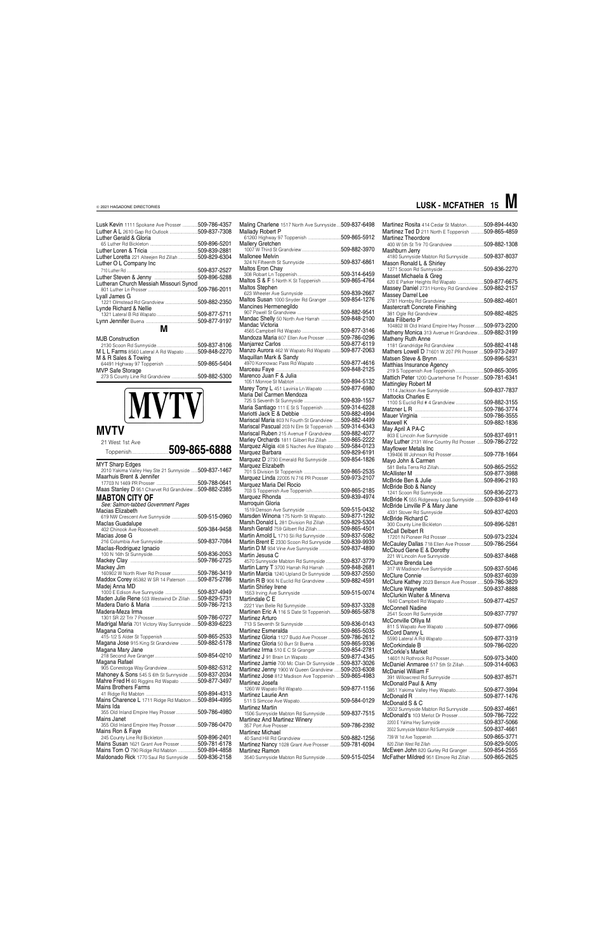| Lusk Kevin 1111 Spokane Ave Prosser  509-786-4357  |              |
|----------------------------------------------------|--------------|
| Luther A L 2610 Gap Rd Outlook 509-837-7308        |              |
|                                                    |              |
| Luther Gerald & Gloria                             |              |
|                                                    |              |
|                                                    |              |
| Luther Loretta 221 Alteejen Rd Zillah 509-829-6304 |              |
|                                                    |              |
| Luther O L Company Inc                             |              |
|                                                    | 509-837-2527 |
|                                                    | 509-896-5288 |
| Lutheran Church Messiah Missouri Synod             |              |
|                                                    | 509-786-2011 |
|                                                    |              |
| Lyall James G                                      |              |
|                                                    |              |
| Lynde Richard & Nellie                             |              |
|                                                    |              |
|                                                    |              |
|                                                    |              |
| м                                                  |              |
| <b>MJB Construction</b>                            |              |
|                                                    |              |
|                                                    |              |
| M L L Farms 8560 Lateral A Rd Wapato  509-848-2270 |              |
| M & R Sales & Towing                               |              |
|                                                    |              |
| <b>MVP Safe Storage</b>                            |              |
| 273 S County Line Rd Grandview  509-882-5300       |              |
|                                                    |              |

# **MVTV**

### **MVTV**

21 West 1st Ave

| 2 I West Ist Ave<br>Toppenish509-865-6888                                       |  |
|---------------------------------------------------------------------------------|--|
| <b>MYT Sharp Edges</b><br>2010 Yakima Valley Hwy Ste 21 Sunnyside  509-837-1467 |  |
| Maarhuis Brent & Jennifer                                                       |  |
|                                                                                 |  |
| Maas Stanley D 951 Charvet Rd Grandview509-882-2385                             |  |
| <b>MABTON CITY OF</b><br>See: Salmon-tabbed Government Pages                    |  |
| Macias Elizabeth                                                                |  |
| 619 NW Crescent Ave Sunnyside 509-515-0960                                      |  |
| Maclas Guadalupe                                                                |  |
|                                                                                 |  |
| Macias Jose G                                                                   |  |
|                                                                                 |  |
| Maclas-Rodriguez Ignacio                                                        |  |
|                                                                                 |  |
| Mackey Jim                                                                      |  |
| 160902 W North River Rd Prosser 509-786-3419                                    |  |
| Maddox Corey 85382 W SR 14 Paterson  509-875-2786                               |  |
| Madej Anna MD                                                                   |  |
|                                                                                 |  |
| Maden Julie Rene 503 Westwind Dr Zillah  509-829-5731                           |  |
|                                                                                 |  |
| Madera-Meza Irma                                                                |  |
|                                                                                 |  |
| Madrigal Maria 701 Victory Way Sunnyside 509-839-6223                           |  |
| Magana Corina                                                                   |  |
|                                                                                 |  |
| Magana Jose 915 King St Grandview  509-882-5178                                 |  |
| Magana Mary Jane                                                                |  |
|                                                                                 |  |
| Magana Rafael                                                                   |  |
| 905 Conestoga Way Grandview 509-882-5312                                        |  |
| Mahoney & Sons 545 S 6th St Sunnyside 509-837-2034                              |  |
| Mahre Fred H 60 Riggins Rd Wapato 509-877-3497                                  |  |
| <b>Mains Brothers Farms</b>                                                     |  |
|                                                                                 |  |
| Mains Charence L 1711 Ridge Rd Mabton 509-894-4995<br>Mains Ida                 |  |
| 355 Old Inland Empire Hwy Prosser 509-786-4980                                  |  |
| Mains Janet                                                                     |  |
| 355 Old Inland Empire Hwy Prosser509-786-0470                                   |  |
| Mains Ron & Faye<br>245 County Line Rd Bickleton509-896-2401                    |  |
| Mains Susan 1621 Grant Ave Prosser 509-781-6178                                 |  |
| Mains Tom O 790 Ridge Rd Mabton 509-894-4858                                    |  |
|                                                                                 |  |
| Maldonado Rick 1770 Saul Rd Sunnyside  509-836-2158                             |  |

| Maling Charlene 1517 North Ave Sunnyside 509-837-6498                                                        |  |
|--------------------------------------------------------------------------------------------------------------|--|
| Mallady Robert P                                                                                             |  |
| Mallery Gretchen                                                                                             |  |
|                                                                                                              |  |
| Mallonee Melvin                                                                                              |  |
| Maltos Eron Chav                                                                                             |  |
|                                                                                                              |  |
| Maltos S & F 5 North K St Toppenish 509-865-4764                                                             |  |
| Maltos Stephen                                                                                               |  |
| Maltos Susan 1000 Snyder Rd Granger 509-854-1276                                                             |  |
| Mancines Hermenegildo                                                                                        |  |
|                                                                                                              |  |
| Mandac Shelly 50 North Ave Harrah 509-848-2100<br>Mandac Victoria                                            |  |
|                                                                                                              |  |
| Mandoza Maria 807 Ellen Ave Prosser 509-786-0296                                                             |  |
|                                                                                                              |  |
| Manzo Aurora 462 W Wapato Rd Wapato 509-877-2063                                                             |  |
| Maquillan Mark & Sandy<br>4970 Konnowac Pass Rd Wapato 509-877-4616                                          |  |
|                                                                                                              |  |
| Marenco Juan F & Julia                                                                                       |  |
|                                                                                                              |  |
| Marey Tony L 451 Lavinia Ln Wapato 509-877-6980<br>Maria Del Carmen Mendoza                                  |  |
|                                                                                                              |  |
| Maria Santiago 111 E St S Toppenish 509-314-6228                                                             |  |
|                                                                                                              |  |
| Mariscal Maria 803 N Fourth St Grandview  509-882-4499                                                       |  |
| Mariscal Pascual 203 N Elm St Toppenish  509-314-6343<br>Mariscal Ruben 215 Avenue F Grandview  509-882-4077 |  |
| Marley Orchards 1811 Gilbert Rd Zillah  509-865-2222                                                         |  |
| Marquez Aligia 408 S Naches Ave Wapato  509-584-0123                                                         |  |
|                                                                                                              |  |
| Marquez D 2730 Emerald Rd Sunnyside  509-854-1826                                                            |  |
| Marquez Elizabeth                                                                                            |  |
| Marquez Linda 22005 N 716 PR Prosser  509-973-2107                                                           |  |
| Marquez Maria Del Rocio                                                                                      |  |
|                                                                                                              |  |
| Marroquin Gloria                                                                                             |  |
|                                                                                                              |  |
| Marsden Winona 175 North St Wapato509-877-1292                                                               |  |
| Marsh Donald L 281 Division Rd Zillah 509-829-5304                                                           |  |
| Marsh Gerald 759 Gilbert Rd Zillah509-865-4501<br>Martin Arnold L 1710 Sli Rd Sunnyside  509-837-5082        |  |
| Martin Brent E 2330 Scoon Rd Sunnyside  509-839-9939                                                         |  |
| Martin D M 934 Vine Ave Sunnyside 509-837-4890                                                               |  |
| Martin Jesusa C                                                                                              |  |
| 4570 Sunnyside Mabton Rd Sunnyside  509-837-3779                                                             |  |
| Martin Larry T 3700 Harrah Rd Harrah  509-848-2681<br>Martin Marcia 1240 Upland Dr Sunnyside 509-837-2550    |  |
| Martin R B 906 N Euclid Rd Grandview 509-882-4591                                                            |  |
| Martin Shirley Irene                                                                                         |  |
|                                                                                                              |  |
| Martindale C E<br>2221 Van Belle Rd Sunnyside509-837-3328                                                    |  |
| Martinen Eric A 116 S Date St Toppenish509-865-5878                                                          |  |
| Martinez Arturo                                                                                              |  |
|                                                                                                              |  |
| Martinez Gloria 1127 Budd Ave Prosser 509-786-2612                                                           |  |
| Martinez Gloria 50 Burr St Buena 509-865-9336                                                                |  |
| Martinez Irma 510 E C St Granger 509-854-2781                                                                |  |
| Martinez J 91 Brain Ln Wapato 509-877-4345                                                                   |  |
| Martinez Jamie 700 Mc Clain Dr Sunnyside  509-837-3026                                                       |  |
| Martinez Jenny 1900 W Queen Grandview 509-203-6308                                                           |  |
| Martinez Jose 812 Madison Ave Toppenish 509-865-4983<br>Martinez Josefa                                      |  |
|                                                                                                              |  |
| Martinez Laurie Ann                                                                                          |  |

| <b>Martinez Martin</b>                              |              |
|-----------------------------------------------------|--------------|
| 1506 Sunnyside Mabton Rd Sunnyside509-837-7515      |              |
| <b>Martinez And Martinez Winery</b>                 |              |
|                                                     | 509-786-2392 |
| <b>Martinez Michael</b>                             |              |
|                                                     |              |
| Martinez Nancy 1028 Grant Ave Prosser  509-781-6094 |              |
| Martinez Ramon                                      |              |
| 3540 Sunnyside Mabton Rd Sunnyside509-515-0254      |              |

| Martinez Rosita 414 Cedar St Mabton509-894-4430<br>Martinez Ted D 211 North E Toppenish  509-865-4859    |  |
|----------------------------------------------------------------------------------------------------------|--|
| <b>Martinez Theordore</b><br>400 W 5th St Trir 70 Grandview 509-882-1308                                 |  |
| Mashburn Jerry<br>4180 Sunnyside Mabton Rd Sunnyside  509-837-8037                                       |  |
| Mason Ronald L & Shirley                                                                                 |  |
| Masset Michaela & Greg<br>620 E Parker Heights Rd Wapato  509-877-6675                                   |  |
| Massey Daniel 2731 Hornby Rd Grandview  509-882-2157<br>Massey Darrel Lee                                |  |
|                                                                                                          |  |
| Mata Filiberto P                                                                                         |  |
| 104802 W Old Inland Empire Hwy Prosser509-973-2200<br>Matheny Monica 313 Avenue H Grandview 509-882-3199 |  |
| Matheny Ruth Anne<br>1181 Grandridge Rd Grandview  509-882-4148                                          |  |
|                                                                                                          |  |
| Mathers Lowell D 71601 W 207 PR Prosser  509-973-2497                                                    |  |
|                                                                                                          |  |
| Matthias Insurance Agency                                                                                |  |
| 219 S Toppenish Ave Toppenish 509-865-3095                                                               |  |
|                                                                                                          |  |
| Mattich Peter 1200 Quarterhorse Trl Prosser509-781-6341                                                  |  |
| Mattingley Robert M                                                                                      |  |
|                                                                                                          |  |
| <b>Mattocks Charles E</b><br>1100 S Euclid Rd # 4 Grandview 509-882-3155                                 |  |
|                                                                                                          |  |
|                                                                                                          |  |
|                                                                                                          |  |
|                                                                                                          |  |
| May April A PA-C                                                                                         |  |
|                                                                                                          |  |
|                                                                                                          |  |
| May Luther 2131 Wine Country Rd Prosser  509-786-2722                                                    |  |
|                                                                                                          |  |
| Mayflower Metals Inc                                                                                     |  |
|                                                                                                          |  |
| Mayo John & Carmen                                                                                       |  |
|                                                                                                          |  |
|                                                                                                          |  |
|                                                                                                          |  |
|                                                                                                          |  |
| McBride Bob & Nancy                                                                                      |  |
|                                                                                                          |  |
|                                                                                                          |  |
| McBride K 555 Ridgeway Loop Sunnyside  509-839-6149                                                      |  |
| McBride Linville P & Mary Jane                                                                           |  |
|                                                                                                          |  |
| McBride Richard C                                                                                        |  |
| McCall Delbert R                                                                                         |  |
|                                                                                                          |  |
|                                                                                                          |  |
| McCauley Dallas 718 Ellen Ave Prosser509-786-2564                                                        |  |
|                                                                                                          |  |
|                                                                                                          |  |
| McClure Brenda Lee                                                                                       |  |
| 317 W Madison Ave Sunnyside 509-837-5046                                                                 |  |
|                                                                                                          |  |
|                                                                                                          |  |
| McClure Kathey 2023 Benson Ave Prosser  509-786-3829                                                     |  |
|                                                                                                          |  |
| McClurkin Walter & Minerva                                                                               |  |
|                                                                                                          |  |
| <b>McConnell Nadine</b>                                                                                  |  |
|                                                                                                          |  |
| McConville Ofilya M                                                                                      |  |
|                                                                                                          |  |
| McCord Danny L                                                                                           |  |
|                                                                                                          |  |
|                                                                                                          |  |
| McCorkle's Market                                                                                        |  |
|                                                                                                          |  |
| McDaniel Anmaree 517 5th St Zillah 509-314-6063                                                          |  |
| <b>McDaniel William F</b>                                                                                |  |
| 391 Willowcrest Rd Sunnyside 509-837-8571                                                                |  |
| McDonald Paul & Amy                                                                                      |  |
| 3851 Yakima Valley Hwy Wapato509-877-3994                                                                |  |

#### McDonald S & C

| 3502 Sunnyside Mabton Rd Sunnyside    | 509-837-4661  |
|---------------------------------------|---------------|
| McDonald's 103 Merlot Dr Prosser      | 509-786-7222  |
|                                       | 509-837-5066  |
| 3502 Sunnyside Mabton Rd Sunnyside    | 509-837-4661  |
|                                       | 509-865-3771  |
|                                       | .509-829-5005 |
| McEwen John 820 Gurley Rd Granger     | 509-854-2555  |
| McFather Mildred 951 Elmore Rd Zillah | .509-865-2625 |

### **LUSK - MCFATHER 15 M**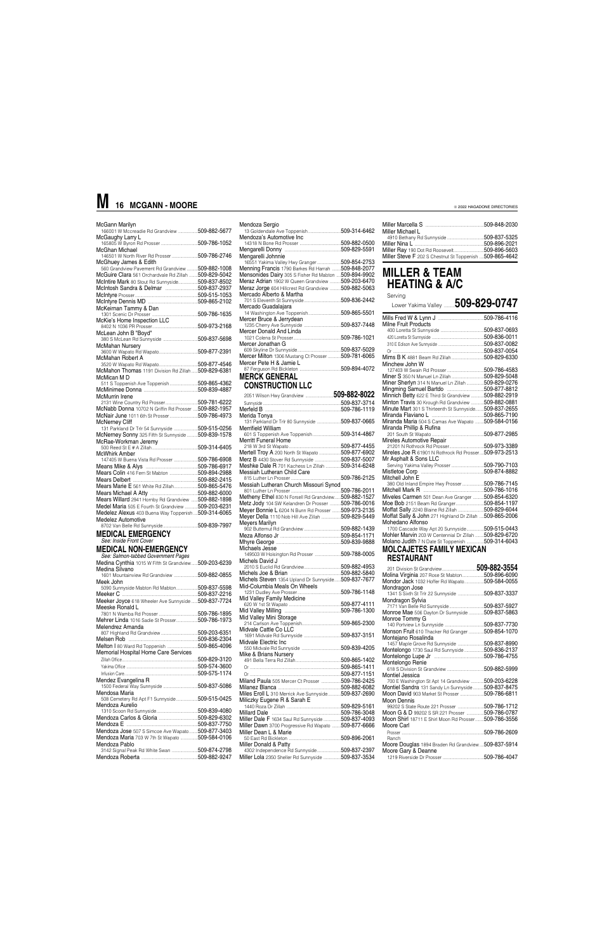| McGann Marilyn<br>166001 W Mccreadie Rd Grandview  509-882-5677             |  |
|-----------------------------------------------------------------------------|--|
|                                                                             |  |
| McGaughy Larry L<br>00009.19 Early E                                        |  |
| McGhan Michael                                                              |  |
| 146501 W North River Rd Prosser 509-786-2746                                |  |
|                                                                             |  |
| McGhuey James & Edith                                                       |  |
| 560 Grandview Pavement Rd Grandview  509-882-1008                           |  |
| McGuire Clara 561 Orchardvale Rd Zillah  509-829-5042                       |  |
| McIntire Mark 80 Stout Rd Sunnyside509-837-8502                             |  |
| McIntosh Sandra & Delmar 509-837-2937                                       |  |
|                                                                             |  |
|                                                                             |  |
| McKeirnan Tammy & Dan                                                       |  |
|                                                                             |  |
|                                                                             |  |
|                                                                             |  |
| McLean John B "Boyd"                                                        |  |
| <b>cLean Jonn B "Boyd"</b><br>380 S McLean Rd Sunnyside <b>509-837-5698</b> |  |
| McMahan Nursery                                                             |  |
|                                                                             |  |
| McMahan Robert A                                                            |  |
|                                                                             |  |
| McMahon Thomas 1191 Division Rd Zillah509-829-6381                          |  |
| McMican M D                                                                 |  |
| 511 S Toppenish Ave Toppenish 509-865-4362                                  |  |
|                                                                             |  |
| McMurrin Irene                                                              |  |
|                                                                             |  |
|                                                                             |  |
| McNabb Donna 10702 N Griffin Rd Prosser  509-882-1957                       |  |
| McNair June 1011 6th St Prosser509-786-4973                                 |  |
| <b>McNernev Cliff</b>                                                       |  |
| 131 Parkland Dr Trlr 54 Sunnyside  509-515-0256                             |  |
| McNerney Sonny 325 Fifth St Sunnyside 509-839-1578                          |  |
| McRae-Workman Jeremy                                                        |  |
|                                                                             |  |
| McWhirk Amber                                                               |  |
|                                                                             |  |
|                                                                             |  |
| Mears Colin 416 Fern St Mabton  509-894-2988                                |  |
|                                                                             |  |
| Mears Marie E 561 White Rd Zillah509-865-5476                               |  |
|                                                                             |  |
|                                                                             |  |
| Mears Willard 2941 Hornby Rd Grandview  509-882-1898                        |  |
| Medel Maria 505 E Fourth St Grandview  509-203-6231                         |  |
| Medelez Alexus 403 Buena Way Toppenish  509-314-6065                        |  |
| Medelez Automotive                                                          |  |
|                                                                             |  |
| <b>MEDICAL EMERGENCY</b>                                                    |  |
|                                                                             |  |
|                                                                             |  |
| See: Inside Front Cover                                                     |  |
| <b>MEDICAL NON-EMERGENCY</b>                                                |  |
| See: Salmon-tabbed Government Pages                                         |  |
| Medina Cynthia 1015 W Fifth St Grandview509-203-6239                        |  |
| Medina Silvano                                                              |  |
| 1601 Mountainview Rd Grandview 509-882-0855                                 |  |
| Meek John                                                                   |  |
| 5090 Sunnyside Mabton Rd Mabton509-837-5598                                 |  |
|                                                                             |  |
| Meeker Joyce 618 Wheeler Ave Sunnyside  509-837-7724                        |  |
|                                                                             |  |
| Meeske Ronald L                                                             |  |
|                                                                             |  |
| Mehrer Linda 1016 Sadie St Prosser509-786-1973                              |  |
| Melendrez Amanda                                                            |  |
|                                                                             |  |
|                                                                             |  |
| Melton   80 Ward Rd Toppenish 509-865-4096                                  |  |
| Memorial Hospital Home Care Services                                        |  |
|                                                                             |  |
|                                                                             |  |
|                                                                             |  |
| Mendez Evangelina R                                                         |  |

| Mendosa Maria                    |              |
|----------------------------------|--------------|
| 508 Cemetery Rd Ant F1 Sunnyside | 509-515-0425 |

| Mendoza Sergio                                                                |               |
|-------------------------------------------------------------------------------|---------------|
| 13 Goldendale Ave Toppenish                                                   | 509-314-6462  |
| Mendoza's Automotive Inc                                                      |               |
|                                                                               | 509-882-0500  |
|                                                                               |               |
| Mengarelli Johnnie                                                            |               |
| 16551 Yakima Valley Hwy Granger                                               | 509-854-2753  |
| Menning Francis 1790 Barkes Rd Harrah                                         | 509-848-2077  |
| Mensonides Dairy 305 S Fisher Rd Mabton  509-894-9902                         |               |
| Meraz Adrian 1902 W Queen Grandview                                           | 509-203-6470  |
| <b>Meraz Jorge</b> 604 Hillcrest Rd Grandview                                 | 509-882-5063  |
| Mercado Alberto & Martha                                                      |               |
| 701 S Eleventh St Sunnyside                                                   | 509-836-2442  |
| Mercado Guadalajara                                                           |               |
| 14 Washington Ave Toppenish                                                   | 509-865-5501  |
| Mercer Bruce & Jerrydean                                                      |               |
| 1235 Cherry Ave Sunnyside                                                     | 509-837-7448  |
| Mercer Donald And Linda                                                       |               |
|                                                                               | 509-786-1021  |
| Mercer Jonathan G                                                             |               |
|                                                                               |               |
| Mercer Milton 1306 Mustang Ct Prosser 509-781-6065<br>Mercer Pete H & Jamie L |               |
|                                                                               | .509-894-4072 |
|                                                                               |               |
| <b>MERCK GENERAL</b>                                                          |               |

### **CONSTRUCTION LLC**

| Merida Tonva                                                                                        |  |
|-----------------------------------------------------------------------------------------------------|--|
| 131 Parkland Dr Trlr 80 Sunnyside 509-837-0665                                                      |  |
| Merrifield William                                                                                  |  |
| 601 S Toppenish Ave Toppenish 509-314-4867                                                          |  |
| <b>Merritt Funeral Home</b>                                                                         |  |
|                                                                                                     |  |
| Mertell Troy A 200 North St Wapato 509-877-6902                                                     |  |
| Merz B 4430 Stover Rd Sunnyside 509-837-5007                                                        |  |
| Meshke Dale R 701 Kachess Ln Zillah 509-314-6248                                                    |  |
| Messiah Lutheran Child Care                                                                         |  |
|                                                                                                     |  |
| Messiah Lutheran Church Missouri Synod                                                              |  |
|                                                                                                     |  |
| Metheny Ethel 830 N Forsell Rd Grandview509-882-1527                                                |  |
| Metz Jody 104 SW Kelandren Dr Prosser  509-786-0016                                                 |  |
| Meyer Bonnie L 6204 N Bunn Rd Prosser  509-973-2135                                                 |  |
| Meyer Della 1110 Nob Hill Ave Zillah 509-829-5449                                                   |  |
| <b>Meyers Marilyn</b>                                                                               |  |
|                                                                                                     |  |
|                                                                                                     |  |
|                                                                                                     |  |
| Michaels Jesse                                                                                      |  |
| 149503 W Hoisington Rd Prosser 509-788-0005                                                         |  |
| Michels David J                                                                                     |  |
|                                                                                                     |  |
|                                                                                                     |  |
| Michels Steven 1354 Upland Dr Sunnyside 509-837-7677                                                |  |
| Mid-Columbia Meals On Wheels                                                                        |  |
|                                                                                                     |  |
| Mid Valley Family Medicine                                                                          |  |
|                                                                                                     |  |
|                                                                                                     |  |
| Mid Valley Mini Storage                                                                             |  |
|                                                                                                     |  |
| Midvale Cattle Co LLC                                                                               |  |
| Midvale Electric Inc                                                                                |  |
|                                                                                                     |  |
| Mike & Brians Nursery                                                                               |  |
|                                                                                                     |  |
|                                                                                                     |  |
|                                                                                                     |  |
|                                                                                                     |  |
| Miland Paula 505 Mercer Ct Prosser 509-786-2425                                                     |  |
|                                                                                                     |  |
| Miles Eroll L 310 Merrick Ave Sunnyside509-837-2690<br>$\mathbf{M}$ iliante: Europea D. 8. Carala E |  |

|                                | Moon Dennis                                                                                                                                                                                                   |
|--------------------------------|---------------------------------------------------------------------------------------------------------------------------------------------------------------------------------------------------------------|
| .509-829-5161                  | .509-786-1712<br>99202 S State Route 221 Prosser                                                                                                                                                              |
| 509-786-3048                   | <b>Moon G &amp; D 99202 S SR 221 Prosser </b><br>509-786-0787                                                                                                                                                 |
| 509-837-4093                   | Moon Shirl 18711 E Shirl Moon Rd Prosser509-786-3556                                                                                                                                                          |
|                                | Moore Carl                                                                                                                                                                                                    |
|                                | .509-786-2609                                                                                                                                                                                                 |
| .509-896-2061                  | Ranch                                                                                                                                                                                                         |
| Miller Donald & Patty          | Moore Douglas 1894 Braden Rd Grandview509-837-5914                                                                                                                                                            |
| 4302 Independence Rd Sunnyside | Moore Gary & Deanne                                                                                                                                                                                           |
| 509-837-3534                   |                                                                                                                                                                                                               |
|                                | Miliczky Eugene R & Sarah E<br>Miller Dale F 1634 Saul Rd Sunnyside<br>Miller Dawn 3700 Progressive Rd Wapato 509-877-6666<br>Miller Dean L & Marie<br>.509-837-2397<br>Miller Lola 2350 Sheller Rd Sunnyside |

| Miller Michael L                                         |              |
|----------------------------------------------------------|--------------|
|                                                          |              |
|                                                          | 509-896-2021 |
| Miller Ray 190 Dot Rd Roosevelt509-896-5603              |              |
| Miller Steve F 202 S Chestnut St Toppenish  509-865-4642 |              |

### **MILLER & TEAM HEATING & A/C** Serving

| Serving                                                  |  |
|----------------------------------------------------------|--|
| Lower Yakima Valley $509$ -829-0747                      |  |
|                                                          |  |
| <b>Milne Fruit Products</b>                              |  |
|                                                          |  |
|                                                          |  |
|                                                          |  |
|                                                          |  |
|                                                          |  |
| Minchew John W                                           |  |
|                                                          |  |
| Miner S 350 N Manuel Ln Zillah 509-829-5048              |  |
| Miner Sherlyn 314 N Manuel Ln Zillah 509-829-0276        |  |
|                                                          |  |
| Minnich Betty 622 E Third St Grandview 509-882-2919      |  |
| Minton Travis 30 Krough Rd Grandview 509-882-0881        |  |
| Minute Mart 301 S Thirteenth St Sunnyside 509-837-2655   |  |
|                                                          |  |
| Miranda Maria 504 S Camas Ave Wapato 509-584-0156        |  |
| Miranda Phillip & Rufina                                 |  |
| Mireles Automotive Repair                                |  |
|                                                          |  |
| Mireles Joe R 61901 N Rothrock Rd Prosser509-973-2513    |  |
| Mr Asphalt & Sons LLC                                    |  |
|                                                          |  |
|                                                          |  |
| Mitchell John E                                          |  |
| 380 Old Inland Empire Hwy Prosser509-786-7145            |  |
|                                                          |  |
| Miveles Carmen 501 Dean Ave Granger  509-854-6320        |  |
|                                                          |  |
|                                                          |  |
| Moffat Sally & John 271 Highland Dr Zillah  509-865-2006 |  |
| Mohedano Alfonso                                         |  |
| 1700 Cascade Way Apt 20 Sunnyside 509-515-0443           |  |
| Mohler Marvin 203 W Centennial Dr Zillah  509-829-6720   |  |
| Molano Judith 7 N Date St Toppenish 509-314-6043         |  |
| MOLCAJETES FAMILY MEXICAN                                |  |
| <b>RESTAURANT</b>                                        |  |

| Molina Virginia 207 Rose St Mabton             | 509-896-6090 |
|------------------------------------------------|--------------|
| Mondor Jack 1032 Hoffer Rd Wapato509-584-0055  |              |
| Mondragon Jose                                 |              |
| 1341 S Sixth St Trlr 22 Sunnyside 509-837-3337 |              |
| Mondragon Sylvia                               |              |
| 7171 Van Belle Rd Sunnyside509-837-5927        |              |
| Monroe Mae 506 Dayton Dr Sunnyside             | 509-837-5863 |
| Monroe Tommy G                                 |              |
|                                                | 509-837-7730 |
| Monson Fruit 610 Thacker Rd Granger            | 509-854-1070 |
| Montejano Rosalinda                            |              |
| 1457 Maple Grove Rd Sunnyside                  | 509-837-8990 |
| Montelongo 1730 Saul Rd Sunnyside              | 509-836-2137 |
|                                                | 509-786-4755 |
| Montelongo Renie                               |              |
|                                                | 509-882-5999 |
| Montiel Jessica                                |              |
| 700 E Washington St Apt 14 Grandview           | 509-203-6228 |
| Montiel Sandra 131 Sandy Ln Sunnyside          | 509-837-8475 |
| Moon David 903 Market St Prosser               | 509-786-6811 |
|                                                |              |

# **M 16 MCGANN - MOORE**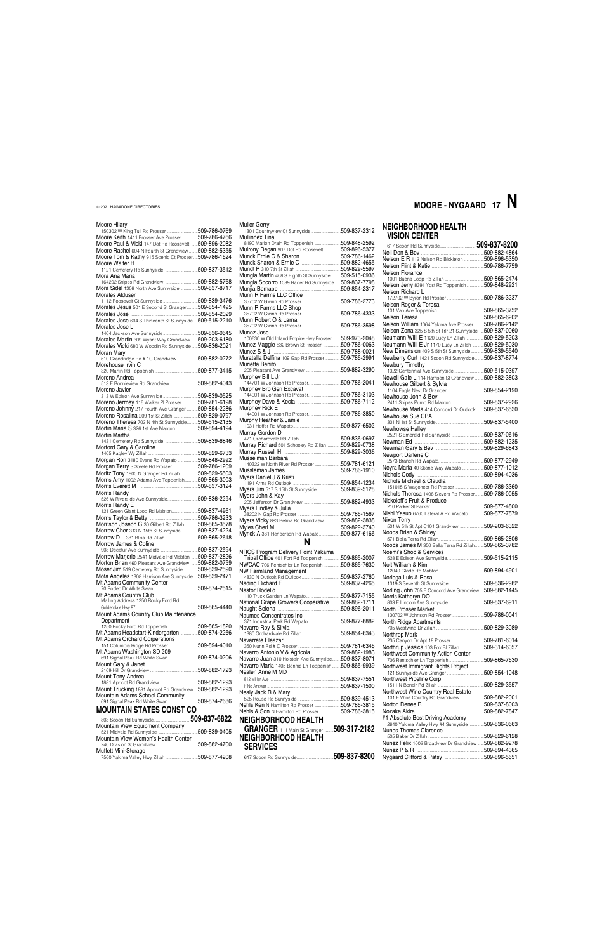### Moore Hilary

| 150302 W King Tull Rd Prosser 509-786-0769                                                                   |  |
|--------------------------------------------------------------------------------------------------------------|--|
| Moore Keith 1411 Prosser Ave Prosser  509-786-4766<br>Moore Paul & Vicki 147 Dot Rd Roosevelt  509-896-2082  |  |
| Moore Rachel 604 N Fourth St Grandview 509-882-5355                                                          |  |
| Moore Tom & Kathy 915 Scenic Ct Prosser509-786-1624                                                          |  |
| Moore Walter H<br>1121 Cemetery Rd Sunnyside  509-837-3512                                                   |  |
| Mora Ana Maria                                                                                               |  |
| Mora Sidel 1308 North Ave Sunnyside  509-837-8717                                                            |  |
| <b>Morales Alduser</b>                                                                                       |  |
| orales Alduser<br>1112 Roosevelt Ct Sunnyside 509-839-3476                                                   |  |
| Morales Jesus 501 E Second St Granger 509-854-1495                                                           |  |
| Morales Jose 604 S Thirteenth St Sunnyside  509-515-2210                                                     |  |
| Morales Jose L                                                                                               |  |
|                                                                                                              |  |
| Morales Martin 309 Wyant Way Grandview  509-203-6180<br>Morales Vicki 680 W Woodin Rd Sunnyside 509-836-2021 |  |
| Moran Mary                                                                                                   |  |
| 610 Grandridge Rd # 1C Grandview  509-882-0272                                                               |  |
| Morehouse Irvin C                                                                                            |  |
| Moreno Andrea<br>orono Alitarea<br>513 E Bonnieview Rd Grandview 509-882-4043                                |  |
| Moreno Javier                                                                                                |  |
|                                                                                                              |  |
| Moreno Jermey 116 Walker PI Prosser 509-781-6198                                                             |  |
| Moreno Johnny 217 Fourth Ave Granger  509-854-2286<br>Moreno Rosalina 209 1st St Zillah 509-829-0797         |  |
| Moreno Theresa 702 N 4th St Sunnyside509-515-2135                                                            |  |
| Morfin Maria S 326 1st Ave Mabton 509-894-4194                                                               |  |
| Morfin Martha                                                                                                |  |
| Morford Gary & Caroline                                                                                      |  |
|                                                                                                              |  |
| Morgan Ron 3180 Evans Rd Wapato 509-848-2992                                                                 |  |
| Morgan Terry S Steele Rd Prosser  509-786-1209                                                               |  |
| Moritz Tony 1800 N Granger Rd Zillah  509-829-5503                                                           |  |
| Morris Amy 1002 Adams Ave Toppenish509-865-3003                                                              |  |
| Morris Randy<br>-----------------<br>526 W Riverside Ave Sunnyside509-836-2294                               |  |
|                                                                                                              |  |
| Morris Randy E                                                                                               |  |
| 121 Green Giant Loop Rd Mabton509-837-4961                                                                   |  |
|                                                                                                              |  |
| Morrison Joseph G 30 Gilbert Rd Zillah  509-865-3578<br>Morrow Cher 313 N 15th St Sunnyside  509-837-4224    |  |
| Morrow D L 381 Bliss Rd Zillah 509-865-2618                                                                  |  |
| Morrow James & Coline                                                                                        |  |
|                                                                                                              |  |
| Morrow Marjorie 2541 Midvale Rd Mabton  509-837-2826                                                         |  |
| Morton Brian 460 Pleasant Ave Grandview  509-882-0759<br>Moser Jim 519 Cemetery Rd Sunnyside509-839-2590     |  |
| Mota Angeles 1308 Harrison Ave Sunnyside 509-839-2471                                                        |  |
| Mt Adams Community Center                                                                                    |  |
|                                                                                                              |  |
| Mt Adams Country Club<br>Mailing Address 1250 Rocky Ford Rd                                                  |  |
|                                                                                                              |  |
| Mount Adams Country Club Maintenance                                                                         |  |
| Department<br>1250 Rocky Ford Rd Toppenish509-865-1820                                                       |  |
| Mt Adams Headstart-Kindergarten 509-874-2266                                                                 |  |
| Mt Adams Orchard Corperations                                                                                |  |
| Mt Adams Washington SD 209                                                                                   |  |
| Mount Gary & Janet                                                                                           |  |
|                                                                                                              |  |
| Mount Tony Andrea                                                                                            |  |
| Mount Trucking 1881 Apricot Rd Grandview 509-882-1293                                                        |  |
| Mountain Adams School Community<br>691 Signal Peak Rd White Swan 509-874-2686                                |  |
| <b>MOUNTAIN STATES CONST CO</b>                                                                              |  |
|                                                                                                              |  |
| Mountain View Equipment Company                                                                              |  |
| Muffett Mini-Storage                                                                                         |  |

| <b>Muller Gerry</b><br>1301 Countryview Ct Sunnyside509-837-2312 |  |
|------------------------------------------------------------------|--|
| Mullinnex Tina                                                   |  |
| 8190 Marion Drain Rd Toppenish 509-848-2592                      |  |
| Mulrony Regan 907 Dot Rd Roosevelt509-896-5377                   |  |
|                                                                  |  |
|                                                                  |  |
|                                                                  |  |
| Mungia Martin 408 S Eighth St Sunnyside  509-515-0936            |  |
| Mungia Socorro 1039 Rader Rd Sunnyside509-837-7798               |  |
|                                                                  |  |
| Munn R Farms LLC Office                                          |  |
|                                                                  |  |
| Munn R Farms LLC Shop                                            |  |
|                                                                  |  |
| Munn Robert O & Larna                                            |  |
| Munoz Jose                                                       |  |
| 100630 W Old Inland Empire Hwy Prosser509-973-2048               |  |
| Munoz Maggie 832 Brown St Prosser  509-786-0063                  |  |
|                                                                  |  |
| Muratalla Delfina 109 Gap Rd Prosser 509-786-2991                |  |
| Murietta Benito                                                  |  |
|                                                                  |  |
| Murphey Bill L Jr                                                |  |
|                                                                  |  |
| Murphey Bro Gen Excavat                                          |  |
|                                                                  |  |
|                                                                  |  |
| Murphey Rick E                                                   |  |
| Murphy Heather & Jamie                                           |  |
|                                                                  |  |
| Murray Gordon D                                                  |  |
|                                                                  |  |
| Murray Richard 501 Schooley Rd Zillah  509-829-0738              |  |
|                                                                  |  |
| Musselman Barbara                                                |  |
| 140322 W North River Rd Prosser 509-781-6121                     |  |
|                                                                  |  |
| Mvers Daniel J & Kristi                                          |  |
|                                                                  |  |
| Myers Jim 517 S 15th St Sunnyside509-839-5128                    |  |
| Mvers John & Kav                                                 |  |
|                                                                  |  |
| Myers Lindley & Julia                                            |  |
| Myers Vicky 893 Belma Rd Grandview 509-882-3838                  |  |
|                                                                  |  |
| Myrick A 381 Henderson Rd Wapato509-877-6166                     |  |
| N                                                                |  |
|                                                                  |  |
| NRCS Program Delivery Point Yakama                               |  |

| Tribal Office 401 Fort Rd Toppenish509-865-2007      |                     | 5281         |
|------------------------------------------------------|---------------------|--------------|
| NWCAC 706 Rentschler Ln Toppenish509-865-7630        |                     | Nolt V       |
| NW Farmland Management                               |                     | 1204         |
|                                                      |                     | Noried       |
|                                                      |                     | 1319         |
| Nastor Rodelio                                       |                     | Norlin       |
| 110 Truck Garden Ln Wapato509-877-7155               |                     | Norris       |
| National Grape Growers Cooperative 509-882-1711      |                     | 803          |
|                                                      |                     | <b>North</b> |
| Naumes Concentrates Inc                              |                     | 1307         |
| 371 Industrial Park Rd Wapato 509-877-8882           |                     | North        |
| Navarre Roy & Silvia                                 |                     | 705'         |
|                                                      |                     | Northi       |
| Navarrete Eleazar                                    |                     | 235          |
|                                                      |                     | Northi       |
| Navarro Antonio V & Agricola 509-882-1983            |                     | Northy       |
| Navarro Juan 310 Holstein Ave Sunnyside 509-837-8071 |                     | 7061         |
| Navarro Maria 1405 Bonnie Ln Toppenish509-865-9939   |                     | Northy       |
| Nealen Anne M MD                                     |                     | 121:         |
|                                                      |                     | Northy       |
|                                                      |                     | 1511         |
| Nealy Jack R & Mary                                  |                     | Northy       |
|                                                      |                     | 1011         |
| Nehls Ken N Hamilton Rd Prosser 509-786-3815         |                     | Nortor       |
| Nehls & Son N Hamilton Rd Prosser509-786-3815        |                     | Nozał        |
| <b>NEIGHBORHOOD HEALTH</b>                           |                     | #1 Ab        |
| <b>GRANGER</b> 111 Main St Granger  509-317-2182     |                     | 264C         |
|                                                      |                     | Nunes        |
| <b>NEIGHBORHOOD HEALTH</b>                           |                     | 505          |
| <b>SERVICES</b>                                      |                     | Nunez        |
|                                                      | <b>ENQ_027_02NN</b> | Nunez<br>.   |
|                                                      |                     |              |

### **NEIGHBORHOOD HEALTH VISION CENTER**

| 8190 Marion Drain Rd Toppenish 509-848-2592                      |                                                                                      |  |
|------------------------------------------------------------------|--------------------------------------------------------------------------------------|--|
| ulrony Regan 907 Dot Rd Roosevelt509-896-5377                    |                                                                                      |  |
|                                                                  | Nelson E R 112 Nelson Rd Bickleton 509-896-5350                                      |  |
|                                                                  |                                                                                      |  |
|                                                                  | Nelson Florance                                                                      |  |
| ungia Martin 408 S Eighth St Sunnyside 509-515-0936              |                                                                                      |  |
| ungia Socorro 1039 Rader Rd Sunnyside 509-837-7798               | Nelson Jerry 8391 Yost Rd Toppenish509-848-2921                                      |  |
|                                                                  | Nelson Richard L                                                                     |  |
| unn R Farms LLC Office                                           |                                                                                      |  |
|                                                                  | Nelson Roger & Teresa                                                                |  |
| unn R Farms LLC Shop                                             |                                                                                      |  |
|                                                                  |                                                                                      |  |
| unn Robert O & Larna                                             | Nelson William 1064 Yakima Ave Prosser  509-786-2142                                 |  |
| unoz Jose                                                        | Nelson Zona 325 S 5th St Trlr 21 Sunnyside 509-837-0060                              |  |
| 100630 W Old Inland Empire Hwy Prosser 509-973-2048              | Neumann Willi E 1120 Lucy Ln Zillah 509-829-5203                                     |  |
| unoz Maggie 832 Brown St Prosser 509-786-0063                    | Neumann Willi E Jr 1170 Lucy Ln Zillah 509-829-5030                                  |  |
|                                                                  | New Dimension 409 S 5th St Sunnyside509-839-5540                                     |  |
| uratalla Delfina 109 Gap Rd Prosser 509-786-2991                 | Newberry Curt 1421 Scoon Rd Sunnyside  509-837-8774                                  |  |
| urietta Benito                                                   | Newbury Timothy                                                                      |  |
|                                                                  | 1322 Centennial Ave Sunnyside509-515-0397                                            |  |
| urphev Bill L Jr                                                 | Newell Gale L 114 Harrison St Grandview 509-882-3803                                 |  |
| 144701 W Johnson Rd Prosser509-786-2041                          | Newhouse Gilbert & Sylvia                                                            |  |
| urphey Bro Gen Excavat                                           |                                                                                      |  |
| 144001 W Johnson Rd Prosser509-786-3103                          | Newhouse John & Bev                                                                  |  |
|                                                                  |                                                                                      |  |
| urphey Rick E                                                    | Newhouse Marla 414 Concord Dr Outlook 509-837-6530                                   |  |
| 144001 W Johnson Rd Prosser509-786-3850                          | Newhouse Sue CPA                                                                     |  |
| urphv Heather & Jamie                                            |                                                                                      |  |
|                                                                  | Newhowse Halley                                                                      |  |
| urrav Gordon D                                                   |                                                                                      |  |
|                                                                  |                                                                                      |  |
| urray Richard 501 Schooley Rd Zillah  509-829-0738               |                                                                                      |  |
|                                                                  | Newport Darlene C                                                                    |  |
| usselman Barbara<br>140322 W North River Rd Prosser 509-781-6121 |                                                                                      |  |
|                                                                  | Neyra Maria 40 Skone Way Wapato 509-877-1012                                         |  |
|                                                                  |                                                                                      |  |
| vers Daniel J & Kristi                                           | Nichols Michael & Claudia                                                            |  |
| yers Jim 517 S 15th St Sunnyside509-839-5128                     | 151015 S Wagoneer Rd Prosser 509-786-3360                                            |  |
| vers John & Kav                                                  | Nichols Theresa 1408 Sievers Rd Prosser509-786-0055                                  |  |
|                                                                  |                                                                                      |  |
| yers Lindley & Julia                                             |                                                                                      |  |
|                                                                  | Nishi Yasuo 6760 Lateral A Rd Wapato 509-877-7879                                    |  |
| yers Vicky 893 Belma Rd Grandview 509-882-3838                   | Nixon Terry                                                                          |  |
|                                                                  | 501 W 5th St Apt C101 Grandview 509-203-6322                                         |  |
| yrick A 381 Henderson Rd Wapato509-877-6166                      | Nobbs Brian & Shirley                                                                |  |
| N                                                                |                                                                                      |  |
|                                                                  | Nobbs James M 350 Bella Terra Rd Zillah509-865-3782                                  |  |
| RCS Program Delivery Point Yakama                                | Noemi's Shop & Services                                                              |  |
| Tribal Office 401 Fort Rd Toppenish 509-865-2007                 |                                                                                      |  |
| WCAC 706 Rentschler Ln Toppenish 509-865-7630                    | Nolt William & Kim                                                                   |  |
| W Farmland Management                                            | Noriega Luis & Rosa                                                                  |  |
|                                                                  | orlega Luis & Hosa<br>1319 S Seventh St Sunnyside 509-836-2982                       |  |
| astor Rodelio                                                    | Norling John 705 E Concord Ave Grandview509-882-1445                                 |  |
| 110 Truck Garden Ln Wapato509-877-7155                           | Norris Katheryn DO                                                                   |  |
| ational Grape Growers Cooperative 509-882-1711                   | 803 E Lincoln Ave Sunnyside 509-837-6911                                             |  |
|                                                                  | North Prosser Market                                                                 |  |
| aumes Concentrates Inc                                           |                                                                                      |  |
| 371 Industrial Park Rd Wapato 509-877-8882                       | North Ridge Apartments                                                               |  |
| avarre Roy & Silvia                                              |                                                                                      |  |
|                                                                  | Northrop Mark                                                                        |  |
| avarrete Eleazar                                                 | 235 Canyon Dr Apt 18 Prosser 509-781-6014                                            |  |
|                                                                  | Northrup Jessica 103 Fox BI Zillah 509-314-6057                                      |  |
| avarro Antonio V & Agricola 509-882-1983                         | Northwest Community Action Center                                                    |  |
| avarro Juan 310 Holstein Ave Sunnyside509-837-8071               | 706 Rentschler Ln Toppenish 509-865-7630                                             |  |
| avarro Maria 1405 Bonnie Ln Toppenish509-865-9939                | Northwest Immigrant Rights Project                                                   |  |
| ealen Anne M MD                                                  |                                                                                      |  |
|                                                                  |                                                                                      |  |
|                                                                  |                                                                                      |  |
| ealy Jack R & Mary                                               | Northwest Wine Country Real Estate<br>101 E Wine Country Rd Grandview 509-882-2001   |  |
|                                                                  |                                                                                      |  |
| ehls Ken N Hamilton Rd Prosser 509-786-3815                      |                                                                                      |  |
| ehls & Son N Hamilton Rd Prosser509-786-3815                     |                                                                                      |  |
| <b>EIGHBORHOOD HEALTH</b>                                        | #1 Absolute Best Driving Academy<br>2640 Yakima Valley Hwy #4 Sunnyside 509-836-0663 |  |
| <b>GRANGER</b> 111 Main St Granger <b>509-317-2182</b>           | Nunes Thomas Clarence                                                                |  |
| <b>EIGHBORHOOD HEALTH</b>                                        |                                                                                      |  |
|                                                                  | Nunez Felix 1002 Broadview Dr Grandview  509-882-9278                                |  |
| <b>SERVICES</b>                                                  |                                                                                      |  |
| 617 Scoon Rd Sunnyside509-837-8200                               |                                                                                      |  |

### **MOORE - NYGAARD 17 N**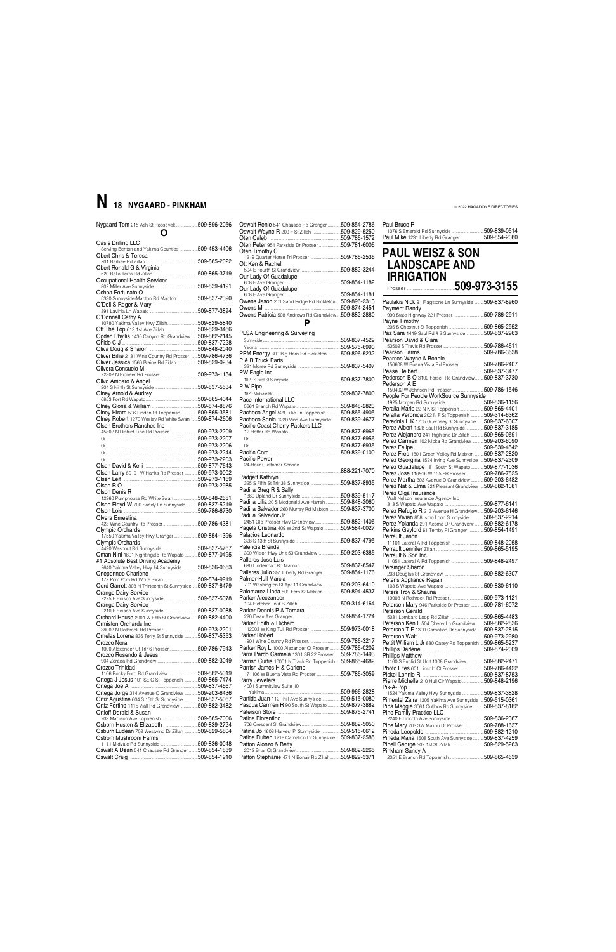Nygaard Tom 215 Ash St Roosevelt ....................509-896-2056

### **O** Oasis Drilling LLC

| Serving Benton and Yakima Counties  509-453-4406                                                             |  |
|--------------------------------------------------------------------------------------------------------------|--|
| Obert Chris & Teresa                                                                                         |  |
|                                                                                                              |  |
| Obert Ronald G & Virginia                                                                                    |  |
|                                                                                                              |  |
|                                                                                                              |  |
| Ochoa Fortunato O                                                                                            |  |
| 5330 Sunnyside-Mabton Rd Mabton  509-837-2390                                                                |  |
| O'Dell S Roger & Mary                                                                                        |  |
|                                                                                                              |  |
| O'Donnell Cathy A                                                                                            |  |
|                                                                                                              |  |
| Off The Top 613 1st Ave Zillah 509-829-3466                                                                  |  |
| Ogden Phyllis 1430 Canyon Rd Grandview  509-882-2145                                                         |  |
|                                                                                                              |  |
|                                                                                                              |  |
| Oliver Billie 2131 Wine Country Rd Prosser  509-786-4736                                                     |  |
| Oliver Jessica 1560 Blaine Rd Zillah509-829-0234                                                             |  |
| Olivera Consuelo M                                                                                           |  |
|                                                                                                              |  |
| Olivo Amparo & Angel                                                                                         |  |
|                                                                                                              |  |
| Olney Arnold & Audrey                                                                                        |  |
|                                                                                                              |  |
|                                                                                                              |  |
| Olney Hiram 506 Linden St Toppenish509-865-3581                                                              |  |
| Olney Robert 1270 Wesley Rd White Swan  509-874-2606<br>Olsen Brothers Ranches Inc                           |  |
| 45802 N District Line Rd Prosser 509-973-2209                                                                |  |
|                                                                                                              |  |
|                                                                                                              |  |
|                                                                                                              |  |
|                                                                                                              |  |
|                                                                                                              |  |
|                                                                                                              |  |
| Olsen Larry 80101 W Hanks Rd Prosser  509-973-0002                                                           |  |
| Olsen Leif Manual Manual Manual Manual Manual Manual Manual Manual Manual Manual Manual Manual Manual Manual |  |
|                                                                                                              |  |
|                                                                                                              |  |
| Olson Denis R                                                                                                |  |
| 12360 Pumphouse Rd White Swan 509-848-2651                                                                   |  |
| Olson Floyd W 700 Sandy Ln Sunnyside  509-837-5219                                                           |  |
|                                                                                                              |  |
| Olvera Ernestina                                                                                             |  |
|                                                                                                              |  |
| Olympic Orchards                                                                                             |  |
| 17550 Yakima Valley Hwy Granger 509-854-1396<br>Olympic Orchards                                             |  |
|                                                                                                              |  |
| Oman Nini 1891 Nightingale Rd Wapato  509-877-0495                                                           |  |
| #1 Absolute Best Driving Academy                                                                             |  |
| 2640 Yakima Valley Hwy #4 Sunnyside  509-836-0663                                                            |  |
| Onepennee Charlene                                                                                           |  |
|                                                                                                              |  |
| Oord Garrett 308 N Thirteenth St Sunnyside  509-837-8479                                                     |  |
|                                                                                                              |  |
| Orange Dairy Service<br>2225 E Edison Ave Sunnyside 509-837-5078                                             |  |
| Orange Dairy Service                                                                                         |  |
| 2210 E Edison Ave Sunnyside 509-837-0088                                                                     |  |
| Orchard House 2001 W Fifth St Grandview  509-882-4400                                                        |  |
| Ormiston Orchards Inc.                                                                                       |  |
|                                                                                                              |  |
| Ornelas Lorena 836 Terry St Sunnyside 509-837-5353<br>Orozco Nora                                            |  |
| 1000 Alexander Ct Trlr 6 Prosser509-786-7943                                                                 |  |
| Orozco Rosendo & Jesus                                                                                       |  |
|                                                                                                              |  |
| Orozco Trinidad                                                                                              |  |
| 1106 Rocky Ford Rd Grandview 509-882-5019                                                                    |  |
| Ortega J Jesus 101 SE G St Toppenish  509-865-7474                                                           |  |
|                                                                                                              |  |
| Ortega Jorge 314 Avenue C Grandview 509-203-6436<br>Ortiz Agustine 604 S 15th St Sunnyside  509-837-5067     |  |

#### PPM Energy 300 Big Horn Rd Bickleton ............509-896-5232 P & R Truck Parts 321 Morse Rd Sunnyside ........................................509-837-5407 PW Eagle Inc 1820 S First St Sunnyside ................................................509-837-7800 P W Pipe 1820 Midvale Rd..............................................................509-837-7800 Pace International LLC 5661 Branch Rd Wapato..........................................509-848-2823 Pacheco Angel 529 Lillie Ln Toppenish ............509-865-4905<br>Pacheco Sonia 1220 Vine Ave Sunnyside ........509-839-4677 Pacheco Sonia 1220 Vine Ave Sunnyside ........509-839-4677 Pacific Coast Cherry Packers LLC 12 Hoffer Rd Wapato ................................................509-877-6965 Or ....................................................................................509-877-6956 Or ....................................................................................509-877-6935 Pacific Corp ................................................................509-839-0100 Pacific Power 24-Hour Customer Service ....................................................................................888-221-7070 **Padgett Kathryn**<br>325 S Fifth St Trlr 38 Sunnyside ...........................5**09-837-8935** Padilla Greg R & Sally 1369 Upland Dr Sunnyside ....................................509-839-5117 Padilla Lilia 20 S Mcdonald Ave Harrah ..............509-848-2060 Padilla Salvador 260 Murray Rd Mabton ..........509-837-3700 Padilla Salvador Jr 2451 Old Prosser Hwy Grandview........................509-882-1406 Pagela Cristina 409 W 2nd St Wapato................509-584-0027 Palacios Leonardo 328 S 13th St Sunnyside..........................................509-837-4795 Palencia Brenda 300 Wilson Hwy Unit 53 Grandview ....................509-203-6385 Pallares Jose Luis 690 Linderman Rd Mabton ....................................509-837-8547 Pallares Julio 351 Liberty Rd Granger ... Palmer-Hull Marcia Anner Trem Trans Care Translation Care Translation Cashington St Apt 11 Grandview .................509-203-6410<br>
2001 Nashington St Apt 11 Grandview .................509-894-4537 Palomarez Linda 509 Fern St Mabton ................509-894-4537 Parker Aleczander 104 Fletcher Ln # B Zillah........................................509-314-6164 Parker Dennis P & Tamara 220 Dean Ave Granger ............................................509-854-1724 Parker Edith & Richard 112003 W King Tull Rd Prosser ............................509-973-0018 Parker Robert 1901 Wine Country Rd Prosser..............................509-786-3217 Parker Roy L 1000 Alexander Ct Prosser ... Parra Pardo Carmela 1301 SR 22 Prosser......509-786-1493 Parrish Curtis 10001 N Track Rd Toppenish ....509-865-4682 Parrish James H & Carlene 171106 W Buena Vista Rd Prosser ......................509-786-3059 Parry Jewelers 4001 Summitview Suite 10 509-966-2828.<br>509-515-0080

| Oten Timothy C<br>509-786-2536<br>Ott Ken & Rachel<br>509-882-3244<br>Our Lady Of Guadalupe<br>509-854-1182<br>Our Lady Of Guadalupe<br>509-854-1181<br>Owens Jason 201 Sand Ridge Rd Bickleton  509-896-2313<br>Owens M<br>509-874-2451<br>Owens Patricia 508 Andrews Rd Grandview509-882-2880<br>PLSA Engineering & Surveying<br>509-837-4529 | Oswalt Renie 541 Chausee Rd Granger<br>Oten Peter 954 Parkside Dr Prosser | 509-854-2786<br>509-829-5250<br>509-786-1572<br>509-781-6006 |
|-------------------------------------------------------------------------------------------------------------------------------------------------------------------------------------------------------------------------------------------------------------------------------------------------------------------------------------------------|---------------------------------------------------------------------------|--------------------------------------------------------------|
|                                                                                                                                                                                                                                                                                                                                                 |                                                                           |                                                              |
|                                                                                                                                                                                                                                                                                                                                                 |                                                                           |                                                              |
|                                                                                                                                                                                                                                                                                                                                                 |                                                                           |                                                              |
|                                                                                                                                                                                                                                                                                                                                                 |                                                                           |                                                              |
|                                                                                                                                                                                                                                                                                                                                                 |                                                                           |                                                              |
|                                                                                                                                                                                                                                                                                                                                                 |                                                                           |                                                              |
|                                                                                                                                                                                                                                                                                                                                                 |                                                                           |                                                              |
|                                                                                                                                                                                                                                                                                                                                                 |                                                                           |                                                              |
|                                                                                                                                                                                                                                                                                                                                                 |                                                                           |                                                              |
|                                                                                                                                                                                                                                                                                                                                                 |                                                                           |                                                              |
|                                                                                                                                                                                                                                                                                                                                                 |                                                                           |                                                              |
|                                                                                                                                                                                                                                                                                                                                                 |                                                                           |                                                              |
|                                                                                                                                                                                                                                                                                                                                                 |                                                                           | 509-575-6990                                                 |

| Onle riggiound control retrieved in personal commodel correction |                                                         | <b>I</b> internet <b>Early</b> reveal taking the barily side <b>over one coo</b> i |
|------------------------------------------------------------------|---------------------------------------------------------|------------------------------------------------------------------------------------|
| Ortiz Fortino 1115 Viall Rd Grandview 509-882-3482               | Pascua Carmen R 90 South St Wapato<br>509-877-3882      | Pina Maggie 3061 Outlook Rd Sunnyside 509-837-8182                                 |
| Ortloff Derald & Susan                                           | Paterson Store<br>.509-875-2741                         | <b>Pine Family Practice LLC</b>                                                    |
| .509-865-7006                                                    | Patina Florentino                                       | .509-836-2367<br>2240 E Lincoln Ave Sunnyside                                      |
| Osborn Huston & Elizabeth<br>.509-839-2724                       | 509-882-5050                                            | Pine Mary 203 SW Malibu Dr Prosser<br>.509-788-1637                                |
| .509-829-5804<br>Osburn Ludean 702 Westwind Dr Zillah            | Patina Jo 1608 Harvest PI Sunnyside 509-515-0612        | .509-882-1210                                                                      |
| Ostrom Mushroom Farms                                            | Patina Ruben 1218 Carnation Dr Sunnyside  509-837-2585  | Pineda Maria 1608 South Ave Sunnyside<br>509-837-4259                              |
| .509-836-0048                                                    | Patton Alonzo & Betty                                   | 509-829-5263                                                                       |
| Oswalt A Dean 541 Chausee Rd Granger<br>509-854-1889             | 509-882-2265                                            | Pinkham Sandy A                                                                    |
| .509-854-1910                                                    | Patton Stephanie 471 N Bonair Rd Zillah<br>509-829-3371 | .509-865-4639                                                                      |
|                                                                  |                                                         |                                                                                    |

Partida Juan 112 Thill Ave Sunnyside.

#### Paul Bruce R

1076 S Emerald Rd Sunnyside ..............................509-839-0514 Paul Mike 1231 Liberty Rd Granger......................509-854-2080

**PAUL WEISZ & SON LANDSCAPE AND IRRIGATION**

| --------------- |  |  |  |  |
|-----------------|--|--|--|--|
|                 |  |  |  |  |

| Paulakis Nick 91 Flagstone Ln Sunnyside 509-837-8960         |  |
|--------------------------------------------------------------|--|
| Payment Randy<br>990 State Highway 221 Prosser 509-786-2911  |  |
| Payne Timothy                                                |  |
| Paz Sara 1419 Saul Rd # 2 Sunnyside 509-837-2963             |  |
| Pearson David & Clara                                        |  |
|                                                              |  |
|                                                              |  |
| Pearson Wayne & Bonnie                                       |  |
| 156608 W Buena Vista Rd Prosser 509-786-2407                 |  |
|                                                              |  |
| Pedersen B O 3100 Forsell Rd Grandview509-837-3730           |  |
| Pederson A E                                                 |  |
| 150402 W Johnson Rd Prosser509-786-1546                      |  |
| People For People WorkSource Sunnyside                       |  |
| Peralia Mario 22 N K St Toppenish 509-865-4401               |  |
|                                                              |  |
| Peralta Veronica 202 N F St Toppenish 509-314-6362           |  |
| <b>Perednia L K</b> 1705 Guernsey St Sunnyside  509-837-6307 |  |
| Perez Albert 1328 Saul Rd Sunnyside 509-837-3185             |  |
| Perez Alejandro 241 Highland Dr Zillah 509-865-0691          |  |
| Perez Carmen 102 Nicka Rd Grandview 509-203-6090             |  |
|                                                              |  |
| Perez Fred 1801 Green Valley Rd Mabton  509-837-2820         |  |
| Perez Georgina 1524 Irving Ave Sunnyside 509-837-2309        |  |
| Perez Guadalupe 181 South St Wapato 509-877-1036             |  |
| Perez Jose 116916 W 155 PR Prosser 509-786-7825              |  |
| Perez Martha 303 Avenue D Grandview 509-203-6482             |  |
| Perez Nat & Elma 321 Pleasant Grandview 509-882-1081         |  |
| Perez Olga Insurance                                         |  |
| Walt Nelson Insurance Agency Inc                             |  |
|                                                              |  |
| Perez Refugio R 213 Avenue H Grandview509-203-6146           |  |
| Perez Vivian 858 Ismo Loop Sunnyside509-837-2914             |  |
| Perez Yolanda 201 Acoma Dr Grandview  509-882-6178           |  |
| Perkins Gaylord 61 Temby PI Granger 509-854-1491             |  |
| Perrault Jason                                               |  |
| 11101 Lateral A Rd Toppenish 509-848-2058                    |  |
|                                                              |  |
| Perrault & Son Inc                                           |  |
|                                                              |  |
| Persinger Sharon                                             |  |
| Peter's Appliance Repair                                     |  |
|                                                              |  |
| Peters Troy & Shauna                                         |  |
|                                                              |  |
| Petersen Mary 946 Parkside Dr Prosser 509-781-6072           |  |
| Peterson Gerald                                              |  |
|                                                              |  |
| Peterson Ken L 504 Cherry Ln Grandview509-882-2836           |  |
| Peterson T F 1300 Carnation Dr Sunnyside  509-837-2815       |  |
|                                                              |  |
| Pettit William L Jr 880 Casey Rd Toppenish509-865-5237       |  |
|                                                              |  |
| <b>Phillips Matthew</b>                                      |  |
| 1100 S Euclid St Unit 1008 Grandview509-882-2471             |  |
| Photo Lites 601 Lincoln Ct Prosser 509-786-4422              |  |
|                                                              |  |
| Pierre Michelle 210 Huli Cir Wapato509-848-2196              |  |
| Pik-A-Pop                                                    |  |
| 1524 Yakima Valley Hwy Sunnyside 509-837-3828                |  |
| Pimentel Zaira 1205 Yakima Ave Sunnyside  509-515-0361       |  |
|                                                              |  |

### **N 18 NYGAARD - PINKHAM**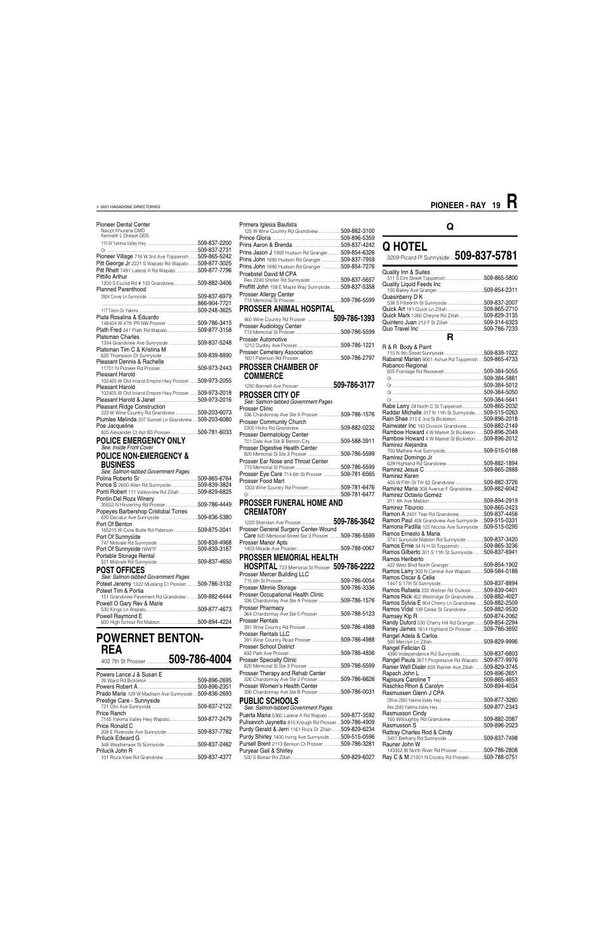| <b>Pioneer Dental Center</b>                                                                       |  |
|----------------------------------------------------------------------------------------------------|--|
| Navjot Khurana DMD<br>Kenneth L Drewel DDS                                                         |  |
|                                                                                                    |  |
|                                                                                                    |  |
| Pioneer Village 718 W 3rd Ave Toppenish 509-865-5242                                               |  |
| Pitt George Jr 2221 S Wapato Rd Wapato  509-877-3025                                               |  |
| Pitt Rhett 7491 Lateral A Rd Wapato 509-877-7796                                                   |  |
| Pittillo Arthur<br>1200 S Euclid Rd # 103 Grandview509-882-3406                                    |  |
| <b>Planned Parenthood</b>                                                                          |  |
|                                                                                                    |  |
|                                                                                                    |  |
|                                                                                                    |  |
| Plata Rosalina & Eduardo                                                                           |  |
| 148404 W 47th PR NW Prosser 509-786-3415                                                           |  |
| Plath Fred 341 Plath Rd Wapato509-877-3158                                                         |  |
| <b>Platsman Charles</b>                                                                            |  |
| 1334 Grandview Ave Sunnyside 509-837-5248                                                          |  |
| Platsman Tim C & Kristina M<br>atsman Tim C & Rusuna ivi<br>620 Thompson Dr Sunnyside 509-839-8890 |  |
| Pleasant Dennis & Rachelle                                                                         |  |
|                                                                                                    |  |
| Pleasant Harold                                                                                    |  |
| 102405 W Old Inland Empire Hwy Prosser509-973-2055                                                 |  |
| Pleasant Harold                                                                                    |  |
| 102405 W Old Inland Empire Hwy Prosser 509-973-2018                                                |  |
| Pleasant Ridge Construction                                                                        |  |
| easain ringe Construction<br>223 W Wine Country Rd Grandview 509-203-6073                          |  |
| Plumlee Melinda 207 Sunset Ln Grandview 509-203-6080                                               |  |
|                                                                                                    |  |
| Poe Jacqueline                                                                                     |  |
| 825 Alexander Ct Apt B3 Prosser 509-781-6033                                                       |  |
| <b>POLICE EMERGENCY ONLY</b>                                                                       |  |
| See: Inside Front Cover                                                                            |  |
| <b>POLICE NON-EMERGENCY &amp;</b>                                                                  |  |
|                                                                                                    |  |
| <b>BUSINESS</b><br>See: Salmon-tabbed Government Pages                                             |  |
|                                                                                                    |  |
| Ponce S 2600 Allen Rd Sunnyside  509-839-3824                                                      |  |
| Ponti Robert 111 Valleyview Rd Zillah 509-829-6825                                                 |  |
| Pontin Del Roza Winery                                                                             |  |
| 35502 N Hinzerling Rd Prosser509-786-4449                                                          |  |
|                                                                                                    |  |
| Popeyes Barbershop Cristobal Torres<br>620 Decatur Ave Sunnyside 509-836-5380                      |  |
| Port Of Benton                                                                                     |  |
| 165215 W Crow Butte Rd Paterson 509-875-2041<br>Port Of Sunnyside                                  |  |
|                                                                                                    |  |
|                                                                                                    |  |
| Portable Storage Rental                                                                            |  |
|                                                                                                    |  |
| <b>POST OFFICES</b>                                                                                |  |
| See: Salmon-tabbed Government Pages                                                                |  |
| Poteet Jeremy 1322 Mustang Ct Prosser  509-786-3132                                                |  |
| Poteet Tim & Portia<br>151 Grandview Pavement Rd Grandview  509-882-6444                           |  |
| Powell O Gary Rev & Marie                                                                          |  |
|                                                                                                    |  |
| Powell Raymond E                                                                                   |  |

### **POWERNET BENTON-REA**

| Powers Lance J & Susan E |            |
|--------------------------|------------|
|                          |            |
| $Dayawa Daha+1$          | EDD DDC OC |

#### **Q HOTEL** 3209 Picard Pl Sunnyside ....**509-837-5781** Quality Inn & Suites 511 S Elm Street Toppenish....................................509-865-5800 Quality Liquid Feeds Inc 100 Bailey Ave Granger ..........................................509-854-2311 Quesinberry D K 538 S Fifteenth St Sunnyside..................................509-837-2007 Quick Art 181 Quick Ln Zillah... Quick Mark 1280 Cheyne Rd Zillah ......................509-829-3135 Quintero Juan 212 F St Zillah ................................509-314-6323 Quo Travel Inc **R R & R Body & Paint**<br>115 N 9th Street Sunnyside .................................509-839-1022 Rabanal Marian 9061 Ashue Rd Toppenish ....509-865-4733 Rabanco Regional 605 Frontage Rd Roosevelt ....................................509-384-5055 Or ....................................................................................509-384-5881 Or ....................................................................................509-384-5012 Or ....................................................................................509-384-5050 Or ....................................................................................509-384-5641 Rabe Larry 24 North C St Toppenish....................509-865-2032 Raddar Michelle 317 N 11th St Sunnyside........509-515-0263 Rain Shae 210 E 3rd St Bickleton..........................509-896-2018 Rainwater Inc 143 Division Grandview...............509-882-2149<br>Rambow Howard 4 W Market St Bickleton ......509-896-2049 Rambow Howard 4 W Market St Bickleton ......509-896-2049<br>Rambow Howard 4 W Market St Bickleton ......509-896-2012 Rambow Howard 4 W Market St Bickleton Ramirez Alejandra 700 Mathew Ave Sunnyside....................................509-515-0188 Ramirez Domingo Jr 629 Highland Rd Grandview ..................................509-882-1894 Ramirez Jesus C ......................................................509-865-2888 Ramirez Karen 400 W Fifth St Trlr 62 Grandview ..........................509-882-3726 Ramirez Maria 308 Avenue F Grandview ... Ramirez Octavio Gomez 311 4th Ave Mabton ..................................................509-894-2919 Ramirez Tiburcio ......................................................509-865-2423 Ramon A 2401 Tear Rd Grandview ......................509-837-4456<br>Ramon Paul 408 Grandview Ave Sunnyside ....509-515-0331 Ramon Paul 408 Grandview Ave Sunnyside ....509-515-0331<br>Ramona Padilla 125 Nicolai Ave Sunnyside ....509-515-0295 Ramona Padilla 125 Nicolai Ave Sunnyside Ramos Ernesto & Maria 3741 Sunyside Mabton Rd Sunnyside ................509-837-3420 Ramos Gilberto 301 S 11th St Sunnyside...

Primera Iglesia Bautista

125 W Wine Country Rd Grandview ....................509-882-3100

Dr.509-896-5359<br>.509-837-4242

|                                                     | 509-837-4242 |
|-----------------------------------------------------|--------------|
| Prins Jason J 1900 Hudson Rd Granger                | 509-854-6326 |
| Prins John 1690 Hudson Rd Granger                   | 509-837-7959 |
| Prins John 1690 Hudson Rd Granger                   | 509-854-7276 |
| Proebstel David M CPA                               |              |
| Res 2240 Sheller Rd Sunnyside                       | 509-837-5657 |
| Proffitt John 108 E Maple Way Sunnyside509-837-5358 |              |
| Prosser Allergy Center                              |              |
|                                                     | 509-786-5599 |
| <b>PROSSER ANIMAL HOSPITAL</b>                      |              |

| 460 Wine Country Rd Prosser         | 509-786-1393 |
|-------------------------------------|--------------|
| Prosser Audiology Center            | 509-786-5599 |
| Prosser Automotive                  | 509-786-1221 |
| <b>Prosser Cemetery Association</b> | 509-786-2797 |
| <b>PROSSER CHAMBER OF</b>           |              |
| <b>COMMERCE</b>                     |              |
| 1230 Bennett Ave Prosser            | 509-786-3177 |

### **PROSSER CITY OF**

| See: Salmon-tabbed Government Pages              |               |
|--------------------------------------------------|---------------|
| Prosser Clinic                                   |               |
| 336 Chardonnay Ave Ste A Prosser                 | 509-786-1576  |
| <b>Prosser Community Church</b>                  |               |
|                                                  | 509-882-0232  |
| Prosser Dermatology Center                       |               |
| 701 Dale Ave Ste B Benton City                   | .509-588-3911 |
| <b>Prosser Digestive Health Center</b>           |               |
| 820 Memorial St Ste 3 Prosser                    | .509-786-5599 |
| Prosser Ear Nose and Throat Center               |               |
|                                                  | 509-786-5599  |
| Prosser Eye Care 714 6th St Prosser 509-781-6565 |               |
| Prosser Food Mart                                |               |
| 1303 Wine Country Rd Prosser                     | 509-781-6476  |
|                                                  | 509-781-6477  |
|                                                  |               |

Ramos Ernie 34 N H St Toppenish ..........................509-865-3236<br>Ramos Gilberto 301 S 11th St Sunnyside ..........509-837-6941 Ramos Heriberto 422 West Blvd North Granger................................509-854-1902 Ramos Larry 300 N Central Ave Wapato............509-584-0188 Ramos Oscar & Celia 1447 S 17th St Sunnyside........................................509-837-8894 Ramos Rafaela 200 Wellner Rd Outlook............509-839-0401<br>Ramos Rick 402 Westridge Dr Grandview ........509-882-4027 Ramos Rick 402 Westridge Dr Grandview ... Ramos Sylvia E 904 Cherry Ln Grandview ......509-882-2509 Ramos Vidal 109 Cedar St Grandview................509-882-9530 Ramsey Kip R ............................................................509-874-2062 Randy Duford 530 Cherry Hill Rd Granger ........509-854-2294<br>Raney James 1814 Highland Dr Prosser ..........509-786-3692 Raney James 1814 Highland Dr Prosser ..........509-786-3692 Rangel Adela & Carlos 500 Merclyn Ln Zillah................................................509-829-9996 Rangel Felician G

#### **PROSSER FUNERAL HOME AND CREMATORY**

| <b>UNCIVIAIUNI</b>                                                       |               |
|--------------------------------------------------------------------------|---------------|
|                                                                          |               |
| Prosser General Surgery Center-Wound                                     |               |
| Care 820 Memorial Street Ste 3 Prosser 509-786-5599                      |               |
| Prosser Manor Apts                                                       |               |
|                                                                          | 509-788-0067  |
| PROSSER MEMORIAL HEALTH                                                  |               |
| <b>HOSPITAL</b> 723 Memorial St Prosser <b>509-786-2222</b>              |               |
| Prosser Mercer Building LLC                                              |               |
|                                                                          |               |
|                                                                          |               |
| <b>Prosser Occupational Health Clinic</b>                                |               |
| 336 Chardonnay Ave Ste A Prosser 509-786-1576                            |               |
| <b>Prosser Pharmacy</b>                                                  |               |
| 364 Chardonnay Ave Ste 5 Prosser 509-788-5123                            |               |
| <b>Prosser Rentals</b>                                                   |               |
|                                                                          |               |
| <b>Prosser Rentals LLC</b><br>391 Wine Country Road Prosser 509-786-4988 |               |
| <b>Prosser School District</b>                                           |               |
|                                                                          | 509-786-4856  |
| <b>Prosser Specialty Clinic</b>                                          |               |
|                                                                          | .509-786-5599 |
| Prosser Therapy and Rehab Center                                         |               |
| 326 Chardonnay Ave Ste 2 Prosser 509-786-6626                            |               |
| Prosser Women's Health Center                                            |               |

| KEA<br>509-786-4004<br>402 7th St Prosser.   |               | , ivaaci ochool Dialiict<br>.509-786-4856<br><b>Prosser Specialty Clinic</b><br>.509-786-5599           | nanger Felician G<br>.509-837-6803<br>4390 Independence Rd Sunnyside<br>.509-877-9976<br>Rangel Paula 3671 Progressive Rd Wapato<br>Ranier Well Dialer 605 Rainier Ave Zillah<br>.509-829-3745 |  |
|----------------------------------------------|---------------|---------------------------------------------------------------------------------------------------------|------------------------------------------------------------------------------------------------------------------------------------------------------------------------------------------------|--|
| Powers Lance J & Susan E                     | 509-896-2695  | Prosser Therapy and Rehab Center<br>509-786-6626<br>326 Chardonnay Ave Ste 2 Prosser.                   | 509-896-2651<br>.509-865-4653                                                                                                                                                                  |  |
|                                              | 509-896-2351  | Prosser Women's Health Center                                                                           | .509-894-4034                                                                                                                                                                                  |  |
| Prado Maria 129 W Madison Ave Sunnyside      | 509-836-2693  | .509-786-0031<br>336 Chardonnay Ave Ste B Prosser                                                       | Rasmussen Glenn J CPA                                                                                                                                                                          |  |
| Prestige Care - Sunnyside                    |               | PUBLIC SCHOOLS                                                                                          | .509-877-3260                                                                                                                                                                                  |  |
|                                              | .509-837-2122 | See: Salmon-tabbed Government Pages                                                                     | 509-877-2343                                                                                                                                                                                   |  |
| Price Ranch<br>7145 Yakima Valley Hwy Wapato | 509-877-2479  | .509-877-3592<br>Puerta Maria 5360 Lateral A Rd Wapato<br>.509-786-4909                                 | Rasmusson Cindy<br>.509-882-2087                                                                                                                                                               |  |
| Price Ronald C                               |               | Pulisevich Jaynetta 810 Krough Rd Prosser.<br>Purdy Gerald & Jerri 1161 Roza Dr Zillah<br>.509-829-6234 | .509-896-2023                                                                                                                                                                                  |  |
| <b>Prilucik Edward G</b>                     | .509-837-7782 | Purdy Shirley 1400 Irving Ave Sunnyside<br>.509-515-0596                                                | Rattray Charles Rod & Cindy<br>.509-837-7498                                                                                                                                                   |  |
|                                              | 509-837-2462  | Pursell Brent 2113 Benson Ct Prosser<br>.509-786-3281                                                   | Rauner John W                                                                                                                                                                                  |  |
| Prilucik John R                              |               | Puryear Gail & Shirley                                                                                  | .509-786-2808                                                                                                                                                                                  |  |
|                                              |               | .509-829-6027                                                                                           | Ray C & M 21301 N Crosby Rd Prosser<br>509-788-0751                                                                                                                                            |  |

### **Q**

### **PIONEER - RAY 19 R**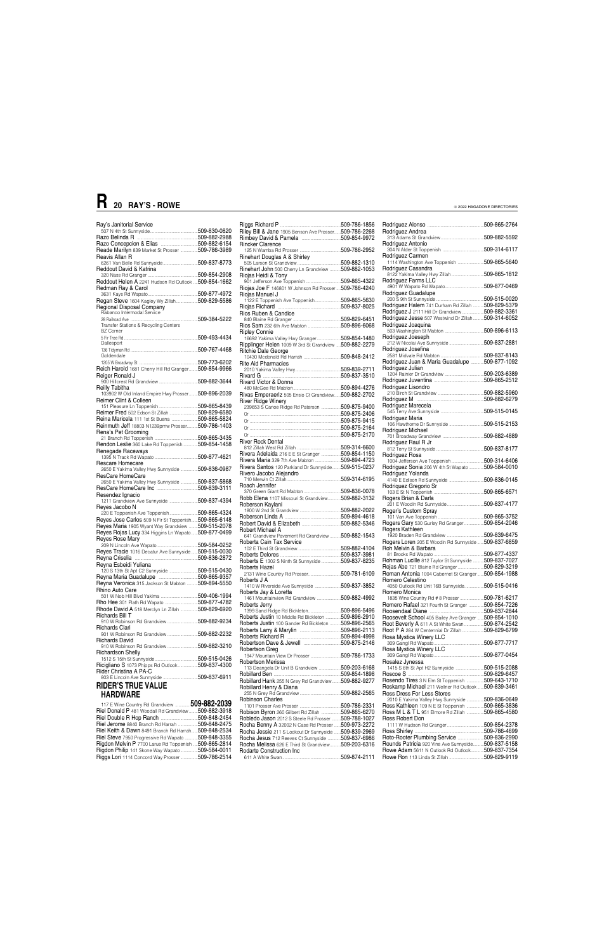| Ray's Janitorial Service                                              |  |
|-----------------------------------------------------------------------|--|
|                                                                       |  |
|                                                                       |  |
| Reade Marilyn 839 Market St Prosser  509-786-3989                     |  |
| Reavis Allan R                                                        |  |
|                                                                       |  |
| Reddout David & Katrina                                               |  |
| Reddout Helen A 2241 Hudson Rd Outlook  509-854-1662                  |  |
| Redman Ray & Carol                                                    |  |
|                                                                       |  |
| Regan Steve 1604 Kagley Wy Zillah509-829-5586                         |  |
| Regional Disposal Company<br>Rabanco Intermodal Service               |  |
|                                                                       |  |
| Transfer Stations & Recycling Centers                                 |  |
| <b>BZ Corner</b>                                                      |  |
|                                                                       |  |
| Dallesport                                                            |  |
|                                                                       |  |
| Goldendale                                                            |  |
| Reich Harold 1681 Cherry Hill Rd Granger 509-854-9966                 |  |
| Reiger Ronald J                                                       |  |
|                                                                       |  |
| Reilly Tabitha                                                        |  |
| 103902 W Old Inland Empire Hwy Prosser 509-896-2039                   |  |
| Reimer Clint & Colleen                                                |  |
| Reimer Fred 502 Edson St Zillah 509-829-6580                          |  |
| Reina Maricela 111 1st St Buena 509-865-5824                          |  |
| Reinmuth Jeff 18803 N1239prnw Prosser 509-786-1403                    |  |
| Rena's Pet Grooming                                                   |  |
|                                                                       |  |
| Rendon Leslie 360 Lake Rd Toppenish 509-854-1458                      |  |
| Renegade Raceways                                                     |  |
| Rescare Homecare                                                      |  |
| 2650 E Yakima Valley Hwy Sunnyside 509-836-0987                       |  |
| ResCare HomeCare                                                      |  |
| 2650 E Yakima Valley Hwy Sunnyside  509-837-5868                      |  |
| Resendez Ignacio                                                      |  |
| 1211 Grandview Ave Sunnyside 509-837-4394                             |  |
| Reves Jacobo N                                                        |  |
| 220 E Toppenish Ave Toppenish 509-865-4324                            |  |
| Reyes Jose Carlos 509 N Fir St Toppenish 509-865-6148                 |  |
| Reyes Maria 1905 Wyant Way Grandview  509-515-2078                    |  |
| Reyes Rojas Lucy 334 Higgins Ln Wapato509-877-0499<br>Reves Rose Mary |  |
|                                                                       |  |
| Reyes Tracie 1016 Decatur Ave Sunnyside509-515-0030                   |  |
| Reyna Criselia ……………………………………………509-836-2872                          |  |
| Reyna Esbeidi Yuliana                                                 |  |
|                                                                       |  |
| Reyna Veronica 315 Jackson St Mabton  509-894-5550                    |  |
| Rhino Auto Care                                                       |  |
|                                                                       |  |
|                                                                       |  |
| Rhode David A 518 Merclyn Ln Zillah  509-829-6920                     |  |
| Richards Bill T                                                       |  |
| Richards Clari                                                        |  |
| 901 W Robinson Rd Grandview  509-882-2232                             |  |
| <b>Richards David</b>                                                 |  |
|                                                                       |  |
| Richardson Shelly                                                     |  |
|                                                                       |  |
| Ricigliano S 1073 Phipps Rd Outlook 509-837-4300                      |  |
| Rider Christina A PA-C                                                |  |
| <b>RIDER'S TRUE VALUE</b>                                             |  |
|                                                                       |  |
| <b>HARDWARE</b>                                                       |  |

| <b>Rincker Clarence</b>                                             |  |
|---------------------------------------------------------------------|--|
|                                                                     |  |
|                                                                     |  |
| Rinehart Douglas A & Shirley                                        |  |
| 509-882-1310                                                        |  |
|                                                                     |  |
| Rinehart John 500 Cherry Ln Grandview 509-882-1053                  |  |
|                                                                     |  |
| Riojas Heidi & Tony                                                 |  |
| iojas Tielur & Torry<br>901 Jefferson Ave Toppenish 509-865-4322    |  |
|                                                                     |  |
| Riojas Joe F 146801 W Johnson Rd Prosser  509-786-4240              |  |
| Riojas Manuel J                                                     |  |
|                                                                     |  |
| 1122 E Toppenish Ave Toppenish509-865-5630                          |  |
|                                                                     |  |
|                                                                     |  |
| Rios Ruben & Candice                                                |  |
|                                                                     |  |
|                                                                     |  |
|                                                                     |  |
|                                                                     |  |
| <b>Ripley Connie</b>                                                |  |
| 16692 Yakima Valley Hwy Granger509-854-1480                         |  |
|                                                                     |  |
| Ripplinger Helen 1009 W 3rd St Grandview 509-882-2279               |  |
| Ritchie Dale George                                                 |  |
|                                                                     |  |
|                                                                     |  |
| <b>Rite Aid Pharmacies</b>                                          |  |
|                                                                     |  |
|                                                                     |  |
|                                                                     |  |
|                                                                     |  |
| <b>Rivard Victor &amp; Donna</b>                                    |  |
|                                                                     |  |
|                                                                     |  |
| Rivas Emperaeriz 505 Ensio Ct Grandview509-882-2702                 |  |
|                                                                     |  |
| River Ridge Winery<br>239653 S Canoe Ridge Rd Paterson 509-875-9400 |  |
|                                                                     |  |
|                                                                     |  |
|                                                                     |  |
|                                                                     |  |
|                                                                     |  |
|                                                                     |  |
|                                                                     |  |
|                                                                     |  |
|                                                                     |  |
| River Rock Dental                                                   |  |
|                                                                     |  |
|                                                                     |  |
| Rivera Adelaida 216 E E St Granger 509-854-1150                     |  |
|                                                                     |  |
|                                                                     |  |
| Rivera Maria 329 7th Ave Mabton 509-894-4723                        |  |
|                                                                     |  |
| Rivera Santos 120 Parkland Dr Sunnyside 509-515-0237                |  |
|                                                                     |  |
| Rivero Jacobo Alejandro                                             |  |
|                                                                     |  |
| Roach Jennifer                                                      |  |
|                                                                     |  |
|                                                                     |  |
|                                                                     |  |
| Robb Elena 1107 Missouri St Grandview509-882-3132                   |  |
| Roberson Kaylani                                                    |  |
|                                                                     |  |
|                                                                     |  |
|                                                                     |  |
|                                                                     |  |
|                                                                     |  |
| Robert Michael A                                                    |  |
|                                                                     |  |
| 641 Grandview Pavement Rd Grandview  509-882-1543                   |  |
| Roberta Cain Tax Service                                            |  |
|                                                                     |  |
|                                                                     |  |
|                                                                     |  |
|                                                                     |  |
| Roberts E 1302 S Ninth St Sunnyside 509-837-8235                    |  |
|                                                                     |  |
| Roberts Hazel                                                       |  |
| 2131 Wine Country Rd Prosser509-781-6109                            |  |
|                                                                     |  |
| Roberts J A                                                         |  |
| 1410 W Riverside Ave Sunnyside 509-837-3852                         |  |
|                                                                     |  |
| Roberts Jay & Loretta                                               |  |
| 1461 Mountainview Rd Grandview 509-882-4992                         |  |
|                                                                     |  |
| Roberts Jerry                                                       |  |
|                                                                     |  |
| 1399 Sand Ridge Rd Bickleton509-896-5496                            |  |
| Roberts Justin 10 Middle Rd Bickleton 509-896-2910                  |  |
|                                                                     |  |
| Roberts Justin 100 Gander Rd Bickleton  509-896-2565                |  |
|                                                                     |  |
|                                                                     |  |
|                                                                     |  |
|                                                                     |  |
|                                                                     |  |
| Robertson Greg                                                      |  |
|                                                                     |  |
| 1947 Mountain View Dr Prosser 509-786-1733                          |  |
| Robertson Merissa                                                   |  |
|                                                                     |  |
| 113 Deangela Dr Unit B Grandview 509-203-6168                       |  |
|                                                                     |  |
|                                                                     |  |
| Robillard Hank 255 N Grey Rd Grandview509-882-9277                  |  |
| Robillard Henry & Diana                                             |  |
|                                                                     |  |

Robinson Charles

| <b>Robinson Charles</b>                                 | .509-836-0649<br>2010 E Yakima Valley Hwy Sunnyside  |
|---------------------------------------------------------|------------------------------------------------------|
| 509-786-2331                                            | Ross Kathleen 109 N E St Toppenish                   |
|                                                         | .509-865-3836                                        |
| Robison Byron 260 Gilbert Rd Zillah                     | <b>Ross M L &amp; T L 951 Elmore Rd Zillah </b>      |
| .509-865-6270                                           | .509-865-4580                                        |
| Robledo Jason 2012 S Steele Rd Prosser<br>.509-788-1027 | Ross Robert Don                                      |
| Rocha Benny A 32002 N Case Rd Prosser                   | 509-854-2378                                         |
| 509-973-2272                                            | 1111 W Hudson Rd Granger                             |
| Rocha Jessie 211 S Lookout Dr Sunnyside  509-839-2969   | .509-786-4699                                        |
| <b>Rocha Jesus</b> 712 Reeves Ct Sunnyside              | Roto-Rooter Plumbing Service                         |
| .509-837-6986                                           | .509-836-2990                                        |
| Rocha Melissa 626 E Third St Grandview                  | Rounds Patricia 920 Vine Ave Sunnyside               |
| .509-203-6316                                           | 509-837-5158                                         |
| <b>Rodarte Construction Inc.</b>                        | Rowe Adam 5611 N Outlook Rd Outlook<br>.509-837-7354 |
| .509-874-2111                                           | .509-829-9119                                        |
|                                                         |                                                      |
|                                                         |                                                      |

Rodriguez Alonso ....................................................509-865-2764 Rodriguez Andrea 313 Adams St Grandview........................................509-882-5592 Rodriguez Antonio 304 N Alder St Toppenish ......................................509-314-6117 Rodriguez Carmen 1114 Washington Ave Toppenish ........................509-865-5640 Rodriguez Casandra 8122 Yakima Valley Hwy Zillah ..............................509-865-1812 Rodriguez Farms LLC 4901 W Wapato Rd Wapato....................................509-877-0469 Rodriguez Guadalupe 200 S 9th St Sunnyside ............................................509-515-0020 Rodriguez Halem 741 Durham Rd Zillah .........509-829-5379<br>Rodriguez J 2111 Hill Dr Grandview ...................509-882-3361 Rodriguez J 2111 Hill Dr Grandview ....................509-882-3361 Rodriguez Jesse 507 Westwind Dr Zillah..........509-314-6052 Rodriguez Joaquina 503 Washington St Mabton ....................................509-896-6113 **Rodriguez Joeseph**<br>212 W Nicolai Ave Sunnyside ..............................5**09-837-2881** Rodriguez Josefina 2581 Midvale Rd Mabton ........................................509-837-8143 Rodriguez Juan & Maria Guadalupe Rodriguez Julian 1204 Rainier Dr Grandview ....................................509-203-6389 Rodriguez Juventina Rodriguez Lisondro 210 Birch St Grandview ..........................................509-882-5960 B09-882-6279 Rodriguez Marecela 545 Terry Ave Sunnyside ........................................509-515-0145 Rodriguez Maria 106 Hawthorne Dr Sunnyside ................................509-515-2153 Rodriguez Michael 701 Broadway Grandview ......................................509-882-4889 Rodriguez Raul R Jr 812 Terry St Sunnyside ............................................509-837-8177 Rodriguez Rosa 1004 Jefferson Ave Toppenish ..............................509-314-6406 Rodriguez Sonia 206 W 4th St Wapato ..............509-584-0010 Rodriguez Yolanda 4140 E Edison Rd Sunnyside ................................509-836-0145 Rodriquez Gregorio Sr 103 E St N Toppenish ..............................................509-865-6571 Rogers Brian & Darla 201 E Woodin Rd Sunnyside..................................509-837-4177 Roger's Custom Spray 101 Van Ave Toppenish ..........................................509-865-3752 Rogers Gary 530 Gurley Rd Granger ..................509-854-2046 Rogers Kathleen 1920 Braden Rd Grandview ..................................509-839-6475 Rogers Loren 205 E Woodin Rd Sunnyside ...... 509-837-6859 Roh Melvin & Barbara 81 Brooks Rd Wapato ..............................................509-877-4337 Rohman Lucille 812 Taylor St Sunnyside ..........509-837-7027 Rojas Abe 721 Blaine Rd Granger ........................509-829-3219 Roman Antonia 1004 Cabernet St Granger Romero Celestino 4050 Outlook Rd Unit 16B Sunnyside..................509-515-0416 Romero Monica 1835 Wine Country Rd # 8 Prosser ......................509-781-6217<br>1835 Wine Country Rd # 8 Prosser ...............509-854-7226 Romero Rafael 321 Fourth St Granger ..............509-854-7226 Roosendaal Diane ..................................................509-837-2844 Roosevelt School 405 Bailey Ave Granger Root Beverly A 611 A St White Swan ..................509-874-2542<br>Root P A 284 W Centennial Dr Zillah ...................509-829-6799 Root P A 284 W Centennial Dr Zillah Rosa Mystica Winery LLC 309 Gangl Rd Wapato..............................................509-877-7717 Rosa Mystica Winery LLC 309 Gangl Rd Wapato..............................................509-877-0454 Rosalez Jynessa 1415 S 6th St Apt H2 Sunnyside ..........................509-515-2088 Roscoe S ......................................................................509-829-6457 Rosendo Tires 3 N Elm St Toppenish ................509-643-1710 Roskamp Michael 211 Wellner Rd Outlook ......509-839-3461 Ross Dress For Less Stores

### **R 20 RAY'S - ROWE**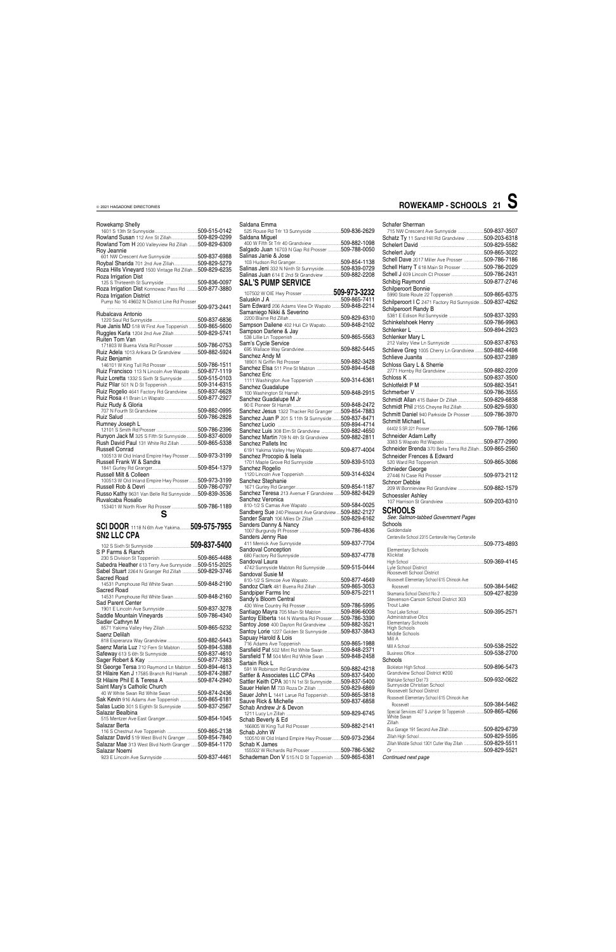### Rowekamp Shelly 1601 S 13th St Sunnyside........................................509-515-0142

| Rowland Susan 112 Ann St Zillah509-829-0299                                                                          | ξ               |
|----------------------------------------------------------------------------------------------------------------------|-----------------|
| Rowland Tom H 200 Valleyview Rd Zillah  509-829-6309                                                                 |                 |
| Roy Jeannie<br>601 NW Crescent Ave Sunnyside 509-837-6988                                                            | $\tilde{\zeta}$ |
| Roybal Sharida 701 2nd Ave Zillah509-829-5279                                                                        |                 |
| Roza Hills Vineyard 1500 Vintage Rd Zillah  509-829-6235                                                             | $\tilde{\zeta}$ |
| Roza Irrigation Dist                                                                                                 |                 |
| 125 S Thirteenth St Sunnyside 509-836-0097                                                                           | $\ddot{\bm{z}}$ |
| Roza Irrigation Dist Konnowac Pass Rd  509-877-3880                                                                  |                 |
| Roza Irrigation District<br>Pump No 16 49602 N District Line Rd Prosser                                              | ξ               |
|                                                                                                                      | $\tilde{\zeta}$ |
| Rubalcava Antonio                                                                                                    |                 |
|                                                                                                                      | ξ               |
| Rue Janis MD 518 W First Ave Toppenish 509-865-5600<br>Ruggles Karla 1204 2nd Ave Zillah509-829-5741                 |                 |
| Ruiten Tom Van                                                                                                       |                 |
| 171803 W Buena Vista Rd Prosser 509-786-0753                                                                         | ξ               |
| Ruiz Adela 1013 Arikara Dr Grandview 509-882-5924                                                                    | ξ               |
| Ruiz Benjamin                                                                                                        |                 |
|                                                                                                                      | ξ               |
| Ruiz Francisco 113 N Lincoln Ave Wapato  509-877-1119<br><b>Ruiz Loretta</b> 1332 S Sixth St Sunnyside  509-515-0103 | Ś               |
| Ruiz Pilar 501 N D St Toppenish509-314-6315                                                                          |                 |
| Ruiz Rogelio 4641 Factory Rd Grandview 509-837-6628                                                                  | ξ               |
| Ruiz Rosa 41 Brain Ln Wapato 509-877-2927                                                                            | ξ               |
| Ruiz Rudy & Gloria                                                                                                   |                 |
|                                                                                                                      | ξ               |
| Rumney Joseph L                                                                                                      | י יי יי יי י    |
|                                                                                                                      |                 |
| Runyon Jack M 325 S Fifth St Sunnyside  509-837-6009                                                                 |                 |
| Rush David Paul 131 White Rd Zillah 509-865-5338                                                                     | Ś               |
| Russell Conrad                                                                                                       |                 |
| 100513 W Old Inland Empire Hwy Prosser 509-973-3199                                                                  | ξ               |
| Russell Frank W & Sandra                                                                                             | ξ               |
| Russell Milt & Colleen                                                                                               |                 |
| 100513 W Old Inland Empire Hwy Prosser 509-973-3199                                                                  | ξ               |
|                                                                                                                      |                 |
| Russo Kathy 9631 Van Belle Rd Sunnyside  509-839-3536                                                                |                 |
|                                                                                                                      | ξ               |
| Ruvalcaba Rosalio                                                                                                    | ξ               |
| 153401 W North River Rd Prosser 509-786-1189                                                                         |                 |
| S                                                                                                                    |                 |
| <b>SCI DOOR</b> 1118 N 6th Ave Yakima <b>509-575-7955</b>                                                            | 550             |
| <b>SN2 LLC CPA</b>                                                                                                   |                 |
|                                                                                                                      | ξ               |
| S P Farms & Ranch                                                                                                    | ξ               |
|                                                                                                                      |                 |
| Sabedra Heather 613 Terry Ave Sunnyside  509-515-2025                                                                | ξ               |
| Sabel Stuart 2264 N Granger Rd Zillah 509-829-3746                                                                   | ξ               |
| Sacred Road                                                                                                          |                 |
| 14531 Pumphouse Rd White Swan 509-848-2190<br>Sacred Road                                                            |                 |
| 14531 Pumphouse Rd White Swan 509-848-2160                                                                           | ξ<br>ξ          |
| Sad Parent Center                                                                                                    |                 |
| 1901 E Lincoln Ave Sunnyside 509-837-3278                                                                            | ξ               |
| Saddle Mountain Vineyards 509-786-4340                                                                               |                 |
| Sadler Cathryn M                                                                                                     |                 |
| Saenz Delilah                                                                                                        |                 |
| 818 Esperanza Way Grandview 509-882-5443                                                                             | :<br>ימי ימי ימ |
| Saenz Maria Luz 712 Fern St Mabton 509-894-5388                                                                      | ξ               |
| Safeway 613 S 6th St Sunnyside509-837-4610                                                                           | Ś               |
|                                                                                                                      | ξ               |
| St George Tersa 310 Raymond Ln Mabton 509-894-4613<br>St Hilaire Ken J 17585 Branch Rd Harrah  509-874-2887          |                 |
| St Hilaire Phil E & Teresa A 509-874-2940                                                                            | ξ               |
| Saint Mary's Catholic Church                                                                                         |                 |
|                                                                                                                      |                 |
| Sak Kevin 916 Adams Ave Toppenish  509-865-6181                                                                      | <b>SSSSSSS</b>  |
| Salas Lucio 301 S Eighth St Sunnyside  509-837-2567<br>Salazar Bealbina                                              | Ś               |
| 515 Mentzer Ave East Granger509-854-1045                                                                             | S               |
| Salazar Berta                                                                                                        |                 |
| 116 S Chestnut Ave Toppenish 509-865-2138                                                                            | ξ               |
| Salazar David 519 West Blvd N Granger 509-854-7840                                                                   |                 |
| Salazar Mae 313 West Blvd North Granger  509-854-1170<br>Salazar Noemi                                               | ξ<br>Ś          |

| Saldana Emma                          |                |
|---------------------------------------|----------------|
|                                       | 509-836-2629   |
| Saldana Miguel                        | 509-882-1098   |
| Salgado Juan 16703 N Gap Rd Prosser   | 509-788-0050   |
| Salinas Janie & Jose                  | 509-854-1138   |
| Salinas Jeni 332 N Ninth St Sunnyside | .509-839-0729  |
| Salinas Juan 614 E 2nd St Grandview   | 509-882-2208   |
| <b>SAL'S PUMP SERVICE</b>             |                |
|                                       | 509-973-3232   |
|                                       | 509-865-7411   |
|                                       | FAA A 10 AA 11 |

| <b>JAL J FUINF JENVIUE</b>                           |  |
|------------------------------------------------------|--|
| 107502 W OIE Hwy Prosser 509-973-3232                |  |
|                                                      |  |
| Sam Edward 206 Adams View Dr Wapato  509-848-2214    |  |
| Samaniego Nikki & Severino                           |  |
|                                                      |  |
| Sampson Dailene 402 Huli Cir Wapato509-848-2102      |  |
|                                                      |  |
|                                                      |  |
|                                                      |  |
|                                                      |  |
|                                                      |  |
| Sanchez Andy M                                       |  |
|                                                      |  |
| Sanchez Elsa 511 Pine St Mabton 509-894-4548         |  |
| Sanchez Eric                                         |  |
| 1111 Washington Ave Toppenish 509-314-6361           |  |
| Sanchez Guadalupe                                    |  |
|                                                      |  |
| Sanchez Guadalupe M Jr                               |  |
|                                                      |  |
| Sanchez Jesus 1322 Thacker Rd Granger  509-854-7883  |  |
| Sanchez Juan P 201 S 11th St Sunnyside  509-837-8471 |  |
|                                                      |  |
| Sanchez Luis 308 Elm St Grandview 509-882-4650       |  |
| Sanchez Martin 709 N 4th St Grandview  509-882-2811  |  |
| Sanchez Pallets Inc                                  |  |
| 6191 Yakima Valley Hwy Wapato509-877-4004            |  |
| Sanchez Procopio & Isela                             |  |
| 1701 Maple Grove Rd Sunnyside 509-839-5103           |  |
|                                                      |  |
| Sanchez Rogelio                                      |  |
|                                                      |  |
| Sanchez Stephanie                                    |  |
|                                                      |  |
| Sanchez Teresa 213 Avenue F Grandview  509-882-8429  |  |
| Sanchez Veronica                                     |  |
|                                                      |  |
| Sandberg Sue 240 Pleasant Ave Grandview509-882-2127  |  |
| Sander Sarah 106 Miles Dr Zillah 509-829-6162        |  |
| Sanders Danny & Nancy                                |  |
|                                                      |  |
| Sanders Jenny Rae                                    |  |
|                                                      |  |
| Sandoval Conception                                  |  |
|                                                      |  |
| Sandoval Laura                                       |  |
| 4742 Sunnyside Mabton Rd Sunnyside  509-515-0444     |  |
| Sandoval Susie M                                     |  |
|                                                      |  |
| Sandoz Clark 481 Buena Rd Zillah  509-865-3053       |  |
|                                                      |  |
| Sandy's Bloom Central                                |  |
|                                                      |  |
| Santiago Mayra 705 Main St Mabton 509-896-6008       |  |
| Santoy Eliberta 144 N Wamba Rd Prosser509-786-3390   |  |
| Santoy Jose 400 Dayton Rd Grandview  509-882-3521    |  |
| Santoy Lorie 1227 Golden St Sunnyside  509-837-3843  |  |
| Sapuay Harold & Lois                                 |  |
|                                                      |  |
| Sarsfield Pat 502 Mint Rd White Swan 509-848-2371    |  |
| Sarsfield T M 504 Mint Rd White Swan 509-848-2458    |  |
|                                                      |  |
| Sartain Rick L                                       |  |
| 591 W Robinson Rd Grandview 509-882-4218             |  |
| Sattler & Associates LLC CPAs 509-837-5400           |  |
| Sattler Keith CPA 301 N 1st St Sunnyside509-837-5400 |  |
| Sauer Helen M 733 Roza Dr Zillah 509-829-6869        |  |
| Sauer John L 1441 Larue Rd Toppenish509-865-3818     |  |
|                                                      |  |
| Schab Andrew Jr & Devon                              |  |
|                                                      |  |
| Schab Beverly & Ed                                   |  |
|                                                      |  |
| Schab John W                                         |  |
| 100510 W Old Inland Empire Hwy Prosser509-973-2364   |  |
| Schab K James                                        |  |
| 155502 W Richards Rd Prosser 509-786-5362            |  |
| Schademan Don V 515 N D St Toppenish  509-865-6381   |  |

| Scnarer Snerman                                                   |  |
|-------------------------------------------------------------------|--|
| 715 NW Crescent Ave Sunnyside 509-837-3507                        |  |
| Schatz Ty 11 Sand Hill Rd Grandview 509-203-6318                  |  |
|                                                                   |  |
|                                                                   |  |
| Schell Dave 2017 Miller Ave Prosser 509-786-7186                  |  |
| Schell Harry T 618 Main St Prosser 509-786-2029                   |  |
| Schell J 609 Lincoln Ct Prosser 509-786-2431                      |  |
|                                                                   |  |
|                                                                   |  |
| Schilperoort Bonnie<br>5990 State Route 22 Toppenish 509-865-6375 |  |
|                                                                   |  |
| Schilperoort I C 2471 Factory Rd Sunnyside509-837-4262            |  |
| Schilperoort Randy B                                              |  |
|                                                                   |  |
|                                                                   |  |
|                                                                   |  |
| Schlenker Mary L                                                  |  |
| 212 Valley View Ln Sunnyside 509-837-8763                         |  |
| Schlieve Greg 1005 Cherry Ln Grandview 509-882-4498               |  |
|                                                                   |  |
|                                                                   |  |
|                                                                   |  |
|                                                                   |  |
|                                                                   |  |
|                                                                   |  |
|                                                                   |  |
| Schmidt Allan 415 Baker Dr Zillah 509-829-6838                    |  |
| Schmidt Phil 2155 Cheyne Rd Zillah509-829-5930                    |  |
| Schmitt Daniel 940 Parkside Dr Prosser 509-786-3970               |  |
| Schmitt Michael L                                                 |  |
|                                                                   |  |
| Schneider Adam Lefty                                              |  |
|                                                                   |  |
| Schneider Brenda 370 Bella Terra Rd Zillah509-865-2560            |  |
|                                                                   |  |
|                                                                   |  |
| Schneider Frences & Edward                                        |  |
|                                                                   |  |
| Schnieder George                                                  |  |
|                                                                   |  |
| Schnorr Debbie                                                    |  |
| 209 W Bonnieview Rd Grandview 509-882-1579                        |  |
| Schoessler Ashlev                                                 |  |
|                                                                   |  |
| <b>SCHOOLS</b>                                                    |  |
| See: Salmon-tabbed Government Pages                               |  |
| Schools                                                           |  |
| Goldendale                                                        |  |
| Centerville School 2315 Centerville Hwy Centerville               |  |
|                                                                   |  |
| <b>Elementary Schools</b>                                         |  |
| Klickitat                                                         |  |
|                                                                   |  |
| Lyle School District                                              |  |
| Roosevelt School District                                         |  |
| Roosevelt Elementary School 615 Chinook Ave                       |  |
|                                                                   |  |
|                                                                   |  |
| Stevenson-Carson School District 303                              |  |
| Trout Lake                                                        |  |
|                                                                   |  |
| Administrative Ofcs                                               |  |
| <b>Elementary Schools</b><br><b>High Schools</b>                  |  |
| Middle Schools                                                    |  |
| Mill A                                                            |  |
|                                                                   |  |
|                                                                   |  |
|                                                                   |  |
| Schools                                                           |  |
|                                                                   |  |
|                                                                   |  |
| Sunnyside Christian School                                        |  |

| 509-384-5462                                                |
|-------------------------------------------------------------|
| Special Services 407 S Juniper St Toppenish 509-865-4266    |
| 509-829-6739                                                |
| 509-829-5595                                                |
| 509-829-5511<br>Zillah Middle School 1301 Cutler Way Zillah |
| 509-829-5521                                                |
|                                                             |
|                                                             |

| $ROWEKAMP - SCHOOLS 21  \bigcup$ |  |
|----------------------------------|--|
|                                  |  |

### Schafer Sh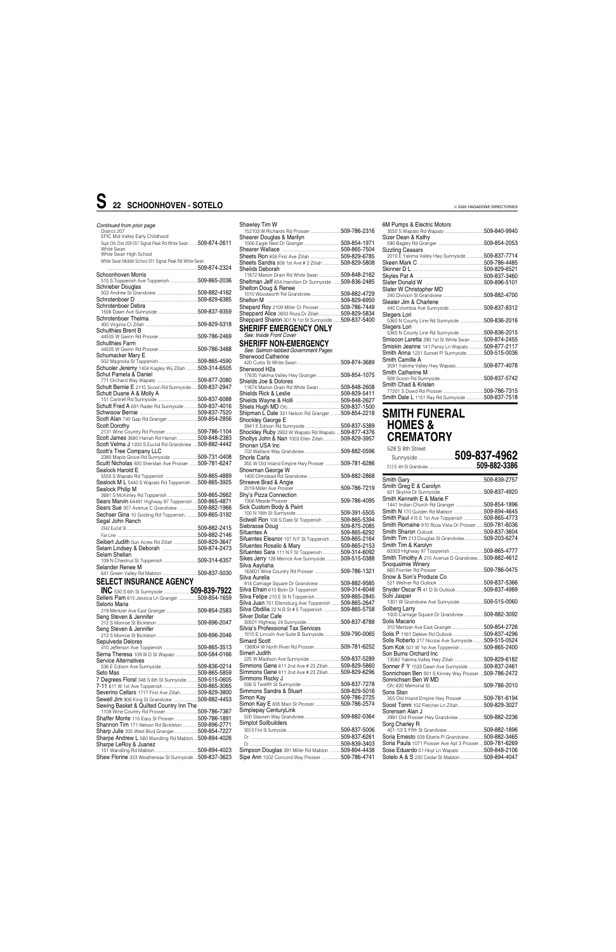### *Continued from prior page* District 207

| Supt Ofc Dist 209 551 Signal Peak Rd White Swan  509-874-2611<br>White Swan<br>White Swan High School<br>White Swan Middle School 551 Signal Peak Rd White Swan<br>Schoonhoven Morris<br>Schrieber Douglas<br>Schrotenboer Debra<br>Schrotenboer Thelma<br><b>Schulthies Brent B</b><br>Schulthies Farm<br>Schumacker Mary E<br>Schuoler Jeremy 1404 Kagley Wy Zillah 509-314-6505<br>Schut Pamela & Daniel<br>Schutt Bernie E 2115 Scoon Rd Sunnyside 509-837-2947<br>Schutt Duane A & Molly A<br>Schutt Fred A 691 Rader Rd Sunnyside  509-837-4016<br>Scott Alan 740 Gap Rd Granger509-854-2856<br><b>Scott Dorothy</b><br>2131 Wine Country Rd Prosser509-786-1104<br>Scott James 3680 Harrah Rd Harrah 509-848-2383<br>Scott Velma J 1200 S Euclid Rd Grandview  509-882-4442<br>Scott's Tree Company LLC<br>2380 Maple Grove Rd Sunnyside 509-731-0408<br>Scuitt Nicholas 920 Sheridan Ave Prosser 509-781-6247<br>Sealock Harold E<br>5550 S Wapato Rd Toppenish 509-865-4889<br>Sealock M L 5440 S Wapato Rd Toppenish  509-865-3925<br>Sealock Philip M<br>2681 S McKinley Rd Toppenish 509-865-2662<br>Sears Marvin 64491 Highway 97 Toppenish  509-865-4871<br>Sears Sue 307 Avenue C Grandview 509-882-1966<br>Sechser Gina 10 Golding Rd Toppenish509-865-3192<br>Segal John Ranch<br>Fax Line ………………………………………………………………509-882-2146<br><b>Seibert Judith</b> Sun Acres Rd Zillah 509-829-3647<br>Selam Lindsey & Deborah 509-874-2473<br>Selam Shelian<br>Selander Renee M<br><b>SELECT INSURANCE AGENCY</b><br><b>INC</b> 530 S 6th St Sunnyside 509-839-7922<br>Sellers Pam 615 Jessica Ln Granger 509-854-1659<br>Selorio Maria<br>Seng Steven & Jennifer<br>Seng Steven & Jennifer<br>Sepulveda Delores<br>Serna Theresa 109 W D St Wapato 509-584-0166<br><b>Service Alternatives</b><br>7 Degrees Floral 348 S 6th St Sunnyside  509-515-0605<br>Severino Cellars 1717 First Ave Zillah509-829-3800 | EPIC Mid Valley Early Childhood |  |
|------------------------------------------------------------------------------------------------------------------------------------------------------------------------------------------------------------------------------------------------------------------------------------------------------------------------------------------------------------------------------------------------------------------------------------------------------------------------------------------------------------------------------------------------------------------------------------------------------------------------------------------------------------------------------------------------------------------------------------------------------------------------------------------------------------------------------------------------------------------------------------------------------------------------------------------------------------------------------------------------------------------------------------------------------------------------------------------------------------------------------------------------------------------------------------------------------------------------------------------------------------------------------------------------------------------------------------------------------------------------------------------------------------------------------------------------------------------------------------------------------------------------------------------------------------------------------------------------------------------------------------------------------------------------------------------------------------------------------------------------------------------------------------------------------------------------------------------------------------------------------------------------------------------------|---------------------------------|--|
|                                                                                                                                                                                                                                                                                                                                                                                                                                                                                                                                                                                                                                                                                                                                                                                                                                                                                                                                                                                                                                                                                                                                                                                                                                                                                                                                                                                                                                                                                                                                                                                                                                                                                                                                                                                                                                                                                                                        |                                 |  |
|                                                                                                                                                                                                                                                                                                                                                                                                                                                                                                                                                                                                                                                                                                                                                                                                                                                                                                                                                                                                                                                                                                                                                                                                                                                                                                                                                                                                                                                                                                                                                                                                                                                                                                                                                                                                                                                                                                                        |                                 |  |
|                                                                                                                                                                                                                                                                                                                                                                                                                                                                                                                                                                                                                                                                                                                                                                                                                                                                                                                                                                                                                                                                                                                                                                                                                                                                                                                                                                                                                                                                                                                                                                                                                                                                                                                                                                                                                                                                                                                        |                                 |  |
|                                                                                                                                                                                                                                                                                                                                                                                                                                                                                                                                                                                                                                                                                                                                                                                                                                                                                                                                                                                                                                                                                                                                                                                                                                                                                                                                                                                                                                                                                                                                                                                                                                                                                                                                                                                                                                                                                                                        |                                 |  |
|                                                                                                                                                                                                                                                                                                                                                                                                                                                                                                                                                                                                                                                                                                                                                                                                                                                                                                                                                                                                                                                                                                                                                                                                                                                                                                                                                                                                                                                                                                                                                                                                                                                                                                                                                                                                                                                                                                                        |                                 |  |
|                                                                                                                                                                                                                                                                                                                                                                                                                                                                                                                                                                                                                                                                                                                                                                                                                                                                                                                                                                                                                                                                                                                                                                                                                                                                                                                                                                                                                                                                                                                                                                                                                                                                                                                                                                                                                                                                                                                        |                                 |  |
|                                                                                                                                                                                                                                                                                                                                                                                                                                                                                                                                                                                                                                                                                                                                                                                                                                                                                                                                                                                                                                                                                                                                                                                                                                                                                                                                                                                                                                                                                                                                                                                                                                                                                                                                                                                                                                                                                                                        |                                 |  |
|                                                                                                                                                                                                                                                                                                                                                                                                                                                                                                                                                                                                                                                                                                                                                                                                                                                                                                                                                                                                                                                                                                                                                                                                                                                                                                                                                                                                                                                                                                                                                                                                                                                                                                                                                                                                                                                                                                                        |                                 |  |
|                                                                                                                                                                                                                                                                                                                                                                                                                                                                                                                                                                                                                                                                                                                                                                                                                                                                                                                                                                                                                                                                                                                                                                                                                                                                                                                                                                                                                                                                                                                                                                                                                                                                                                                                                                                                                                                                                                                        |                                 |  |
|                                                                                                                                                                                                                                                                                                                                                                                                                                                                                                                                                                                                                                                                                                                                                                                                                                                                                                                                                                                                                                                                                                                                                                                                                                                                                                                                                                                                                                                                                                                                                                                                                                                                                                                                                                                                                                                                                                                        |                                 |  |
|                                                                                                                                                                                                                                                                                                                                                                                                                                                                                                                                                                                                                                                                                                                                                                                                                                                                                                                                                                                                                                                                                                                                                                                                                                                                                                                                                                                                                                                                                                                                                                                                                                                                                                                                                                                                                                                                                                                        |                                 |  |
|                                                                                                                                                                                                                                                                                                                                                                                                                                                                                                                                                                                                                                                                                                                                                                                                                                                                                                                                                                                                                                                                                                                                                                                                                                                                                                                                                                                                                                                                                                                                                                                                                                                                                                                                                                                                                                                                                                                        |                                 |  |
|                                                                                                                                                                                                                                                                                                                                                                                                                                                                                                                                                                                                                                                                                                                                                                                                                                                                                                                                                                                                                                                                                                                                                                                                                                                                                                                                                                                                                                                                                                                                                                                                                                                                                                                                                                                                                                                                                                                        |                                 |  |
|                                                                                                                                                                                                                                                                                                                                                                                                                                                                                                                                                                                                                                                                                                                                                                                                                                                                                                                                                                                                                                                                                                                                                                                                                                                                                                                                                                                                                                                                                                                                                                                                                                                                                                                                                                                                                                                                                                                        |                                 |  |
|                                                                                                                                                                                                                                                                                                                                                                                                                                                                                                                                                                                                                                                                                                                                                                                                                                                                                                                                                                                                                                                                                                                                                                                                                                                                                                                                                                                                                                                                                                                                                                                                                                                                                                                                                                                                                                                                                                                        |                                 |  |
|                                                                                                                                                                                                                                                                                                                                                                                                                                                                                                                                                                                                                                                                                                                                                                                                                                                                                                                                                                                                                                                                                                                                                                                                                                                                                                                                                                                                                                                                                                                                                                                                                                                                                                                                                                                                                                                                                                                        |                                 |  |
|                                                                                                                                                                                                                                                                                                                                                                                                                                                                                                                                                                                                                                                                                                                                                                                                                                                                                                                                                                                                                                                                                                                                                                                                                                                                                                                                                                                                                                                                                                                                                                                                                                                                                                                                                                                                                                                                                                                        |                                 |  |
|                                                                                                                                                                                                                                                                                                                                                                                                                                                                                                                                                                                                                                                                                                                                                                                                                                                                                                                                                                                                                                                                                                                                                                                                                                                                                                                                                                                                                                                                                                                                                                                                                                                                                                                                                                                                                                                                                                                        |                                 |  |
|                                                                                                                                                                                                                                                                                                                                                                                                                                                                                                                                                                                                                                                                                                                                                                                                                                                                                                                                                                                                                                                                                                                                                                                                                                                                                                                                                                                                                                                                                                                                                                                                                                                                                                                                                                                                                                                                                                                        |                                 |  |
|                                                                                                                                                                                                                                                                                                                                                                                                                                                                                                                                                                                                                                                                                                                                                                                                                                                                                                                                                                                                                                                                                                                                                                                                                                                                                                                                                                                                                                                                                                                                                                                                                                                                                                                                                                                                                                                                                                                        |                                 |  |
|                                                                                                                                                                                                                                                                                                                                                                                                                                                                                                                                                                                                                                                                                                                                                                                                                                                                                                                                                                                                                                                                                                                                                                                                                                                                                                                                                                                                                                                                                                                                                                                                                                                                                                                                                                                                                                                                                                                        |                                 |  |
|                                                                                                                                                                                                                                                                                                                                                                                                                                                                                                                                                                                                                                                                                                                                                                                                                                                                                                                                                                                                                                                                                                                                                                                                                                                                                                                                                                                                                                                                                                                                                                                                                                                                                                                                                                                                                                                                                                                        |                                 |  |
|                                                                                                                                                                                                                                                                                                                                                                                                                                                                                                                                                                                                                                                                                                                                                                                                                                                                                                                                                                                                                                                                                                                                                                                                                                                                                                                                                                                                                                                                                                                                                                                                                                                                                                                                                                                                                                                                                                                        |                                 |  |
|                                                                                                                                                                                                                                                                                                                                                                                                                                                                                                                                                                                                                                                                                                                                                                                                                                                                                                                                                                                                                                                                                                                                                                                                                                                                                                                                                                                                                                                                                                                                                                                                                                                                                                                                                                                                                                                                                                                        |                                 |  |
|                                                                                                                                                                                                                                                                                                                                                                                                                                                                                                                                                                                                                                                                                                                                                                                                                                                                                                                                                                                                                                                                                                                                                                                                                                                                                                                                                                                                                                                                                                                                                                                                                                                                                                                                                                                                                                                                                                                        |                                 |  |
|                                                                                                                                                                                                                                                                                                                                                                                                                                                                                                                                                                                                                                                                                                                                                                                                                                                                                                                                                                                                                                                                                                                                                                                                                                                                                                                                                                                                                                                                                                                                                                                                                                                                                                                                                                                                                                                                                                                        |                                 |  |
|                                                                                                                                                                                                                                                                                                                                                                                                                                                                                                                                                                                                                                                                                                                                                                                                                                                                                                                                                                                                                                                                                                                                                                                                                                                                                                                                                                                                                                                                                                                                                                                                                                                                                                                                                                                                                                                                                                                        |                                 |  |
|                                                                                                                                                                                                                                                                                                                                                                                                                                                                                                                                                                                                                                                                                                                                                                                                                                                                                                                                                                                                                                                                                                                                                                                                                                                                                                                                                                                                                                                                                                                                                                                                                                                                                                                                                                                                                                                                                                                        |                                 |  |
|                                                                                                                                                                                                                                                                                                                                                                                                                                                                                                                                                                                                                                                                                                                                                                                                                                                                                                                                                                                                                                                                                                                                                                                                                                                                                                                                                                                                                                                                                                                                                                                                                                                                                                                                                                                                                                                                                                                        |                                 |  |
|                                                                                                                                                                                                                                                                                                                                                                                                                                                                                                                                                                                                                                                                                                                                                                                                                                                                                                                                                                                                                                                                                                                                                                                                                                                                                                                                                                                                                                                                                                                                                                                                                                                                                                                                                                                                                                                                                                                        |                                 |  |
|                                                                                                                                                                                                                                                                                                                                                                                                                                                                                                                                                                                                                                                                                                                                                                                                                                                                                                                                                                                                                                                                                                                                                                                                                                                                                                                                                                                                                                                                                                                                                                                                                                                                                                                                                                                                                                                                                                                        |                                 |  |
|                                                                                                                                                                                                                                                                                                                                                                                                                                                                                                                                                                                                                                                                                                                                                                                                                                                                                                                                                                                                                                                                                                                                                                                                                                                                                                                                                                                                                                                                                                                                                                                                                                                                                                                                                                                                                                                                                                                        |                                 |  |
|                                                                                                                                                                                                                                                                                                                                                                                                                                                                                                                                                                                                                                                                                                                                                                                                                                                                                                                                                                                                                                                                                                                                                                                                                                                                                                                                                                                                                                                                                                                                                                                                                                                                                                                                                                                                                                                                                                                        |                                 |  |
|                                                                                                                                                                                                                                                                                                                                                                                                                                                                                                                                                                                                                                                                                                                                                                                                                                                                                                                                                                                                                                                                                                                                                                                                                                                                                                                                                                                                                                                                                                                                                                                                                                                                                                                                                                                                                                                                                                                        |                                 |  |
|                                                                                                                                                                                                                                                                                                                                                                                                                                                                                                                                                                                                                                                                                                                                                                                                                                                                                                                                                                                                                                                                                                                                                                                                                                                                                                                                                                                                                                                                                                                                                                                                                                                                                                                                                                                                                                                                                                                        |                                 |  |
|                                                                                                                                                                                                                                                                                                                                                                                                                                                                                                                                                                                                                                                                                                                                                                                                                                                                                                                                                                                                                                                                                                                                                                                                                                                                                                                                                                                                                                                                                                                                                                                                                                                                                                                                                                                                                                                                                                                        |                                 |  |
|                                                                                                                                                                                                                                                                                                                                                                                                                                                                                                                                                                                                                                                                                                                                                                                                                                                                                                                                                                                                                                                                                                                                                                                                                                                                                                                                                                                                                                                                                                                                                                                                                                                                                                                                                                                                                                                                                                                        |                                 |  |
|                                                                                                                                                                                                                                                                                                                                                                                                                                                                                                                                                                                                                                                                                                                                                                                                                                                                                                                                                                                                                                                                                                                                                                                                                                                                                                                                                                                                                                                                                                                                                                                                                                                                                                                                                                                                                                                                                                                        |                                 |  |
|                                                                                                                                                                                                                                                                                                                                                                                                                                                                                                                                                                                                                                                                                                                                                                                                                                                                                                                                                                                                                                                                                                                                                                                                                                                                                                                                                                                                                                                                                                                                                                                                                                                                                                                                                                                                                                                                                                                        |                                 |  |
|                                                                                                                                                                                                                                                                                                                                                                                                                                                                                                                                                                                                                                                                                                                                                                                                                                                                                                                                                                                                                                                                                                                                                                                                                                                                                                                                                                                                                                                                                                                                                                                                                                                                                                                                                                                                                                                                                                                        |                                 |  |
|                                                                                                                                                                                                                                                                                                                                                                                                                                                                                                                                                                                                                                                                                                                                                                                                                                                                                                                                                                                                                                                                                                                                                                                                                                                                                                                                                                                                                                                                                                                                                                                                                                                                                                                                                                                                                                                                                                                        |                                 |  |
|                                                                                                                                                                                                                                                                                                                                                                                                                                                                                                                                                                                                                                                                                                                                                                                                                                                                                                                                                                                                                                                                                                                                                                                                                                                                                                                                                                                                                                                                                                                                                                                                                                                                                                                                                                                                                                                                                                                        |                                 |  |
|                                                                                                                                                                                                                                                                                                                                                                                                                                                                                                                                                                                                                                                                                                                                                                                                                                                                                                                                                                                                                                                                                                                                                                                                                                                                                                                                                                                                                                                                                                                                                                                                                                                                                                                                                                                                                                                                                                                        |                                 |  |
|                                                                                                                                                                                                                                                                                                                                                                                                                                                                                                                                                                                                                                                                                                                                                                                                                                                                                                                                                                                                                                                                                                                                                                                                                                                                                                                                                                                                                                                                                                                                                                                                                                                                                                                                                                                                                                                                                                                        |                                 |  |
|                                                                                                                                                                                                                                                                                                                                                                                                                                                                                                                                                                                                                                                                                                                                                                                                                                                                                                                                                                                                                                                                                                                                                                                                                                                                                                                                                                                                                                                                                                                                                                                                                                                                                                                                                                                                                                                                                                                        |                                 |  |
|                                                                                                                                                                                                                                                                                                                                                                                                                                                                                                                                                                                                                                                                                                                                                                                                                                                                                                                                                                                                                                                                                                                                                                                                                                                                                                                                                                                                                                                                                                                                                                                                                                                                                                                                                                                                                                                                                                                        |                                 |  |
|                                                                                                                                                                                                                                                                                                                                                                                                                                                                                                                                                                                                                                                                                                                                                                                                                                                                                                                                                                                                                                                                                                                                                                                                                                                                                                                                                                                                                                                                                                                                                                                                                                                                                                                                                                                                                                                                                                                        |                                 |  |
|                                                                                                                                                                                                                                                                                                                                                                                                                                                                                                                                                                                                                                                                                                                                                                                                                                                                                                                                                                                                                                                                                                                                                                                                                                                                                                                                                                                                                                                                                                                                                                                                                                                                                                                                                                                                                                                                                                                        |                                 |  |
|                                                                                                                                                                                                                                                                                                                                                                                                                                                                                                                                                                                                                                                                                                                                                                                                                                                                                                                                                                                                                                                                                                                                                                                                                                                                                                                                                                                                                                                                                                                                                                                                                                                                                                                                                                                                                                                                                                                        |                                 |  |
|                                                                                                                                                                                                                                                                                                                                                                                                                                                                                                                                                                                                                                                                                                                                                                                                                                                                                                                                                                                                                                                                                                                                                                                                                                                                                                                                                                                                                                                                                                                                                                                                                                                                                                                                                                                                                                                                                                                        |                                 |  |
|                                                                                                                                                                                                                                                                                                                                                                                                                                                                                                                                                                                                                                                                                                                                                                                                                                                                                                                                                                                                                                                                                                                                                                                                                                                                                                                                                                                                                                                                                                                                                                                                                                                                                                                                                                                                                                                                                                                        |                                 |  |
|                                                                                                                                                                                                                                                                                                                                                                                                                                                                                                                                                                                                                                                                                                                                                                                                                                                                                                                                                                                                                                                                                                                                                                                                                                                                                                                                                                                                                                                                                                                                                                                                                                                                                                                                                                                                                                                                                                                        |                                 |  |
|                                                                                                                                                                                                                                                                                                                                                                                                                                                                                                                                                                                                                                                                                                                                                                                                                                                                                                                                                                                                                                                                                                                                                                                                                                                                                                                                                                                                                                                                                                                                                                                                                                                                                                                                                                                                                                                                                                                        |                                 |  |
|                                                                                                                                                                                                                                                                                                                                                                                                                                                                                                                                                                                                                                                                                                                                                                                                                                                                                                                                                                                                                                                                                                                                                                                                                                                                                                                                                                                                                                                                                                                                                                                                                                                                                                                                                                                                                                                                                                                        |                                 |  |
|                                                                                                                                                                                                                                                                                                                                                                                                                                                                                                                                                                                                                                                                                                                                                                                                                                                                                                                                                                                                                                                                                                                                                                                                                                                                                                                                                                                                                                                                                                                                                                                                                                                                                                                                                                                                                                                                                                                        |                                 |  |
|                                                                                                                                                                                                                                                                                                                                                                                                                                                                                                                                                                                                                                                                                                                                                                                                                                                                                                                                                                                                                                                                                                                                                                                                                                                                                                                                                                                                                                                                                                                                                                                                                                                                                                                                                                                                                                                                                                                        |                                 |  |
|                                                                                                                                                                                                                                                                                                                                                                                                                                                                                                                                                                                                                                                                                                                                                                                                                                                                                                                                                                                                                                                                                                                                                                                                                                                                                                                                                                                                                                                                                                                                                                                                                                                                                                                                                                                                                                                                                                                        |                                 |  |
|                                                                                                                                                                                                                                                                                                                                                                                                                                                                                                                                                                                                                                                                                                                                                                                                                                                                                                                                                                                                                                                                                                                                                                                                                                                                                                                                                                                                                                                                                                                                                                                                                                                                                                                                                                                                                                                                                                                        |                                 |  |
|                                                                                                                                                                                                                                                                                                                                                                                                                                                                                                                                                                                                                                                                                                                                                                                                                                                                                                                                                                                                                                                                                                                                                                                                                                                                                                                                                                                                                                                                                                                                                                                                                                                                                                                                                                                                                                                                                                                        |                                 |  |
|                                                                                                                                                                                                                                                                                                                                                                                                                                                                                                                                                                                                                                                                                                                                                                                                                                                                                                                                                                                                                                                                                                                                                                                                                                                                                                                                                                                                                                                                                                                                                                                                                                                                                                                                                                                                                                                                                                                        |                                 |  |
|                                                                                                                                                                                                                                                                                                                                                                                                                                                                                                                                                                                                                                                                                                                                                                                                                                                                                                                                                                                                                                                                                                                                                                                                                                                                                                                                                                                                                                                                                                                                                                                                                                                                                                                                                                                                                                                                                                                        |                                 |  |
|                                                                                                                                                                                                                                                                                                                                                                                                                                                                                                                                                                                                                                                                                                                                                                                                                                                                                                                                                                                                                                                                                                                                                                                                                                                                                                                                                                                                                                                                                                                                                                                                                                                                                                                                                                                                                                                                                                                        |                                 |  |
|                                                                                                                                                                                                                                                                                                                                                                                                                                                                                                                                                                                                                                                                                                                                                                                                                                                                                                                                                                                                                                                                                                                                                                                                                                                                                                                                                                                                                                                                                                                                                                                                                                                                                                                                                                                                                                                                                                                        |                                 |  |
|                                                                                                                                                                                                                                                                                                                                                                                                                                                                                                                                                                                                                                                                                                                                                                                                                                                                                                                                                                                                                                                                                                                                                                                                                                                                                                                                                                                                                                                                                                                                                                                                                                                                                                                                                                                                                                                                                                                        |                                 |  |
|                                                                                                                                                                                                                                                                                                                                                                                                                                                                                                                                                                                                                                                                                                                                                                                                                                                                                                                                                                                                                                                                                                                                                                                                                                                                                                                                                                                                                                                                                                                                                                                                                                                                                                                                                                                                                                                                                                                        |                                 |  |
|                                                                                                                                                                                                                                                                                                                                                                                                                                                                                                                                                                                                                                                                                                                                                                                                                                                                                                                                                                                                                                                                                                                                                                                                                                                                                                                                                                                                                                                                                                                                                                                                                                                                                                                                                                                                                                                                                                                        |                                 |  |
|                                                                                                                                                                                                                                                                                                                                                                                                                                                                                                                                                                                                                                                                                                                                                                                                                                                                                                                                                                                                                                                                                                                                                                                                                                                                                                                                                                                                                                                                                                                                                                                                                                                                                                                                                                                                                                                                                                                        |                                 |  |

| Shawley Tim W                                     |              |
|---------------------------------------------------|--------------|
|                                                   | 509-786-2316 |
| Shearer Douglas & Marilyn                         |              |
|                                                   | 509-854-1971 |
|                                                   | 509-865-7504 |
|                                                   | 509-829-6785 |
| Sheets Sandra 808 1st Ave # 2 Zillah 509-829-5808 |              |
| Sheilds Deborah                                   |              |
| 11872 Marion Drain Rd White Swan                  | 509-848-2162 |
| Sheltman Jeff 654 Hamilton Dr Sunnyside           | 509-836-2485 |
| Shelton Doug & Renee                              |              |
|                                                   | 509-882-4729 |
|                                                   | 509-829-6950 |
| Shepard Roy 2109 Miller Ct Prosser                | 509-786-7449 |
| Sheppard Alice 2833 Roza Dr Zillah                | 509-829-5834 |
| Sheppard Sharon 301 N 1st St Sunnyside            | 509-837-5400 |
|                                                   |              |

### **SHERIFF EMERGENCY ONLY** *See: Inside Front Cover* **SHERIFF NON-EMERGENCY** *See: Salmon-tabbed Government Pages* Sherwood Catherine

| Sherwood Catherine                                    |  |
|-------------------------------------------------------|--|
|                                                       |  |
| Sherwood H2a                                          |  |
| 17635 Yakima Valley Hwy Granger509-854-1075           |  |
| Shields Joe & Dolores                                 |  |
| 11874 Marion Drain Rd White Swan 509-848-2608         |  |
|                                                       |  |
|                                                       |  |
|                                                       |  |
| Shipman L Dale 331 Nelson Rd Granger  509-854-2218    |  |
| Shockley George E                                     |  |
| 3941 E Edison Rd Sunnyside 509-837-5389               |  |
| Shockley Ruby 2932 W Wapato Rd Wapato  509-877-4376   |  |
| Sholtys John & Nan 1003 Ellen Zillah 509-829-3957     |  |
| Shonan USA Inc                                        |  |
|                                                       |  |
| Shorle Carla                                          |  |
| 355 W Old Inland Empire Hwy Prosser  509-781-6286     |  |
| Showman George W                                      |  |
|                                                       |  |
|                                                       |  |
| Shreeve Brad & Angie                                  |  |
| Shy's Pizza Connection                                |  |
|                                                       |  |
|                                                       |  |
| Sick Custom Body & Paint                              |  |
|                                                       |  |
| Sidwell Ron 108 S Date St Toppenish  509-865-5394     |  |
|                                                       |  |
|                                                       |  |
| Sifuentes Eleanor 107 N F St Toppenish  509-865-2164  |  |
|                                                       |  |
| Sifuentes Sara 111 N F St Toppenish 509-314-6092      |  |
| Sikes Jerry 128 Merrick Ave Sunnyside  509-515-0388   |  |
| Silva Aayliaha                                        |  |
| 163601 Wine Country Rd Prosser 509-786-1321           |  |
| Silva Aurelia                                         |  |
| 914 Carriage Square Dr Grandview 509-882-9585         |  |
| Silva Efrain 610 Bolin Dr Toppenish 509-314-6048      |  |
| Silva Felipe 210 E St N Toppenish509-865-2845         |  |
| Silva Juan 701 Ellensburg Ave Toppenish  509-865-2647 |  |
| Silva Obdilia 22 N B St # 5 Toppenish 509-865-5758    |  |
| Silver Dollar Cafe                                    |  |
|                                                       |  |
| Silvia's Professional Tax Services                    |  |
| 1015 E Lincoln Ave Suite B Sunnyside509-790-0065      |  |
| <b>Simard Scott</b>                                   |  |
| 138904 W North River Rd Prosser 509-781-6252          |  |
| Simerl Judith                                         |  |
| 225 W Madison Ave Sunnyside 509-837-5289              |  |
| Simmons Gene 811 2nd Ave # 23 Zillah509-829-5860      |  |
| Simmons Gene 811 2nd Ave # 23 Zillah509-829-6296      |  |
|                                                       |  |
| Simmons Rocky J                                       |  |
|                                                       |  |
|                                                       |  |
|                                                       |  |

|                                                      | ∴009-700-C720                                         | 355 Old Inland Empire Hwy Prosser<br>509-781-6194          |
|------------------------------------------------------|-------------------------------------------------------|------------------------------------------------------------|
| Sewing Basket & Quilted Country Inn The              | Simon Kay E 835 Main St Prosser<br>509-786-2574       | Soost Tonni 102 Fletcher Ln Zillah<br>509-829-3027         |
| 509-786-7367                                         | Simplepay CenturyLink                                 | Sorensen Alan J                                            |
| Shaffer Monte 115 Easy St Prosser509-786-1891        | .509-882-0364<br>500 Stassen Way Grandview            | .509-882-2236<br>2991 Old Prosser Hwy Grandview            |
| Shannon Tim 171 Nelson Rd Bickleton<br>.509-896-2771 | Simplot Soilbuilders                                  | Sorg Charley R                                             |
| 509-854-7227<br>Sharp Julie 205 West Blvd Granger    | .509-837-5006                                         | .509-882-1896                                              |
| Sharpe Andrew L 580 Wandling Rd Mabton509-894-4026   | .509-837-6261                                         | Soria Ernesto 509 Eberle PI Grandview<br>.509-882-3465     |
| Sharpe LeRoy & Juanez                                | .509-839-3403                                         | 509-781-6269<br>Soria Paula 1071 Prosser Ave Apt 3 Prosser |
|                                                      | Simpson Douglas 391 Miller Rd Mabton<br>.509-894-4438 | Sosa Eduardo 51 Hoyt Ln Wapato<br>.509-848-2106            |
| Shaw Florine 333 Weatherwax St Sunnyside509-837-3623 | Sipe Ann 1002 Concord Way Prosser<br>509-786-4741     | Sotelo A & S 220 Cedar St Mabton<br>.509-894-4047          |

| 6M Pumps & Electric Motors                             |              |
|--------------------------------------------------------|--------------|
|                                                        | 509-840-9940 |
| Sizer Dean & Kathy                                     |              |
|                                                        | 509-854-2053 |
| <b>Sizzling Ceasars</b>                                |              |
| 2010 E Yakima Valley Hwy Sunnyside                     | 509-837-7714 |
|                                                        | 509-786-4485 |
|                                                        |              |
|                                                        |              |
|                                                        |              |
| Slater W Christopher MD                                |              |
|                                                        |              |
| Sleater Jim & Charlene                                 |              |
| 440 Columbia Ave Sunnyside                             | 509-837-8312 |
| Slegers Lori                                           |              |
| 5360 N County Line Rd Sunnyside 509-836-2016           |              |
| Slegers Lori                                           |              |
| 5360 N County Line Rd Sunnyside 509-836-2015           |              |
| Smiscon Laretta 290 1st St White Swan                  | 509-874-2455 |
| Smiskin Jeanne 141 Pansy Ln Wapato                     | 509-877-2117 |
| <b>Smith Anna</b> 1231 Sunset PI Sunnyside             | 509-515-0036 |
| Smith Camille A                                        |              |
| 3591 Yakima Valley Hwy Wapato                          | 509-877-4078 |
| Smith Catherine M                                      |              |
|                                                        | 509-837-5742 |
| Smith Chad & Kristen                                   |              |
|                                                        |              |
| <b>Smith Dale L</b> 1151 Ray Rd Sunnyside 509-837-7518 |              |
|                                                        |              |

### **SMITH FUNERAL HOMES & CREMATORY**

528 S 8th Street

| JLU U UIII UII UU<br>Sunnyside 509-837-4962                     |               |
|-----------------------------------------------------------------|---------------|
|                                                                 |               |
| Smith Greg E & Carolyn                                          |               |
| Smith Kenneth E & Marie F                                       |               |
| 1441 Indian Church Rd Granger 509-854-1896                      |               |
| Smith N 170 Gulden Rd Mabton 509-894-4645                       |               |
| Smith Paul 415 E 1st Ave Toppenish 509-865-4773                 |               |
| Smith Romaine 910 Roza Vista Dr Prosser  509-781-6036           |               |
|                                                                 |               |
| Smith Tim 213 Douglas St Grandview509-203-6274                  |               |
| Smith Tim & Karolyn                                             |               |
|                                                                 |               |
| Smith Timothy A 210 Avenue D Grandview 509-882-4612             |               |
| Snoqualmie Winery                                               |               |
|                                                                 |               |
| Snow & Son's Produce Co                                         |               |
|                                                                 |               |
| Snyder Oscar R 41 D St Outlook509-837-4989                      |               |
| Sohi Jasper                                                     |               |
| 1301 W Grandview Ave Sunnyside 509-515-0060                     |               |
| Solberg Larry                                                   |               |
| 1000 Carriage Square Dr Grandview 509-882-3092<br>Solis Macario |               |
|                                                                 |               |
| Solis P 1161 Dekker Rd Outlook 509-837-4296                     |               |
| Solis Roberto 217 Nicolai Ave Sunnyside 509-515-0524            |               |
| Som Kok 501 W 1st Ave Toppenish509-865-2400                     |               |
| Son Burns Orchard Inc                                           |               |
|                                                                 |               |
| Sonner F Y 1533 Dawn Ave Sunnyside  509-837-2461                |               |
| Sonnichsen Ben 931 S Kinney Way Prosser  509-786-2472           |               |
| Sonnichsen Ben W MD                                             |               |
|                                                                 | .509-786-2010 |
| Sons Stan                                                       |               |
| 355 Old Inland Empire Hwy Prosser509-781-6194                   |               |

## **S 22 SCHOONHOVEN - SOTELO**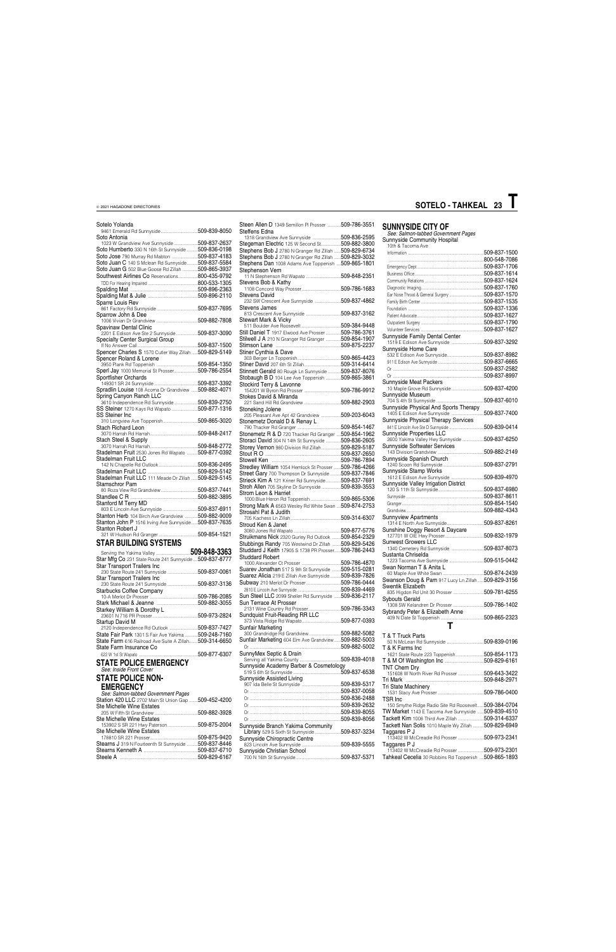### Sotelo Yolanda

| Sotelo Yolanda                                                                  |              |
|---------------------------------------------------------------------------------|--------------|
|                                                                                 |              |
| Soto Antonia                                                                    |              |
| 1023 W Grandview Ave Sunnyside 509-837-2637                                     |              |
| Soto Humberto 330 N 16th St Sunnyside  509-836-0198                             |              |
| Soto Jose 790 Murray Rd Mabton 509-837-4183                                     |              |
|                                                                                 |              |
| Soto Juan C 140 S Mclean Rd Sunnyside 509-837-5584                              |              |
| Soto Juan G 502 Blue Goose Rd Zillah  509-865-3937                              |              |
| Southwest Airlines Co Reservations800-435-9792                                  |              |
|                                                                                 |              |
|                                                                                 |              |
|                                                                                 |              |
| Sparre Louis Rev                                                                |              |
|                                                                                 |              |
| Sparrow John & Dee                                                              |              |
|                                                                                 |              |
|                                                                                 |              |
| Spavinaw Dental Clinic<br>2201 E Edison Ave Ste 2 Sunnyside <b>509-837-3090</b> |              |
|                                                                                 |              |
|                                                                                 |              |
|                                                                                 |              |
| Spencer Charles S 1570 Cutler Way Zillah  509-829-5149                          |              |
| Spencer Roland & Lorene                                                         |              |
|                                                                                 |              |
| Sperl Jay 1000 Memorial St Prosser509-786-2554                                  |              |
| Sportfisher Orchards                                                            |              |
|                                                                                 |              |
| Spradlin Louise 108 Acoma Dr Grandview  509-882-4071                            |              |
| Spring Canyon Ranch LLC                                                         |              |
| 3610 Independence Rd Sunnyside509-839-2750                                      |              |
| SS Steiner 1270 Kays Rd Wapato 509-877-1316                                     |              |
| SS Steiner Inc                                                                  |              |
|                                                                                 |              |
|                                                                                 |              |
| Stach Richard Leon                                                              |              |
|                                                                                 |              |
| <b>Stach Steel &amp; Supply</b>                                                 |              |
|                                                                                 |              |
| Stadelman Fruit 2530 Jones Rd Wapato  509-877-0392                              |              |
| <b>Stadelman Fruit LLC</b>                                                      |              |
|                                                                                 |              |
|                                                                                 |              |
| Stadelman Fruit LLC 111 Meade Dr Zillah  509-829-5145                           |              |
| Stamschror Pam                                                                  |              |
|                                                                                 |              |
|                                                                                 |              |
|                                                                                 |              |
| Stanford M Terry MD                                                             |              |
| annord ,<br>803 E Lincoln Ave Sunnyside 509-837-6911                            |              |
| Stanton Herb 104 Birch Ave Grandview  509-882-9009                              |              |
| Stanton John P 1516 Irving Ave Sunnyside 509-837-7635                           |              |
| Stanton Robert J                                                                |              |
|                                                                                 | 509-854-1521 |
|                                                                                 |              |

### **STAR BUILDING SYSTEMS**

| Star Mfg Co 231 State Route 241 Sunnyside  509-837-8777 |
|---------------------------------------------------------|
|                                                         |
|                                                         |
|                                                         |
| 230 State Route 241 Sunnyside<br>509-837-3136           |
|                                                         |
| 509-786-2085                                            |
|                                                         |
|                                                         |
| 509-973-2824                                            |
|                                                         |
| 509-837-7427                                            |
| State Fair Park 1301 S Fair Ave Yakima 509-248-7160     |
| State Farm 616 Railroad Ave Suite A Zillah509-314-6650  |
|                                                         |
| 509-877-6307                                            |
|                                                         |

### **STATE POLICE EMERGENCY** *See: Inside Front Cover*

**STATE POLICE NON-EMERGENCY**

*See: Salmon-tabbed Government Pages* Station 420 LLC 2702 Main St Union Gap ........509-452-4200

**SUNNYSIDE CITY OF** *See: Salmon-tabbed Government Pages* Sunnyside Community Hospital 10th & Tacoma Ave Information ......................................................................509-837-1500 ...509-837-1500<br>...800-548-7086

| Steen Allen D 1349 Semillon PI Prosser 509-786-3551<br>Steffens Edna |  |
|----------------------------------------------------------------------|--|
| 1318 Grandview Ave Sunnyside 509-836-2595                            |  |
| Stegeman Electric 125 W Second St509-882-3800                        |  |
|                                                                      |  |
| Stephens Bob J 2780 N Granger Rd Zillah  509-829-6734                |  |
| Stephens Bob J 2780 N Granger Rd Zillah  509-829-3032                |  |
| Stephens Dan 1008 Adams Ave Toppenish  509-865-1801                  |  |
| Stephenson Vern                                                      |  |
|                                                                      |  |
| Stevens Bob & Kathy                                                  |  |
|                                                                      |  |
| Stevens David                                                        |  |
| 232 SW Crescent Ave Sunnyside 509-837-4862                           |  |
| Stevens James                                                        |  |
|                                                                      |  |
|                                                                      |  |
| Stewart Mark & Vicky                                                 |  |
|                                                                      |  |
| Still Daniel T 1917 Elwood Ave Prosser 509-786-3761                  |  |
| Stilwell J A 210 N Granger Rd Granger 509-854-1907                   |  |
|                                                                      |  |
| Stiner Cynthia & Dave                                                |  |
|                                                                      |  |
|                                                                      |  |
|                                                                      |  |
| Stinnett Gerald 80 Rougk Ln Sunnyside 509-837-8076                   |  |
| Stobaugh B D 104 Lee Ave Toppenish  509-865-3861                     |  |
| Stockird Terry & Lavonne                                             |  |
|                                                                      |  |
| Stokes David & Miranda                                               |  |
|                                                                      |  |
| Stoneking Jolene                                                     |  |
| 205 Pleasant Ave Apt 42 Grandview 509-203-6043                       |  |
|                                                                      |  |
|                                                                      |  |
|                                                                      |  |
| Stonemetz R & D 720 Thacker Rd Granger  509-854-1962                 |  |
| Storaci David 304 N 14th St Sunnyside  509-836-2605                  |  |
| Storey Vernon 980 Division Rd Zillah509-829-5187                     |  |
|                                                                      |  |
|                                                                      |  |
|                                                                      |  |
| Stredley William 1054 Hemlock St Prosser  509-786-4266               |  |
| Street Gary 700 Thompson Dr Sunnyside  509-837-7846                  |  |
| Strieck Kim A 121 Kriner Rd Sunnyside509-837-7691                    |  |
| Stroh Allen 705 Skyline Dr Sunnyside 509-839-3553                    |  |
| Strom Leon & Harriet                                                 |  |
| 1000 Blue Heron Rd Toppenish 509-865-5306                            |  |
| Strong Mark A 6563 Wesley Rd White Swan  509-874-2753                |  |
| Strosahl Pat & Judith                                                |  |
|                                                                      |  |
|                                                                      |  |
| Stroud Ken & Janet                                                   |  |
|                                                                      |  |
| Struikmans Nick 2320 Gurley Rd Outlook 509-854-2329                  |  |
| Stubbings Randy 705 Westwind Dr Zillah  509-829-5426                 |  |
| Studdard J Keith 17905 S 1738 PR Prosser 509-786-2443                |  |
| Studdard Robert                                                      |  |
|                                                                      |  |
| Suarev Jonathan 517 S 9th St Sunnyside  509-515-0281                 |  |
|                                                                      |  |
| Suarez Alicia 219 E Zillah Ave Sunnyside509-839-7826                 |  |
|                                                                      |  |
|                                                                      |  |
| Sun Steel LLC 2099 Sheller Rd Sunnyside  509-836-2117                |  |
| Sun Terrace At Prosser                                               |  |
| 2131 Wine Country Rd Prosser509-786-3343                             |  |
| Sundquist Fruit-Reading RR LLC                                       |  |
|                                                                      |  |
| Sunfair Marketing                                                    |  |
|                                                                      |  |
|                                                                      |  |
|                                                                      |  |
| Sunfair Marketing 604 Elm Ave Grandview  509-882-5003                |  |
|                                                                      |  |
|                                                                      |  |
| SunnyMex Septic & Drain                                              |  |
|                                                                      |  |
| Sunnyside Academy Barber & Cosmetology                               |  |
|                                                                      |  |
| Sunnyside Assisted Living                                            |  |
|                                                                      |  |

| See. Sailijon-labbed Governinent Pages<br>Station 420 LLC 2702 Main St Union Gap 509-452-4200 |               |                                               | <b>IVOI ULUVII</b><br>TSR Inc |
|-----------------------------------------------------------------------------------------------|---------------|-----------------------------------------------|-------------------------------|
| Ste Michelle Wine Estates                                                                     |               |                                               | 150 Smythe F                  |
|                                                                                               |               |                                               | TW Market 11                  |
| Ste Michelle Wine Estates                                                                     |               |                                               | Tackett Kim 1                 |
| 153902 S SR 221 Hwy Paterson509-875-2004                                                      |               | Sunnyside Branch Yakima Community             | Tackett Nan S                 |
| Ste Michelle Wine Estates                                                                     |               | Library 529 S Sixth St Sunnyside 509-837-3234 | Taggares P J                  |
|                                                                                               |               | Sunnyside Chiropractic Centre                 | 113402 W Mc                   |
| Stearns J 319 N Fourteenth St Sunnyside                                                       | .509-837-8446 |                                               | Taggares P J                  |
|                                                                                               |               | Sunnyside Christian School                    | 113402 W Mc                   |
|                                                                                               |               |                                               | Tahkeal Cece                  |
|                                                                                               |               |                                               |                               |

|                                                                     | ט ו־ט <del>ו</del> יט־ט |
|---------------------------------------------------------------------|-------------------------|
|                                                                     | 509-837-1706            |
|                                                                     |                         |
|                                                                     |                         |
|                                                                     |                         |
|                                                                     |                         |
|                                                                     |                         |
|                                                                     |                         |
|                                                                     |                         |
|                                                                     |                         |
|                                                                     |                         |
|                                                                     |                         |
|                                                                     |                         |
|                                                                     |                         |
|                                                                     |                         |
| Sunnyside Family Dental Center                                      |                         |
| 1519 E Edison Ave Sunnyside 509-837-3292                            |                         |
|                                                                     |                         |
| Sunnyside Home Care                                                 |                         |
|                                                                     |                         |
|                                                                     |                         |
|                                                                     |                         |
|                                                                     |                         |
|                                                                     |                         |
| Sunnyside Meat Packers                                              |                         |
|                                                                     |                         |
| 10 Maple Grove Rd Sunnyside509-837-4200                             |                         |
| Sunnyside Museum                                                    |                         |
|                                                                     | 509-837-6010            |
|                                                                     |                         |
| Sunnyside Physical And Sports Therapy                               |                         |
| 1405 E Edison Ave Sunnyside                                         | 509-837-7400            |
| Sunnyside Physical Therapy Services                                 |                         |
|                                                                     |                         |
|                                                                     |                         |
| Sunnyside Properties LLC                                            |                         |
| 2600 Yakima Valley Hwy Sunnyside                                    | 509-837-6250.           |
| Sunnyside Softwater Services                                        |                         |
|                                                                     |                         |
|                                                                     | 509-882-2149            |
| Sunnyside Spanish Church                                            |                         |
|                                                                     |                         |
|                                                                     |                         |
|                                                                     |                         |
| Sunnyside Stamp Works                                               |                         |
| 1612 E Edison Ave Sunnyside 509-839-4970                            |                         |
|                                                                     |                         |
| Sunnyside Valley Irrigation District                                |                         |
|                                                                     |                         |
|                                                                     |                         |
|                                                                     |                         |
|                                                                     |                         |
|                                                                     |                         |
| <b>Sunnyview Apartments</b>                                         |                         |
|                                                                     |                         |
|                                                                     | 509-837-8261.           |
| Sunshine Doggy Resort & Daycare                                     |                         |
|                                                                     | .509-832-1979           |
|                                                                     |                         |
| <b>Sunwest Growers LLC</b>                                          |                         |
| 1340 Cemetery Rd Sunnyside 509-837-8073                             |                         |
| Sustanta Chriselda                                                  |                         |
|                                                                     |                         |
|                                                                     |                         |
| Swan Norman T & Anita L                                             |                         |
|                                                                     |                         |
| Swanson Doug & Pam 917 Lucy Ln Zillah509-829-3156                   |                         |
| Swentik Elizabeth                                                   |                         |
|                                                                     |                         |
| 835 Higdon Rd Unit 30 Prosser 509-781-6255                          |                         |
| Sybouts Gerald                                                      |                         |
|                                                                     |                         |
| 1308 SW Kelandren Dr Prosser 509-786-1402                           |                         |
| Sybrandy Peter & Elizabeth Anne                                     |                         |
|                                                                     |                         |
| т                                                                   |                         |
|                                                                     |                         |
|                                                                     |                         |
| T & T Truck Parts                                                   |                         |
|                                                                     |                         |
| T & K Farms Inc                                                     |                         |
| 1621 State Route 223 Toppenish509-854-1173                          |                         |
|                                                                     |                         |
|                                                                     |                         |
| <b>TNT Chem Dry</b><br>151608 W North River Rd Prosser 509-643-3422 |                         |

Tri Mark ........................................................................509-848-2971 Tri State Machinery 1531 Stacy Ave Prosser ..........................................509-786-0400

| 150 Smythe Ridge Radio Site Rd Roosevelt 509-384-0704 |               |
|-------------------------------------------------------|---------------|
| TW Market 1143 E Tacoma Ave Sunnyside                 | .509-839-4510 |
| <b>Tackett Kim</b> 1008 Third Ave Zillah              | 509-314-6337  |
| Tackett Nan Solis 1010 Maple Wy Zillah 509-829-6949   |               |
| Taggares P J                                          |               |
| 113402 W McCreadie Rd Prosser 509-973-2341            |               |
| Taggares P J                                          |               |
| 113402 W McCreadie Rd Prosser 509-973-2301            |               |
| Tahkeal Cecelia 30 Robbins Rd Toppenish 509-865-1893  |               |
|                                                       |               |

# **SOTELO - TAHKEAL 23 T**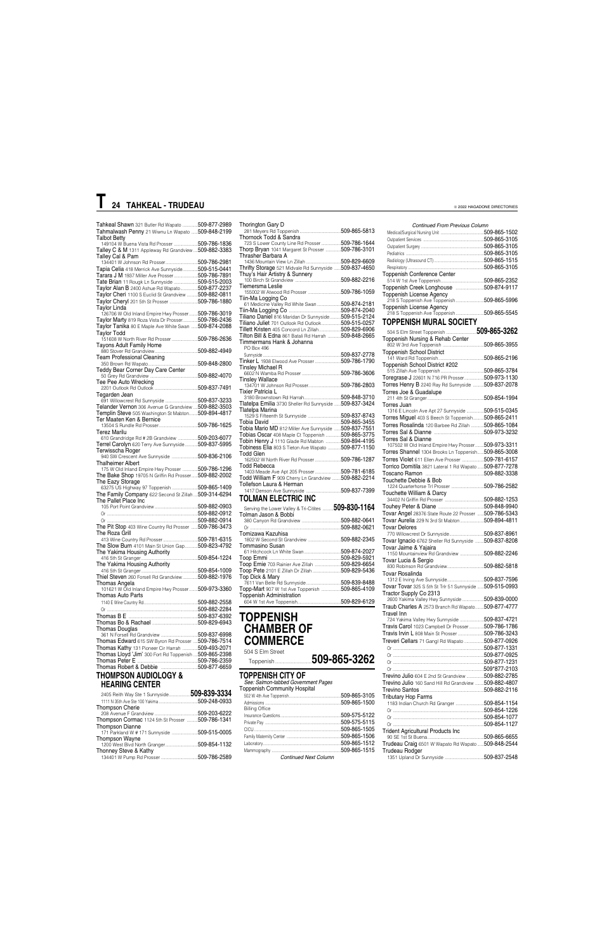| Tahkeal Shawn 321 Butler Rd Wapato  509-877-2989       |  |
|--------------------------------------------------------|--|
| Tahmalwash Penny 21 Wiwnu Ln Wapato  509-848-2199      |  |
|                                                        |  |
| <b>Talbot Betty</b>                                    |  |
| 149104 W Buena Vista Rd Prosser 509-786-1836           |  |
| Talley C & M 1311 Appleway Rd Grandview  509-882-3383  |  |
| Talley Cal & Pam                                       |  |
|                                                        |  |
|                                                        |  |
| Tapia Celia 418 Merrick Ave Sunnyside 509-515-0441     |  |
| Tarara J M 1937 Miller Ave Prosser509-786-7891         |  |
| Tate Brian 11 Rougk Ln Sunnyside 509-515-2003          |  |
|                                                        |  |
| Taylor Alan B 2400 Ashue Rd Wapato509-877-2237         |  |
| Taylor Cheri 1100 S Euclid St Grandview  509-882-0811  |  |
| Taylor Cheryl 201 5th St Prosser 509-786-1880          |  |
|                                                        |  |
| Taylor Linda                                           |  |
| 126706 W Old Inland Empire Hwy Prosser 509-786-3019    |  |
| Taylor Marty 819 Roza Vista Dr Prosser509-786-2436     |  |
| Taylor Tanika 80 E Maple Ave White Swan  509-874-2088  |  |
|                                                        |  |
| Taylor Todd                                            |  |
| 151608 W North River Rd Prosser 509-786-2636           |  |
| Tayons Adult Family Home                               |  |
|                                                        |  |
|                                                        |  |
| <b>Team Professional Cleaning</b>                      |  |
|                                                        |  |
| Teddy Bear Corner Day Care Center                      |  |
|                                                        |  |
|                                                        |  |
| Tee Pee Auto Wrecking                                  |  |
|                                                        |  |
| Tegarden Jean                                          |  |
| 691 Willowcrest Rd Sunnyside  509-837-3233             |  |
|                                                        |  |
| Telander Vernon 306 Avenue G Grandview  509-882-3503   |  |
| Templin Steve 505 Washington St Mabton 509-894-4817    |  |
| Ter Maaten Ken & Bernice                               |  |
|                                                        |  |
|                                                        |  |
| Terez Marilu                                           |  |
| 610 Grandridge Rd # 2B Grandview 509-203-6077          |  |
| Terrel Carolyn 620 Terry Ave Sunnyside 509-837-5995    |  |
| Terwisscha Roger                                       |  |
|                                                        |  |
| 940 SW Crescent Ave Sunnyside 509-836-2106             |  |
| Thalheimer Albert                                      |  |
|                                                        |  |
|                                                        |  |
| 175 W Old Inland Empire Hwy Prosser  509-786-1296      |  |
| The Bake Shop 19705 N Griffin Rd Prosser 509-882-2002  |  |
| The Eazy Storage                                       |  |
|                                                        |  |
| 63275 US Highway 97 Toppenish 509-865-1409             |  |
| The Family Company 622 Second St Zillah  509-314-6294  |  |
| The Pallet Place Inc                                   |  |
|                                                        |  |
|                                                        |  |
|                                                        |  |
|                                                        |  |
| The Pit Stop 403 Wine Country Rd Prosser  509-786-3473 |  |
|                                                        |  |
| The Roza Grill                                         |  |
|                                                        |  |
| The Slow Burn 4101 Main St Union Gap 509-823-4792      |  |
|                                                        |  |
| The Yakima Housing Authority                           |  |
|                                                        |  |
| The Yakima Housing Authority                           |  |
|                                                        |  |
| Thiel Steven 260 Forsell Rd Grandview  509-882-1976    |  |
|                                                        |  |
| Thomas Angela                                          |  |
| 101621 W Old Inland Empire Hwy Prosser 509-973-3360    |  |
| Thomas Auto Parts                                      |  |
|                                                        |  |
|                                                        |  |
|                                                        |  |
|                                                        |  |
|                                                        |  |
|                                                        |  |
| Thomas Douglas                                         |  |
|                                                        |  |
|                                                        |  |
| Thomas Edward 615 SW Byron Rd Prosser  509-786-7514    |  |
| Thomas Kathy 131 Pioneer Cir Harrah  509-493-2071      |  |
| Thomas Lloyd 'Jim' 300 Fort Rd Toppenish  509-865-2398 |  |
|                                                        |  |
|                                                        |  |
| <b>THOMDOON ALIDIOL OCV &amp;</b>                      |  |

| The Family Company 622 Second St Zillah  509-314-6294<br>The Pallet Place Inc. |              |
|--------------------------------------------------------------------------------|--------------|
|                                                                                |              |
|                                                                                |              |
|                                                                                |              |
| The Pit Stop 403 Wine Country Rd Prosser  509-786-3473                         |              |
| The Roza Grill                                                                 |              |
|                                                                                |              |
| The Slow Burn 4101 Main St Union Gap509-823-4792                               |              |
| The Yakima Housing Authority                                                   |              |
|                                                                                |              |
| The Yakima Housing Authority                                                   |              |
|                                                                                |              |
| Thiel Steven 260 Forsell Rd Grandview 509-882-1976                             |              |
| Thomas Angela                                                                  |              |
| 101621 W Old Inland Empire Hwy Prosser509-973-3360                             |              |
| Thomas Auto Parts                                                              |              |
|                                                                                |              |
|                                                                                |              |
|                                                                                |              |
|                                                                                |              |
| <b>Thomas Douglas</b>                                                          |              |
|                                                                                |              |
| Thomas Edward 615 SW Byron Rd Prosser  509-786-7514                            |              |
| Thomas Kathy 131 Pioneer Cir Harrah  509-493-2071                              |              |
| Thomas Lloyd 'Jim' 300 Fort Rd Toppenish  509-865-2398                         |              |
|                                                                                |              |
|                                                                                |              |
| <b>THOMPSON AUDIOLOGY &amp;</b>                                                |              |
| <b>HEARING CENTER</b>                                                          |              |
|                                                                                |              |
|                                                                                |              |
| <b>Thompson Cherie</b>                                                         |              |
|                                                                                |              |
| Thompson Cormac 1124 5th St Prosser  509-786-1341                              |              |
| <b>Thompson Dianne</b>                                                         |              |
| 171 Parkland W # 171 Sunnyside 509-515-0005                                    |              |
| Thompson Wayne                                                                 |              |
|                                                                                |              |
| Thonney Steve & Kathy                                                          | 509-786-2589 |
|                                                                                |              |

#### Respiratory ......................................................................509-865-3105 Toppenish Conference Center 514 W 1st Ave Toppenish........................................509-865-2352 Toppenish Creek Longhouse ..........................509-874-9117 Toppenish License Agency 218 S Toppenish Ave Toppenish ..........................509-865-5996 Toppenish License Agency 218 S Toppenish Ave Toppenish ..........................509-865-5545 **TOPPENISH MURAL SOCIETY** 504 S Elm Street Toppenish ............................**509-865-3262** Toppenish Nursing & Rehab Center 802 W 3rd Ave Toppenish ......................................509-865-3955 Toppenish School District 141 Ward Rd Toppenish..........................................509-865-2196 Toppenish School District #202 515 Zillah Ave Toppenish........................................509-865-3784 Toregrase J 22601 N 716 PR Prosser... Torres Henry B 2240 Ray Rd Sunnyside ..........509-837-2078 Torres Joe & Guadalupe 211 4th St Granger ....................................................509-854-1994 Torres Juan 1316 E Lincoln Ave Apt 27 Sunnyside ................509-515-0345 Torres Miguel 403 S Beech St Toppenish..........509-865-2411<br>Torres Rosalinda 120 Barbee Rd Zillah ............509-865-1084 Torres Rosalinda 120 Barbee Rd Zillah . Torres Sal & Dianne ..............................................509-973-3232 Torres Sal & Dianne 107502 W Old Inland Empire Hwy Prosser........509-973-3311 Torres Shannel 1304 Brooks Ln Toppenish......509-865-3008 Torres Violet 611 Ellen Ave Prosser .....................509-781-6157<br>Torrico Domitila 3821 Lateral 1 Rd Wapato......509-877-7278 Torrico Domitila 3821 Lateral 1 Rd Wapato ......509-877-7278 Toscano Ramon Touchette Debbie & Bob 1224 Quarterhorse Trl Prosser ..............................509-786-2582 Touchette William & Darcy 34402 N Griffin Rd Prosser ....................................509-882-1253 Touhey Peter & Diane ..........................................509-848-9940 Tovar Angel 28376 State Route 22 Prosser ......509-786-5343 Tovar Aurelia 229 N 3rd St Mabton... Tovar Delores 770 Willowcrest Dr Sunnyside................................509-837-8961 Tovar Ignacio 6762 Sheller Rd Sunnyside ........509-837-8208 Tovar Jaime & Yajaira 1150 Mountainview Rd Grandview ......................509-882-2246 Tovar Lucia & Sergio 830 Robinson Rd Grandview..................................509-882-5818 Tovar Rosalinda 1312 E Irving Ave Sunnyside..................................509-837-7596 Tovar Tovar 325 S 5th St Trlr 51 Sunnyside ......509-515-0993 Tractor Supply Co 2313 2600 Yakima Valley Hwy Sunnyside ....................509-839-0000 Traub Charles A 2573 Branch Rd Wapato... Travel Inn 724 Yakima Valley Hwy Sunnyside ......................509-837-4721 Travis Carol 1023 Campbell Dr Prosser..............509-786-1786 Travis Irvin L 808 Main St Prosser ........................509-786-3243 Treveri Cellars 71 Gangl Rd Wapato ..................509-877-0926 Or ....................................................................................509-877-1331 Or ....................................................................................509-877-0925 Or ....................................................................................509-877-1231 Or ....................................................................................509\*877-2103 Trevino Julio 604 E 2nd St Grandview ................509-882-2785 Trevino Julio 160 Sand Hill Rd Grandview ........509-882-4807 Trevino Santos ..........................................................509-882-2116 **Tributary Hop Farm**

| Thorington Gary D                                                                 |  |
|-----------------------------------------------------------------------------------|--|
| Thornock Todd & Sandra                                                            |  |
|                                                                                   |  |
| Thorp Bryan 1041 Margaret St Prosser 509-786-3101                                 |  |
| Thrasher Barbara A                                                                |  |
|                                                                                   |  |
| Thrifty Storage 521 Midvale Rd Sunnyside  509-837-4650                            |  |
|                                                                                   |  |
| Tiemersma Leslie                                                                  |  |
|                                                                                   |  |
| Tiin-Ma Logging Co                                                                |  |
| 61 Medicine Valley Rd White Swan 509-874-2181                                     |  |
|                                                                                   |  |
| Tiliano Daniel 816 Maridan Dr Sunnyside  509-515-2124                             |  |
| Tiliano Juliet 701 Outlook Rd Outlook509-515-0257                                 |  |
| Tillett Kristen 405 Concord Ln Zillah509-829-6906                                 |  |
| Tilton Bill & Edna 861 Batali Rd Harrah 509-848-2665<br>Timmermans Hank & Johanna |  |
| PO Box 496                                                                        |  |
|                                                                                   |  |
| Tinker L 1938 Elwood Ave Prosser 509-786-1790                                     |  |
| Tinslev Michael R                                                                 |  |
|                                                                                   |  |
| Tinsley Wallace                                                                   |  |
| 134701 W Johnson Rd Prosser509-786-2803                                           |  |
| Tixier Patricia L                                                                 |  |
| Tlatelpa Emilia 3730 Sheller Rd Sunnyside  509-837-3424                           |  |
| Tlatelpa Marina                                                                   |  |
| 1529 S Fifteenth St Sunnyside 509-837-8743                                        |  |
|                                                                                   |  |
| Tobia Mario MD 812 Miller Ave Sunnyside 509-837-7551                              |  |
| Tobias Oscar 408 Maple Ct Toppenish 509-865-3775                                  |  |
| Tobin Henry J 1110 Glade Rd Mabton 509-894-4195                                   |  |
| Tobiness Elia 803 S Tieton Ave Wapato 509-877-1150                                |  |
| <b>Todd Glen</b>                                                                  |  |
| 162502 W North River Rd Prosser 509-786-1287<br>Todd Rebecca                      |  |
| 1403 Meade Ave Apt 205 Prosser509-781-6185                                        |  |
| Todd William F 909 Cherry Ln Grandview  509-882-2214                              |  |
| Tollefson Laura & Herman                                                          |  |
|                                                                                   |  |
| <b>TOLMAN ELECTRIC INC</b>                                                        |  |
| Serving the Lower Valley & Tri-Citites  509-830-1164                              |  |
| Tolman Jason & Bobbi                                                              |  |
|                                                                                   |  |
|                                                                                   |  |
| Tomizawa Kazuhisa                                                                 |  |
|                                                                                   |  |
| Tommasino Susan                                                                   |  |
|                                                                                   |  |
|                                                                                   |  |
| Toop Ernie 703 Rainier Ave Zillah 509-829-6654                                    |  |
| Toop Pete 2101 E Zillah Dr Zillah 509-829-5436<br>Top Dick & Mary                 |  |
| 7611 Van Belle Rd Sunnyside509-839-8488                                           |  |
| Topp-Mart 907 W 1st Ave Toppenish 509-865-4109                                    |  |
| Toppenish Administration                                                          |  |
|                                                                                   |  |
|                                                                                   |  |

### **TOPPENISH CHAMBER OF COMMERCE**

504 S Elm Street

Toppenish..................................**509-865-3262**

### **TOPPENISH CITY OF**

*See: Salmon-tabbed Government Pages* Toppenish Community Hospital 502 W 4th Ave Toppenish................................................509-865-3105

| <b>Billing Office</b>                                        |              |
|--------------------------------------------------------------|--------------|
|                                                              | 509-575-5122 |
|                                                              |              |
|                                                              | 509-865-1505 |
|                                                              |              |
|                                                              |              |
|                                                              |              |
| $\alpha$ and $\alpha$ and $\alpha$ and $\alpha$ and $\alpha$ |              |

*Continued From Previous Column* Medical/Surgical Nursing Unit ........................................509-865-1502

Outpatient Services ........................................................509-865-3105 Outpatient Surgery ..........................................................509-865-3105 Pediatrics ........................................................................509-865-3105 Radiology (Ultrasound CT) ..............................................509-865-1515

|                              | 1183 Indian Church Rd Granger  509-854-1154         |  |
|------------------------------|-----------------------------------------------------|--|
|                              |                                                     |  |
|                              |                                                     |  |
|                              |                                                     |  |
|                              | <b>Trident Agricultural Products Inc.</b>           |  |
|                              |                                                     |  |
|                              | Trudeau Craig 6501 W Wapato Rd Wapato  509-848-2544 |  |
|                              | <b>Trudeau Rodger</b>                               |  |
| <b>Continued Next Column</b> |                                                     |  |

### **T 24 TAHKEAL - TRUDEAU**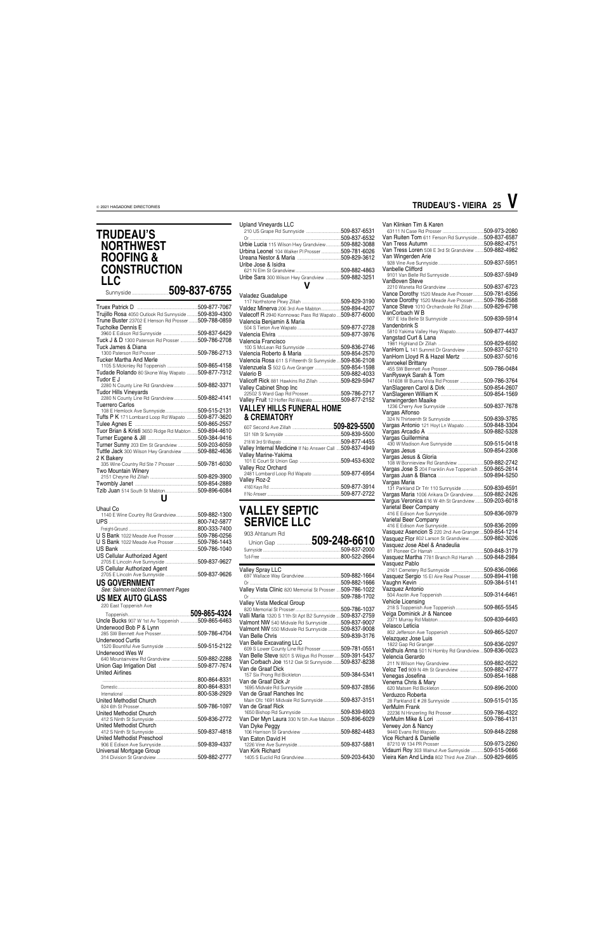### **TRUDEAU'S NORTHWEST ROOFING & CONSTRUCTION LLC**<br>Sunnyside...

| Trujillo Rosa 4050 Outlook Rd Sunnyside  509-839-4300     |              |
|-----------------------------------------------------------|--------------|
| Trune Buster 23702 E Henson Rd Prosser 509-788-0859       |              |
| Tucholke Dennis E                                         |              |
| 3960 E Edison Rd Sunnyside 509-837-6429                   |              |
| Tuck J & D 1300 Paterson Rd Prosser                       | 509-786-2708 |
| Tuck James & Diana                                        |              |
|                                                           | 509-786-2713 |
| Tucker Martha And Merle                                   |              |
| 1105 S Mckinley Rd Toppenish 509-865-4158                 |              |
| Tudade Rolando 80 Skone Way Wapato                        | 509-877-7312 |
| Tudor E J                                                 |              |
| 2280 N County Line Rd Grandview 509-882-3371              |              |
| <b>Tudor Hills Vinevards</b>                              |              |
| 2280 N County Line Rd Grandview                           | 509-882-4141 |
| Tuerrero Carlos                                           |              |
| <b>Tufts P K</b> 171 Lombard Loop Rd Wapato  509-877-3620 |              |
|                                                           |              |
| Tulee Agnes E                                             |              |
| Tuor Brian & Kristi 3650 Ridge Rd Mabton 509-894-4610     |              |
|                                                           |              |
| Turner Sunny 203 Elm St Grandview 509-203-6059            |              |
| Tuttle Jack 300 Wilson Hwy Grandview 509-882-4636         |              |
| 2 K Bakerv                                                |              |
| 335 Wine Country Rd Ste 7 Prosser 509-781-6030            |              |
| Two Mountain Winery                                       |              |
|                                                           |              |
| Tzib Juan 514 South St Mabton509-896-6084                 |              |
|                                                           |              |
| U                                                         |              |

| Uhaul Co                            |               |
|-------------------------------------|---------------|
| 1140 E Wine Country Rd Grandview    | 509-882-1300  |
|                                     | 800-742-5877  |
|                                     | 800-333-7400  |
| U S Bank 1022 Meade Ave Prosser     | 509-786-0256  |
| U S Bank 1022 Meade Ave Prosser     | 509-786-1443  |
|                                     | 509-786-1040  |
| <b>US Cellular Authorized Agent</b> |               |
|                                     | 509-837-9627  |
| <b>US Cellular Authorized Agent</b> |               |
|                                     | .509-837-9626 |
| <b>US GOVERNMENT</b>                |               |
| See: Salmon-tabbed Government Pages |               |

### **US MEX AUTO GLASS**<br>220 East Toppenish Ave

### Sunnyside ..................................**509-837-6755** Valadez Guadalupe

|                                    | 509-865-4324 |
|------------------------------------|--------------|
| Uncle Bucks 907 W 1st Av Toppenish | 509-865-6463 |
| Underwood Bob P & Lynn             |              |
|                                    | 509-786-4704 |
| <b>Underwood Curtis</b>            | 509-515-2122 |
| Underwood Wes W                    |              |
|                                    | 509-882-2288 |
|                                    |              |
| <b>United Airlines</b>             |              |
|                                    | 800-864-8331 |
|                                    | 800-864-8331 |
|                                    | 800-538-2929 |
|                                    |              |

| Upland Vineyards LLC                             |              |
|--------------------------------------------------|--------------|
|                                                  |              |
|                                                  | 509-837-6532 |
| Urbie Lucia 115 Wilson Hwy Grandview             | 509-882-3088 |
| Urbina Leonel 104 Walker PI Prosser 509-781-6026 |              |
|                                                  |              |
| Uribe Jose & Isidra                              |              |
|                                                  | 509-882-4863 |
| Uribe Sara 300 Wilson Hwy Grandview 509-882-3251 |              |
|                                                  |              |
|                                                  |              |

| aluust aauulups                                     |              |
|-----------------------------------------------------|--------------|
|                                                     |              |
| Valdez Minerva 206 3rd Ave Mabton509-894-4207       |              |
| Valecoff R 2940 Konnowac Pass Rd Wapato509-877-6000 |              |
| Valencia Benjamin & Maria                           |              |
|                                                     |              |
|                                                     |              |
| Valencia Francisco                                  |              |
|                                                     | 509-836-2746 |
|                                                     | 509-854-2570 |
| Valencia Rosa 611 S Fifteenth St Sunnyside          | 509-836-2108 |
|                                                     | 509-854-1598 |
|                                                     |              |
| Valicoff Rick 881 Hawkins Rd Zillah 509-829-5947    |              |
| Valley Cabinet Shop Inc                             |              |
|                                                     |              |
| Valley Fruit 12 Hoffer Rd Wapato 509-877-2152       |              |
| <b>VALLEY HILLS FUNERAL HOME</b>                    |              |
|                                                     |              |

#### **& CREMATORY**

|                                                         | 509-829-5500 |
|---------------------------------------------------------|--------------|
|                                                         |              |
|                                                         |              |
| Valley Internal Medicine If No Answer Call 509-837-4949 |              |
| Valley Marine-Yakima                                    |              |
|                                                         |              |
| <b>Valley Roz Orchard</b>                               |              |
| 2481 Lombard Loop Rd Wapato 509-877-6954                |              |
| Valley Roz-2                                            |              |
|                                                         |              |
|                                                         | 509-877-2722 |

### **VALLEY SEPTIC SERVICE LLC**

| 903 Ahtanum Rd                                                                                 |               |
|------------------------------------------------------------------------------------------------|---------------|
| Union Gap <b>509-248-6610</b>                                                                  |               |
|                                                                                                |               |
|                                                                                                |               |
| <b>Valley Spray LLC</b>                                                                        |               |
|                                                                                                |               |
| $Or$                                                                                           | 509-882-1666  |
| Valley Vista Clinic 820 Memorial St Prosser  509-786-1022                                      |               |
| Or                                                                                             | 509-788-1702  |
| Valley Vista Medical Group                                                                     |               |
|                                                                                                | 509-786-1037  |
| Valli Maria 1320 S 11th St Apt B2 Sunnyside  509-837-2759                                      |               |
| Valmont NW 540 Midvale Rd Sunnyside                                                            | .509-837-9007 |
| Valmont NW 550 Midvale Rd Sunnyside509-837-9008                                                |               |
|                                                                                                |               |
| Van Belle Excavating LLC                                                                       |               |
| 609 S Lower County Line Rd Prosser                                                             | .509-781-0551 |
| Van Belle Steve 9201 S Wilgus Rd Prosser509-391-5437                                           |               |
| Van Corbach Joe 1512 Oak St Sunnyside                                                          | .509-837-8238 |
| Van de Graaf Dick                                                                              |               |
|                                                                                                |               |
| Van de Graaf Dick Jr                                                                           |               |
| Van de Graaf Ranches Inc                                                                       |               |
| the contract of the contract of the<br>$\sim$ $\sim$ $\sim$ $\sim$ $\sim$ $\sim$ $\sim$ $\sim$ | EAA AAZ A4E4  |

| United Methodist Church                     | Main Ofc 1691 Midvale Rd Sunnyside  509-837-3151    | .509-515-0135<br>28 Parkland E # 28 Sunnyside             |
|---------------------------------------------|-----------------------------------------------------|-----------------------------------------------------------|
| .509-786-1097<br>824 6th St Prosser         | Van de Graaf Rick                                   | VerMulm Frank                                             |
| United Methodist Church                     | 509-839-6903                                        | .509-786-4322<br>22236 N Hinzerling Rd Prosser            |
| .509-836-2772<br>412 S Ninth St Sunnyside   | Van Der Myn Laura 330 N 5th Ave Mabton 509-896-6029 | .509-786-4131<br>VerMulm Mike & Lori                      |
| United Methodist Church                     | Van Dyke Peggy                                      | Verwey Jon & Nancy                                        |
| .509-837-4818<br>412 S Ninth St Sunnyside   | 509-882-4483<br>106 Harrison St Grandview           | 509-848-2288<br>9440 Evans Rd Wapato                      |
| United Methodist Preschool                  | Van Eaton David H                                   | Vice Richard & Danielle                                   |
| .509-839-4337<br>906 E Edison Ave Sunnyside | .509-837-5881<br>1226 Vine Ave Sunnyside            | 509-973-2260                                              |
| Universal Mortgage Group                    | Van Kirk Richard                                    | .509-515-0666<br>Vidaurri Roy 303 Walnut Ave Sunnyside    |
| .509-882-2777<br>314 Division St Grandview  | .509-203-6430<br>1405 S Euclid Rd Grandview         | Vieira Ken And Linda 802 Third Ave Zillah<br>509-829-6695 |

### Van Klinken Tim & Karen

| .<br>.                                                 |  |
|--------------------------------------------------------|--|
| Van Ruiten Tom 611 Ferson Rd Sunnyside 509-837-6587    |  |
|                                                        |  |
| Van Tress Loren 508 E 3rd St Grandview  509-882-4982   |  |
|                                                        |  |
| Van Wingerden Arie                                     |  |
|                                                        |  |
| Vanbelle Clifford                                      |  |
|                                                        |  |
| VanBoven Steve                                         |  |
|                                                        |  |
| Vance Dorothy 1520 Meade Ave Prosser509-781-6356       |  |
| Vance Dorothy 1520 Meade Ave Prosser 509-786-2588      |  |
| Vance Steve 1010 Orchardvale Rd Zillah 509-829-6798    |  |
| VanCorbach W B                                         |  |
| <br>907 E Ida Belle St Sunnyside 509-839-5914          |  |
| Vandenbrink S                                          |  |
| 5810 Yakima Valley Hwy Wapato509-877-4437              |  |
| Vangstad Curt & Lana                                   |  |
|                                                        |  |
| VanHorn L 141 Summit Dr Grandview 509-837-5210         |  |
|                                                        |  |
| VanHorn Lloyd R & Hazel Mertz 509-837-5016             |  |
| Vanroekel Brittanv                                     |  |
|                                                        |  |
| VanRyswyk Sarah & Tom                                  |  |
| 141608 W Buena Vista Rd Prosser 509-786-3764           |  |
|                                                        |  |
|                                                        |  |
| Vanwingerden Maaike                                    |  |
|                                                        |  |
| Vargas Alfonso                                         |  |
| 324 N Thirteenth St Sunnyside 509-839-3785             |  |
| Vargas Antonio 121 Hoyt Ln Wapato 509-848-3304         |  |
|                                                        |  |
| Vargas Guillermina                                     |  |
|                                                        |  |
| 430 W Madison Ave Sunnyside 509-515-0418               |  |
|                                                        |  |
| Vargas Jesus & Gloria                                  |  |
| 108 W Bonnieview Rd Grandview 509-882-2742             |  |
|                                                        |  |
| Vargas Jose S 204 Franklin Ave Toppenish  509-865-2614 |  |
|                                                        |  |
|                                                        |  |
| Vargas Maria                                           |  |
| <br>131 Parkland Dr Trlr 110 Sunnyside 509-839-6591    |  |
| Vargas Maria 1006 Arikara Dr Grandview509-882-2426     |  |
| Vargus Veronica 616 W 4th St Grandview  509-203-6018   |  |
| Varietal Beer Company                                  |  |
|                                                        |  |
| Varietal Beer Company                                  |  |
|                                                        |  |
| Vasquez Asencion S 220 2nd Ave Granger 509-854-1214    |  |
| Vasquez Flor 802 Larson St Grandview509-882-3026       |  |
| Vasquez Jose Abel & Anadeulia                          |  |
|                                                        |  |
| Vasquez Martha 7781 Branch Rd Harrah  509-848-2984     |  |
|                                                        |  |
| Vasquez Pablo                                          |  |
|                                                        |  |
| Vasquez Sergio 15 El Aire Real Prosser  509-894-4198   |  |
|                                                        |  |
| Vazquez Antonio                                        |  |
|                                                        |  |
| Vehicle Licensing                                      |  |
| 218 S Toppenish Ave Toppenish 509-865-5545             |  |
| Veiga Dominick Jr & Nancee                             |  |
|                                                        |  |
| Velasco Leticia                                        |  |
|                                                        |  |
| Velazquez Jose Luis                                    |  |
|                                                        |  |
| Veldhuis Anna 501 N Hornby Rd Grandview509-836-0023    |  |
| Velencia Gerardo                                       |  |
|                                                        |  |
| Veloz Ted 909 N 4th St Grandview 509-882-4777          |  |
|                                                        |  |
|                                                        |  |
| Venema Chris & Mary                                    |  |
| Verduzco Roberta                                       |  |

# **TRUDEAU'S - VIEIRA 25 V**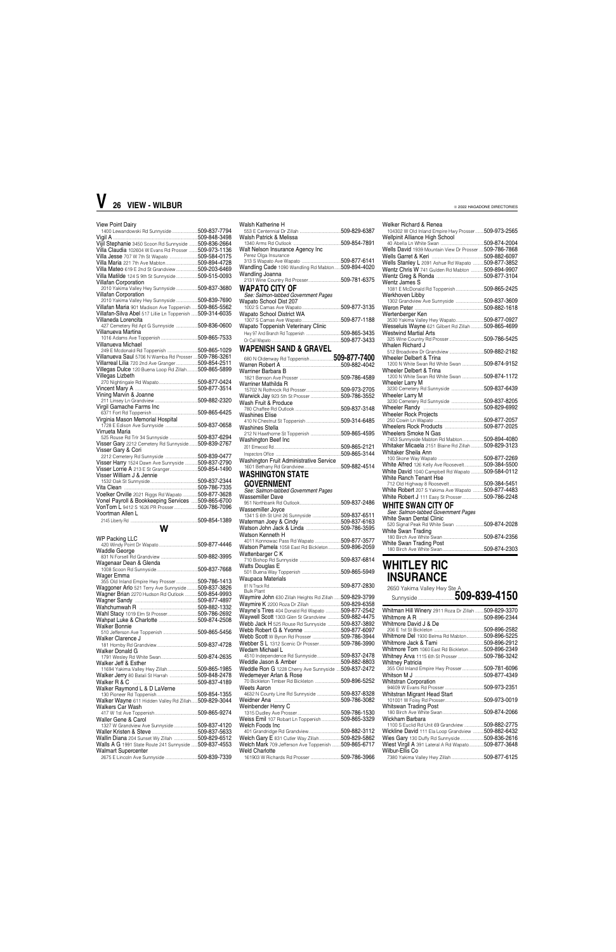| View Point Dairy                                          |  |
|-----------------------------------------------------------|--|
| 1400 Lewandowski Rd Sunnyside 509-837-7794                |  |
|                                                           |  |
|                                                           |  |
| Vijil Stephanie 3450 Scoon Rd Sunnyside 509-836-2664      |  |
| Villa Claudia 102604 W Evans Rd Prosser  509-973-1136     |  |
| Villa Jesse 707 W 7th St Wapato 509-584-0175              |  |
| Villa Maria 221 7th Ave Mabton509-894-4728                |  |
|                                                           |  |
| Villa Mateo 619 E 2nd St Grandview 509-203-6469           |  |
| Villa Matilde 124 S 9th St Sunnyside 509-515-0093         |  |
| <b>Villafan Corporation</b>                               |  |
| 2010 Yakima Valley Hwy Sunnyside  509-837-3680            |  |
| <b>Villafan Corporation</b>                               |  |
|                                                           |  |
| 2010 Yakima Valley Hwy Sunnyside  509-839-7690            |  |
| Villafan Maria 901 Madison Ave Toppenish509-865-5562      |  |
| Villafan-Silva Abel 517 Lillie Ln Toppenish  509-314-6035 |  |
| Villaneda Lorencita                                       |  |
| 427 Cemetery Rd Apt G Sunnyside 509-836-0600              |  |
| Villanueva Martina                                        |  |
|                                                           |  |
|                                                           |  |
| Villanueva Michael                                        |  |
| 249 E Mcdonald Rd Toppenish 509-865-1029                  |  |
| Villanueva Saul 5706 N Wamba Rd Prosser  509-786-3261     |  |
| Villarreal Lilia 720 2nd Ave Granger509-854-2511          |  |
|                                                           |  |
| Villegas Dulce 120 Buena Loop Rd Zillah509-865-5899       |  |
| Villegas Lizbeth                                          |  |
|                                                           |  |
|                                                           |  |
|                                                           |  |
| Vining Marvin & Joanne                                    |  |
|                                                           |  |
| Virgil Gamache Farms Inc                                  |  |
|                                                           |  |
| Virginia Mason Memorial Hospital                          |  |
|                                                           |  |
|                                                           |  |
| Virrueta Maria                                            |  |
| 525 Rouse Rd Trlr 34 Sunnyside 509-837-6294               |  |
| Visser Gary 2212 Cemetery Rd Sunnyside 509-839-2767       |  |
| Visser Gary & Cori                                        |  |
| 2212 Cemetery Rd Sunnyside 509-839-0477                   |  |
|                                                           |  |
|                                                           |  |
| Visser Harry 1524 Dawn Ave Sunnyside  509-837-2790        |  |
|                                                           |  |
| Visser Lorrie A 213 E St Granger509-854-1490              |  |
| Visser William J & Jennie                                 |  |
|                                                           |  |
|                                                           |  |
| Voelker Orville 2021 Riggs Rd Wapato  509-877-3628        |  |
|                                                           |  |
| Vonel Payroll & Bookkeeping Services  509-865-6700        |  |
| VonTom L 9412 S 1626 PR Prosser509-786-7096               |  |
| Voortman Allen L                                          |  |
|                                                           |  |
|                                                           |  |
| <b>W</b>                                                  |  |
|                                                           |  |
| <b>WP Packing LLC</b>                                     |  |
|                                                           |  |
| Waddle George                                             |  |
|                                                           |  |
| Wagenaar Dean & Glenda                                    |  |
|                                                           |  |
|                                                           |  |
| Wager Emma                                                |  |
| 355 Old Inland Empire Hwy Prosser 509-786-1413            |  |
| Waggoner Arlo 521 Terry Ave Sunnyside509-837-3826         |  |
| Wagner Brian 2270 Hudson Rd Outlook 509-854-9993          |  |
|                                                           |  |
|                                                           |  |
|                                                           |  |
| Wahl Stacy 1019 Elm St Prosser509-786-2692                |  |
|                                                           |  |
| <b>Walker Bonnie</b>                                      |  |
|                                                           |  |
| Walker Clarence J                                         |  |
|                                                           |  |
|                                                           |  |
| Walker Donald G                                           |  |
|                                                           |  |
| Walker Jeff & Esther                                      |  |
| 11694 Yakima Valley Hwy Zillah509-865-1985                |  |
|                                                           |  |
| Walker Jerry 80 Batali St Harrah  509-848-2478            |  |
|                                                           |  |
| Walker Raymond L & D LaVerne                              |  |

| Walsh Katherine H                                                  | Welker Richard & Renea<br>104302 W Old Inland Empir         |
|--------------------------------------------------------------------|-------------------------------------------------------------|
| Walsh Patrick & Melissa                                            | <b>Wellpinit Alliance High Sc</b>                           |
|                                                                    | 40 Abella Ln White Swan                                     |
| Walt Nelson Insurance Agency Inc<br>Perez Olga Insurance           | Wells David 1939 Mountain                                   |
|                                                                    | Wells Garret & Keri<br>Wells Stanley L 2091 Ashu            |
| Wandling Cade 1090 Wandling Rd Mabton509-894-4020                  | Wentz Chris W 741 Gulden                                    |
| Wandling Joanna                                                    | Wentz Greg & Ronda                                          |
| 2131 Wine Country Rd Prosser509-781-6375                           | Wentz James S                                               |
| <b>WAPATO CITY OF</b>                                              | 1081 E McDonald Rd Topp                                     |
| See: Salmon-tabbed Government Pages                                | Werkhoven Libby                                             |
| Wapato School Dist 207                                             | 1302 Grandview Ave Sunny                                    |
| Wapato School District WA                                          | Wertenberger Ken                                            |
|                                                                    | 3530 Yakima Valley Hwy W                                    |
| Wapato Toppenish Veterinary Clinic                                 | Wesseluis Wayne 621 Gilb                                    |
|                                                                    | Westwind Martial Arts                                       |
|                                                                    | 325 Wine Country Rd Pross                                   |
| <b>WAPENISH SAND &amp; GRAVEL</b>                                  | Whalen Richard J                                            |
|                                                                    | 512 Broadview Dr Grandvie<br>Wheeler Delbert & Trina        |
|                                                                    | 1200 N White Swan Rd Whi                                    |
| Warriner Barbara B                                                 | Wheeler Delbert & Trina                                     |
|                                                                    | 1200 N White Swan Rd Whi                                    |
| Warriner Mathilda R                                                | Wheeler Larry M                                             |
|                                                                    | 3230 Cemetery Rd Sunnysi<br>Wheeler Larry M                 |
| Warwick Jay 923 5th St Prosser509-786-3552<br>Wash Fruit & Produce | 3230 Cemetery Rd Sunnysi                                    |
|                                                                    | Wheeler Randy                                               |
| <b>Washines Elise</b>                                              | <b>Wheeler Rock Projects</b>                                |
|                                                                    | 250 Cowin Ln Wapato                                         |
| Washines Stella                                                    | Wheelers Rock Products                                      |
|                                                                    | Wheelers Smoke N Gas<br>7453 Sunnyside Mabton Ro            |
| Washington Beef Inc                                                | Whitaker Micaela 2151 Bla                                   |
|                                                                    | Whitaker Sheila Ann                                         |
| Washington Fruit Administrative Service                            | 100 Skone Way Wapato                                        |
|                                                                    | White Alfred 126 Kelly Ave I                                |
| <b>WASHINGTON STATE</b>                                            | White David 1040 Campbel                                    |
| <b>GOVERNMENT</b>                                                  | White Ranch Tenant Hse<br>712 Old Highway 8 Roosev          |
| See: Salmon-tabbed Government Pages                                | White Robert 207 S Yakima                                   |
| Wassemiller Dave                                                   | White Robert J 111 Easy St                                  |
|                                                                    | WHITE SWAN CITY                                             |
| Wassemiller Joyce                                                  | See: Salmon-tabbed Gove                                     |
| 1341 S 6th St Unit 26 Sunnyside 509-837-6511                       | White Swan Dental Clinic                                    |
|                                                                    | 520 Signal Peak Rd White S                                  |
| Watson Kenneth H                                                   | White Swan Trading                                          |
| 4011 Konnowac Pass Rd Wapato 509-877-3577                          | 180 Birch Ave White Swan.                                   |
| Watson Pamela 1058 East Rd Bickleton 509-896-2059                  | <b>White Swan Trading Post</b><br>180 Birch Ave White Swan. |
| Wattenbarger C K                                                   |                                                             |
|                                                                    | WHITLEY RI(                                                 |
| <b>Watts Douglas E</b>                                             |                                                             |
| Waupaca Materials                                                  | <b>INSURANCE</b>                                            |
|                                                                    |                                                             |
| <b>Bulk Plant</b>                                                  | 2650 Yakima Valley Hw                                       |
| Waymire John 630 Zillah Heights Rd Zillah  509-829-3799            | Sunnyside                                                   |
| Waymire K 2200 Roza Dr Zillah 509-829-6358                         |                                                             |
| Wayne's Tires 404 Donald Rd Wapato 509-877-2542                    | Whitman Hill Winery 2911                                    |
| Waywell Scott 1303 Glen St Grandview  509-882-4475                 | Whitmore A R                                                |
| Webb Jack H 525 Rouse Rd Sunnyside 509-837-3892                    | Whitmore David J & De<br>206 E 1st St Bickleton             |
| Webb Scott W Byron Rd Prosser 509-786-3944                         | Whitmore Del 1930 Belma I                                   |
| Webber S L 1312 Scenic Dr Prosser509-786-3990                      | Whitmore Jack & Tami                                        |
| Wedam Michael L                                                    | Whitmore Tom 1060 East F                                    |
| 4510 Independence Rd Sunnyside509-837-2478                         | Whitney Arva 1115 6th St P                                  |
|                                                                    | Whitney Patricia                                            |
| Weddle Ron G 1228 Cherry Ave Sunnyside  509-837-2472               | 355 Old Inland Empire Hwy                                   |
| Wedemeyer Arlan & Rose                                             | Whitson M J                                                 |
| 70 Bickleton Timber Rd Bickleton 509-896-5252<br>Weets Aaron       | <b>Whitstran Corporation</b><br>94609 W Evans Rd Prosser    |
| 4632 N County Line Rd Sunnyside 509-837-8328                       | Whitstran Migrant Head S                                    |
|                                                                    |                                                             |

| Walker Wayne 611 Hidden Valley Rd Zillah509-829-3044   | Weidner Ana<br>.509-786-3082                            | 509-973-0019                                            |
|--------------------------------------------------------|---------------------------------------------------------|---------------------------------------------------------|
| Walkers Car Wash                                       | Weinbender Henry C                                      | Whitswan Trading Post                                   |
| .509-865-9274                                          | .509-786-1530                                           | 509-874-2066<br>180 Birch Ave White Swan                |
| Waller Gene & Carol                                    | .509-865-3329<br>Weiss Emil 107 Robart Ln Toppenish     | Wickham Barbara                                         |
| .509-837-4120<br>1327 W Grandview Ave Sunnyside        | Welch Foods Inc                                         | 509-882-2775<br>1100 S Euclid Rd Unit 69 Grandview.     |
| .509-837-5633                                          | .509-882-3112<br>401 Grandridge Rd Grandview            | Wickline David 111 Ela Loop Grandview<br>.509-882-6432  |
| Wallin Diana 204 Sunset Wy Zillah<br>.509-829-6512     | Welch Gary E 831 Cutler Way Zillah<br>.509-829-5862     | Wies Gary 130 Duffy Rd Sunnyside<br>.509-836-2616       |
| Walls A G 1991 State Route 241 Sunnyside  509-837-4553 | 509-865-6717<br>Welch Mark 709 Jefferson Ave Toppenish. | Wiest Virgil A 391 Lateral A Rd Wapato<br>.509-877-3648 |
| <b>Walmart Supercenter</b>                             | <b>Weld Charlotte</b>                                   | Wilbur-Ellis Co                                         |
| 509-839-7339                                           |                                                         | 7380 Yakima Valley Hwy Zillah 509-877-6125              |

| weiker Hichard & Henea                                  |  |
|---------------------------------------------------------|--|
| 104302 W Old Inland Empire Hwy Prosser 509-973-2565     |  |
| Wellpinit Alliance High School                          |  |
|                                                         |  |
| Wells David 1939 Mountain View Dr Prosser  509-786-7868 |  |
|                                                         |  |
| Wells Stanley L 2091 Ashue Rd Wapato  509-877-3852      |  |
| Wentz Chris W 741 Gulden Rd Mabton 509-894-9907         |  |
|                                                         |  |
| <b>Wentz James S</b>                                    |  |
| 1081 E McDonald Rd Toppenish509-865-2425                |  |
| Werkhoven Libby                                         |  |
| 1302 Grandview Ave Sunnyside 509-837-3609               |  |
|                                                         |  |
|                                                         |  |
| Wertenberger Ken                                        |  |
| 3530 Yakima Valley Hwy Wapato509-877-0927               |  |
| Wesseluis Wayne 621 Gilbert Rd Zillah 509-865-4699      |  |
| <b>Westwind Martial Arts</b>                            |  |
|                                                         |  |
| Whalen Richard J                                        |  |
|                                                         |  |
| Wheeler Delbert & Trina                                 |  |
| 1200 N White Swan Rd White Swan 509-874-9152            |  |
| Wheeler Delbert & Trina                                 |  |
| 1200 N White Swan Rd White Swan 509-874-1172            |  |
| Wheeler Larry M                                         |  |
| 3230 Cemetery Rd Sunnyside 509-837-6439                 |  |
| <b>Wheeler Larry M</b>                                  |  |
| 3230 Cemetery Rd Sunnyside 509-837-8205                 |  |
|                                                         |  |
| Wheeler Rock Projects                                   |  |
|                                                         |  |
|                                                         |  |
|                                                         |  |
| <b>Wheelers Smoke N Gas</b>                             |  |
| 7453 Sunnyside Mabton Rd Mabton509-894-4080             |  |
| Whitaker Micaela 2151 Blaine Rd Zillah  509-829-3123    |  |
| Whitaker Sheila Ann                                     |  |
|                                                         |  |
| White Alfred 126 Kelly Ave Roosevelt509-384-5500        |  |
| White David 1040 Campbell Rd Wapato 509-584-0112        |  |
| White Ranch Tenant Hse                                  |  |
|                                                         |  |
| White Robert 207 S Yakima Ave Wapato 509-877-4483       |  |
| White Robert J 111 Easy St Prosser509-786-2248          |  |
|                                                         |  |
| WHITE SWAN CITY OF                                      |  |
| See: Salmon-tabbed Government Pages                     |  |
| White Swan Dental Clinic                                |  |
|                                                         |  |
| White Swan Trading                                      |  |
|                                                         |  |
| White Swan Trading Post                                 |  |
|                                                         |  |
|                                                         |  |

### **WHITLEY RIC INSURANCE**

| 2650 Yakima Valley Hwy Ste A                         |              |
|------------------------------------------------------|--------------|
| Whitman Hill Winery 2911 Roza Dr Zillah 509-829-3370 |              |
|                                                      |              |
| Whitmore David J & De                                |              |
|                                                      | 509-896-2582 |
| Whitmore Del 1930 Belma Rd Mabton                    | 509-896-5225 |
|                                                      |              |
| Whitmore Tom 1060 East Rd Bickleton509-896-2349      |              |
| Whitney Arva 1115 6th St Prosser 509-786-3242        |              |
| <b>Whitney Patricia</b>                              |              |
| 355 Old Inland Empire Hwy Prosser509-781-6096        |              |
|                                                      |              |
| <b>Whitstran Corporation</b>                         |              |
|                                                      |              |
| Whitstran Migrant Head Start                         |              |
| 101001 M E.                                          | EAA AZA AA1A |

# **V 26 VIEW - WILBUR**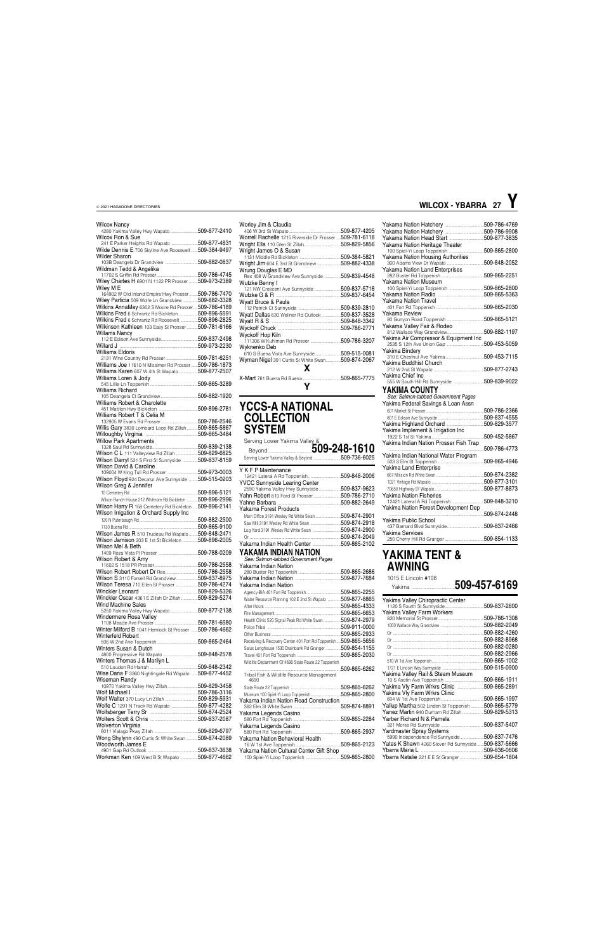### Wilcox Nancy

| 4280 Yakima Valley Hwy Wapato509-877-2410                        |  |
|------------------------------------------------------------------|--|
| Wilcox Ron & Sue<br>241 E Parker Heights Rd Wapato 509-877-4831  |  |
| Wilde Dennis E 706 Skyline Ave Roosevelt  509-384-9497           |  |
|                                                                  |  |
| <b>Wilder Sharon</b><br>103B Deangela Dr Grandview  509-882-0837 |  |
|                                                                  |  |
| Wildman Tedd & Angelika                                          |  |
| Wiley Charles H 6901 N 1122 PR Prosser  509-973-2389             |  |
|                                                                  |  |
| Wiley M E<br>164902 W Old Inland Empire Hwy Prosser 509-786-7470 |  |
| Wiley Particia 509 Wolfe Ln Grandview  509-882-3328              |  |
|                                                                  |  |
| Wilkins AnnaMay 6302 S Moore Rd Prosser509-786-4189              |  |
| Wilkins Fred 6 Schrantz Rd Bickleton509-896-5591                 |  |
| Wilkins Fred 6 Schrantz Rd Roosevelt 509-896-2825                |  |
| Wilkinson Kathleen 103 Easy St Prosser  509-781-6166             |  |
| <b>Willams Nancy</b>                                             |  |
|                                                                  |  |
|                                                                  |  |
| Williams Eldoris                                                 |  |
| 2131 Wine Country Rd Prosser509-781-6251                         |  |
| Williams Joe 11610 N Missimer Rd Prosser  509-786-1873           |  |
| Williams Karen 607 W 4th St Wapato509-877-2507                   |  |
| Williams Loren & Jody                                            |  |
|                                                                  |  |
| Williams Richard                                                 |  |
|                                                                  |  |
| Williams Robert & Charolette                                     |  |
|                                                                  |  |
| Williams Robert T & Celia M                                      |  |
|                                                                  |  |
| Willis Gary 3830 Lombard Loop Rd Zillah  509-865-5867            |  |
|                                                                  |  |
| <b>Willow Park Apartments</b>                                    |  |
|                                                                  |  |
| Wilson C L 111 Valleyview Rd Zillah 509-829-6825                 |  |
| Wilson Darryl 521 S First St Sunnyside  509-837-8159             |  |
| Wilson David & Caroline                                          |  |
|                                                                  |  |
| Wilson Floyd 924 Decatur Ave Sunnyside  509-515-0203             |  |
| Wilson Greg & Jennifer                                           |  |
|                                                                  |  |
| Wilson Ranch House 212 Whitmore Rd Bickleton  509-896-2996       |  |
| Wilson Harry R 158 Cemetery Rd Bickleton  509-896-2141           |  |
| Wilson Irrigation & Orchard Supply Inc                           |  |
|                                                                  |  |
|                                                                  |  |
|                                                                  |  |
|                                                                  |  |
| Wilson James R 510 Trudeau Rd Wapato  509-848-2471               |  |
| Wilson Jamison 203 E 1st St Bickleton  509-896-2005              |  |
| Wilson Mel & Beth                                                |  |
|                                                                  |  |
| Wilson Robert & Amy                                              |  |
|                                                                  |  |
| Wilson Robert Robert Dr Res509-786-2558                          |  |
| Wilson S 3110 Forsell Rd Grandview509-837-8975                   |  |
| Wilson Teresa 710 Ellen St Prosser 509-786-4274                  |  |
|                                                                  |  |
| Winckler Oscar 4361 E Zillah Dr Zillah509-829-5274               |  |
| <b>Wind Machine Sales</b>                                        |  |
| 5250 Yakima Valley Hwy Wapato509-877-2138                        |  |
| Windermere Rosa Valley                                           |  |
|                                                                  |  |
| Winter Milford B 1041 Hemlock St Prosser  509-786-4662           |  |
| Winterfeld Robert                                                |  |
|                                                                  |  |
| Winters Susan & Dutch                                            |  |
|                                                                  |  |
| Winters Thomas J & Marilyn L                                     |  |
|                                                                  |  |
| Wise Dana F 3360 Nightingale Rd Wapato  509-877-4452             |  |
| Wiseman Randy                                                    |  |
| 10970 Yakima Valley Hwy Zillah509-829-3458                       |  |
|                                                                  |  |
|                                                                  |  |
|                                                                  |  |
| Wolfe C 1291 N Track Rd Wapato 509-877-4282                      |  |
|                                                                  |  |
|                                                                  |  |
| Wolverton Virginia                                               |  |
|                                                                  |  |
| Wong Shylynn 490 Curtis St White Swan  509-874-2089              |  |
| Woodworth James E                                                |  |
| Workman Ken 109 West B St Wapato 509-877-4662                    |  |

| Worley Jim & Claudia                                    |              |
|---------------------------------------------------------|--------------|
|                                                         | 509-877-4205 |
| Worrell Rachelle 1215 Riverside Dr Prosser 509-781-6118 |              |
|                                                         |              |
| Wright James O & Susan                                  |              |
|                                                         |              |
| Wright Jim 604 E 3rd St Grandview 509-882-4338          |              |
| Wrung Douglas E MD                                      |              |
| Res 408 W Grandview Ave Sunnyside509-839-4548           |              |
| Wutzke Benny I                                          |              |
| 121 NW Crescent Ave Sunnyside 509-837-5718              |              |
|                                                         |              |
| Wyatt Bruce & Paula                                     |              |
|                                                         |              |
| Wyatt Dallas 630 Wellner Rd Outlook509-837-3528         |              |
|                                                         |              |
|                                                         |              |
| Wyckoff Hop Kiln                                        |              |
| 111306 W Kuhlman Rd Prosser 509-786-3207                |              |
| Wyknenko Deb                                            |              |
| 610 S Buena Vista Ave Sunnyside509-515-0081             |              |
| Wyman Nigel 391 Curtis St White Swan509-874-2067        |              |
| x                                                       |              |
|                                                         |              |
|                                                         |              |
|                                                         |              |

**Y**

### **YCCS-A NATIONAL COLLECTION SYSTEM**

Serving Lower Yakima Valley &

| <b>Beyond Market 309-248-1610</b>                                                            |  |
|----------------------------------------------------------------------------------------------|--|
| Serving Lower Yakima Valley & Beyond509-736-6025                                             |  |
| Y K F P Maintenance                                                                          |  |
|                                                                                              |  |
| YVCC Sunnyside Learing Center                                                                |  |
| 2590 Yakima Valley Hwy Sunnyside 509-837-9623<br>Yahn Robert 810 Ford St Prosser509-786-2710 |  |
|                                                                                              |  |
| Yakama Forest Products                                                                       |  |
| Main Office 3191 Wesley Rd White Swan509-874-2901                                            |  |
| Saw Mill 3191 Wesley Rd White Swan 509-874-2918                                              |  |
| Log Yard 3191 Wesley Rd White Swan 509-874-2900                                              |  |
|                                                                                              |  |
| Yakama Indian Health Center 509-865-2102                                                     |  |
|                                                                                              |  |
| YAKAMA INDIAN NATION                                                                         |  |
| See: Salmon-tabbed Government Pages<br>Yakama Indian Nation                                  |  |
|                                                                                              |  |
|                                                                                              |  |
| Yakama Indian Nation                                                                         |  |
|                                                                                              |  |
| Water Resource Planning 102 E 2nd St Wapato 509-877-8865                                     |  |
|                                                                                              |  |
|                                                                                              |  |
| Health Clinic 520 Signal Peak Rd White Swan 509-874-2979                                     |  |
|                                                                                              |  |
|                                                                                              |  |

Police Tribal ....................................................................509-911-0000

Travel 401 Fort Rd Toppenish ...................

Museum 100 Spiel-Yi Loop Toppenish..........

Receiving & Recovery Center 401 Fort Rd Toppenish....509-865-5656 Satus Longhouse 1530 Drainbank Rd Granger ..............509-854-1155

Wildlife Department Of 4690 State Route 22 Toppenish ....................................................................................509-865-6262 Tribal Fish & Wildlife Resource Management 4690 State Route 22 Toppenish ..............................................509-865-6262

| Yakama Indian Nation Road Construction   |
|------------------------------------------|
| 509-874-8891                             |
|                                          |
|                                          |
|                                          |
|                                          |
|                                          |
| 509-865-2123                             |
|                                          |
| 100 Spiel-Yi Loop Toppenish 509-865-2800 |
|                                          |

|                                             | 509-786-4769 |
|---------------------------------------------|--------------|
|                                             | 509-786-9908 |
|                                             | 509-877-3835 |
| Yakama Nation Heritage Theater              |              |
| 100 Spiel-Yi Loop Toppenish                 | 509-865-2800 |
| Yakama Nation Housing Authorities           |              |
| 300 Adams View Dr Wapato                    | 509-848-2052 |
| Yakama Nation Land Enterprises              |              |
|                                             | 509-865-2251 |
| <b>Yakama Nation Museum</b>                 |              |
|                                             | 509-865-2800 |
|                                             | 509-865-5363 |
| Yakama Nation Travel                        |              |
|                                             | 509-865-2030 |
| Yakama Review                               |              |
| 80 Gunyon Road Toppenish                    | 509-865-5121 |
| Yakama Valley Fair & Rodeo                  |              |
|                                             | 509-882-1197 |
| Yakima Air Compressor & Equipment Inc       |              |
|                                             | 509-453-5059 |
| Yakima Binderv                              |              |
|                                             | 509-453-7115 |
| Yakima Buddhist Church                      |              |
|                                             | 509-877-2743 |
| Yakima Chief Inc                            |              |
| 555 W South Hill Rd Sunnyside  509-839-9022 |              |
| YAKIMA COUNTY                               |              |
| See: Salmon-tabbed Government Pages         |              |
| Yakima Federal Savings & Loan Assn          |              |
|                                             | 509-786-2366 |
|                                             | 509-837-4555 |
|                                             | 509-829-3577 |
|                                             |              |
| Yakima Implement & Irrigation Inc           |              |
|                                             | 509-452-5867 |
| Yakima Indian Nation Prosser Fish Trap      |              |
|                                             | 509-786-4773 |
| Yakima Indian National Water Program        | 509-865-4946 |
| <b>Yakima Land Enterprise</b>               |              |
|                                             |              |
|                                             | 509-874-2382 |
|                                             | 509-877-3101 |
|                                             | 509-877-8873 |
| <b>Yakima Nation Fisheries</b>              |              |
|                                             |              |
| Yakima Nation Forest Development Dep        | 509-848-3210 |
|                                             |              |
|                                             | 509-874-2448 |
| Yakima Public School                        |              |
|                                             |              |
| Yakima Services                             |              |

### **YAKIMA TENT & AWNING**

1015 E Lincoln #108

...509-865-2933

### Yakima ........................................**509-457-6169**

| Yakima Valley Chiropractic Center                    | 509-837-2600  |
|------------------------------------------------------|---------------|
| Yakima Valley Farm Workers                           |               |
|                                                      | 509-786-1308  |
|                                                      |               |
|                                                      | .509-882-4260 |
|                                                      |               |
|                                                      | .509-882-0280 |
|                                                      | .509-882-2966 |
|                                                      |               |
|                                                      |               |
|                                                      |               |
| Yakima Valley Rail & Steam Museum                    |               |
|                                                      |               |
| Yakima Vly Farm Wrkrs Clinic 509-865-2891            |               |
| Yakima VIy Farm Wrkrs Clinic                         |               |
|                                                      |               |
| Yallup Martha 502 Linden St Toppenish 509-865-5779   |               |
| Yanez Martin 940 Durham Rd Zillah 509-829-5313       |               |
| Yarber Richard N & Pamela                            |               |
|                                                      | 509-837-5407  |
| Yardmaster Spray Systems                             |               |
| 5990 Independence Rd Sunnyside509-837-7476           |               |
| Yates K Shawn 4260 Stover Rd Sunnyside  509-837-5666 |               |
| Ybarra Maria L                                       |               |
| Ybarra Natalie 221 E E St Granger                    | 509-854-1804  |

| <b>WILCOX - YBARRA 27</b> |  |
|---------------------------|--|
|                           |  |